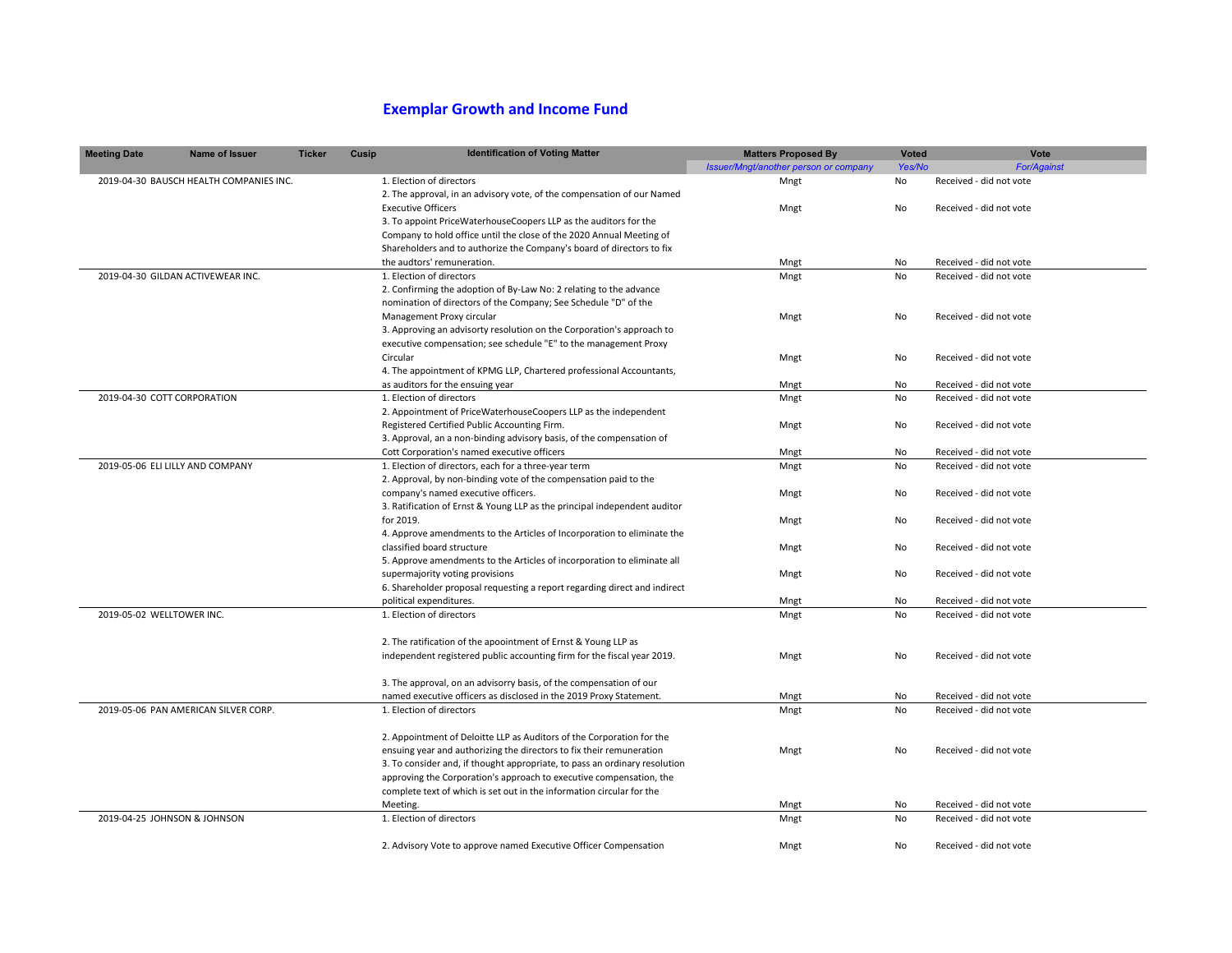## **Exemplar Growth and Income Fund**

| <b>Meeting Date</b>              | <b>Name of Issuer</b>                   | <b>Ticker</b> | Cusip | <b>Identification of Voting Matter</b>                                     | <b>Matters Proposed By</b>            | <b>Voted</b> | Vote                    |
|----------------------------------|-----------------------------------------|---------------|-------|----------------------------------------------------------------------------|---------------------------------------|--------------|-------------------------|
|                                  |                                         |               |       |                                                                            | Issuer/Mngt/another person or company | Yes/No       | <b>For/Against</b>      |
|                                  | 2019-04-30 BAUSCH HEALTH COMPANIES INC. |               |       | 1. Election of directors                                                   | Mngt                                  | No           | Received - did not vote |
|                                  |                                         |               |       | 2. The approval, in an advisory vote, of the compensation of our Named     |                                       |              |                         |
|                                  |                                         |               |       | <b>Executive Officers</b>                                                  | Mngt                                  | No           | Received - did not vote |
|                                  |                                         |               |       | 3. To appoint PriceWaterhouseCoopers LLP as the auditors for the           |                                       |              |                         |
|                                  |                                         |               |       | Company to hold office until the close of the 2020 Annual Meeting of       |                                       |              |                         |
|                                  |                                         |               |       | Shareholders and to authorize the Company's board of directors to fix      |                                       |              |                         |
|                                  |                                         |               |       | the audtors' remuneration.                                                 | Mngt                                  | No           | Received - did not vote |
|                                  | 2019-04-30 GILDAN ACTIVEWEAR INC.       |               |       | 1. Election of directors                                                   | Mngt                                  | No           | Received - did not vote |
|                                  |                                         |               |       | 2. Confirming the adoption of By-Law No: 2 relating to the advance         |                                       |              |                         |
|                                  |                                         |               |       | nomination of directors of the Company; See Schedule "D" of the            |                                       |              |                         |
|                                  |                                         |               |       | Management Proxy circular                                                  | Mngt                                  | No           | Received - did not vote |
|                                  |                                         |               |       | 3. Approving an advisorty resolution on the Corporation's approach to      |                                       |              |                         |
|                                  |                                         |               |       | executive compensation; see schedule "E" to the management Proxy           |                                       |              |                         |
|                                  |                                         |               |       | Circular                                                                   | Mngt                                  | No           | Received - did not vote |
|                                  |                                         |               |       | 4. The appointment of KPMG LLP, Chartered professional Accountants,        |                                       |              |                         |
|                                  |                                         |               |       | as auditors for the ensuing year                                           | Mngt                                  | No           | Received - did not vote |
| 2019-04-30 COTT CORPORATION      |                                         |               |       | 1. Election of directors                                                   | Mngt                                  | No           | Received - did not vote |
|                                  |                                         |               |       | 2. Appointment of PriceWaterhouseCoopers LLP as the independent            |                                       |              |                         |
|                                  |                                         |               |       | Registered Certified Public Accounting Firm.                               | Mngt                                  | No           | Received - did not vote |
|                                  |                                         |               |       | 3. Approval, an a non-binding advisory basis, of the compensation of       |                                       |              |                         |
|                                  |                                         |               |       | Cott Corporation's named executive officers                                | Mngt                                  | No           | Received - did not vote |
| 2019-05-06 ELI LILLY AND COMPANY |                                         |               |       | 1. Election of directors, each for a three-year term                       | Mngt                                  | No           | Received - did not vote |
|                                  |                                         |               |       | 2. Approval, by non-binding vote of the compensation paid to the           |                                       |              |                         |
|                                  |                                         |               |       | company's named executive officers.                                        | Mngt                                  | No           | Received - did not vote |
|                                  |                                         |               |       | 3. Ratification of Ernst & Young LLP as the principal independent auditor  |                                       |              |                         |
|                                  |                                         |               |       | for 2019.                                                                  | Mngt                                  | No           | Received - did not vote |
|                                  |                                         |               |       | 4. Approve amendments to the Articles of Incorporation to eliminate the    |                                       |              |                         |
|                                  |                                         |               |       | classified board structure                                                 | Mngt                                  | No           | Received - did not vote |
|                                  |                                         |               |       | 5. Approve amendments to the Articles of incorporation to eliminate all    |                                       |              |                         |
|                                  |                                         |               |       | supermajority voting provisions                                            | Mngt                                  | No           | Received - did not vote |
|                                  |                                         |               |       | 6. Shareholder proposal requesting a report regarding direct and indirect  |                                       |              |                         |
|                                  |                                         |               |       | political expenditures.                                                    | Mngt                                  | No           | Received - did not vote |
| 2019-05-02 WELLTOWER INC.        |                                         |               |       | 1. Election of directors                                                   | Mngt                                  | No           | Received - did not vote |
|                                  |                                         |               |       |                                                                            |                                       |              |                         |
|                                  |                                         |               |       | 2. The ratification of the apoointment of Ernst & Young LLP as             |                                       |              |                         |
|                                  |                                         |               |       | independent registered public accounting firm for the fiscal year 2019.    | Mngt                                  | <b>No</b>    | Received - did not vote |
|                                  |                                         |               |       |                                                                            |                                       |              |                         |
|                                  |                                         |               |       | 3. The approval, on an advisorry basis, of the compensation of our         |                                       |              |                         |
|                                  |                                         |               |       | named executive officers as disclosed in the 2019 Proxy Statement.         | Mngt                                  | No           | Received - did not vote |
|                                  | 2019-05-06 PAN AMERICAN SILVER CORP.    |               |       | 1. Election of directors                                                   | Mngt                                  | <b>No</b>    | Received - did not vote |
|                                  |                                         |               |       |                                                                            |                                       |              |                         |
|                                  |                                         |               |       | 2. Appointment of Deloitte LLP as Auditors of the Corporation for the      |                                       |              |                         |
|                                  |                                         |               |       | ensuing year and authorizing the directors to fix their remuneration       | Mngt                                  | <b>No</b>    | Received - did not vote |
|                                  |                                         |               |       | 3. To consider and, if thought appropriate, to pass an ordinary resolution |                                       |              |                         |
|                                  |                                         |               |       | approving the Corporation's approach to executive compensation, the        |                                       |              |                         |
|                                  |                                         |               |       | complete text of which is set out in the information circular for the      |                                       | No           | Received - did not vote |
| 2019-04-25 JOHNSON & JOHNSON     |                                         |               |       | Meeting.<br>1. Election of directors                                       | Mngt<br>Mngt                          | No           | Received - did not vote |
|                                  |                                         |               |       |                                                                            |                                       |              |                         |
|                                  |                                         |               |       | 2. Advisory Vote to approve named Executive Officer Compensation           | Mngt                                  | <b>No</b>    | Received - did not vote |
|                                  |                                         |               |       |                                                                            |                                       |              |                         |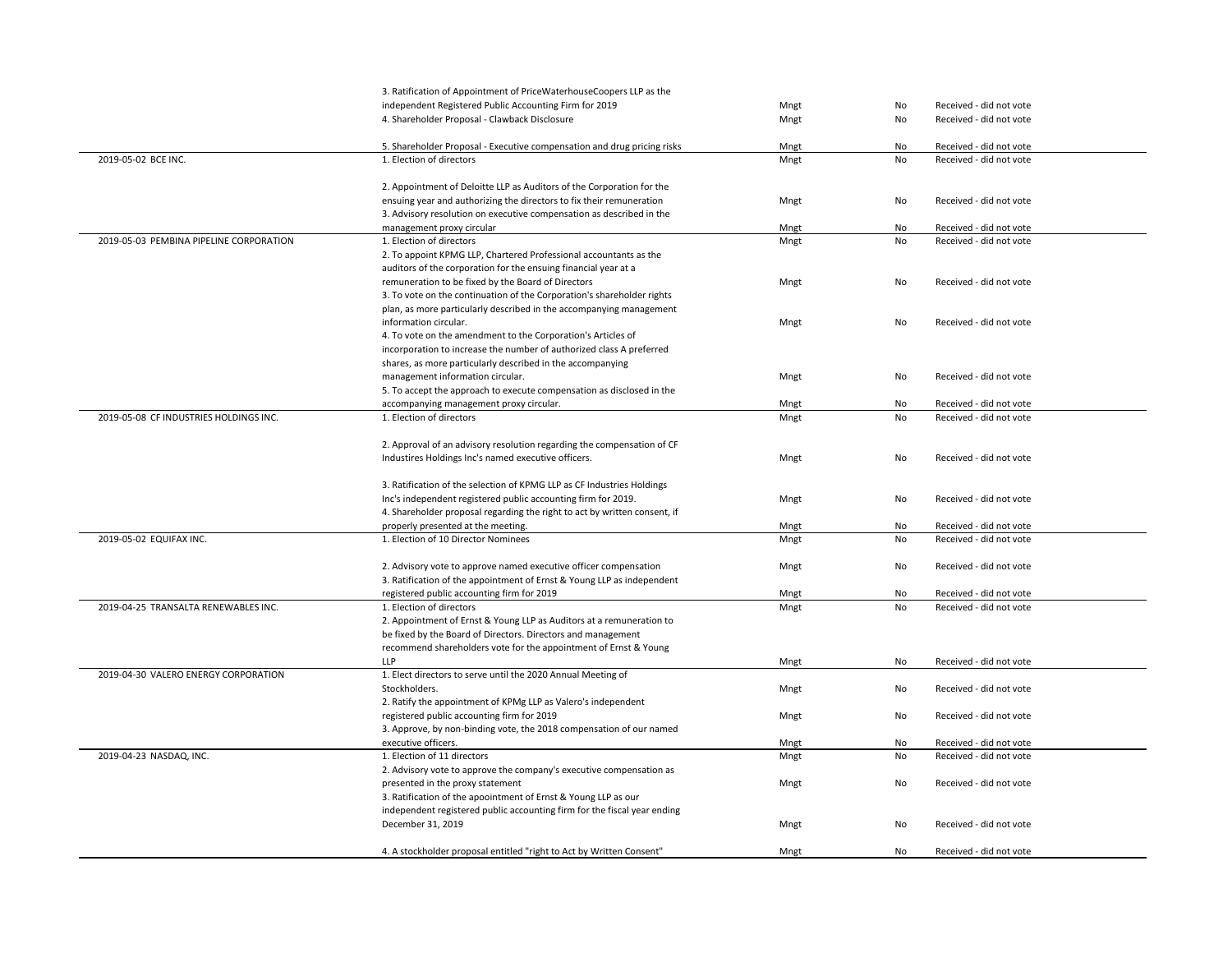|                                         | 3. Ratification of Appointment of PriceWaterhouseCoopers LLP as the       |      |           |                         |
|-----------------------------------------|---------------------------------------------------------------------------|------|-----------|-------------------------|
|                                         | independent Registered Public Accounting Firm for 2019                    | Mngt | No        | Received - did not vote |
|                                         | 4. Shareholder Proposal - Clawback Disclosure                             | Mngt | No        | Received - did not vote |
|                                         |                                                                           |      |           |                         |
|                                         | 5. Shareholder Proposal - Executive compensation and drug pricing risks   | Mngt | No        | Received - did not vote |
| 2019-05-02 BCE INC.                     | 1. Election of directors                                                  | Mngt | No        | Received - did not vote |
|                                         |                                                                           |      |           |                         |
|                                         | 2. Appointment of Deloitte LLP as Auditors of the Corporation for the     |      |           |                         |
|                                         | ensuing year and authorizing the directors to fix their remuneration      | Mngt | No        | Received - did not vote |
|                                         | 3. Advisory resolution on executive compensation as described in the      |      |           |                         |
|                                         | management proxy circular                                                 | Mngt | No        | Received - did not vote |
| 2019-05-03 PEMBINA PIPELINE CORPORATION | 1. Election of directors                                                  | Mngt | No        | Received - did not vote |
|                                         |                                                                           |      |           |                         |
|                                         | 2. To appoint KPMG LLP, Chartered Professional accountants as the         |      |           |                         |
|                                         | auditors of the corporation for the ensuing financial year at a           |      |           |                         |
|                                         | remuneration to be fixed by the Board of Directors                        | Mngt | No        | Received - did not vote |
|                                         | 3. To vote on the continuation of the Corporation's shareholder rights    |      |           |                         |
|                                         | plan, as more particularly described in the accompanying management       |      |           |                         |
|                                         | information circular.                                                     | Mngt | No        | Received - did not vote |
|                                         | 4. To vote on the amendment to the Corporation's Articles of              |      |           |                         |
|                                         | incorporation to increase the number of authorized class A preferred      |      |           |                         |
|                                         | shares, as more particularly described in the accompanying                |      |           |                         |
|                                         | management information circular.                                          | Mngt | No        | Received - did not vote |
|                                         | 5. To accept the approach to execute compensation as disclosed in the     |      |           |                         |
|                                         | accompanying management proxy circular.                                   | Mngt | No        | Received - did not vote |
| 2019-05-08 CF INDUSTRIES HOLDINGS INC.  | 1. Election of directors                                                  | Mngt | No        | Received - did not vote |
|                                         |                                                                           |      |           |                         |
|                                         | 2. Approval of an advisory resolution regarding the compensation of CF    |      |           |                         |
|                                         | Industires Holdings Inc's named executive officers.                       | Mngt | <b>No</b> | Received - did not vote |
|                                         |                                                                           |      |           |                         |
|                                         | 3. Ratification of the selection of KPMG LLP as CF Industries Holdings    |      |           |                         |
|                                         | Inc's independent registered public accounting firm for 2019.             | Mngt | No        | Received - did not vote |
|                                         | 4. Shareholder proposal regarding the right to act by written consent, if |      |           |                         |
|                                         |                                                                           |      |           | Received - did not vote |
| 2019-05-02 EQUIFAX INC.                 | properly presented at the meeting.<br>1. Election of 10 Director Nominees | Mngt | No<br>No  | Received - did not vote |
|                                         |                                                                           | Mngt |           |                         |
|                                         |                                                                           |      |           |                         |
|                                         | 2. Advisory vote to approve named executive officer compensation          | Mngt | No        | Received - did not vote |
|                                         | 3. Ratification of the appointment of Ernst & Young LLP as independent    |      |           |                         |
|                                         | registered public accounting firm for 2019                                | Mngt | No        | Received - did not vote |
| 2019-04-25 TRANSALTA RENEWABLES INC.    | 1. Election of directors                                                  | Mngt | No        | Received - did not vote |
|                                         | 2. Appointment of Ernst & Young LLP as Auditors at a remuneration to      |      |           |                         |
|                                         | be fixed by the Board of Directors. Directors and management              |      |           |                         |
|                                         | recommend shareholders vote for the appointment of Ernst & Young          |      |           |                         |
|                                         | <b>LLP</b>                                                                | Mngt | No        | Received - did not vote |
| 2019-04-30 VALERO ENERGY CORPORATION    | 1. Elect directors to serve until the 2020 Annual Meeting of              |      |           |                         |
|                                         | Stockholders.                                                             | Mngt | No        | Received - did not vote |
|                                         | 2. Ratify the appointment of KPMg LLP as Valero's independent             |      |           |                         |
|                                         | registered public accounting firm for 2019                                | Mngt | No        | Received - did not vote |
|                                         | 3. Approve, by non-binding vote, the 2018 compensation of our named       |      |           |                         |
|                                         | executive officers.                                                       | Mngt | No        | Received - did not vote |
| 2019-04-23 NASDAQ, INC.                 | 1. Election of 11 directors                                               | Mngt | No        | Received - did not vote |
|                                         | 2. Advisory vote to approve the company's executive compensation as       |      |           |                         |
|                                         | presented in the proxy statement                                          | Mngt | No        | Received - did not vote |
|                                         | 3. Ratification of the apoointment of Ernst & Young LLP as our            |      |           |                         |
|                                         | independent registered public accounting firm for the fiscal year ending  |      |           |                         |
|                                         | December 31, 2019                                                         | Mngt | No        | Received - did not vote |
|                                         |                                                                           |      |           |                         |
|                                         |                                                                           |      |           |                         |
|                                         | 4. A stockholder proposal entitled "right to Act by Written Consent"      | Mngt | No        | Received - did not vote |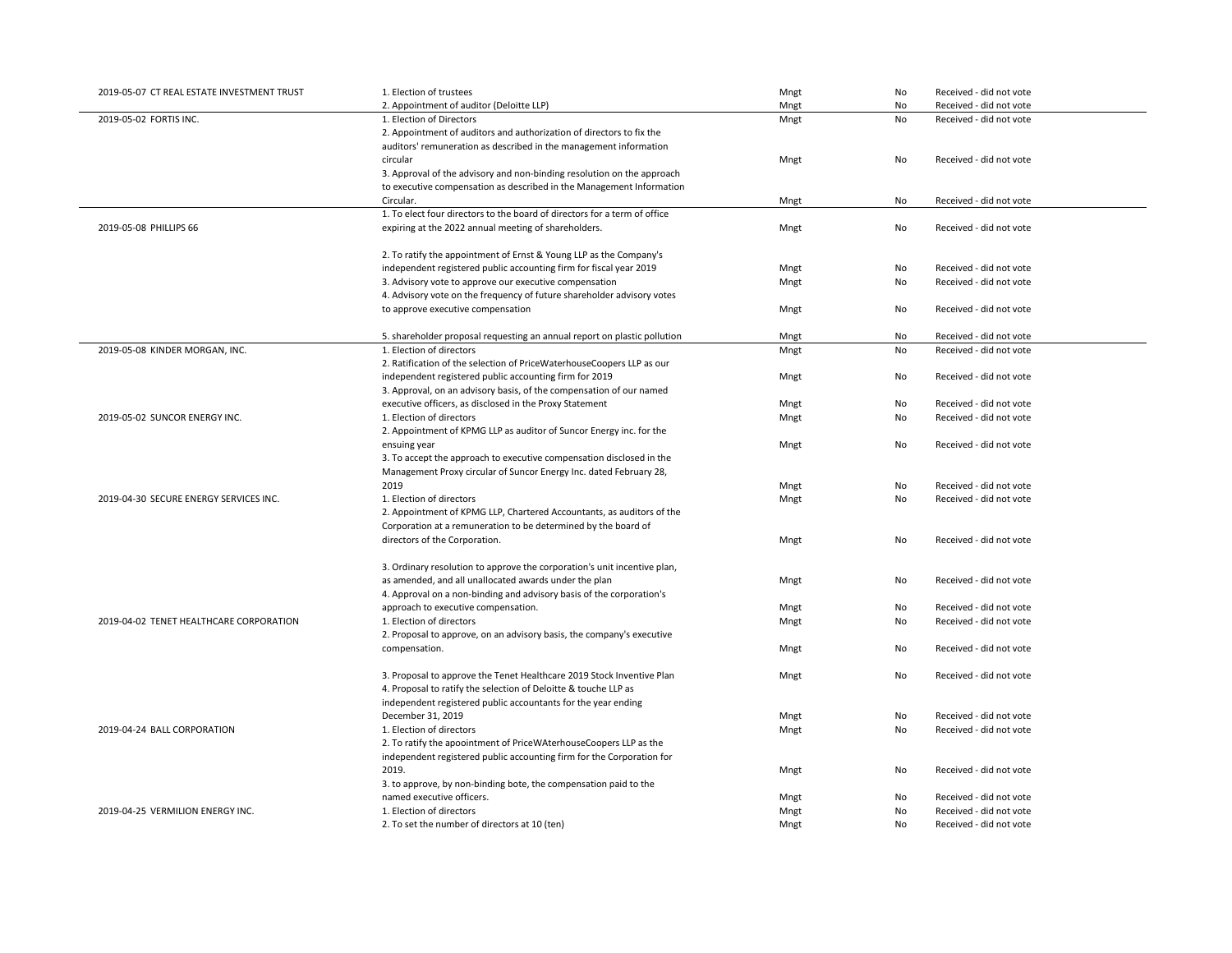| 2019-05-07 CT REAL ESTATE INVESTMENT TRUST | 1. Election of trustees                                                   | Mngt | No        | Received - did not vote |
|--------------------------------------------|---------------------------------------------------------------------------|------|-----------|-------------------------|
|                                            | 2. Appointment of auditor (Deloitte LLP)                                  | Mngt | No        | Received - did not vote |
| 2019-05-02 FORTIS INC.                     | 1. Election of Directors                                                  | Mngt | No        | Received - did not vote |
|                                            | 2. Appointment of auditors and authorization of directors to fix the      |      |           |                         |
|                                            | auditors' remuneration as described in the management information         |      |           |                         |
|                                            | circular                                                                  | Mngt | No        | Received - did not vote |
|                                            | 3. Approval of the advisory and non-binding resolution on the approach    |      |           |                         |
|                                            | to executive compensation as described in the Management Information      |      |           |                         |
|                                            | Circular.                                                                 | Mngt | No        | Received - did not vote |
|                                            | 1. To elect four directors to the board of directors for a term of office |      |           |                         |
| 2019-05-08 PHILLIPS 66                     | expiring at the 2022 annual meeting of shareholders.                      | Mngt | No        | Received - did not vote |
|                                            |                                                                           |      |           |                         |
|                                            | 2. To ratify the appointment of Ernst & Young LLP as the Company's        |      |           |                         |
|                                            | independent registered public accounting firm for fiscal year 2019        | Mngt | No        | Received - did not vote |
|                                            | 3. Advisory vote to approve our executive compensation                    | Mngt | No        | Received - did not vote |
|                                            | 4. Advisory vote on the frequency of future shareholder advisory votes    |      |           |                         |
|                                            | to approve executive compensation                                         | Mngt | No        | Received - did not vote |
|                                            |                                                                           |      |           |                         |
|                                            | 5. shareholder proposal requesting an annual report on plastic pollution  | Mngt | No        | Received - did not vote |
| 2019-05-08 KINDER MORGAN, INC.             | 1. Election of directors                                                  | Mngt | No        | Received - did not vote |
|                                            | 2. Ratification of the selection of PriceWaterhouseCoopers LLP as our     |      |           |                         |
|                                            | independent registered public accounting firm for 2019                    | Mngt | No        | Received - did not vote |
|                                            | 3. Approval, on an advisory basis, of the compensation of our named       |      |           |                         |
|                                            | executive officers, as disclosed in the Proxy Statement                   | Mngt | No        | Received - did not vote |
| 2019-05-02 SUNCOR ENERGY INC.              | 1. Election of directors                                                  | Mngt | No        | Received - did not vote |
|                                            | 2. Appointment of KPMG LLP as auditor of Suncor Energy inc. for the       |      |           |                         |
|                                            | ensuing year                                                              | Mngt | No        | Received - did not vote |
|                                            | 3. To accept the approach to executive compensation disclosed in the      |      |           |                         |
|                                            | Management Proxy circular of Suncor Energy Inc. dated February 28,        |      |           |                         |
|                                            | 2019                                                                      | Mngt | No        | Received - did not vote |
|                                            |                                                                           |      | <b>No</b> |                         |
| 2019-04-30 SECURE ENERGY SERVICES INC.     | 1. Election of directors                                                  | Mngt |           | Received - did not vote |
|                                            | 2. Appointment of KPMG LLP, Chartered Accountants, as auditors of the     |      |           |                         |
|                                            | Corporation at a remuneration to be determined by the board of            |      |           |                         |
|                                            | directors of the Corporation.                                             | Mngt | No        | Received - did not vote |
|                                            |                                                                           |      |           |                         |
|                                            | 3. Ordinary resolution to approve the corporation's unit incentive plan,  |      |           |                         |
|                                            | as amended, and all unallocated awards under the plan                     | Mngt | No        | Received - did not vote |
|                                            | 4. Approval on a non-binding and advisory basis of the corporation's      |      |           |                         |
|                                            | approach to executive compensation.                                       | Mngt | No        | Received - did not vote |
| 2019-04-02 TENET HEALTHCARE CORPORATION    | 1. Election of directors                                                  | Mngt | No        | Received - did not vote |
|                                            | 2. Proposal to approve, on an advisory basis, the company's executive     |      |           |                         |
|                                            | compensation.                                                             | Mngt | No        | Received - did not vote |
|                                            |                                                                           |      |           |                         |
|                                            | 3. Proposal to approve the Tenet Healthcare 2019 Stock Inventive Plan     | Mngt | No        | Received - did not vote |
|                                            | 4. Proposal to ratify the selection of Deloitte & touche LLP as           |      |           |                         |
|                                            | independent registered public accountants for the year ending             |      |           |                         |
|                                            | December 31, 2019                                                         | Mngt | No        | Received - did not vote |
| 2019-04-24 BALL CORPORATION                | 1. Election of directors                                                  | Mngt | No        | Received - did not vote |
|                                            | 2. To ratify the apoointment of PriceWAterhouseCoopers LLP as the         |      |           |                         |
|                                            | independent registered public accounting firm for the Corporation for     |      |           |                         |
|                                            | 2019.                                                                     | Mngt | No        | Received - did not vote |
|                                            | 3. to approve, by non-binding bote, the compensation paid to the          |      |           |                         |
|                                            | named executive officers.                                                 | Mngt | No        | Received - did not vote |
| 2019-04-25 VERMILION ENERGY INC.           | 1. Election of directors                                                  | Mngt | No        | Received - did not vote |
|                                            | 2. To set the number of directors at 10 (ten)                             | Mngt | No        | Received - did not vote |
|                                            |                                                                           |      |           |                         |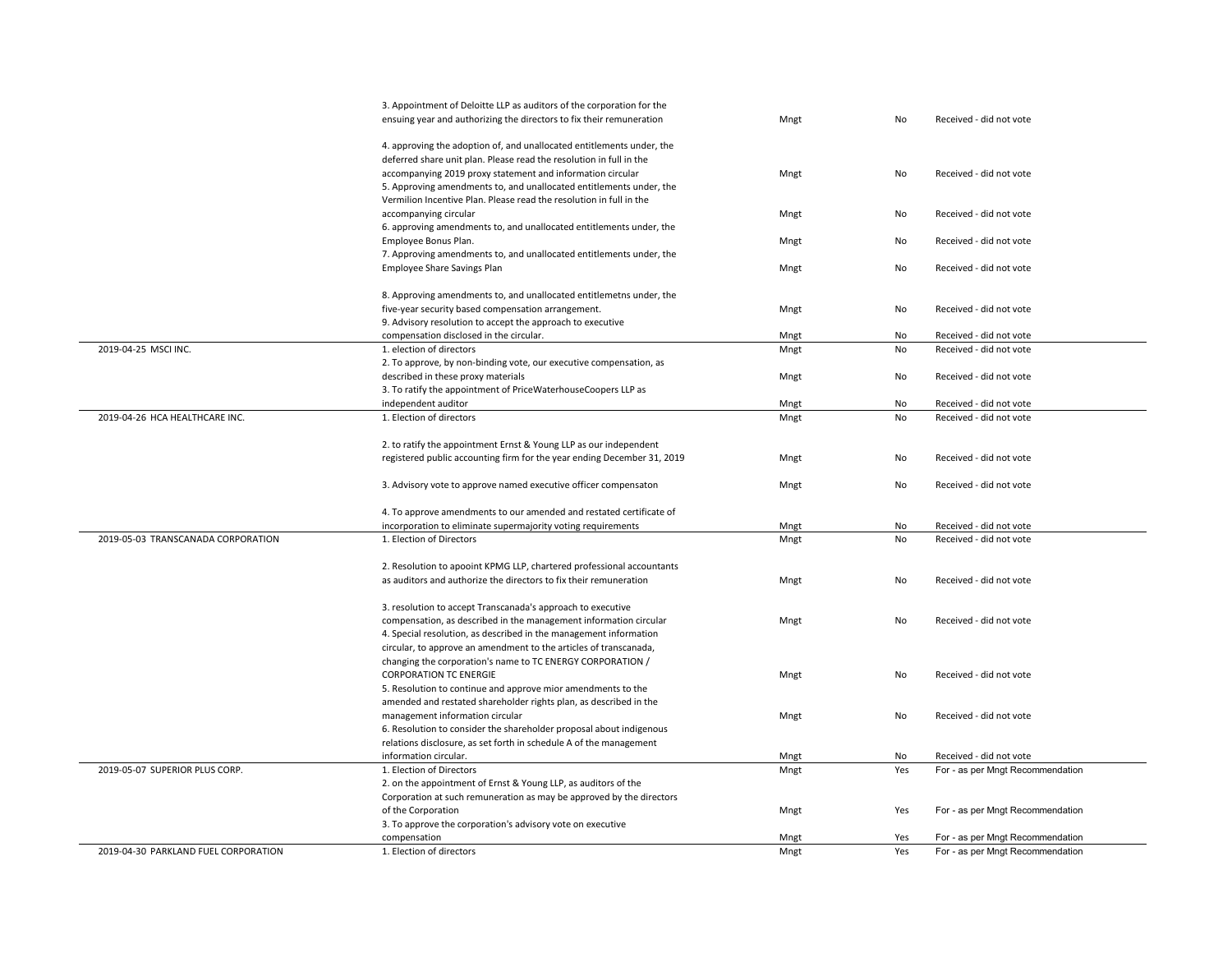|                                      | 3. Appointment of Deloitte LLP as auditors of the corporation for the   |      |     |                                  |
|--------------------------------------|-------------------------------------------------------------------------|------|-----|----------------------------------|
|                                      | ensuing year and authorizing the directors to fix their remuneration    | Mngt | No  | Received - did not vote          |
|                                      |                                                                         |      |     |                                  |
|                                      | 4. approving the adoption of, and unallocated entitlements under, the   |      |     |                                  |
|                                      | deferred share unit plan. Please read the resolution in full in the     |      |     |                                  |
|                                      | accompanying 2019 proxy statement and information circular              | Mngt | No  | Received - did not vote          |
|                                      | 5. Approving amendments to, and unallocated entitlements under, the     |      |     |                                  |
|                                      | Vermilion Incentive Plan. Please read the resolution in full in the     |      |     |                                  |
|                                      | accompanying circular                                                   | Mngt | No  | Received - did not vote          |
|                                      | 6. approving amendments to, and unallocated entitlements under, the     |      |     |                                  |
|                                      |                                                                         |      |     | Received - did not vote          |
|                                      | Employee Bonus Plan.                                                    | Mngt | No  |                                  |
|                                      | 7. Approving amendments to, and unallocated entitlements under, the     |      |     |                                  |
|                                      | <b>Employee Share Savings Plan</b>                                      | Mngt | No  | Received - did not vote          |
|                                      |                                                                         |      |     |                                  |
|                                      | 8. Approving amendments to, and unallocated entitlemetns under, the     |      |     |                                  |
|                                      | five-year security based compensation arrangement.                      | Mngt | No  | Received - did not vote          |
|                                      | 9. Advisory resolution to accept the approach to executive              |      |     |                                  |
|                                      | compensation disclosed in the circular.                                 | Mngt | No  | Received - did not vote          |
| 2019-04-25 MSCI INC.                 | 1. election of directors                                                | Mngt | No  | Received - did not vote          |
|                                      | 2. To approve, by non-binding vote, our executive compensation, as      |      |     |                                  |
|                                      | described in these proxy materials                                      | Mngt | No  | Received - did not vote          |
|                                      | 3. To ratify the appointment of PriceWaterhouseCoopers LLP as           |      |     |                                  |
|                                      | independent auditor                                                     | Mngt | No  | Received - did not vote          |
| 2019-04-26 HCA HEALTHCARE INC.       | 1. Election of directors                                                | Mngt | No  | Received - did not vote          |
|                                      |                                                                         |      |     |                                  |
|                                      | 2. to ratify the appointment Ernst & Young LLP as our independent       |      |     |                                  |
|                                      | registered public accounting firm for the year ending December 31, 2019 | Mngt | No  | Received - did not vote          |
|                                      |                                                                         |      |     |                                  |
|                                      |                                                                         |      |     |                                  |
|                                      | 3. Advisory vote to approve named executive officer compensaton         | Mngt | No  | Received - did not vote          |
|                                      |                                                                         |      |     |                                  |
|                                      | 4. To approve amendments to our amended and restated certificate of     |      |     |                                  |
|                                      | incorporation to eliminate supermajority voting requirements            | Mngt | No  | Received - did not vote          |
| 2019-05-03 TRANSCANADA CORPORATION   | 1. Election of Directors                                                | Mngt | No  | Received - did not vote          |
|                                      |                                                                         |      |     |                                  |
|                                      | 2. Resolution to apooint KPMG LLP, chartered professional accountants   |      |     |                                  |
|                                      | as auditors and authorize the directors to fix their remuneration       | Mngt | No  | Received - did not vote          |
|                                      |                                                                         |      |     |                                  |
|                                      | 3. resolution to accept Transcanada's approach to executive             |      |     |                                  |
|                                      | compensation, as described in the management information circular       | Mngt | No  | Received - did not vote          |
|                                      | 4. Special resolution, as described in the management information       |      |     |                                  |
|                                      | circular, to approve an amendment to the articles of transcanada,       |      |     |                                  |
|                                      | changing the corporation's name to TC ENERGY CORPORATION /              |      |     |                                  |
|                                      | <b>CORPORATION TC ENERGIE</b>                                           | Mngt | No  | Received - did not vote          |
|                                      | 5. Resolution to continue and approve mior amendments to the            |      |     |                                  |
|                                      |                                                                         |      |     |                                  |
|                                      | amended and restated shareholder rights plan, as described in the       |      |     |                                  |
|                                      | management information circular                                         | Mngt | No  | Received - did not vote          |
|                                      | 6. Resolution to consider the shareholder proposal about indigenous     |      |     |                                  |
|                                      | relations disclosure, as set forth in schedule A of the management      |      |     |                                  |
|                                      | information circular.                                                   | Mngt | No  | Received - did not vote          |
| 2019-05-07 SUPERIOR PLUS CORP.       | 1. Election of Directors                                                | Mngt | Yes | For - as per Mngt Recommendation |
|                                      | 2. on the appointment of Ernst & Young LLP, as auditors of the          |      |     |                                  |
|                                      | Corporation at such remuneration as may be approved by the directors    |      |     |                                  |
|                                      | of the Corporation                                                      | Mngt | Yes | For - as per Mngt Recommendation |
|                                      | 3. To approve the corporation's advisory vote on executive              |      |     |                                  |
|                                      | compensation                                                            | Mngt | Yes | For - as per Mngt Recommendation |
| 2019-04-30 PARKLAND FUEL CORPORATION | 1. Election of directors                                                | Mngt | Yes | For - as per Mngt Recommendation |
|                                      |                                                                         |      |     |                                  |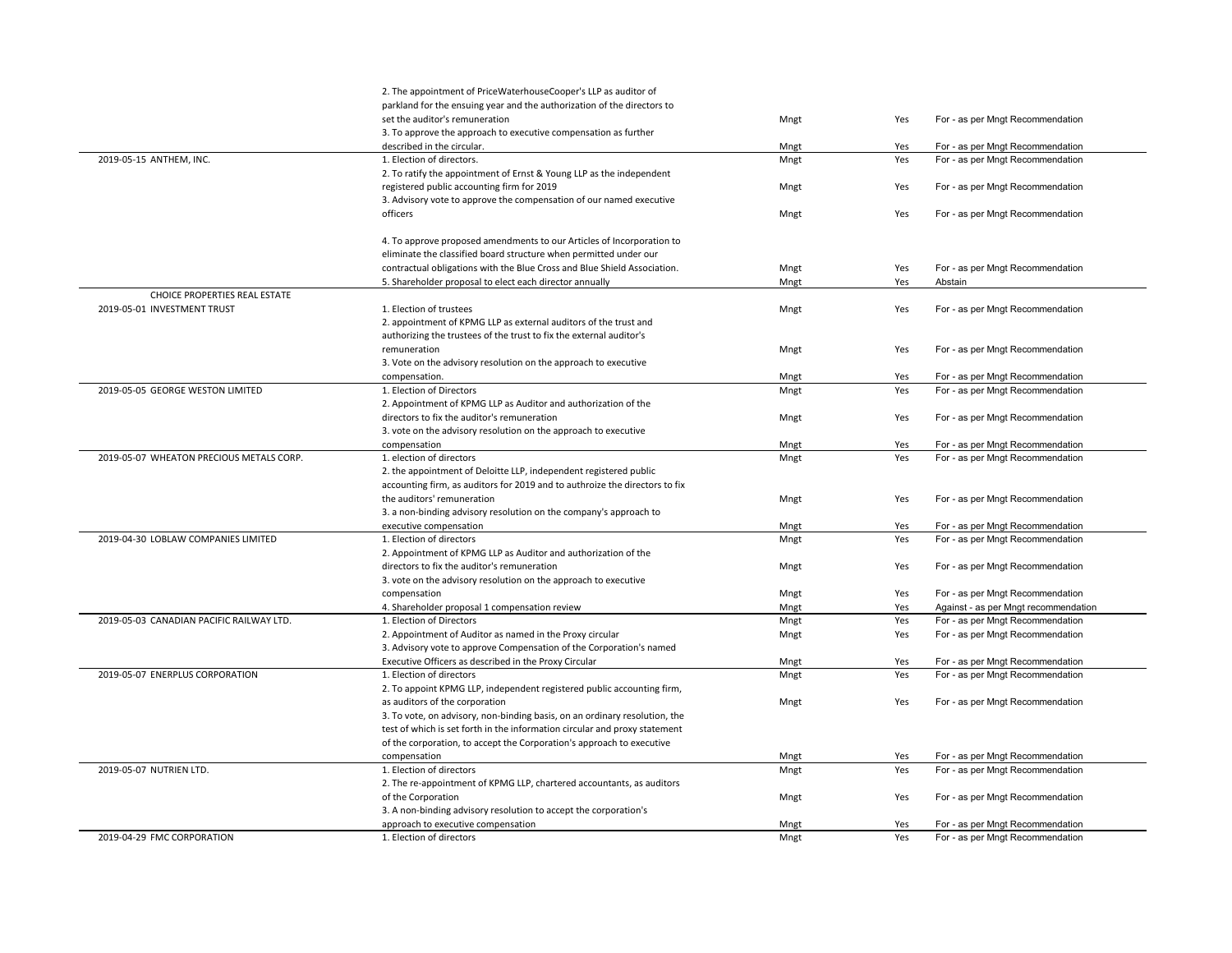|                                          | 2. The appointment of PriceWaterhouseCooper's LLP as auditor of             |              |            |                                      |
|------------------------------------------|-----------------------------------------------------------------------------|--------------|------------|--------------------------------------|
|                                          | parkland for the ensuing year and the authorization of the directors to     |              |            |                                      |
|                                          | set the auditor's remuneration                                              | Mngt         | Yes        | For - as per Mngt Recommendation     |
|                                          | 3. To approve the approach to executive compensation as further             |              |            |                                      |
|                                          | described in the circular.                                                  | Mngt         | Yes        | For - as per Mngt Recommendation     |
| 2019-05-15 ANTHEM, INC.                  | 1. Election of directors.                                                   | Mngt         | Yes        | For - as per Mngt Recommendation     |
|                                          | 2. To ratify the appointment of Ernst & Young LLP as the independent        |              |            |                                      |
|                                          | registered public accounting firm for 2019                                  | Mngt         | Yes        | For - as per Mngt Recommendation     |
|                                          | 3. Advisory vote to approve the compensation of our named executive         |              |            |                                      |
|                                          | officers                                                                    | Mngt         | Yes        | For - as per Mngt Recommendation     |
|                                          |                                                                             |              |            |                                      |
|                                          | 4. To approve proposed amendments to our Articles of Incorporation to       |              |            |                                      |
|                                          | eliminate the classified board structure when permitted under our           |              |            |                                      |
|                                          | contractual obligations with the Blue Cross and Blue Shield Association.    | Mngt         | Yes        | For - as per Mngt Recommendation     |
|                                          | 5. Shareholder proposal to elect each director annually                     | Mngt         | Yes        | Abstain                              |
| CHOICE PROPERTIES REAL ESTATE            |                                                                             |              |            |                                      |
| 2019-05-01 INVESTMENT TRUST              | 1. Election of trustees                                                     | Mngt         | Yes        | For - as per Mngt Recommendation     |
|                                          | 2. appointment of KPMG LLP as external auditors of the trust and            |              |            |                                      |
|                                          | authorizing the trustees of the trust to fix the external auditor's         |              |            |                                      |
|                                          | remuneration                                                                | Mngt         | Yes        | For - as per Mngt Recommendation     |
|                                          | 3. Vote on the advisory resolution on the approach to executive             |              |            |                                      |
|                                          | compensation.                                                               | Mngt         | Yes        | For - as per Mngt Recommendation     |
| 2019-05-05 GEORGE WESTON LIMITED         | 1. Election of Directors                                                    | Mngt         | Yes        | For - as per Mngt Recommendation     |
|                                          | 2. Appointment of KPMG LLP as Auditor and authorization of the              |              |            |                                      |
|                                          | directors to fix the auditor's remuneration                                 | Mngt         | Yes        | For - as per Mngt Recommendation     |
|                                          | 3. vote on the advisory resolution on the approach to executive             |              |            |                                      |
|                                          | compensation                                                                | Mngt         | Yes        | For - as per Mngt Recommendation     |
| 2019-05-07 WHEATON PRECIOUS METALS CORP. | 1. election of directors                                                    | Mngt         | Yes        | For - as per Mngt Recommendation     |
|                                          | 2. the appointment of Deloitte LLP, independent registered public           |              |            |                                      |
|                                          | accounting firm, as auditors for 2019 and to authroize the directors to fix |              |            |                                      |
|                                          | the auditors' remuneration                                                  | Mngt         | Yes        | For - as per Mngt Recommendation     |
|                                          | 3. a non-binding advisory resolution on the company's approach to           |              |            |                                      |
|                                          | executive compensation                                                      | Mngt         | Yes        | For - as per Mngt Recommendation     |
| 2019-04-30 LOBLAW COMPANIES LIMITED      | 1. Election of directors                                                    | Mngt         | Yes        | For - as per Mngt Recommendation     |
|                                          | 2. Appointment of KPMG LLP as Auditor and authorization of the              |              |            |                                      |
|                                          |                                                                             |              | Yes        |                                      |
|                                          | directors to fix the auditor's remuneration                                 | Mngt         |            | For - as per Mngt Recommendation     |
|                                          | 3. vote on the advisory resolution on the approach to executive             |              |            |                                      |
|                                          | compensation                                                                | Mngt         | Yes        | For - as per Mngt Recommendation     |
| 2019-05-03 CANADIAN PACIFIC RAILWAY LTD. | 4. Shareholder proposal 1 compensation review<br>1. Election of Directors   | Mngt<br>Mngt | Yes<br>Yes | Against - as per Mngt recommendation |
|                                          |                                                                             |              |            | For - as per Mngt Recommendation     |
|                                          | 2. Appointment of Auditor as named in the Proxy circular                    | Mngt         | Yes        | For - as per Mngt Recommendation     |
|                                          | 3. Advisory vote to approve Compensation of the Corporation's named         |              |            |                                      |
|                                          | Executive Officers as described in the Proxy Circular                       | Mngt         | Yes        | For - as per Mngt Recommendation     |
| 2019-05-07 ENERPLUS CORPORATION          | 1. Election of directors                                                    | Mngt         | Yes        | For - as per Mngt Recommendation     |
|                                          | 2. To appoint KPMG LLP, independent registered public accounting firm,      |              |            |                                      |
|                                          | as auditors of the corporation                                              | Mngt         | Yes        | For - as per Mngt Recommendation     |
|                                          | 3. To vote, on advisory, non-binding basis, on an ordinary resolution, the  |              |            |                                      |
|                                          | test of which is set forth in the information circular and proxy statement  |              |            |                                      |
|                                          | of the corporation, to accept the Corporation's approach to executive       |              |            |                                      |
|                                          | compensation                                                                | Mngt         | Yes        | For - as per Mngt Recommendation     |
| 2019-05-07 NUTRIEN LTD.                  | 1. Election of directors                                                    | Mngt         | Yes        | For - as per Mngt Recommendation     |
|                                          | 2. The re-appointment of KPMG LLP, chartered accountants, as auditors       |              |            |                                      |
|                                          | of the Corporation                                                          | Mngt         | Yes        | For - as per Mngt Recommendation     |
|                                          | 3. A non-binding advisory resolution to accept the corporation's            |              |            |                                      |
|                                          | approach to executive compensation                                          | Mngt         | Yes        | For - as per Mngt Recommendation     |
| 2019-04-29 FMC CORPORATION               | 1. Election of directors                                                    | Mngt         | Yes        | For - as per Mngt Recommendation     |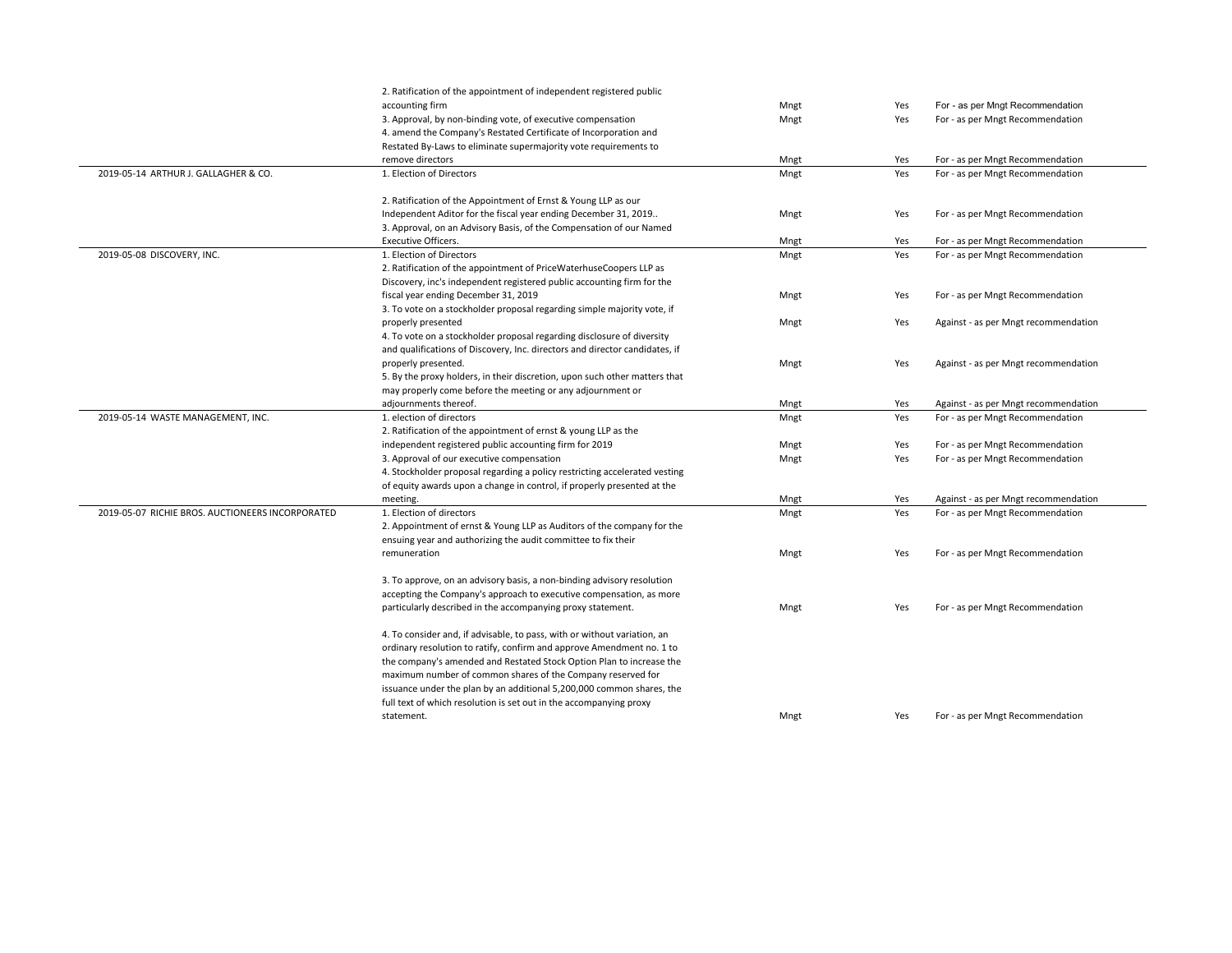|                                                  | 2. Ratification of the appointment of independent registered public         |      |     |                                      |
|--------------------------------------------------|-----------------------------------------------------------------------------|------|-----|--------------------------------------|
|                                                  | accounting firm                                                             | Mngt | Yes | For - as per Mngt Recommendation     |
|                                                  | 3. Approval, by non-binding vote, of executive compensation                 | Mngt | Yes | For - as per Mngt Recommendation     |
|                                                  | 4. amend the Company's Restated Certificate of Incorporation and            |      |     |                                      |
|                                                  | Restated By-Laws to eliminate supermajority vote requirements to            |      |     |                                      |
|                                                  | remove directors                                                            | Mngt | Yes | For - as per Mngt Recommendation     |
| 2019-05-14 ARTHUR J. GALLAGHER & CO.             | 1. Election of Directors                                                    | Mngt | Yes | For - as per Mngt Recommendation     |
|                                                  |                                                                             |      |     |                                      |
|                                                  | 2. Ratification of the Appointment of Ernst & Young LLP as our              |      |     |                                      |
|                                                  | Independent Aditor for the fiscal year ending December 31, 2019             | Mngt | Yes | For - as per Mngt Recommendation     |
|                                                  | 3. Approval, on an Advisory Basis, of the Compensation of our Named         |      |     |                                      |
|                                                  | <b>Executive Officers.</b>                                                  | Mngt | Yes | For - as per Mngt Recommendation     |
| 2019-05-08 DISCOVERY, INC.                       | 1. Election of Directors                                                    | Mngt | Yes | For - as per Mngt Recommendation     |
|                                                  | 2. Ratification of the appointment of PriceWaterhuseCoopers LLP as          |      |     |                                      |
|                                                  | Discovery, inc's independent registered public accounting firm for the      |      |     |                                      |
|                                                  | fiscal year ending December 31, 2019                                        | Mngt | Yes | For - as per Mngt Recommendation     |
|                                                  | 3. To vote on a stockholder proposal regarding simple majority vote, if     |      |     |                                      |
|                                                  | properly presented                                                          | Mngt | Yes | Against - as per Mngt recommendation |
|                                                  | 4. To vote on a stockholder proposal regarding disclosure of diversity      |      |     |                                      |
|                                                  | and qualifications of Discovery, Inc. directors and director candidates, if |      |     |                                      |
|                                                  | properly presented.                                                         | Mngt | Yes | Against - as per Mngt recommendation |
|                                                  | 5. By the proxy holders, in their discretion, upon such other matters that  |      |     |                                      |
|                                                  | may properly come before the meeting or any adjournment or                  |      |     |                                      |
|                                                  | adjournments thereof.                                                       | Mngt | Yes | Against - as per Mngt recommendation |
| 2019-05-14 WASTE MANAGEMENT, INC.                | 1. election of directors                                                    | Mngt | Yes | For - as per Mngt Recommendation     |
|                                                  | 2. Ratification of the appointment of ernst & young LLP as the              |      |     |                                      |
|                                                  | independent registered public accounting firm for 2019                      | Mngt | Yes | For - as per Mngt Recommendation     |
|                                                  | 3. Approval of our executive compensation                                   | Mngt | Yes | For - as per Mngt Recommendation     |
|                                                  | 4. Stockholder proposal regarding a policy restricting accelerated vesting  |      |     |                                      |
|                                                  | of equity awards upon a change in control, if properly presented at the     |      |     |                                      |
|                                                  | meeting.                                                                    | Mngt | Yes | Against - as per Mngt recommendation |
| 2019-05-07 RICHIE BROS, AUCTIONEERS INCORPORATED | 1. Election of directors                                                    | Mngt | Yes | For - as per Mngt Recommendation     |
|                                                  | 2. Appointment of ernst & Young LLP as Auditors of the company for the      |      |     |                                      |
|                                                  | ensuing year and authorizing the audit committee to fix their               |      |     |                                      |
|                                                  | remuneration                                                                | Mngt | Yes | For - as per Mngt Recommendation     |
|                                                  | 3. To approve, on an advisory basis, a non-binding advisory resolution      |      |     |                                      |
|                                                  | accepting the Company's approach to executive compensation, as more         |      |     |                                      |
|                                                  | particularly described in the accompanying proxy statement.                 | Mngt | Yes | For - as per Mngt Recommendation     |
|                                                  | 4. To consider and, if advisable, to pass, with or without variation, an    |      |     |                                      |
|                                                  | ordinary resolution to ratify, confirm and approve Amendment no. 1 to       |      |     |                                      |
|                                                  | the company's amended and Restated Stock Option Plan to increase the        |      |     |                                      |
|                                                  | maximum number of common shares of the Company reserved for                 |      |     |                                      |
|                                                  | issuance under the plan by an additional 5,200,000 common shares, the       |      |     |                                      |
|                                                  | full text of which resolution is set out in the accompanying proxy          |      |     |                                      |
|                                                  | statement.                                                                  | Mngt | Yes | For - as per Mngt Recommendation     |
|                                                  |                                                                             |      |     |                                      |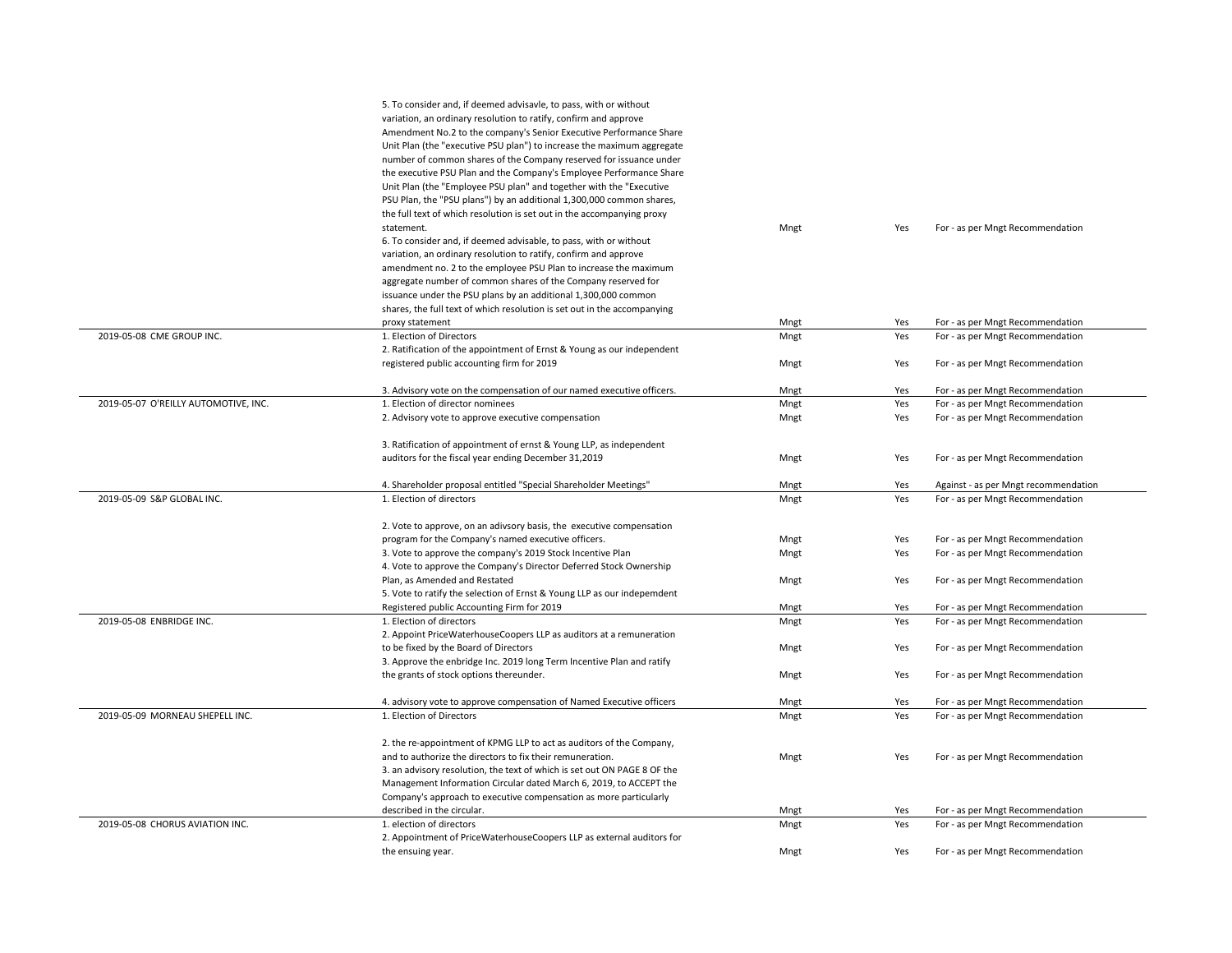|                                      | 5. To consider and, if deemed advisavle, to pass, with or without        |      |     |                                      |
|--------------------------------------|--------------------------------------------------------------------------|------|-----|--------------------------------------|
|                                      | variation, an ordinary resolution to ratify, confirm and approve         |      |     |                                      |
|                                      | Amendment No.2 to the company's Senior Executive Performance Share       |      |     |                                      |
|                                      | Unit Plan (the "executive PSU plan") to increase the maximum aggregate   |      |     |                                      |
|                                      | number of common shares of the Company reserved for issuance under       |      |     |                                      |
|                                      | the executive PSU Plan and the Company's Employee Performance Share      |      |     |                                      |
|                                      | Unit Plan (the "Employee PSU plan" and together with the "Executive      |      |     |                                      |
|                                      | PSU Plan, the "PSU plans") by an additional 1,300,000 common shares,     |      |     |                                      |
|                                      | the full text of which resolution is set out in the accompanying proxy   |      |     |                                      |
|                                      | statement.                                                               | Mngt | Yes | For - as per Mngt Recommendation     |
|                                      | 6. To consider and, if deemed advisable, to pass, with or without        |      |     |                                      |
|                                      | variation, an ordinary resolution to ratify, confirm and approve         |      |     |                                      |
|                                      | amendment no. 2 to the employee PSU Plan to increase the maximum         |      |     |                                      |
|                                      | aggregate number of common shares of the Company reserved for            |      |     |                                      |
|                                      | issuance under the PSU plans by an additional 1,300,000 common           |      |     |                                      |
|                                      | shares, the full text of which resolution is set out in the accompanying |      |     |                                      |
|                                      | proxy statement                                                          | Mngt | Yes | For - as per Mngt Recommendation     |
| 2019-05-08 CME GROUP INC.            | 1. Election of Directors                                                 | Mngt | Yes | For - as per Mngt Recommendation     |
|                                      | 2. Ratification of the appointment of Ernst & Young as our independent   |      |     |                                      |
|                                      | registered public accounting firm for 2019                               | Mngt | Yes | For - as per Mngt Recommendation     |
|                                      |                                                                          |      |     |                                      |
|                                      | 3. Advisory vote on the compensation of our named executive officers.    | Mngt | Yes | For - as per Mngt Recommendation     |
| 2019-05-07 O'REILLY AUTOMOTIVE, INC. | 1. Election of director nominees                                         | Mngt | Yes | For - as per Mngt Recommendation     |
|                                      | 2. Advisory vote to approve executive compensation                       | Mngt | Yes | For - as per Mngt Recommendation     |
|                                      |                                                                          |      |     |                                      |
|                                      | 3. Ratification of appointment of ernst & Young LLP, as independent      |      |     |                                      |
|                                      | auditors for the fiscal year ending December 31,2019                     | Mngt | Yes | For - as per Mngt Recommendation     |
|                                      |                                                                          |      |     |                                      |
|                                      | 4. Shareholder proposal entitled "Special Shareholder Meetings"          | Mngt | Yes | Against - as per Mngt recommendation |
| 2019-05-09 S&P GLOBAL INC.           | 1. Election of directors                                                 | Mngt | Yes | For - as per Mngt Recommendation     |
|                                      |                                                                          |      |     |                                      |
|                                      | 2. Vote to approve, on an adivsory basis, the executive compensation     |      |     |                                      |
|                                      | program for the Company's named executive officers.                      | Mngt | Yes | For - as per Mngt Recommendation     |
|                                      | 3. Vote to approve the company's 2019 Stock Incentive Plan               | Mngt | Yes | For - as per Mngt Recommendation     |
|                                      | 4. Vote to approve the Company's Director Deferred Stock Ownership       |      |     |                                      |
|                                      | Plan, as Amended and Restated                                            | Mngt | Yes | For - as per Mngt Recommendation     |
|                                      | 5. Vote to ratify the selection of Ernst & Young LLP as our indepemdent  |      |     |                                      |
|                                      | Registered public Accounting Firm for 2019                               | Mngt | Yes | For - as per Mngt Recommendation     |
| 2019-05-08 ENBRIDGE INC.             | 1. Election of directors                                                 | Mngt | Yes | For - as per Mngt Recommendation     |
|                                      | 2. Appoint PriceWaterhouseCoopers LLP as auditors at a remuneration      |      |     |                                      |
|                                      | to be fixed by the Board of Directors                                    | Mngt | Yes | For - as per Mngt Recommendation     |
|                                      | 3. Approve the enbridge Inc. 2019 long Term Incentive Plan and ratify    |      |     |                                      |
|                                      | the grants of stock options thereunder.                                  | Mngt | Yes | For - as per Mngt Recommendation     |
|                                      |                                                                          |      |     |                                      |
|                                      | 4. advisory vote to approve compensation of Named Executive officers     | Mngt | Yes | For - as per Mngt Recommendation     |
| 2019-05-09 MORNEAU SHEPELL INC.      | 1. Election of Directors                                                 | Mngt | Yes | For - as per Mngt Recommendation     |
|                                      |                                                                          |      |     |                                      |
|                                      | 2. the re-appointment of KPMG LLP to act as auditors of the Company,     |      |     |                                      |
|                                      | and to authorize the directors to fix their remuneration.                | Mngt | Yes | For - as per Mngt Recommendation     |
|                                      | 3. an advisory resolution, the text of which is set out ON PAGE 8 OF the |      |     |                                      |
|                                      | Management Information Circular dated March 6, 2019, to ACCEPT the       |      |     |                                      |
|                                      | Company's approach to executive compensation as more particularly        |      |     |                                      |
|                                      | described in the circular.                                               | Mngt | Yes | For - as per Mngt Recommendation     |
| 2019-05-08 CHORUS AVIATION INC.      | 1. election of directors                                                 | Mngt | Yes | For - as per Mngt Recommendation     |
|                                      | 2. Appointment of PriceWaterhouseCoopers LLP as external auditors for    |      |     |                                      |
|                                      | the ensuing year.                                                        | Mngt | Yes | For - as per Mngt Recommendation     |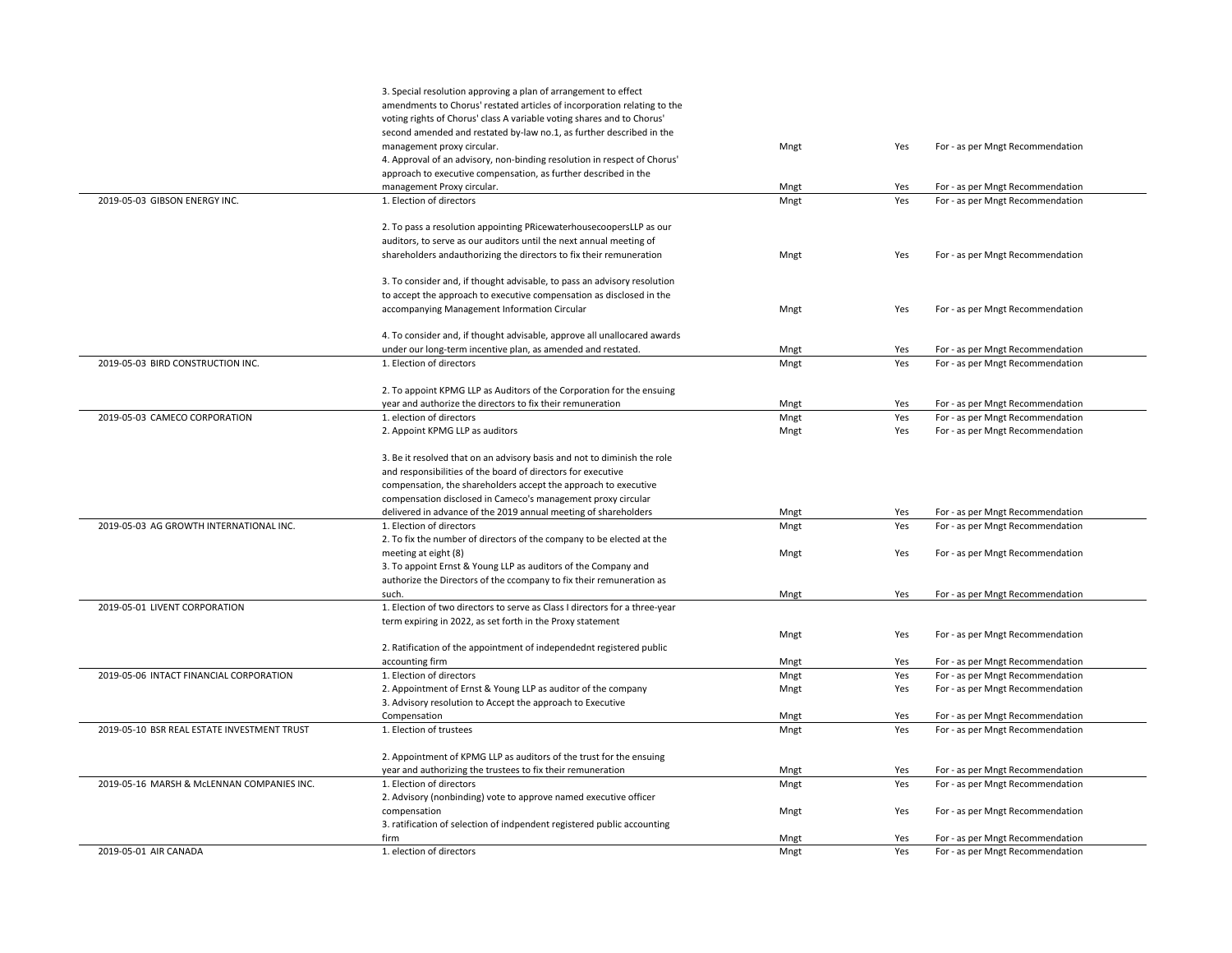|                                             | 3. Special resolution approving a plan of arrangement to effect             |      |     |                                  |  |
|---------------------------------------------|-----------------------------------------------------------------------------|------|-----|----------------------------------|--|
|                                             | amendments to Chorus' restated articles of incorporation relating to the    |      |     |                                  |  |
|                                             | voting rights of Chorus' class A variable voting shares and to Chorus'      |      |     |                                  |  |
|                                             | second amended and restated by-law no.1, as further described in the        |      |     |                                  |  |
|                                             | management proxy circular.                                                  | Mngt | Yes | For - as per Mngt Recommendation |  |
|                                             |                                                                             |      |     |                                  |  |
|                                             | 4. Approval of an advisory, non-binding resolution in respect of Chorus'    |      |     |                                  |  |
|                                             | approach to executive compensation, as further described in the             |      |     |                                  |  |
|                                             | management Proxy circular.                                                  | Mngt | Yes | For - as per Mngt Recommendation |  |
| 2019-05-03 GIBSON ENERGY INC.               | 1. Election of directors                                                    | Mngt | Yes | For - as per Mngt Recommendation |  |
|                                             |                                                                             |      |     |                                  |  |
|                                             | 2. To pass a resolution appointing PRicewaterhousecoopersLLP as our         |      |     |                                  |  |
|                                             | auditors, to serve as our auditors until the next annual meeting of         |      |     |                                  |  |
|                                             | shareholders andauthorizing the directors to fix their remuneration         | Mngt | Yes | For - as per Mngt Recommendation |  |
|                                             |                                                                             |      |     |                                  |  |
|                                             | 3. To consider and, if thought advisable, to pass an advisory resolution    |      |     |                                  |  |
|                                             | to accept the approach to executive compensation as disclosed in the        |      |     |                                  |  |
|                                             | accompanying Management Information Circular                                | Mngt | Yes | For - as per Mngt Recommendation |  |
|                                             |                                                                             |      |     |                                  |  |
|                                             | 4. To consider and, if thought advisable, approve all unallocared awards    |      |     |                                  |  |
|                                             | under our long-term incentive plan, as amended and restated.                | Mngt | Yes | For - as per Mngt Recommendation |  |
| 2019-05-03 BIRD CONSTRUCTION INC.           | 1. Election of directors                                                    | Mngt | Yes | For - as per Mngt Recommendation |  |
|                                             |                                                                             |      |     |                                  |  |
|                                             | 2. To appoint KPMG LLP as Auditors of the Corporation for the ensuing       |      |     |                                  |  |
|                                             | year and authorize the directors to fix their remuneration                  | Mngt | Yes | For - as per Mngt Recommendation |  |
| 2019-05-03 CAMECO CORPORATION               | 1. election of directors                                                    | Mngt | Yes | For - as per Mngt Recommendation |  |
|                                             | 2. Appoint KPMG LLP as auditors                                             | Mngt | Yes | For - as per Mngt Recommendation |  |
|                                             |                                                                             |      |     |                                  |  |
|                                             | 3. Be it resolved that on an advisory basis and not to diminish the role    |      |     |                                  |  |
|                                             | and responsibilities of the board of directors for executive                |      |     |                                  |  |
|                                             | compensation, the shareholders accept the approach to executive             |      |     |                                  |  |
|                                             | compensation disclosed in Cameco's management proxy circular                |      |     |                                  |  |
|                                             | delivered in advance of the 2019 annual meeting of shareholders             | Mngt | Yes | For - as per Mngt Recommendation |  |
| 2019-05-03 AG GROWTH INTERNATIONAL INC.     | 1. Election of directors                                                    | Mngt | Yes | For - as per Mngt Recommendation |  |
|                                             | 2. To fix the number of directors of the company to be elected at the       |      |     |                                  |  |
|                                             | meeting at eight (8)                                                        | Mngt | Yes | For - as per Mngt Recommendation |  |
|                                             | 3. To appoint Ernst & Young LLP as auditors of the Company and              |      |     |                                  |  |
|                                             | authorize the Directors of the ccompany to fix their remuneration as        |      |     |                                  |  |
|                                             | such.                                                                       | Mngt | Yes | For - as per Mngt Recommendation |  |
| 2019-05-01 LIVENT CORPORATION               | 1. Election of two directors to serve as Class I directors for a three-year |      |     |                                  |  |
|                                             | term expiring in 2022, as set forth in the Proxy statement                  |      |     |                                  |  |
|                                             |                                                                             | Mngt | Yes | For - as per Mngt Recommendation |  |
|                                             | 2. Ratification of the appointment of independednt registered public        |      |     |                                  |  |
|                                             | accounting firm                                                             | Mngt | Yes | For - as per Mngt Recommendation |  |
| 2019-05-06 INTACT FINANCIAL CORPORATION     | 1. Election of directors                                                    | Mngt | Yes | For - as per Mngt Recommendation |  |
|                                             | 2. Appointment of Ernst & Young LLP as auditor of the company               | Mngt | Yes | For - as per Mngt Recommendation |  |
|                                             | 3. Advisory resolution to Accept the approach to Executive                  |      |     |                                  |  |
|                                             | Compensation                                                                | Mngt | Yes | For - as per Mngt Recommendation |  |
| 2019-05-10 BSR REAL ESTATE INVESTMENT TRUST | 1. Election of trustees                                                     | Mngt | Yes | For - as per Mngt Recommendation |  |
|                                             |                                                                             |      |     |                                  |  |
|                                             | 2. Appointment of KPMG LLP as auditors of the trust for the ensuing         |      |     |                                  |  |
|                                             | year and authorizing the trustees to fix their remuneration                 | Mngt | Yes | For - as per Mngt Recommendation |  |
| 2019-05-16 MARSH & McLENNAN COMPANIES INC.  | 1. Election of directors                                                    | Mngt | Yes | For - as per Mngt Recommendation |  |
|                                             | 2. Advisory (nonbinding) vote to approve named executive officer            |      |     |                                  |  |
|                                             | compensation                                                                | Mngt | Yes | For - as per Mngt Recommendation |  |
|                                             | 3. ratification of selection of indpendent registered public accounting     |      |     |                                  |  |
|                                             | firm                                                                        | Mngt | Yes | For - as per Mngt Recommendation |  |
| 2019-05-01 AIR CANADA                       | 1. election of directors                                                    | Mngt | Yes | For - as per Mngt Recommendation |  |
|                                             |                                                                             |      |     |                                  |  |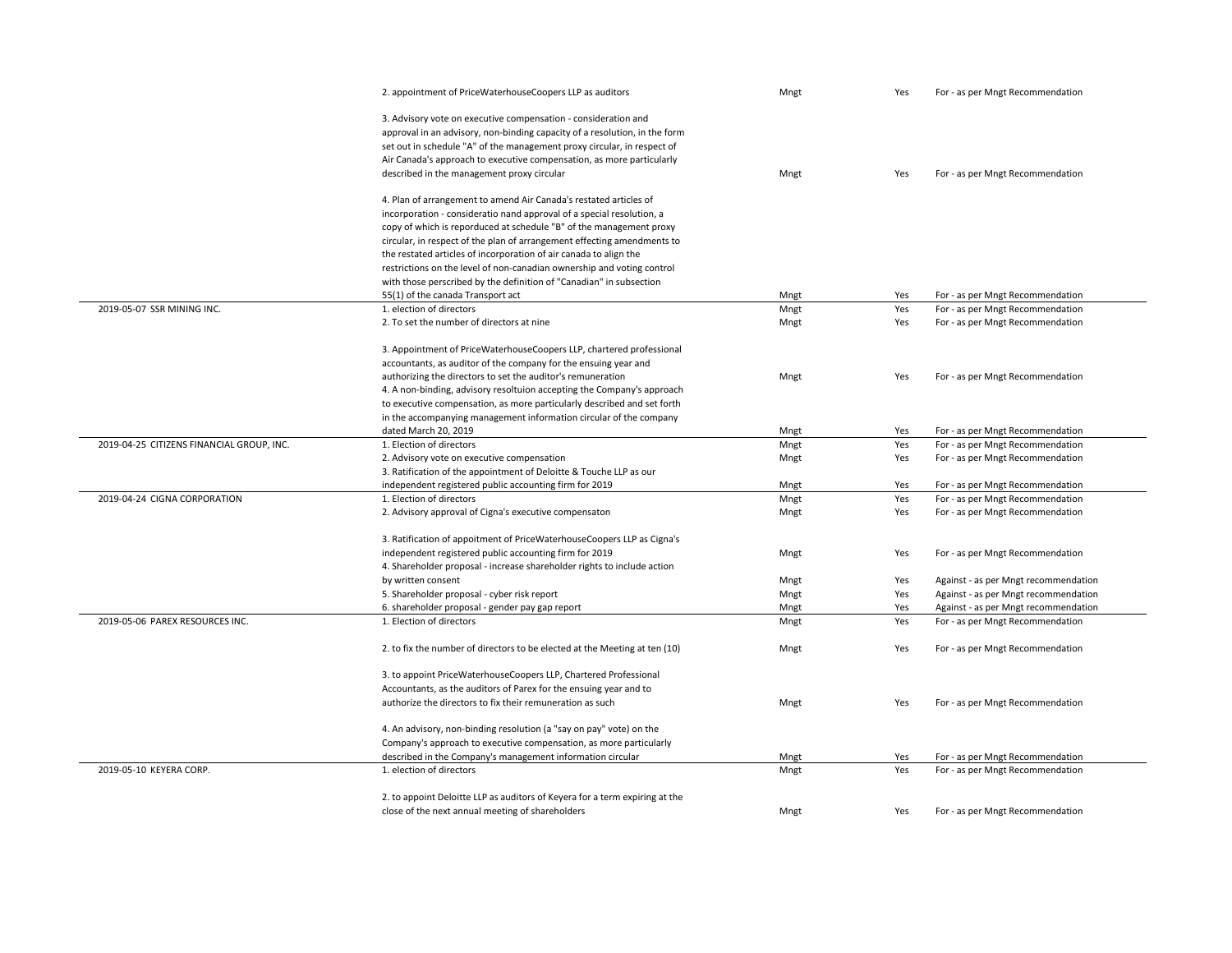|                                           | 2. appointment of PriceWaterhouseCoopers LLP as auditors                    | Mngt | Yes | For - as per Mngt Recommendation     |
|-------------------------------------------|-----------------------------------------------------------------------------|------|-----|--------------------------------------|
|                                           | 3. Advisory vote on executive compensation - consideration and              |      |     |                                      |
|                                           | approval in an advisory, non-binding capacity of a resolution, in the form  |      |     |                                      |
|                                           |                                                                             |      |     |                                      |
|                                           | set out in schedule "A" of the management proxy circular, in respect of     |      |     |                                      |
|                                           | Air Canada's approach to executive compensation, as more particularly       |      |     |                                      |
|                                           | described in the management proxy circular                                  | Mngt | Yes | For - as per Mngt Recommendation     |
|                                           | 4. Plan of arrangement to amend Air Canada's restated articles of           |      |     |                                      |
|                                           | incorporation - consideratio nand approval of a special resolution, a       |      |     |                                      |
|                                           | copy of which is reporduced at schedule "B" of the management proxy         |      |     |                                      |
|                                           | circular, in respect of the plan of arrangement effecting amendments to     |      |     |                                      |
|                                           | the restated articles of incorporation of air canada to align the           |      |     |                                      |
|                                           | restrictions on the level of non-canadian ownership and voting control      |      |     |                                      |
|                                           | with those perscribed by the definition of "Canadian" in subsection         |      |     |                                      |
|                                           | 55(1) of the canada Transport act                                           | Mngt | Yes | For - as per Mngt Recommendation     |
| 2019-05-07 SSR MINING INC.                | 1. election of directors                                                    | Mngt | Yes | For - as per Mngt Recommendation     |
|                                           | 2. To set the number of directors at nine                                   | Mngt | Yes | For - as per Mngt Recommendation     |
|                                           |                                                                             |      |     |                                      |
|                                           | 3. Appointment of PriceWaterhouseCoopers LLP, chartered professional        |      |     |                                      |
|                                           | accountants, as auditor of the company for the ensuing year and             |      |     |                                      |
|                                           | authorizing the directors to set the auditor's remuneration                 | Mngt | Yes | For - as per Mngt Recommendation     |
|                                           | 4. A non-binding, advisory resoltuion accepting the Company's approach      |      |     |                                      |
|                                           | to executive compensation, as more particularly described and set forth     |      |     |                                      |
|                                           | in the accompanying management information circular of the company          |      |     |                                      |
|                                           | dated March 20, 2019                                                        | Mngt | Yes | For - as per Mngt Recommendation     |
| 2019-04-25 CITIZENS FINANCIAL GROUP, INC. | 1. Election of directors                                                    | Mngt | Yes | For - as per Mngt Recommendation     |
|                                           | 2. Advisory vote on executive compensation                                  | Mngt | Yes | For - as per Mngt Recommendation     |
|                                           | 3. Ratification of the appointment of Deloitte & Touche LLP as our          |      |     |                                      |
|                                           | independent registered public accounting firm for 2019                      | Mngt | Yes | For - as per Mngt Recommendation     |
| 2019-04-24 CIGNA CORPORATION              | 1. Election of directors                                                    | Mngt | Yes | For - as per Mngt Recommendation     |
|                                           | 2. Advisory approval of Cigna's executive compensaton                       | Mngt | Yes | For - as per Mngt Recommendation     |
|                                           | 3. Ratification of appoitment of PriceWaterhouseCoopers LLP as Cigna's      |      |     |                                      |
|                                           | independent registered public accounting firm for 2019                      | Mngt | Yes | For - as per Mngt Recommendation     |
|                                           | 4. Shareholder proposal - increase shareholder rights to include action     |      |     |                                      |
|                                           | by written consent                                                          | Mngt | Yes | Against - as per Mngt recommendation |
|                                           | 5. Shareholder proposal - cyber risk report                                 | Mngt | Yes | Against - as per Mngt recommendation |
|                                           | 6. shareholder proposal - gender pay gap report                             | Mngt | Yes | Against - as per Mngt recommendation |
| 2019-05-06 PAREX RESOURCES INC.           | 1. Election of directors                                                    | Mngt | Yes | For - as per Mngt Recommendation     |
|                                           |                                                                             |      |     |                                      |
|                                           | 2. to fix the number of directors to be elected at the Meeting at ten (10)  | Mngt | Yes | For - as per Mngt Recommendation     |
|                                           |                                                                             |      |     |                                      |
|                                           | 3. to appoint PriceWaterhouseCoopers LLP, Chartered Professional            |      |     |                                      |
|                                           | Accountants, as the auditors of Parex for the ensuing year and to           |      |     |                                      |
|                                           | authorize the directors to fix their remuneration as such                   | Mngt | Yes | For - as per Mngt Recommendation     |
|                                           | 4. An advisory, non-binding resolution (a "say on pay" vote) on the         |      |     |                                      |
|                                           | Company's approach to executive compensation, as more particularly          |      |     |                                      |
|                                           | described in the Company's management information circular                  | Mngt | Yes | For - as per Mngt Recommendation     |
| 2019-05-10 KEYERA CORP.                   | 1. election of directors                                                    | Mngt | Yes | For - as per Mngt Recommendation     |
|                                           |                                                                             |      |     |                                      |
|                                           | 2. to appoint Deloitte LLP as auditors of Keyera for a term expiring at the |      |     |                                      |
|                                           | close of the next annual meeting of shareholders                            | Mngt | Yes | For - as per Mngt Recommendation     |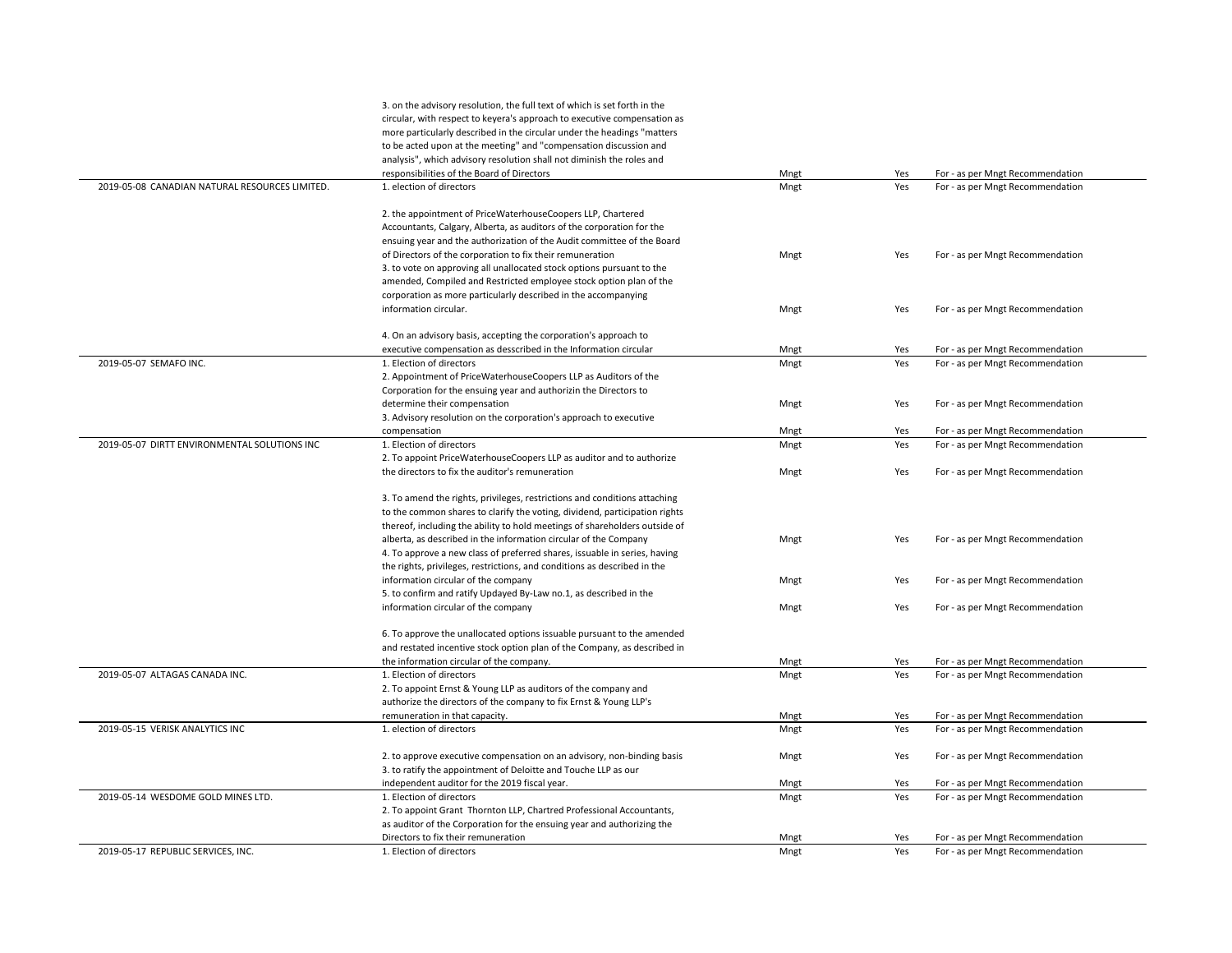|                                                | 3. on the advisory resolution, the full text of which is set forth in the  |              |            |                                                                      |
|------------------------------------------------|----------------------------------------------------------------------------|--------------|------------|----------------------------------------------------------------------|
|                                                | circular, with respect to keyera's approach to executive compensation as   |              |            |                                                                      |
|                                                | more particularly described in the circular under the headings "matters    |              |            |                                                                      |
|                                                | to be acted upon at the meeting" and "compensation discussion and          |              |            |                                                                      |
|                                                | analysis", which advisory resolution shall not diminish the roles and      |              |            |                                                                      |
|                                                | responsibilities of the Board of Directors                                 | Mngt         | Yes        | For - as per Mngt Recommendation                                     |
| 2019-05-08 CANADIAN NATURAL RESOURCES LIMITED. | 1. election of directors                                                   | Mngt         | Yes        | For - as per Mngt Recommendation                                     |
|                                                |                                                                            |              |            |                                                                      |
|                                                | 2. the appointment of PriceWaterhouseCoopers LLP, Chartered                |              |            |                                                                      |
|                                                | Accountants, Calgary, Alberta, as auditors of the corporation for the      |              |            |                                                                      |
|                                                | ensuing year and the authorization of the Audit committee of the Board     |              |            |                                                                      |
|                                                | of Directors of the corporation to fix their remuneration                  | Mngt         | Yes        | For - as per Mngt Recommendation                                     |
|                                                | 3. to vote on approving all unallocated stock options pursuant to the      |              |            |                                                                      |
|                                                | amended, Compiled and Restricted employee stock option plan of the         |              |            |                                                                      |
|                                                | corporation as more particularly described in the accompanying             |              |            |                                                                      |
|                                                | information circular.                                                      | Mngt         | Yes        | For - as per Mngt Recommendation                                     |
|                                                |                                                                            |              |            |                                                                      |
|                                                | 4. On an advisory basis, accepting the corporation's approach to           |              |            |                                                                      |
|                                                | executive compensation as desscribed in the Information circular           | Mngt         | Yes        | For - as per Mngt Recommendation                                     |
| 2019-05-07 SEMAFO INC.                         | 1. Election of directors                                                   | Mngt         | Yes        | For - as per Mngt Recommendation                                     |
|                                                | 2. Appointment of PriceWaterhouseCoopers LLP as Auditors of the            |              |            |                                                                      |
|                                                | Corporation for the ensuing year and authorizin the Directors to           |              |            |                                                                      |
|                                                | determine their compensation                                               | Mngt         | Yes        | For - as per Mngt Recommendation                                     |
|                                                | 3. Advisory resolution on the corporation's approach to executive          |              |            |                                                                      |
|                                                | compensation                                                               | Mngt         | Yes        | For - as per Mngt Recommendation                                     |
| 2019-05-07 DIRTT ENVIRONMENTAL SOLUTIONS INC   | 1. Election of directors                                                   | Mngt         | Yes        | For - as per Mngt Recommendation                                     |
|                                                | 2. To appoint PriceWaterhouseCoopers LLP as auditor and to authorize       |              |            |                                                                      |
|                                                | the directors to fix the auditor's remuneration                            | Mngt         | Yes        | For - as per Mngt Recommendation                                     |
|                                                |                                                                            |              |            |                                                                      |
|                                                | 3. To amend the rights, privileges, restrictions and conditions attaching  |              |            |                                                                      |
|                                                | to the common shares to clarify the voting, dividend, participation rights |              |            |                                                                      |
|                                                | thereof, including the ability to hold meetings of shareholders outside of |              |            |                                                                      |
|                                                | alberta, as described in the information circular of the Company           | Mngt         | Yes        | For - as per Mngt Recommendation                                     |
|                                                | 4. To approve a new class of preferred shares, issuable in series, having  |              |            |                                                                      |
|                                                | the rights, privileges, restrictions, and conditions as described in the   |              |            |                                                                      |
|                                                | information circular of the company                                        | Mngt         | Yes        | For - as per Mngt Recommendation                                     |
|                                                | 5. to confirm and ratify Updayed By-Law no.1, as described in the          |              |            |                                                                      |
|                                                | information circular of the company                                        | Mngt         | Yes        | For - as per Mngt Recommendation                                     |
|                                                | 6. To approve the unallocated options issuable pursuant to the amended     |              |            |                                                                      |
|                                                |                                                                            |              |            |                                                                      |
|                                                | and restated incentive stock option plan of the Company, as described in   |              |            |                                                                      |
| 2019-05-07 ALTAGAS CANADA INC.                 | the information circular of the company.<br>1. Election of directors       | Mngt<br>Mngt | Yes<br>Yes | For - as per Mngt Recommendation<br>For - as per Mngt Recommendation |
|                                                |                                                                            |              |            |                                                                      |
|                                                | 2. To appoint Ernst & Young LLP as auditors of the company and             |              |            |                                                                      |
|                                                | authorize the directors of the company to fix Ernst & Young LLP's          |              |            |                                                                      |
| 2019-05-15 VERISK ANALYTICS INC                | remuneration in that capacity.                                             | Mngt         | Yes        | For - as per Mngt Recommendation                                     |
|                                                | 1. election of directors                                                   | Mngt         | Yes        | For - as per Mngt Recommendation                                     |
|                                                | 2. to approve executive compensation on an advisory, non-binding basis     | Mngt         | Yes        | For - as per Mngt Recommendation                                     |
|                                                | 3. to ratify the appointment of Deloitte and Touche LLP as our             |              |            |                                                                      |
|                                                | independent auditor for the 2019 fiscal year.                              | Mngt         | Yes        | For - as per Mngt Recommendation                                     |
| 2019-05-14 WESDOME GOLD MINES LTD.             | 1. Election of directors                                                   | Mngt         | Yes        | For - as per Mngt Recommendation                                     |
|                                                | 2. To appoint Grant Thornton LLP, Chartred Professional Accountants,       |              |            |                                                                      |
|                                                | as auditor of the Corporation for the ensuing year and authorizing the     |              |            |                                                                      |
|                                                | Directors to fix their remuneration                                        | Mngt         | Yes        | For - as per Mngt Recommendation                                     |
| 2019-05-17 REPUBLIC SERVICES, INC.             | 1. Election of directors                                                   | Mngt         | Yes        | For - as per Mngt Recommendation                                     |
|                                                |                                                                            |              |            |                                                                      |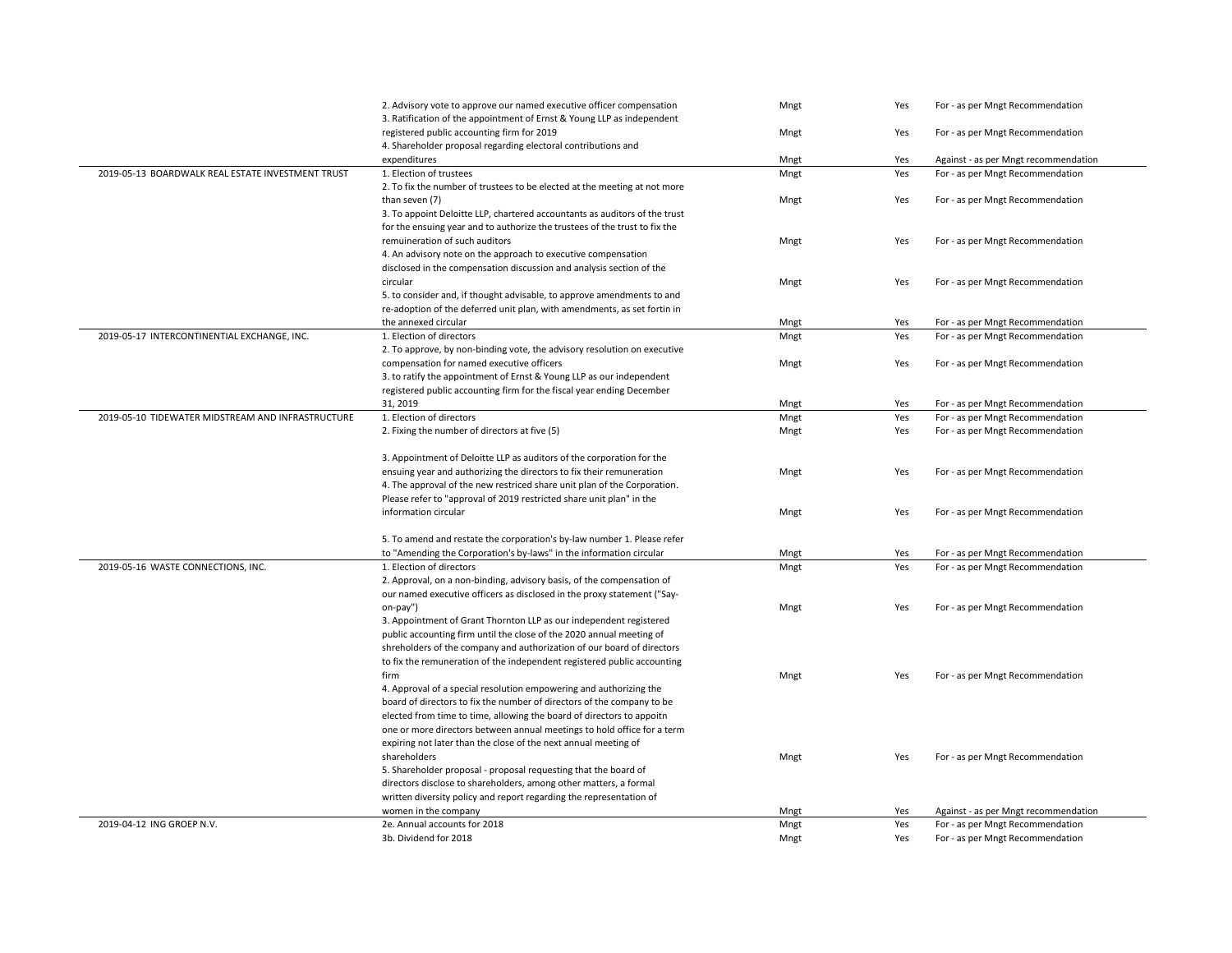|                                                   | 2. Advisory vote to approve our named executive officer compensation<br>3. Ratification of the appointment of Ernst & Young LLP as independent | Mngt | Yes | For - as per Mngt Recommendation     |
|---------------------------------------------------|------------------------------------------------------------------------------------------------------------------------------------------------|------|-----|--------------------------------------|
|                                                   | registered public accounting firm for 2019                                                                                                     | Mngt | Yes | For - as per Mngt Recommendation     |
|                                                   | 4. Shareholder proposal regarding electoral contributions and                                                                                  |      |     |                                      |
|                                                   | expenditures                                                                                                                                   | Mngt | Yes | Against - as per Mngt recommendation |
| 2019-05-13 BOARDWALK REAL ESTATE INVESTMENT TRUST | 1. Election of trustees                                                                                                                        | Mngt | Yes | For - as per Mngt Recommendation     |
|                                                   | 2. To fix the number of trustees to be elected at the meeting at not more                                                                      |      |     |                                      |
|                                                   | than seven (7)                                                                                                                                 | Mngt | Yes | For - as per Mngt Recommendation     |
|                                                   | 3. To appoint Deloitte LLP, chartered accountants as auditors of the trust                                                                     |      |     |                                      |
|                                                   | for the ensuing year and to authorize the trustees of the trust to fix the                                                                     |      |     |                                      |
|                                                   | remuineration of such auditors                                                                                                                 | Mngt | Yes | For - as per Mngt Recommendation     |
|                                                   | 4. An advisory note on the approach to executive compensation                                                                                  |      |     |                                      |
|                                                   | disclosed in the compensation discussion and analysis section of the                                                                           |      |     |                                      |
|                                                   | circular                                                                                                                                       | Mngt | Yes | For - as per Mngt Recommendation     |
|                                                   | 5. to consider and, if thought advisable, to approve amendments to and                                                                         |      |     |                                      |
|                                                   | re-adoption of the deferred unit plan, with amendments, as set fortin in                                                                       |      |     |                                      |
|                                                   | the annexed circular                                                                                                                           | Mngt | Yes | For - as per Mngt Recommendation     |
| 2019-05-17 INTERCONTINENTIAL EXCHANGE, INC.       | 1. Election of directors                                                                                                                       | Mngt | Yes | For - as per Mngt Recommendation     |
|                                                   | 2. To approve, by non-binding vote, the advisory resolution on executive                                                                       |      |     |                                      |
|                                                   | compensation for named executive officers                                                                                                      | Mngt | Yes | For - as per Mngt Recommendation     |
|                                                   | 3. to ratify the appointment of Ernst & Young LLP as our independent<br>registered public accounting firm for the fiscal year ending December  |      |     |                                      |
|                                                   | 31, 2019                                                                                                                                       | Mngt | Yes | For - as per Mngt Recommendation     |
| 2019-05-10 TIDEWATER MIDSTREAM AND INFRASTRUCTURE | 1. Election of directors                                                                                                                       | Mngt | Yes | For - as per Mngt Recommendation     |
|                                                   | 2. Fixing the number of directors at five (5)                                                                                                  | Mngt | Yes | For - as per Mngt Recommendation     |
|                                                   |                                                                                                                                                |      |     |                                      |
|                                                   | 3. Appointment of Deloitte LLP as auditors of the corporation for the                                                                          |      |     |                                      |
|                                                   | ensuing year and authorizing the directors to fix their remuneration                                                                           | Mngt | Yes | For - as per Mngt Recommendation     |
|                                                   | 4. The approval of the new restriced share unit plan of the Corporation.                                                                       |      |     |                                      |
|                                                   | Please refer to "approval of 2019 restricted share unit plan" in the                                                                           |      |     |                                      |
|                                                   | information circular                                                                                                                           | Mngt | Yes | For - as per Mngt Recommendation     |
|                                                   |                                                                                                                                                |      |     |                                      |
|                                                   | 5. To amend and restate the corporation's by-law number 1. Please refer                                                                        |      |     |                                      |
|                                                   | to "Amending the Corporation's by-laws" in the information circular                                                                            | Mngt | Yes | For - as per Mngt Recommendation     |
| 2019-05-16 WASTE CONNECTIONS, INC.                | 1. Election of directors                                                                                                                       | Mngt | Yes | For - as per Mngt Recommendation     |
|                                                   | 2. Approval, on a non-binding, advisory basis, of the compensation of                                                                          |      |     |                                      |
|                                                   | our named executive officers as disclosed in the proxy statement ("Say-                                                                        |      |     |                                      |
|                                                   | on-pay")                                                                                                                                       | Mngt | Yes | For - as per Mngt Recommendation     |
|                                                   | 3. Appointment of Grant Thornton LLP as our independent registered<br>public accounting firm until the close of the 2020 annual meeting of     |      |     |                                      |
|                                                   | shreholders of the company and authorization of our board of directors                                                                         |      |     |                                      |
|                                                   | to fix the remuneration of the independent registered public accounting                                                                        |      |     |                                      |
|                                                   | firm                                                                                                                                           | Mngt | Yes | For - as per Mngt Recommendation     |
|                                                   | 4. Approval of a special resolution empowering and authorizing the                                                                             |      |     |                                      |
|                                                   | board of directors to fix the number of directors of the company to be                                                                         |      |     |                                      |
|                                                   | elected from time to time, allowing the board of directors to appoitn                                                                          |      |     |                                      |
|                                                   | one or more directors between annual meetings to hold office for a term                                                                        |      |     |                                      |
|                                                   | expiring not later than the close of the next annual meeting of                                                                                |      |     |                                      |
|                                                   | shareholders                                                                                                                                   | Mngt | Yes | For - as per Mngt Recommendation     |
|                                                   | 5. Shareholder proposal - proposal requesting that the board of                                                                                |      |     |                                      |
|                                                   | directors disclose to shareholders, among other matters, a formal                                                                              |      |     |                                      |
|                                                   | written diversity policy and report regarding the representation of                                                                            |      |     |                                      |
|                                                   | women in the company                                                                                                                           | Mngt | Yes | Against - as per Mngt recommendation |
| 2019-04-12 ING GROEP N.V.                         | 2e. Annual accounts for 2018                                                                                                                   | Mngt | Yes | For - as per Mngt Recommendation     |
|                                                   | 3b. Dividend for 2018                                                                                                                          | Mngt | Yes | For - as per Mngt Recommendation     |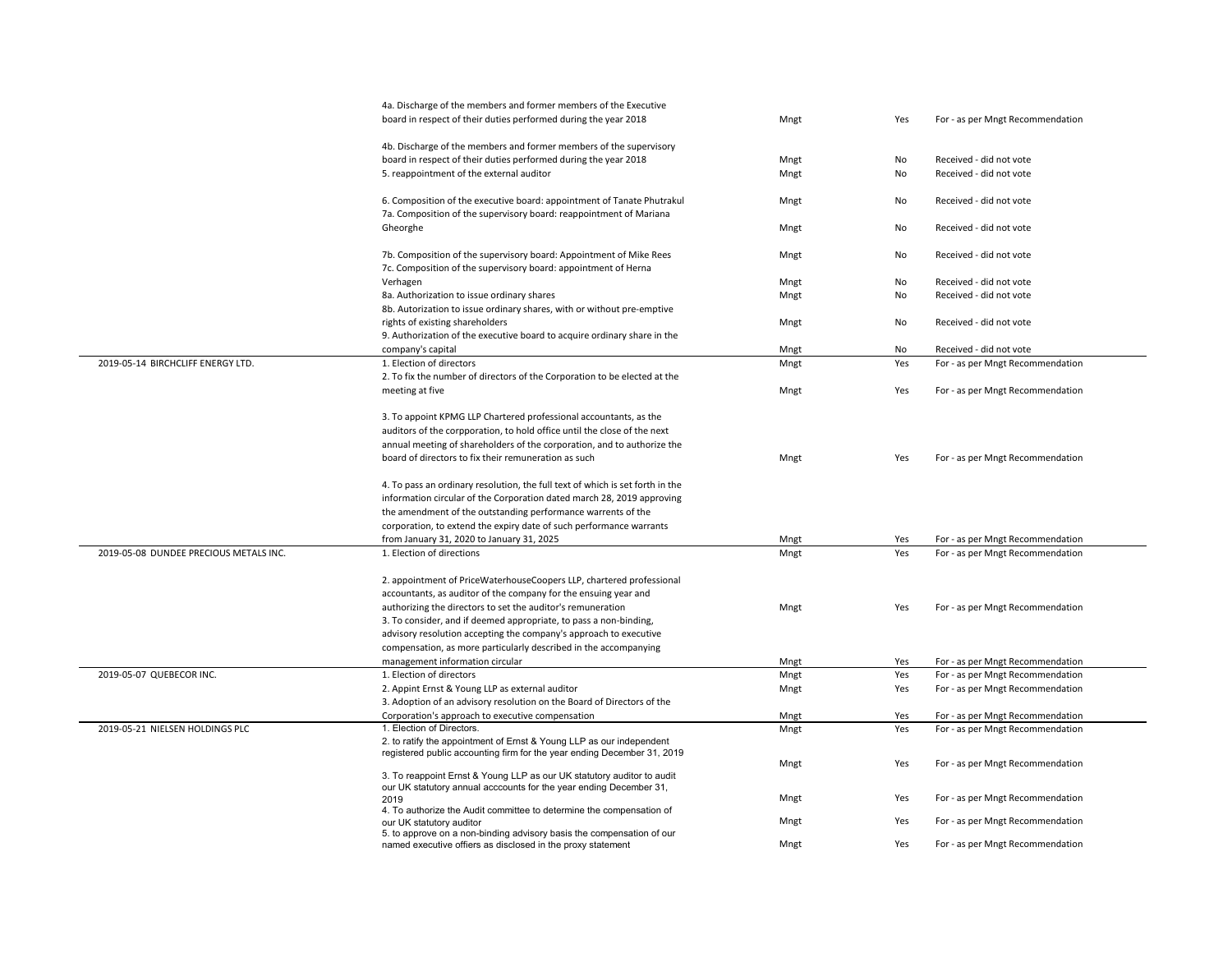|                                        | 4a. Discharge of the members and former members of the Executive<br>board in respect of their duties performed during the year 2018             | Mngt | Yes | For - as per Mngt Recommendation |
|----------------------------------------|-------------------------------------------------------------------------------------------------------------------------------------------------|------|-----|----------------------------------|
|                                        |                                                                                                                                                 |      |     |                                  |
|                                        | 4b. Discharge of the members and former members of the supervisory                                                                              |      |     |                                  |
|                                        | board in respect of their duties performed during the year 2018                                                                                 | Mngt | No  | Received - did not vote          |
|                                        | 5. reappointment of the external auditor                                                                                                        | Mngt | No  | Received - did not vote          |
|                                        | 6. Composition of the executive board: appointment of Tanate Phutrakul<br>7a. Composition of the supervisory board: reappointment of Mariana    | Mngt | No  | Received - did not vote          |
|                                        | Gheorghe                                                                                                                                        | Mngt | No  | Received - did not vote          |
|                                        | 7b. Composition of the supervisory board: Appointment of Mike Rees<br>7c. Composition of the supervisory board: appointment of Herna            | Mngt | No  | Received - did not vote          |
|                                        | Verhagen                                                                                                                                        | Mngt | No  | Received - did not vote          |
|                                        | 8a. Authorization to issue ordinary shares                                                                                                      | Mngt | No  | Received - did not vote          |
|                                        | 8b. Autorization to issue ordinary shares, with or without pre-emptive                                                                          |      |     |                                  |
|                                        | rights of existing shareholders                                                                                                                 | Mngt | No  | Received - did not vote          |
|                                        | 9. Authorization of the executive board to acquire ordinary share in the                                                                        |      |     |                                  |
|                                        | company's capital                                                                                                                               | Mngt | No  | Received - did not vote          |
| 2019-05-14 BIRCHCLIFF ENERGY LTD.      | 1. Election of directors                                                                                                                        | Mngt | Yes | For - as per Mngt Recommendation |
|                                        | 2. To fix the number of directors of the Corporation to be elected at the                                                                       |      |     |                                  |
|                                        | meeting at five                                                                                                                                 | Mngt | Yes | For - as per Mngt Recommendation |
|                                        | 3. To appoint KPMG LLP Chartered professional accountants, as the                                                                               |      |     |                                  |
|                                        | auditors of the corpporation, to hold office until the close of the next                                                                        |      |     |                                  |
|                                        | annual meeting of shareholders of the corporation, and to authorize the                                                                         |      |     |                                  |
|                                        | board of directors to fix their remuneration as such                                                                                            | Mngt | Yes | For - as per Mngt Recommendation |
|                                        |                                                                                                                                                 |      |     |                                  |
|                                        | 4. To pass an ordinary resolution, the full text of which is set forth in the                                                                   |      |     |                                  |
|                                        | information circular of the Corporation dated march 28, 2019 approving                                                                          |      |     |                                  |
|                                        | the amendment of the outstanding performance warrents of the                                                                                    |      |     |                                  |
|                                        | corporation, to extend the expiry date of such performance warrants                                                                             |      |     |                                  |
|                                        | from January 31, 2020 to January 31, 2025                                                                                                       | Mngt | Yes | For - as per Mngt Recommendation |
| 2019-05-08 DUNDEE PRECIOUS METALS INC. | 1. Election of directions                                                                                                                       | Mngt | Yes | For - as per Mngt Recommendation |
|                                        | 2. appointment of PriceWaterhouseCoopers LLP, chartered professional                                                                            |      |     |                                  |
|                                        | accountants, as auditor of the company for the ensuing year and                                                                                 |      |     |                                  |
|                                        | authorizing the directors to set the auditor's remuneration                                                                                     | Mngt | Yes | For - as per Mngt Recommendation |
|                                        | 3. To consider, and if deemed appropriate, to pass a non-binding,                                                                               |      |     |                                  |
|                                        | advisory resolution accepting the company's approach to executive                                                                               |      |     |                                  |
|                                        | compensation, as more particularly described in the accompanying                                                                                |      |     |                                  |
|                                        | management information circular                                                                                                                 | Mngt | Yes | For - as per Mngt Recommendation |
| 2019-05-07 QUEBECOR INC.               | 1. Election of directors                                                                                                                        | Mngt | Yes | For - as per Mngt Recommendation |
|                                        | 2. Appint Ernst & Young LLP as external auditor                                                                                                 | Mngt | Yes | For - as per Mngt Recommendation |
|                                        | 3. Adoption of an advisory resolution on the Board of Directors of the                                                                          |      |     |                                  |
|                                        | Corporation's approach to executive compensation                                                                                                | Mngt | Yes | For - as per Mngt Recommendation |
| 2019-05-21 NIELSEN HOLDINGS PLC        | 1. Election of Directors.                                                                                                                       | Mngt | Yes | For - as per Mngt Recommendation |
|                                        | 2. to ratify the appointment of Ernst & Young LLP as our independent<br>registered public accounting firm for the year ending December 31, 2019 |      |     |                                  |
|                                        |                                                                                                                                                 | Mngt | Yes | For - as per Mngt Recommendation |
|                                        | 3. To reappoint Ernst & Young LLP as our UK statutory auditor to audit                                                                          |      |     |                                  |
|                                        | our UK statutory annual acccounts for the year ending December 31,                                                                              |      |     |                                  |
|                                        | 2019<br>4. To authorize the Audit committee to determine the compensation of                                                                    | Mngt | Yes | For - as per Mngt Recommendation |
|                                        | our UK statutory auditor                                                                                                                        | Mngt | Yes | For - as per Mngt Recommendation |
|                                        | 5. to approve on a non-binding advisory basis the compensation of our                                                                           |      |     |                                  |
|                                        | named executive offiers as disclosed in the proxy statement                                                                                     | Mngt | Yes | For - as per Mngt Recommendation |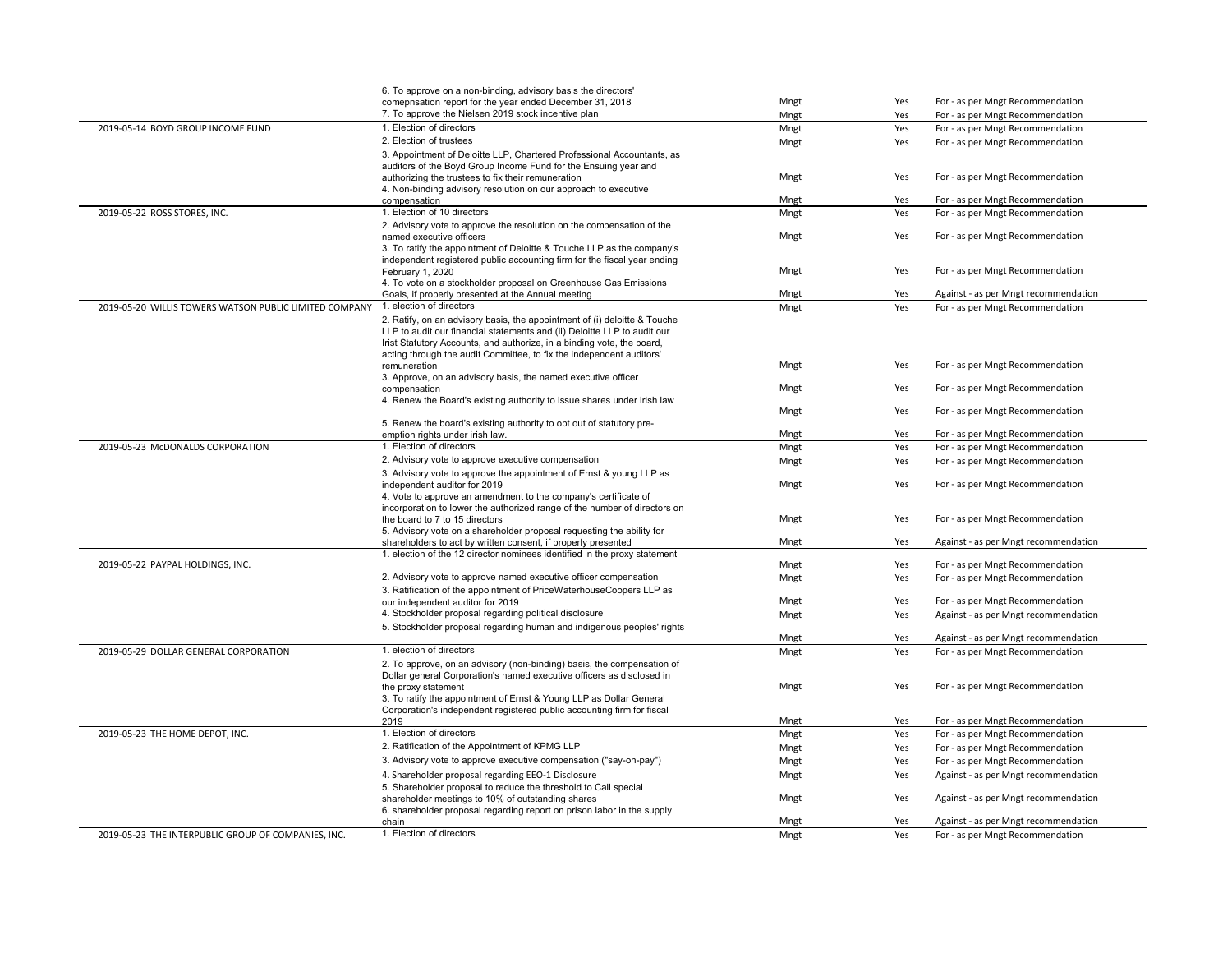|                                                        | 6. To approve on a non-binding, advisory basis the directors'                                                               |      |     |                                      |
|--------------------------------------------------------|-----------------------------------------------------------------------------------------------------------------------------|------|-----|--------------------------------------|
|                                                        | comepnsation report for the year ended December 31, 2018                                                                    | Mngt | Yes | For - as per Mngt Recommendation     |
|                                                        | 7. To approve the Nielsen 2019 stock incentive plan                                                                         | Mngt | Yes | For - as per Mngt Recommendation     |
| 2019-05-14 BOYD GROUP INCOME FUND                      | 1. Election of directors                                                                                                    | Mngt | Yes | For - as per Mngt Recommendation     |
|                                                        | 2. Election of trustees                                                                                                     | Mngt | Yes | For - as per Mngt Recommendation     |
|                                                        | 3. Appointment of Deloitte LLP, Chartered Professional Accountants, as                                                      |      |     |                                      |
|                                                        | auditors of the Boyd Group Income Fund for the Ensuing year and                                                             |      |     |                                      |
|                                                        | authorizing the trustees to fix their remuneration                                                                          | Mngt | Yes | For - as per Mngt Recommendation     |
|                                                        | 4. Non-binding advisory resolution on our approach to executive                                                             |      |     |                                      |
|                                                        | compensation                                                                                                                | Mngt | Yes | For - as per Mngt Recommendation     |
| 2019-05-22 ROSS STORES, INC.                           | 1. Election of 10 directors                                                                                                 | Mngt | Yes | For - as per Mngt Recommendation     |
|                                                        | 2. Advisory vote to approve the resolution on the compensation of the                                                       |      |     |                                      |
|                                                        | named executive officers                                                                                                    | Mngt | Yes | For - as per Mngt Recommendation     |
|                                                        | 3. To ratify the appointment of Deloitte & Touche LLP as the company's                                                      |      |     |                                      |
|                                                        | independent registered public accounting firm for the fiscal year ending                                                    |      |     |                                      |
|                                                        | February 1, 2020                                                                                                            | Mngt | Yes | For - as per Mngt Recommendation     |
|                                                        | 4. To vote on a stockholder proposal on Greenhouse Gas Emissions                                                            |      |     |                                      |
|                                                        | Goals, if properly presented at the Annual meeting                                                                          | Mngt | Yes | Against - as per Mngt recommendation |
| 2019-05-20 WILLIS TOWERS WATSON PUBLIC LIMITED COMPANY | 1. election of directors                                                                                                    | Mngt | Yes | For - as per Mngt Recommendation     |
|                                                        | 2. Ratify, on an advisory basis, the appointment of (i) deloitte & Touche                                                   |      |     |                                      |
|                                                        | LLP to audit our financial statements and (ii) Deloitte LLP to audit our                                                    |      |     |                                      |
|                                                        | Irist Statutory Accounts, and authorize, in a binding vote, the board,                                                      |      |     |                                      |
|                                                        | acting through the audit Committee, to fix the independent auditors'                                                        |      |     |                                      |
|                                                        | remuneration                                                                                                                | Mngt | Yes | For - as per Mngt Recommendation     |
|                                                        | 3. Approve, on an advisory basis, the named executive officer                                                               |      |     | For - as per Mngt Recommendation     |
|                                                        | compensation<br>4. Renew the Board's existing authority to issue shares under irish law                                     | Mngt | Yes |                                      |
|                                                        |                                                                                                                             | Mngt | Yes | For - as per Mngt Recommendation     |
|                                                        | 5. Renew the board's existing authority to opt out of statutory pre-                                                        |      |     |                                      |
|                                                        | emption rights under irish law.                                                                                             | Mngt | Yes | For - as per Mngt Recommendation     |
| 2019-05-23 McDONALDS CORPORATION                       | 1. Election of directors                                                                                                    | Mngt | Yes | For - as per Mngt Recommendation     |
|                                                        | 2. Advisory vote to approve executive compensation                                                                          |      |     |                                      |
|                                                        |                                                                                                                             | Mngt | Yes | For - as per Mngt Recommendation     |
|                                                        | 3. Advisory vote to approve the appointment of Ernst & young LLP as                                                         | Mngt | Yes | For - as per Mngt Recommendation     |
|                                                        | independent auditor for 2019<br>4. Vote to approve an amendment to the company's certificate of                             |      |     |                                      |
|                                                        | incorporation to lower the authorized range of the number of directors on                                                   |      |     |                                      |
|                                                        | the board to 7 to 15 directors                                                                                              | Mngt | Yes | For - as per Mngt Recommendation     |
|                                                        | 5. Advisory vote on a shareholder proposal requesting the ability for                                                       |      |     |                                      |
|                                                        | shareholders to act by written consent, if properly presented                                                               | Mngt | Yes | Against - as per Mngt recommendation |
|                                                        | 1. election of the 12 director nominees identified in the proxy statement                                                   |      |     |                                      |
| 2019-05-22 PAYPAL HOLDINGS, INC.                       |                                                                                                                             | Mngt | Yes | For - as per Mngt Recommendation     |
|                                                        | 2. Advisory vote to approve named executive officer compensation                                                            | Mngt | Yes | For - as per Mngt Recommendation     |
|                                                        | 3. Ratification of the appointment of PriceWaterhouseCoopers LLP as                                                         |      |     |                                      |
|                                                        | our independent auditor for 2019                                                                                            | Mngt | Yes | For - as per Mngt Recommendation     |
|                                                        | 4. Stockholder proposal regarding political disclosure                                                                      | Mngt | Yes | Against - as per Mngt recommendation |
|                                                        | 5. Stockholder proposal regarding human and indigenous peoples' rights                                                      |      |     |                                      |
|                                                        |                                                                                                                             | Mngt | Yes | Against - as per Mngt recommendation |
| 2019-05-29 DOLLAR GENERAL CORPORATION                  | 1. election of directors                                                                                                    | Mngt | Yes | For - as per Mngt Recommendation     |
|                                                        | 2. To approve, on an advisory (non-binding) basis, the compensation of                                                      |      |     |                                      |
|                                                        | Dollar general Corporation's named executive officers as disclosed in                                                       |      |     |                                      |
|                                                        | the proxy statement                                                                                                         | Mngt | Yes | For - as per Mngt Recommendation     |
|                                                        | 3. To ratify the appointment of Ernst & Young LLP as Dollar General                                                         |      |     |                                      |
|                                                        | Corporation's independent registered public accounting firm for fiscal                                                      |      |     |                                      |
|                                                        | 2019                                                                                                                        | Mngt | Yes | For - as per Mngt Recommendation     |
| 2019-05-23 THE HOME DEPOT, INC.                        | 1. Election of directors                                                                                                    | Mngt | Yes | For - as per Mngt Recommendation     |
|                                                        | 2. Ratification of the Appointment of KPMG LLP                                                                              | Mngt | Yes | For - as per Mngt Recommendation     |
|                                                        | 3. Advisory vote to approve executive compensation ("say-on-pay")                                                           | Mngt | Yes | For - as per Mngt Recommendation     |
|                                                        |                                                                                                                             |      |     |                                      |
|                                                        | 4. Shareholder proposal regarding EEO-1 Disclosure                                                                          | Mngt | Yes | Against - as per Mngt recommendation |
|                                                        | 5. Shareholder proposal to reduce the threshold to Call special                                                             | Mngt | Yes | Against - as per Mngt recommendation |
|                                                        | shareholder meetings to 10% of outstanding shares<br>6. shareholder proposal regarding report on prison labor in the supply |      |     |                                      |
|                                                        | chain                                                                                                                       | Mngt | Yes | Against - as per Mngt recommendation |
| 2019-05-23 THE INTERPUBLIC GROUP OF COMPANIES, INC.    | 1. Election of directors                                                                                                    | Mngt | Yes | For - as per Mngt Recommendation     |
|                                                        |                                                                                                                             |      |     |                                      |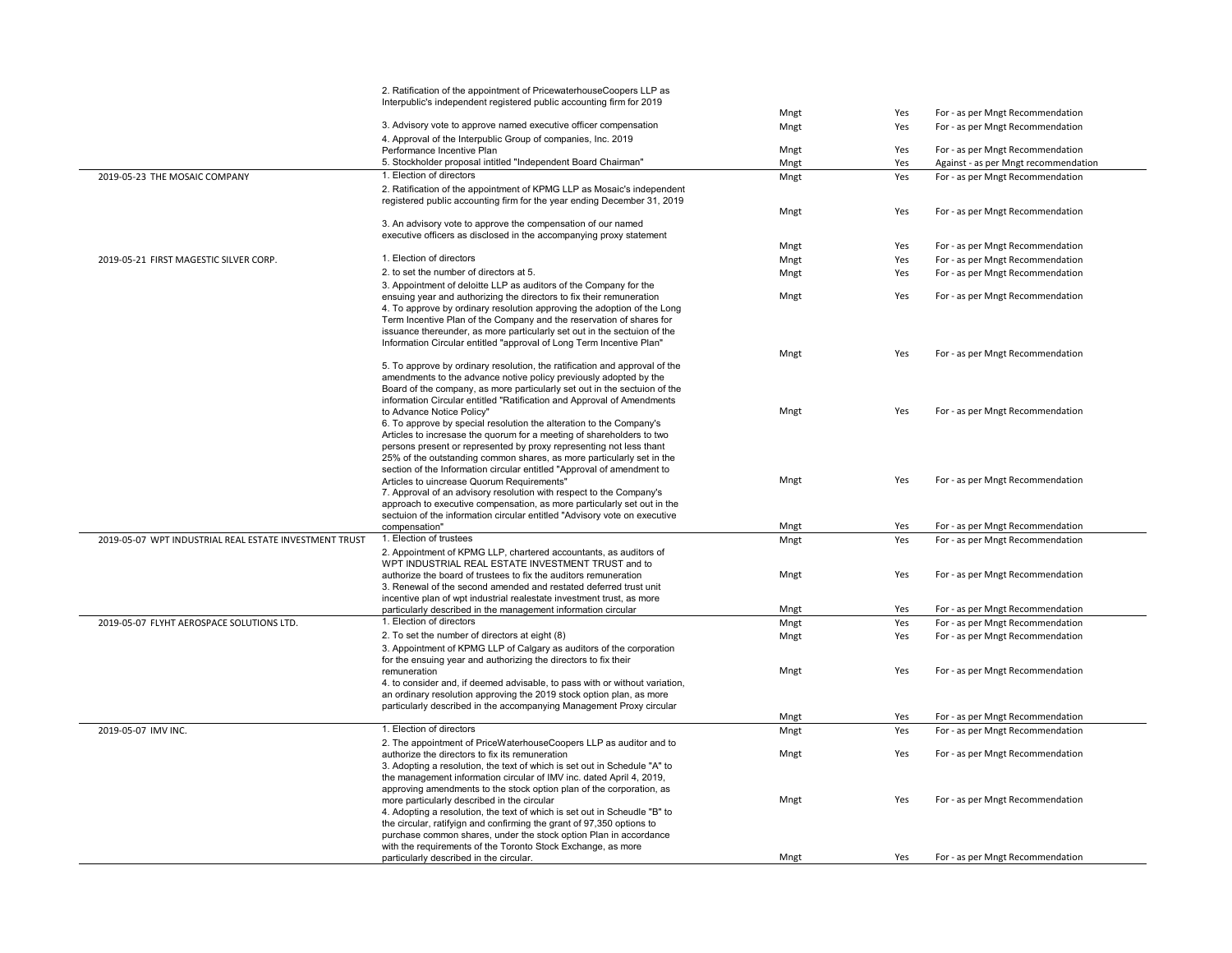|                                                        | 2. Ratification of the appointment of PricewaterhouseCoopers LLP as                                                                       |      |     |                                      |
|--------------------------------------------------------|-------------------------------------------------------------------------------------------------------------------------------------------|------|-----|--------------------------------------|
|                                                        | Interpublic's independent registered public accounting firm for 2019                                                                      |      |     |                                      |
|                                                        |                                                                                                                                           | Mngt | Yes | For - as per Mngt Recommendation     |
|                                                        | 3. Advisory vote to approve named executive officer compensation                                                                          | Mngt | Yes | For - as per Mngt Recommendation     |
|                                                        | 4. Approval of the Interpublic Group of companies, Inc. 2019                                                                              |      |     |                                      |
|                                                        | Performance Incentive Plan                                                                                                                | Mngt | Yes | For - as per Mngt Recommendation     |
|                                                        | 5. Stockholder proposal intitled "Independent Board Chairman"                                                                             | Mngt | Yes | Against - as per Mngt recommendation |
| 2019-05-23 THE MOSAIC COMPANY                          | 1. Election of directors                                                                                                                  | Mngt | Yes | For - as per Mngt Recommendation     |
|                                                        | 2. Ratification of the appointment of KPMG LLP as Mosaic's independent                                                                    |      |     |                                      |
|                                                        | registered public accounting firm for the year ending December 31, 2019                                                                   |      |     |                                      |
|                                                        |                                                                                                                                           | Mngt | Yes | For - as per Mngt Recommendation     |
|                                                        | 3. An advisory vote to approve the compensation of our named<br>executive officers as disclosed in the accompanying proxy statement       |      |     |                                      |
|                                                        |                                                                                                                                           | Mngt | Yes | For - as per Mngt Recommendation     |
| 2019-05-21 FIRST MAGESTIC SILVER CORP.                 | 1. Election of directors                                                                                                                  | Mngt | Yes | For - as per Mngt Recommendation     |
|                                                        | 2. to set the number of directors at 5.                                                                                                   |      |     |                                      |
|                                                        |                                                                                                                                           | Mngt | Yes | For - as per Mngt Recommendation     |
|                                                        | 3. Appointment of deloitte LLP as auditors of the Company for the<br>ensuing year and authorizing the directors to fix their remuneration | Mngt | Yes | For - as per Mngt Recommendation     |
|                                                        | 4. To approve by ordinary resolution approving the adoption of the Long                                                                   |      |     |                                      |
|                                                        | Term Incentive Plan of the Company and the reservation of shares for                                                                      |      |     |                                      |
|                                                        | issuance thereunder, as more particularly set out in the sectuion of the                                                                  |      |     |                                      |
|                                                        | Information Circular entitled "approval of Long Term Incentive Plan"                                                                      |      |     |                                      |
|                                                        |                                                                                                                                           | Mngt | Yes | For - as per Mngt Recommendation     |
|                                                        | 5. To approve by ordinary resolution, the ratification and approval of the                                                                |      |     |                                      |
|                                                        | amendments to the advance notive policy previously adopted by the                                                                         |      |     |                                      |
|                                                        | Board of the company, as more particularly set out in the sectuion of the                                                                 |      |     |                                      |
|                                                        | information Circular entitled "Ratification and Approval of Amendments                                                                    |      |     |                                      |
|                                                        | to Advance Notice Policy"                                                                                                                 | Mngt | Yes | For - as per Mngt Recommendation     |
|                                                        | 6. To approve by special resolution the alteration to the Company's                                                                       |      |     |                                      |
|                                                        | Articles to incresase the quorum for a meeting of shareholders to two                                                                     |      |     |                                      |
|                                                        | persons present or represented by proxy representing not less thant                                                                       |      |     |                                      |
|                                                        | 25% of the outstanding common shares, as more particularly set in the                                                                     |      |     |                                      |
|                                                        | section of the Information circular entitled "Approval of amendment to                                                                    |      |     |                                      |
|                                                        | Articles to uincrease Quorum Requirements"                                                                                                | Mngt | Yes | For - as per Mngt Recommendation     |
|                                                        | 7. Approval of an advisory resolution with respect to the Company's                                                                       |      |     |                                      |
|                                                        | approach to executive compensation, as more particularly set out in the                                                                   |      |     |                                      |
|                                                        | sectuion of the information circular entitled "Advisory vote on executive                                                                 |      |     |                                      |
|                                                        | compensation"                                                                                                                             | Mngt | Yes | For - as per Mngt Recommendation     |
| 2019-05-07 WPT INDUSTRIAL REAL ESTATE INVESTMENT TRUST | 1. Election of trustees                                                                                                                   | Mngt | Yes | For - as per Mngt Recommendation     |
|                                                        | 2. Appointment of KPMG LLP, chartered accountants, as auditors of                                                                         |      |     |                                      |
|                                                        | WPT INDUSTRIAL REAL ESTATE INVESTMENT TRUST and to                                                                                        |      |     |                                      |
|                                                        | authorize the board of trustees to fix the auditors remuneration                                                                          | Mngt | Yes | For - as per Mngt Recommendation     |
|                                                        | 3. Renewal of the second amended and restated deferred trust unit                                                                         |      |     |                                      |
|                                                        | incentive plan of wpt industrial realestate investment trust, as more<br>particularly described in the management information circular    | Mngt | Yes | For - as per Mngt Recommendation     |
| 2019-05-07 FLYHT AEROSPACE SOLUTIONS LTD.              | 1. Election of directors                                                                                                                  | Mngt | Yes | For - as per Mngt Recommendation     |
|                                                        |                                                                                                                                           |      |     |                                      |
|                                                        | 2. To set the number of directors at eight (8)                                                                                            | Mngt | Yes | For - as per Mngt Recommendation     |
|                                                        | 3. Appointment of KPMG LLP of Calgary as auditors of the corporation                                                                      |      |     |                                      |
|                                                        | for the ensuing year and authorizing the directors to fix their                                                                           | Mngt | Yes | For - as per Mngt Recommendation     |
|                                                        | remuneration<br>4. to consider and, if deemed advisable, to pass with or without variation,                                               |      |     |                                      |
|                                                        | an ordinary resolution approving the 2019 stock option plan, as more                                                                      |      |     |                                      |
|                                                        | particularly described in the accompanying Management Proxy circular                                                                      |      |     |                                      |
|                                                        |                                                                                                                                           | Mngt | Yes | For - as per Mngt Recommendation     |
| 2019-05-07 IMV INC.                                    | 1. Election of directors                                                                                                                  | Mngt | Yes | For - as per Mngt Recommendation     |
|                                                        | 2. The appointment of PriceWaterhouseCoopers LLP as auditor and to                                                                        |      |     |                                      |
|                                                        | authorize the directors to fix its remuneration                                                                                           | Mngt | Yes | For - as per Mngt Recommendation     |
|                                                        | 3. Adopting a resolution, the text of which is set out in Schedule "A" to                                                                 |      |     |                                      |
|                                                        | the management information circular of IMV inc. dated April 4, 2019,                                                                      |      |     |                                      |
|                                                        | approving amendments to the stock option plan of the corporation, as                                                                      |      |     |                                      |
|                                                        | more particularly described in the circular                                                                                               | Mngt | Yes | For - as per Mngt Recommendation     |
|                                                        | 4. Adopting a resolution, the text of which is set out in Scheudle "B" to                                                                 |      |     |                                      |
|                                                        | the circular, ratifyign and confirming the grant of 97,350 options to                                                                     |      |     |                                      |
|                                                        | purchase common shares, under the stock option Plan in accordance                                                                         |      |     |                                      |
|                                                        | with the requirements of the Toronto Stock Exchange, as more                                                                              |      |     |                                      |
|                                                        | particularly described in the circular.                                                                                                   | Mngt | Yes | For - as per Mngt Recommendation     |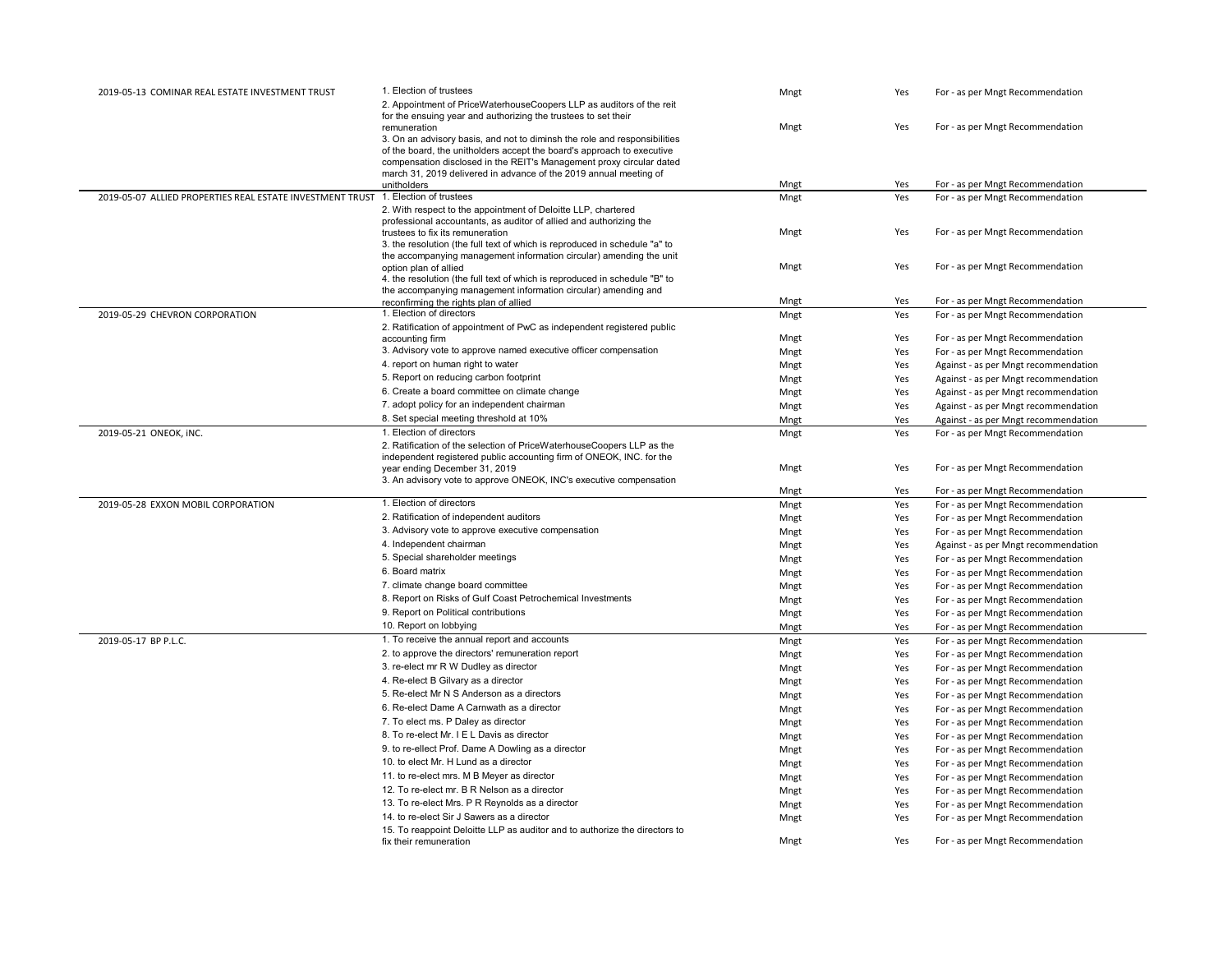| 2019-05-13 COMINAR REAL ESTATE INVESTMENT TRUST           | 1. Election of trustees                                                                                                                   | Mngt | Yes | For - as per Mngt Recommendation     |
|-----------------------------------------------------------|-------------------------------------------------------------------------------------------------------------------------------------------|------|-----|--------------------------------------|
|                                                           | 2. Appointment of PriceWaterhouseCoopers LLP as auditors of the reit                                                                      |      |     |                                      |
|                                                           | for the ensuing year and authorizing the trustees to set their                                                                            |      |     |                                      |
|                                                           | remuneration                                                                                                                              | Mngt | Yes | For - as per Mngt Recommendation     |
|                                                           | 3. On an advisory basis, and not to diminsh the role and responsibilities                                                                 |      |     |                                      |
|                                                           | of the board, the unitholders accept the board's approach to executive                                                                    |      |     |                                      |
|                                                           | compensation disclosed in the REIT's Management proxy circular dated<br>march 31, 2019 delivered in advance of the 2019 annual meeting of |      |     |                                      |
|                                                           | unitholders                                                                                                                               | Mngt | Yes | For - as per Mngt Recommendation     |
| 2019-05-07 ALLIED PROPERTIES REAL ESTATE INVESTMENT TRUST | 1. Election of trustees                                                                                                                   | Mngt | Yes | For - as per Mngt Recommendation     |
|                                                           | 2. With respect to the appointment of Deloitte LLP, chartered                                                                             |      |     |                                      |
|                                                           | professional accountants, as auditor of allied and authorizing the                                                                        |      |     |                                      |
|                                                           | trustees to fix its remuneration                                                                                                          | Mngt | Yes | For - as per Mngt Recommendation     |
|                                                           | 3. the resolution (the full text of which is reproduced in schedule "a" to                                                                |      |     |                                      |
|                                                           | the accompanying management information circular) amending the unit                                                                       | Mngt | Yes | For - as per Mngt Recommendation     |
|                                                           | option plan of allied<br>4. the resolution (the full text of which is reproduced in schedule "B" to                                       |      |     |                                      |
|                                                           | the accompanying management information circular) amending and                                                                            |      |     |                                      |
|                                                           | reconfirming the rights plan of allied                                                                                                    | Mngt | Yes | For - as per Mngt Recommendation     |
| 2019-05-29 CHEVRON CORPORATION                            | 1. Election of directors                                                                                                                  | Mngt | Yes | For - as per Mngt Recommendation     |
|                                                           | 2. Ratification of appointment of PwC as independent registered public                                                                    |      |     |                                      |
|                                                           | accounting firm                                                                                                                           | Mngt | Yes | For - as per Mngt Recommendation     |
|                                                           | 3. Advisory vote to approve named executive officer compensation                                                                          | Mngt | Yes | For - as per Mngt Recommendation     |
|                                                           | 4. report on human right to water                                                                                                         | Mngt | Yes | Against - as per Mngt recommendation |
|                                                           | 5. Report on reducing carbon footprint                                                                                                    | Mngt | Yes | Against - as per Mngt recommendation |
|                                                           | 6. Create a board committee on climate change                                                                                             | Mngt | Yes | Against - as per Mngt recommendation |
|                                                           | 7. adopt policy for an independent chairman                                                                                               | Mngt | Yes | Against - as per Mngt recommendation |
|                                                           | 8. Set special meeting threshold at 10%                                                                                                   | Mngt | Yes | Against - as per Mngt recommendation |
| 2019-05-21 ONEOK, INC.                                    | 1. Election of directors                                                                                                                  | Mngt | Yes | For - as per Mngt Recommendation     |
|                                                           | 2. Ratification of the selection of PriceWaterhouseCoopers LLP as the                                                                     |      |     |                                      |
|                                                           | independent registered public accounting firm of ONEOK, INC. for the                                                                      |      |     |                                      |
|                                                           | year ending December 31, 2019                                                                                                             | Mngt | Yes | For - as per Mngt Recommendation     |
|                                                           | 3. An advisory vote to approve ONEOK, INC's executive compensation                                                                        | Mngt | Yes | For - as per Mngt Recommendation     |
| 2019-05-28 EXXON MOBIL CORPORATION                        | 1. Election of directors                                                                                                                  | Mngt | Yes | For - as per Mngt Recommendation     |
|                                                           | 2. Ratification of independent auditors                                                                                                   | Mngt | Yes | For - as per Mngt Recommendation     |
|                                                           | 3. Advisory vote to approve executive compensation                                                                                        |      |     |                                      |
|                                                           | 4. Independent chairman                                                                                                                   | Mngt | Yes | For - as per Mngt Recommendation     |
|                                                           | 5. Special shareholder meetings                                                                                                           | Mngt | Yes | Against - as per Mngt recommendation |
|                                                           |                                                                                                                                           | Mngt | Yes | For - as per Mngt Recommendation     |
|                                                           | 6. Board matrix                                                                                                                           | Mngt | Yes | For - as per Mngt Recommendation     |
|                                                           | 7. climate change board committee                                                                                                         | Mngt | Yes | For - as per Mngt Recommendation     |
|                                                           | 8. Report on Risks of Gulf Coast Petrochemical Investments                                                                                | Mngt | Yes | For - as per Mngt Recommendation     |
|                                                           | 9. Report on Political contributions                                                                                                      | Mngt | Yes | For - as per Mngt Recommendation     |
|                                                           | 10. Report on lobbying                                                                                                                    | Mngt | Yes | For - as per Mngt Recommendation     |
| 2019-05-17 BP P.L.C.                                      | 1. To receive the annual report and accounts                                                                                              | Mngt | Yes | For - as per Mngt Recommendation     |
|                                                           | 2. to approve the directors' remuneration report                                                                                          | Mngt | Yes | For - as per Mngt Recommendation     |
|                                                           | 3. re-elect mr R W Dudley as director                                                                                                     | Mngt | Yes | For - as per Mngt Recommendation     |
|                                                           | 4. Re-elect B Gilvary as a director                                                                                                       | Mngt | Yes | For - as per Mngt Recommendation     |
|                                                           | 5. Re-elect Mr N S Anderson as a directors                                                                                                | Mngt | Yes | For - as per Mngt Recommendation     |
|                                                           | 6. Re-elect Dame A Carnwath as a director                                                                                                 | Mngt | Yes | For - as per Mngt Recommendation     |
|                                                           | 7. To elect ms. P Daley as director                                                                                                       | Mngt | Yes | For - as per Mngt Recommendation     |
|                                                           | 8. To re-elect Mr. I E L Davis as director                                                                                                | Mngt | Yes | For - as per Mngt Recommendation     |
|                                                           | 9. to re-ellect Prof. Dame A Dowling as a director                                                                                        | Mngt | Yes | For - as per Mngt Recommendation     |
|                                                           | 10. to elect Mr. H Lund as a director                                                                                                     | Mngt | Yes | For - as per Mngt Recommendation     |
|                                                           | 11. to re-elect mrs. M B Meyer as director                                                                                                | Mngt | Yes | For - as per Mngt Recommendation     |
|                                                           | 12. To re-elect mr. B R Nelson as a director                                                                                              | Mngt | Yes | For - as per Mngt Recommendation     |
|                                                           | 13. To re-elect Mrs. P R Reynolds as a director                                                                                           | Mngt | Yes | For - as per Mngt Recommendation     |
|                                                           | 14. to re-elect Sir J Sawers as a director                                                                                                | Mngt | Yes | For - as per Mngt Recommendation     |
|                                                           | 15. To reappoint Deloitte LLP as auditor and to authorize the directors to                                                                |      |     |                                      |
|                                                           | fix their remuneration                                                                                                                    | Mngt | Yes | For - as per Mngt Recommendation     |
|                                                           |                                                                                                                                           |      |     |                                      |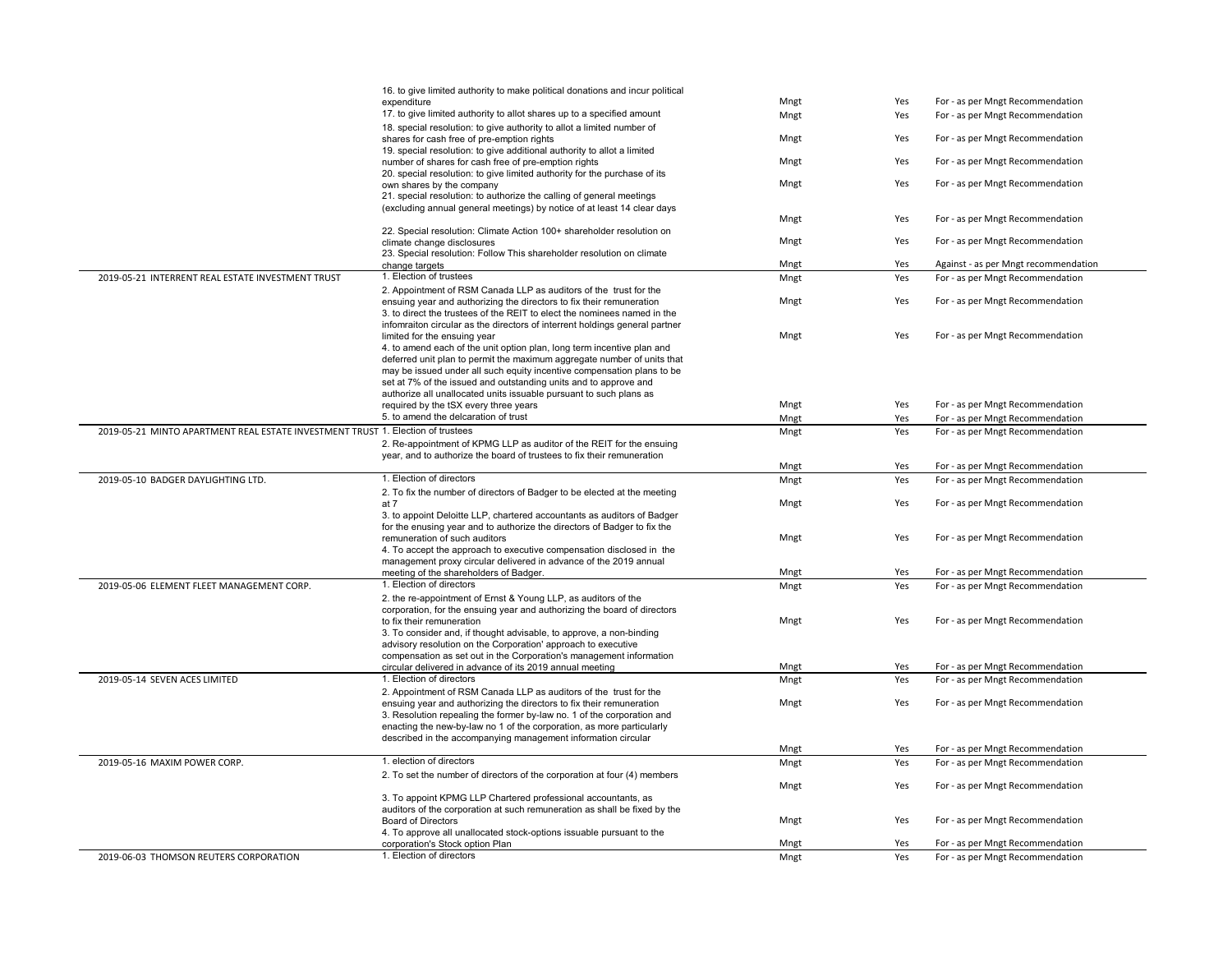|                                                                                 | 16. to give limited authority to make political donations and incur political                               |              |            |                                                                      |
|---------------------------------------------------------------------------------|-------------------------------------------------------------------------------------------------------------|--------------|------------|----------------------------------------------------------------------|
|                                                                                 | expenditure                                                                                                 | Mngt         | Yes        | For - as per Mngt Recommendation                                     |
|                                                                                 | 17. to give limited authority to allot shares up to a specified amount                                      | Mngt         | Yes        | For - as per Mngt Recommendation                                     |
|                                                                                 | 18. special resolution: to give authority to allot a limited number of                                      |              |            |                                                                      |
|                                                                                 | shares for cash free of pre-emption rights                                                                  | Mngt         | Yes        | For - as per Mngt Recommendation                                     |
|                                                                                 | 19. special resolution: to give additional authority to allot a limited                                     |              |            |                                                                      |
|                                                                                 | number of shares for cash free of pre-emption rights                                                        | Mngt         | Yes        | For - as per Mngt Recommendation                                     |
|                                                                                 | 20. special resolution: to give limited authority for the purchase of its                                   |              |            |                                                                      |
|                                                                                 | own shares by the company                                                                                   | Mngt         | Yes        | For - as per Mngt Recommendation                                     |
|                                                                                 | 21. special resolution: to authorize the calling of general meetings                                        |              |            |                                                                      |
|                                                                                 | (excluding annual general meetings) by notice of at least 14 clear days                                     |              |            |                                                                      |
|                                                                                 |                                                                                                             | Mngt         | Yes        | For - as per Mngt Recommendation                                     |
|                                                                                 | 22. Special resolution: Climate Action 100+ shareholder resolution on<br>climate change disclosures         | Mngt         | Yes        | For - as per Mngt Recommendation                                     |
|                                                                                 | 23. Special resolution: Follow This shareholder resolution on climate                                       |              |            |                                                                      |
|                                                                                 | change targets                                                                                              | Mngt         | Yes        | Against - as per Mngt recommendation                                 |
| 2019-05-21 INTERRENT REAL ESTATE INVESTMENT TRUST                               | 1. Election of trustees                                                                                     | Mngt         | Yes        | For - as per Mngt Recommendation                                     |
|                                                                                 | 2. Appointment of RSM Canada LLP as auditors of the trust for the                                           |              |            |                                                                      |
|                                                                                 | ensuing year and authorizing the directors to fix their remuneration                                        | Mngt         | Yes        | For - as per Mngt Recommendation                                     |
|                                                                                 | 3. to direct the trustees of the REIT to elect the nominees named in the                                    |              |            |                                                                      |
|                                                                                 | infomraiton circular as the directors of interrent holdings general partner                                 |              |            |                                                                      |
|                                                                                 | limited for the ensuing year                                                                                | Mngt         | Yes        | For - as per Mngt Recommendation                                     |
|                                                                                 | 4. to amend each of the unit option plan, long term incentive plan and                                      |              |            |                                                                      |
|                                                                                 | deferred unit plan to permit the maximum aggregate number of units that                                     |              |            |                                                                      |
|                                                                                 | may be issued under all such equity incentive compensation plans to be                                      |              |            |                                                                      |
|                                                                                 | set at 7% of the issued and outstanding units and to approve and                                            |              |            |                                                                      |
|                                                                                 | authorize all unallocated units issuable pursuant to such plans as                                          |              |            |                                                                      |
|                                                                                 | required by the tSX every three years                                                                       | Mngt         | Yes        | For - as per Mngt Recommendation                                     |
|                                                                                 | 5. to amend the delcaration of trust                                                                        | Mngt         | Yes        | For - as per Mngt Recommendation                                     |
| 2019-05-21 MINTO APARTMENT REAL ESTATE INVESTMENT TRUST 1. Election of trustees |                                                                                                             | Mngt         | Yes        | For - as per Mngt Recommendation                                     |
|                                                                                 | 2. Re-appointment of KPMG LLP as auditor of the REIT for the ensuing                                        |              |            |                                                                      |
|                                                                                 | year, and to authorize the board of trustees to fix their remuneration                                      |              |            |                                                                      |
|                                                                                 |                                                                                                             | Mngt         | Yes        | For - as per Mngt Recommendation                                     |
| 2019-05-10 BADGER DAYLIGHTING LTD.                                              | 1. Election of directors                                                                                    | Mngt         | Yes        | For - as per Mngt Recommendation                                     |
|                                                                                 | 2. To fix the number of directors of Badger to be elected at the meeting                                    |              |            |                                                                      |
|                                                                                 | at 7                                                                                                        | Mngt         | Yes        | For - as per Mngt Recommendation                                     |
|                                                                                 | 3. to appoint Deloitte LLP, chartered accountants as auditors of Badger                                     |              |            |                                                                      |
|                                                                                 | for the enusing year and to authorize the directors of Badger to fix the                                    |              |            |                                                                      |
|                                                                                 | remuneration of such auditors                                                                               | Mngt         | Yes        | For - as per Mngt Recommendation                                     |
|                                                                                 | 4. To accept the approach to executive compensation disclosed in the                                        |              |            |                                                                      |
|                                                                                 | management proxy circular delivered in advance of the 2019 annual<br>meeting of the shareholders of Badger. | Mngt         | Yes        | For - as per Mngt Recommendation                                     |
| 2019-05-06 ELEMENT FLEET MANAGEMENT CORP.                                       | 1. Election of directors                                                                                    | Mngt         | Yes        | For - as per Mngt Recommendation                                     |
|                                                                                 | 2. the re-appointment of Ernst & Young LLP, as auditors of the                                              |              |            |                                                                      |
|                                                                                 | corporation, for the ensuing year and authorizing the board of directors                                    |              |            |                                                                      |
|                                                                                 | to fix their remuneration                                                                                   | Mngt         | Yes        | For - as per Mngt Recommendation                                     |
|                                                                                 | 3. To consider and, if thought advisable, to approve, a non-binding                                         |              |            |                                                                      |
|                                                                                 | advisory resolution on the Corporation' approach to executive                                               |              |            |                                                                      |
|                                                                                 | compensation as set out in the Corporation's management information                                         |              |            |                                                                      |
|                                                                                 | circular delivered in advance of its 2019 annual meeting                                                    | Mngt         | Yes        | For - as per Mngt Recommendation                                     |
| 2019-05-14 SEVEN ACES LIMITED                                                   | 1. Election of directors                                                                                    | Mngt         | Yes        | For - as per Mngt Recommendation                                     |
|                                                                                 | 2. Appointment of RSM Canada LLP as auditors of the trust for the                                           |              |            |                                                                      |
|                                                                                 | ensuing year and authorizing the directors to fix their remuneration                                        | Mngt         | Yes        | For - as per Mngt Recommendation                                     |
|                                                                                 | 3. Resolution repealing the former by-law no. 1 of the corporation and                                      |              |            |                                                                      |
|                                                                                 | enacting the new-by-law no 1 of the corporation, as more particularly                                       |              |            |                                                                      |
|                                                                                 | described in the accompanying management information circular                                               |              |            |                                                                      |
|                                                                                 |                                                                                                             | Mngt         | Yes        | For - as per Mngt Recommendation                                     |
| 2019-05-16 MAXIM POWER CORP.                                                    |                                                                                                             | Mngt         | Yes        | For - as per Mngt Recommendation                                     |
|                                                                                 | 1. election of directors                                                                                    |              |            |                                                                      |
|                                                                                 | 2. To set the number of directors of the corporation at four (4) members                                    |              |            |                                                                      |
|                                                                                 |                                                                                                             | Mngt         | Yes        | For - as per Mngt Recommendation                                     |
|                                                                                 | 3. To appoint KPMG LLP Chartered professional accountants, as                                               |              |            |                                                                      |
|                                                                                 | auditors of the corporation at such remuneration as shall be fixed by the                                   |              |            |                                                                      |
|                                                                                 | <b>Board of Directors</b>                                                                                   | Mngt         | Yes        | For - as per Mngt Recommendation                                     |
|                                                                                 | 4. To approve all unallocated stock-options issuable pursuant to the                                        |              |            |                                                                      |
| 2019-06-03 THOMSON REUTERS CORPORATION                                          | corporation's Stock option Plan<br>1. Election of directors                                                 | Mngt<br>Mngt | Yes<br>Yes | For - as per Mngt Recommendation<br>For - as per Mngt Recommendation |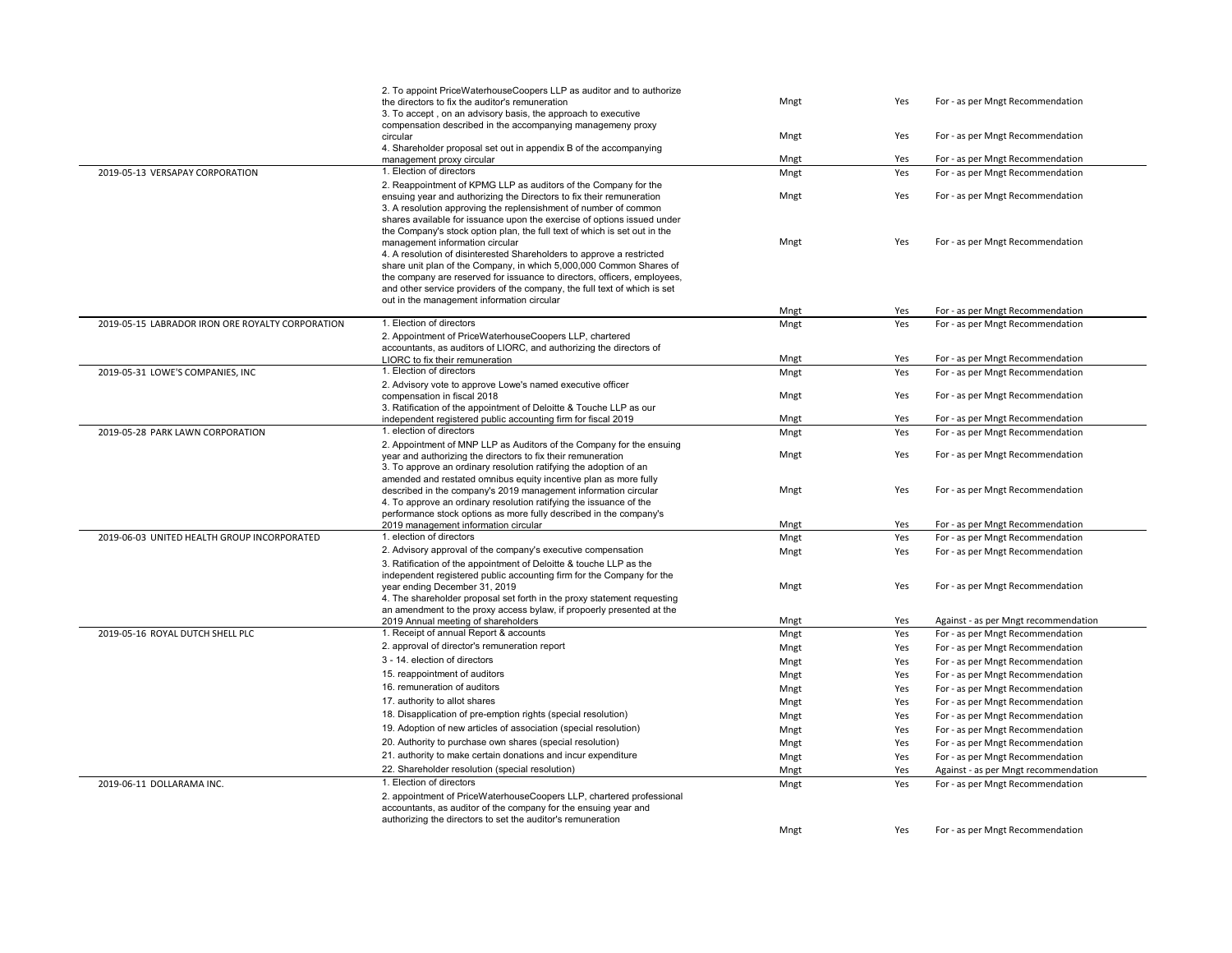|                                                  | 2. To appoint PriceWaterhouseCoopers LLP as auditor and to authorize                                                    |      |     |                                      |
|--------------------------------------------------|-------------------------------------------------------------------------------------------------------------------------|------|-----|--------------------------------------|
|                                                  | the directors to fix the auditor's remuneration                                                                         | Mngt | Yes | For - as per Mngt Recommendation     |
|                                                  | 3. To accept, on an advisory basis, the approach to executive                                                           |      |     |                                      |
|                                                  | compensation described in the accompanying managemeny proxy                                                             |      |     |                                      |
|                                                  | circular                                                                                                                | Mngt | Yes | For - as per Mngt Recommendation     |
|                                                  | 4. Shareholder proposal set out in appendix B of the accompanying                                                       |      |     |                                      |
|                                                  | management proxy circular                                                                                               | Mngt | Yes | For - as per Mngt Recommendation     |
| 2019-05-13 VERSAPAY CORPORATION                  | 1. Election of directors                                                                                                | Mngt | Yes | For - as per Mngt Recommendation     |
|                                                  | 2. Reappointment of KPMG LLP as auditors of the Company for the                                                         |      |     |                                      |
|                                                  | ensuing year and authorizing the Directors to fix their remuneration                                                    | Mngt | Yes | For - as per Mngt Recommendation     |
|                                                  | 3. A resolution approving the replensishment of number of common                                                        |      |     |                                      |
|                                                  | shares available for issuance upon the exercise of options issued under                                                 |      |     |                                      |
|                                                  | the Company's stock option plan, the full text of which is set out in the                                               |      |     |                                      |
|                                                  | management information circular                                                                                         | Mngt | Yes | For - as per Mngt Recommendation     |
|                                                  | 4. A resolution of disinterested Shareholders to approve a restricted                                                   |      |     |                                      |
|                                                  | share unit plan of the Company, in which 5,000,000 Common Shares of                                                     |      |     |                                      |
|                                                  | the company are reserved for issuance to directors, officers, employees,                                                |      |     |                                      |
|                                                  | and other service providers of the company, the full text of which is set<br>out in the management information circular |      |     |                                      |
|                                                  |                                                                                                                         | Mngt | Yes | For - as per Mngt Recommendation     |
| 2019-05-15 LABRADOR IRON ORE ROYALTY CORPORATION | 1. Election of directors                                                                                                | Mngt | Yes | For - as per Mngt Recommendation     |
|                                                  | 2. Appointment of PriceWaterhouseCoopers LLP, chartered                                                                 |      |     |                                      |
|                                                  | accountants, as auditors of LIORC, and authorizing the directors of                                                     |      |     |                                      |
|                                                  | LIORC to fix their remuneration                                                                                         | Mngt | Yes | For - as per Mngt Recommendation     |
| 2019-05-31 LOWE'S COMPANIES, INC                 | 1. Election of directors                                                                                                | Mngt | Yes | For - as per Mngt Recommendation     |
|                                                  | 2. Advisory vote to approve Lowe's named executive officer                                                              |      |     |                                      |
|                                                  | compensation in fiscal 2018                                                                                             | Mngt | Yes | For - as per Mngt Recommendation     |
|                                                  | 3. Ratification of the appointment of Deloitte & Touche LLP as our                                                      |      |     |                                      |
|                                                  | independent registered public accounting firm for fiscal 2019                                                           | Mngt | Yes | For - as per Mngt Recommendation     |
| 2019-05-28 PARK LAWN CORPORATION                 | 1. election of directors                                                                                                | Mngt | Yes | For - as per Mngt Recommendation     |
|                                                  | 2. Appointment of MNP LLP as Auditors of the Company for the ensuing                                                    |      |     |                                      |
|                                                  | year and authorizing the directors to fix their remuneration                                                            | Mngt | Yes | For - as per Mngt Recommendation     |
|                                                  | 3. To approve an ordinary resolution ratifying the adoption of an                                                       |      |     |                                      |
|                                                  | amended and restated omnibus equity incentive plan as more fully                                                        |      |     |                                      |
|                                                  | described in the company's 2019 management information circular                                                         | Mngt | Yes | For - as per Mngt Recommendation     |
|                                                  | 4. To approve an ordinary resolution ratifying the issuance of the                                                      |      |     |                                      |
|                                                  | performance stock options as more fully described in the company's                                                      |      |     |                                      |
|                                                  | 2019 management information circular                                                                                    | Mngt | Yes | For - as per Mngt Recommendation     |
| 2019-06-03 UNITED HEALTH GROUP INCORPORATED      | 1. election of directors                                                                                                | Mngt | Yes | For - as per Mngt Recommendation     |
|                                                  | 2. Advisory approval of the company's executive compensation                                                            | Mngt | Yes | For - as per Mngt Recommendation     |
|                                                  | 3. Ratification of the appointment of Deloitte & touche LLP as the                                                      |      |     |                                      |
|                                                  | independent registered public accounting firm for the Company for the                                                   |      |     |                                      |
|                                                  | year ending December 31, 2019                                                                                           | Mngt | Yes | For - as per Mngt Recommendation     |
|                                                  | 4. The shareholder proposal set forth in the proxy statement requesting                                                 |      |     |                                      |
|                                                  | an amendment to the proxy access bylaw, if propoerly presented at the                                                   |      |     |                                      |
|                                                  | 2019 Annual meeting of shareholders                                                                                     | Mngt | Yes | Against - as per Mngt recommendation |
| 2019-05-16 ROYAL DUTCH SHELL PLC                 | 1. Receipt of annual Report & accounts                                                                                  | Mngt | Yes | For - as per Mngt Recommendation     |
|                                                  | 2. approval of director's remuneration report                                                                           | Mngt | Yes | For - as per Mngt Recommendation     |
|                                                  | 3 - 14. election of directors                                                                                           | Mngt | Yes | For - as per Mngt Recommendation     |
|                                                  | 15. reappointment of auditors                                                                                           | Mngt | Yes | For - as per Mngt Recommendation     |
|                                                  | 16. remuneration of auditors                                                                                            | Mngt | Yes | For - as per Mngt Recommendation     |
|                                                  | 17. authority to allot shares                                                                                           | Mngt | Yes | For - as per Mngt Recommendation     |
|                                                  | 18. Disapplication of pre-emption rights (special resolution)                                                           | Mngt | Yes | For - as per Mngt Recommendation     |
|                                                  | 19. Adoption of new articles of association (special resolution)                                                        |      |     |                                      |
|                                                  | 20. Authority to purchase own shares (special resolution)                                                               | Mngt | Yes | For - as per Mngt Recommendation     |
|                                                  |                                                                                                                         | Mngt | Yes | For - as per Mngt Recommendation     |
|                                                  | 21. authority to make certain donations and incur expenditure                                                           | Mngt | Yes | For - as per Mngt Recommendation     |
|                                                  | 22. Shareholder resolution (special resolution)                                                                         | Mngt | Yes | Against - as per Mngt recommendation |
| 2019-06-11 DOLLARAMA INC.                        | 1. Election of directors                                                                                                | Mngt | Yes | For - as per Mngt Recommendation     |
|                                                  | 2. appointment of PriceWaterhouseCoopers LLP, chartered professional                                                    |      |     |                                      |
|                                                  | accountants, as auditor of the company for the ensuing year and                                                         |      |     |                                      |
|                                                  | authorizing the directors to set the auditor's remuneration                                                             |      |     |                                      |
|                                                  |                                                                                                                         | Mngt | Yes | For - as per Mngt Recommendation     |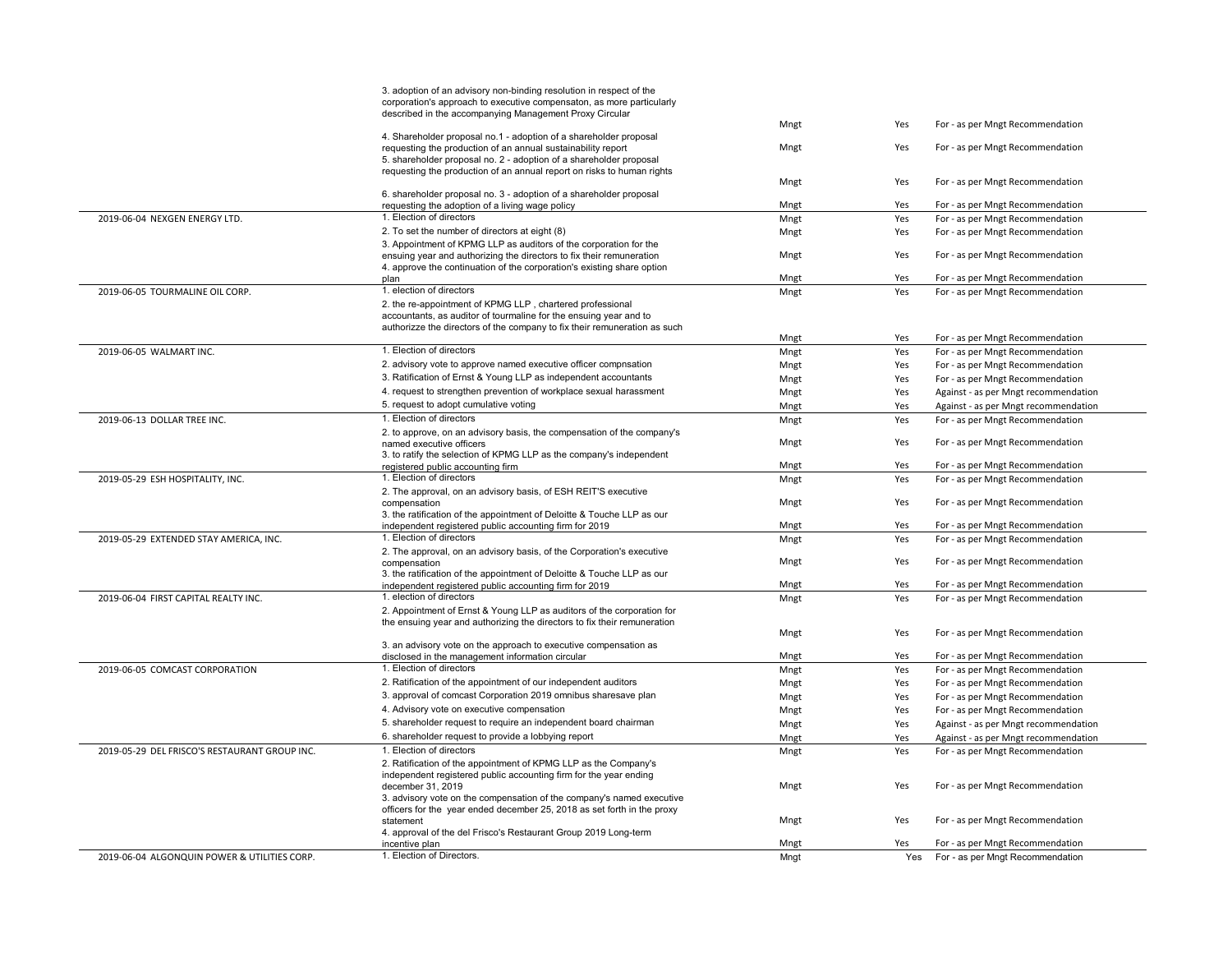|                                               | 3. adoption of an advisory non-binding resolution in respect of the                                                                              |      |     |                                      |
|-----------------------------------------------|--------------------------------------------------------------------------------------------------------------------------------------------------|------|-----|--------------------------------------|
|                                               | corporation's approach to executive compensaton, as more particularly                                                                            |      |     |                                      |
|                                               | described in the accompanying Management Proxy Circular                                                                                          |      |     |                                      |
|                                               |                                                                                                                                                  | Mngt | Yes | For - as per Mngt Recommendation     |
|                                               | 4. Shareholder proposal no.1 - adoption of a shareholder proposal                                                                                |      |     |                                      |
|                                               | requesting the production of an annual sustainability report                                                                                     | Mngt | Yes | For - as per Mngt Recommendation     |
|                                               | 5. shareholder proposal no. 2 - adoption of a shareholder proposal                                                                               |      |     |                                      |
|                                               | requesting the production of an annual report on risks to human rights                                                                           | Mngt | Yes | For - as per Mngt Recommendation     |
|                                               | 6. shareholder proposal no. 3 - adoption of a shareholder proposal                                                                               |      |     |                                      |
|                                               | requesting the adoption of a living wage policy                                                                                                  | Mngt | Yes | For - as per Mngt Recommendation     |
| 2019-06-04 NEXGEN ENERGY LTD.                 | 1. Election of directors                                                                                                                         | Mngt | Yes | For - as per Mngt Recommendation     |
|                                               | 2. To set the number of directors at eight (8)                                                                                                   | Mngt | Yes | For - as per Mngt Recommendation     |
|                                               | 3. Appointment of KPMG LLP as auditors of the corporation for the                                                                                |      |     |                                      |
|                                               | ensuing year and authorizing the directors to fix their remuneration                                                                             | Mngt | Yes | For - as per Mngt Recommendation     |
|                                               | 4. approve the continuation of the corporation's existing share option                                                                           |      |     |                                      |
|                                               | plan                                                                                                                                             | Mngt | Yes | For - as per Mngt Recommendation     |
| 2019-06-05 TOURMALINE OIL CORP.               | 1. election of directors                                                                                                                         | Mngt | Yes | For - as per Mngt Recommendation     |
|                                               | 2. the re-appointment of KPMG LLP, chartered professional                                                                                        |      |     |                                      |
|                                               | accountants, as auditor of tourmaline for the ensuing year and to                                                                                |      |     |                                      |
|                                               | authorizze the directors of the company to fix their remuneration as such                                                                        |      |     |                                      |
|                                               |                                                                                                                                                  | Mngt | Yes | For - as per Mngt Recommendation     |
| 2019-06-05 WALMART INC.                       | 1. Election of directors                                                                                                                         | Mngt | Yes | For - as per Mngt Recommendation     |
|                                               | 2. advisory vote to approve named executive officer compnsation                                                                                  | Mngt | Yes | For - as per Mngt Recommendation     |
|                                               | 3. Ratification of Ernst & Young LLP as independent accountants                                                                                  | Mngt | Yes | For - as per Mngt Recommendation     |
|                                               | 4. request to strengthen prevention of workplace sexual harassment                                                                               | Mngt | Yes | Against - as per Mngt recommendation |
|                                               | 5. request to adopt cumulative voting                                                                                                            | Mngt | Yes | Against - as per Mngt recommendation |
| 2019-06-13 DOLLAR TREE INC.                   | 1. Election of directors                                                                                                                         | Mngt | Yes | For - as per Mngt Recommendation     |
|                                               | 2. to approve, on an advisory basis, the compensation of the company's                                                                           |      |     |                                      |
|                                               | named executive officers                                                                                                                         | Mngt | Yes | For - as per Mngt Recommendation     |
|                                               | 3. to ratify the selection of KPMG LLP as the company's independent                                                                              |      |     |                                      |
|                                               | registered public accounting firm                                                                                                                | Mngt | Yes | For - as per Mngt Recommendation     |
| 2019-05-29 ESH HOSPITALITY, INC.              | 1. Election of directors                                                                                                                         | Mngt | Yes | For - as per Mngt Recommendation     |
|                                               | 2. The approval, on an advisory basis, of ESH REIT'S executive                                                                                   |      |     |                                      |
|                                               | compensation                                                                                                                                     | Mngt | Yes | For - as per Mngt Recommendation     |
|                                               | 3. the ratification of the appointment of Deloitte & Touche LLP as our                                                                           |      |     |                                      |
|                                               | independent registered public accounting firm for 2019                                                                                           | Mngt | Yes | For - as per Mngt Recommendation     |
| 2019-05-29 EXTENDED STAY AMERICA, INC.        | 1. Election of directors                                                                                                                         | Mngt | Yes | For - as per Mngt Recommendation     |
|                                               | 2. The approval, on an advisory basis, of the Corporation's executive                                                                            |      |     |                                      |
|                                               | compensation                                                                                                                                     | Mngt | Yes | For - as per Mngt Recommendation     |
|                                               | 3. the ratification of the appointment of Deloitte & Touche LLP as our                                                                           |      |     |                                      |
|                                               | independent registered public accounting firm for 2019                                                                                           | Mngt | Yes | For - as per Mngt Recommendation     |
| 2019-06-04 FIRST CAPITAL REALTY INC.          | 1. election of directors                                                                                                                         | Mngt | Yes | For - as per Mngt Recommendation     |
|                                               | 2. Appointment of Ernst & Young LLP as auditors of the corporation for                                                                           |      |     |                                      |
|                                               | the ensuing year and authorizing the directors to fix their remuneration                                                                         | Mngt | Yes | For - as per Mngt Recommendation     |
|                                               | 3. an advisory vote on the approach to executive compensation as                                                                                 |      |     |                                      |
|                                               | disclosed in the management information circular                                                                                                 | Mngt | Yes | For - as per Mngt Recommendation     |
| 2019-06-05 COMCAST CORPORATION                | 1. Election of directors                                                                                                                         | Mngt | Yes | For - as per Mngt Recommendation     |
|                                               | 2. Ratification of the appointment of our independent auditors                                                                                   | Mngt | Yes | For - as per Mngt Recommendation     |
|                                               | 3. approval of comcast Corporation 2019 omnibus sharesave plan                                                                                   |      | Yes | For - as per Mngt Recommendation     |
|                                               | 4. Advisory vote on executive compensation                                                                                                       | Mngt |     |                                      |
|                                               |                                                                                                                                                  | Mngt | Yes | For - as per Mngt Recommendation     |
|                                               | 5. shareholder request to require an independent board chairman                                                                                  | Mngt | Yes | Against - as per Mngt recommendation |
|                                               | 6. shareholder request to provide a lobbying report                                                                                              | Mngt | Yes | Against - as per Mngt recommendation |
| 2019-05-29 DEL FRISCO'S RESTAURANT GROUP INC. | 1. Election of directors                                                                                                                         | Mngt | Yes | For - as per Mngt Recommendation     |
|                                               | 2. Ratification of the appointment of KPMG LLP as the Company's                                                                                  |      |     |                                      |
|                                               | independent registered public accounting firm for the year ending                                                                                |      |     |                                      |
|                                               | december 31, 2019                                                                                                                                | Mngt | Yes | For - as per Mngt Recommendation     |
|                                               | 3. advisory vote on the compensation of the company's named executive<br>officers for the year ended december 25, 2018 as set forth in the proxy |      |     |                                      |
|                                               | statement                                                                                                                                        | Mngt | Yes | For - as per Mngt Recommendation     |
|                                               | 4. approval of the del Frisco's Restaurant Group 2019 Long-term                                                                                  |      |     |                                      |
|                                               | incentive plan                                                                                                                                   | Mngt | Yes | For - as per Mngt Recommendation     |
| 2019-06-04 ALGONQUIN POWER & UTILITIES CORP.  | 1. Election of Directors.                                                                                                                        | Mngt |     | Yes For - as per Mngt Recommendation |
|                                               |                                                                                                                                                  |      |     |                                      |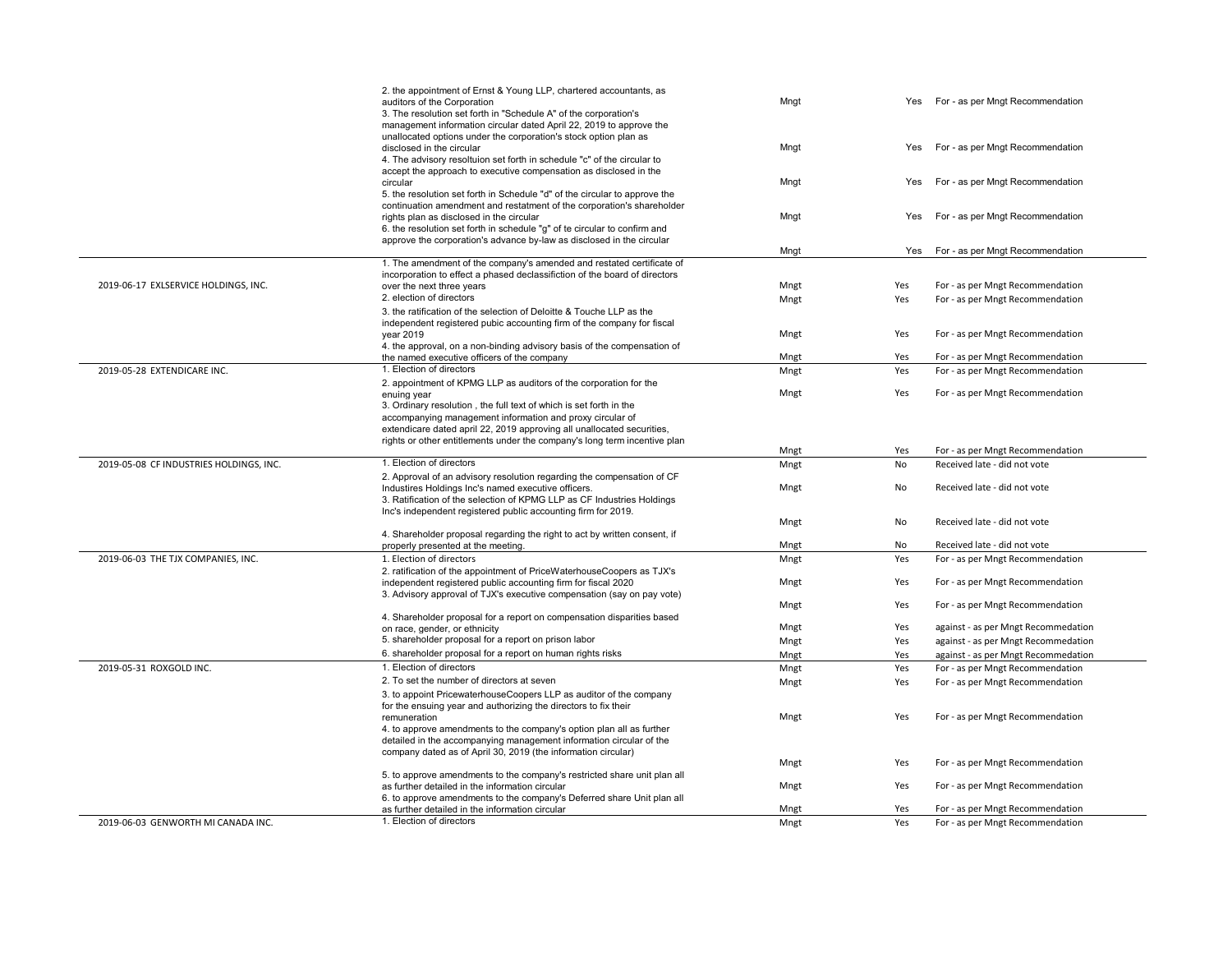|                                         | 2. the appointment of Ernst & Young LLP, chartered accountants, as<br>auditors of the Corporation<br>3. The resolution set forth in "Schedule A" of the corporation's<br>management information circular dated April 22, 2019 to approve the | Mngt         | Yes        | For - as per Mngt Recommendation                                     |
|-----------------------------------------|----------------------------------------------------------------------------------------------------------------------------------------------------------------------------------------------------------------------------------------------|--------------|------------|----------------------------------------------------------------------|
|                                         | unallocated options under the corporation's stock option plan as<br>disclosed in the circular<br>4. The advisory resoltuion set forth in schedule "c" of the circular to                                                                     | Mngt         | Yes        | For - as per Mngt Recommendation                                     |
|                                         | accept the approach to executive compensation as disclosed in the<br>circular<br>5. the resolution set forth in Schedule "d" of the circular to approve the<br>continuation amendment and restatment of the corporation's shareholder        | Mngt         | Yes        | For - as per Mngt Recommendation                                     |
|                                         | rights plan as disclosed in the circular<br>6. the resolution set forth in schedule "g" of te circular to confirm and<br>approve the corporation's advance by-law as disclosed in the circular                                               | Mngt         | Yes        | For - as per Mngt Recommendation                                     |
|                                         |                                                                                                                                                                                                                                              | Mngt         | Yes        | For - as per Mngt Recommendation                                     |
|                                         | 1. The amendment of the company's amended and restated certificate of<br>incorporation to effect a phased declassifiction of the board of directors                                                                                          |              |            |                                                                      |
| 2019-06-17 EXLSERVICE HOLDINGS, INC.    | over the next three years                                                                                                                                                                                                                    | Mngt         | Yes        | For - as per Mngt Recommendation                                     |
|                                         | 2. election of directors                                                                                                                                                                                                                     | Mngt         | Yes        | For - as per Mngt Recommendation                                     |
|                                         | 3. the ratification of the selection of Deloitte & Touche LLP as the<br>independent registered pubic accounting firm of the company for fiscal                                                                                               |              |            |                                                                      |
|                                         | vear 2019                                                                                                                                                                                                                                    | Mngt         | Yes        | For - as per Mngt Recommendation                                     |
|                                         | 4. the approval, on a non-binding advisory basis of the compensation of<br>the named executive officers of the company                                                                                                                       | Mngt         | Yes        | For - as per Mngt Recommendation                                     |
| 2019-05-28 EXTENDICARE INC.             | 1. Election of directors                                                                                                                                                                                                                     | Mngt         | Yes        | For - as per Mngt Recommendation                                     |
|                                         | 2. appointment of KPMG LLP as auditors of the corporation for the<br>enuing year                                                                                                                                                             | Mngt         | Yes        | For - as per Mngt Recommendation                                     |
|                                         | 3. Ordinary resolution, the full text of which is set forth in the                                                                                                                                                                           |              |            |                                                                      |
|                                         | accompanying management information and proxy circular of                                                                                                                                                                                    |              |            |                                                                      |
|                                         | extendicare dated april 22, 2019 approving all unallocated securities,                                                                                                                                                                       |              |            |                                                                      |
|                                         | rights or other entitlements under the company's long term incentive plan                                                                                                                                                                    |              |            |                                                                      |
|                                         |                                                                                                                                                                                                                                              | Mngt         | Yes        | For - as per Mngt Recommendation                                     |
| 2019-05-08 CF INDUSTRIES HOLDINGS, INC. | 1. Election of directors                                                                                                                                                                                                                     | Mngt         | <b>No</b>  | Received late - did not vote                                         |
|                                         |                                                                                                                                                                                                                                              |              |            |                                                                      |
|                                         | 2. Approval of an advisory resolution regarding the compensation of CF<br>Industires Holdings Inc's named executive officers.                                                                                                                | Mngt         | No         | Received late - did not vote                                         |
|                                         | 3. Ratification of the selection of KPMG LLP as CF Industries Holdings<br>Inc's independent registered public accounting firm for 2019.                                                                                                      |              |            |                                                                      |
|                                         |                                                                                                                                                                                                                                              | Mngt         | No         | Received late - did not vote                                         |
|                                         | 4. Shareholder proposal regarding the right to act by written consent, if                                                                                                                                                                    |              |            |                                                                      |
|                                         | properly presented at the meeting.                                                                                                                                                                                                           | Mngt         | No         | Received late - did not vote                                         |
| 2019-06-03 THE TJX COMPANIES, INC.      | 1. Election of directors<br>2. ratification of the appointment of PriceWaterhouseCoopers as TJX's                                                                                                                                            | Mngt         | Yes        | For - as per Mngt Recommendation                                     |
|                                         | independent registered public accounting firm for fiscal 2020<br>3. Advisory approval of TJX's executive compensation (say on pay vote)                                                                                                      | Mngt         | Yes        | For - as per Mngt Recommendation                                     |
|                                         |                                                                                                                                                                                                                                              | Mngt         | Yes        | For - as per Mngt Recommendation                                     |
|                                         | 4. Shareholder proposal for a report on compensation disparities based<br>on race, gender, or ethnicity                                                                                                                                      | Mngt         | Yes        | against - as per Mngt Recommedation                                  |
|                                         | 5. shareholder proposal for a report on prison labor                                                                                                                                                                                         | Mngt         | Yes        | against - as per Mngt Recommedation                                  |
|                                         | 6. shareholder proposal for a report on human rights risks                                                                                                                                                                                   | Mngt         | Yes        | against - as per Mngt Recommedation                                  |
| 2019-05-31 ROXGOLD INC.                 | 1. Election of directors                                                                                                                                                                                                                     | Mngt         | Yes        | For - as per Mngt Recommendation                                     |
|                                         | 2. To set the number of directors at seven                                                                                                                                                                                                   | Mngt         | Yes        | For - as per Mngt Recommendation                                     |
|                                         | 3. to appoint PricewaterhouseCoopers LLP as auditor of the company                                                                                                                                                                           |              |            |                                                                      |
|                                         | for the ensuing year and authorizing the directors to fix their<br>remuneration                                                                                                                                                              | Mngt         | Yes        | For - as per Mngt Recommendation                                     |
|                                         | 4. to approve amendments to the company's option plan all as further<br>detailed in the accompanying management information circular of the                                                                                                  |              |            |                                                                      |
|                                         | company dated as of April 30, 2019 (the information circular)                                                                                                                                                                                |              |            |                                                                      |
|                                         |                                                                                                                                                                                                                                              | Mngt         | Yes        | For - as per Mngt Recommendation                                     |
|                                         | 5. to approve amendments to the company's restricted share unit plan all<br>as further detailed in the information circular                                                                                                                  | Mngt         | Yes        | For - as per Mngt Recommendation                                     |
|                                         | 6. to approve amendments to the company's Deferred share Unit plan all                                                                                                                                                                       |              |            |                                                                      |
| 2019-06-03 GENWORTH MI CANADA INC.      | as further detailed in the information circular<br>1. Election of directors                                                                                                                                                                  | Mngt<br>Mngt | Yes<br>Yes | For - as per Mngt Recommendation<br>For - as per Mngt Recommendation |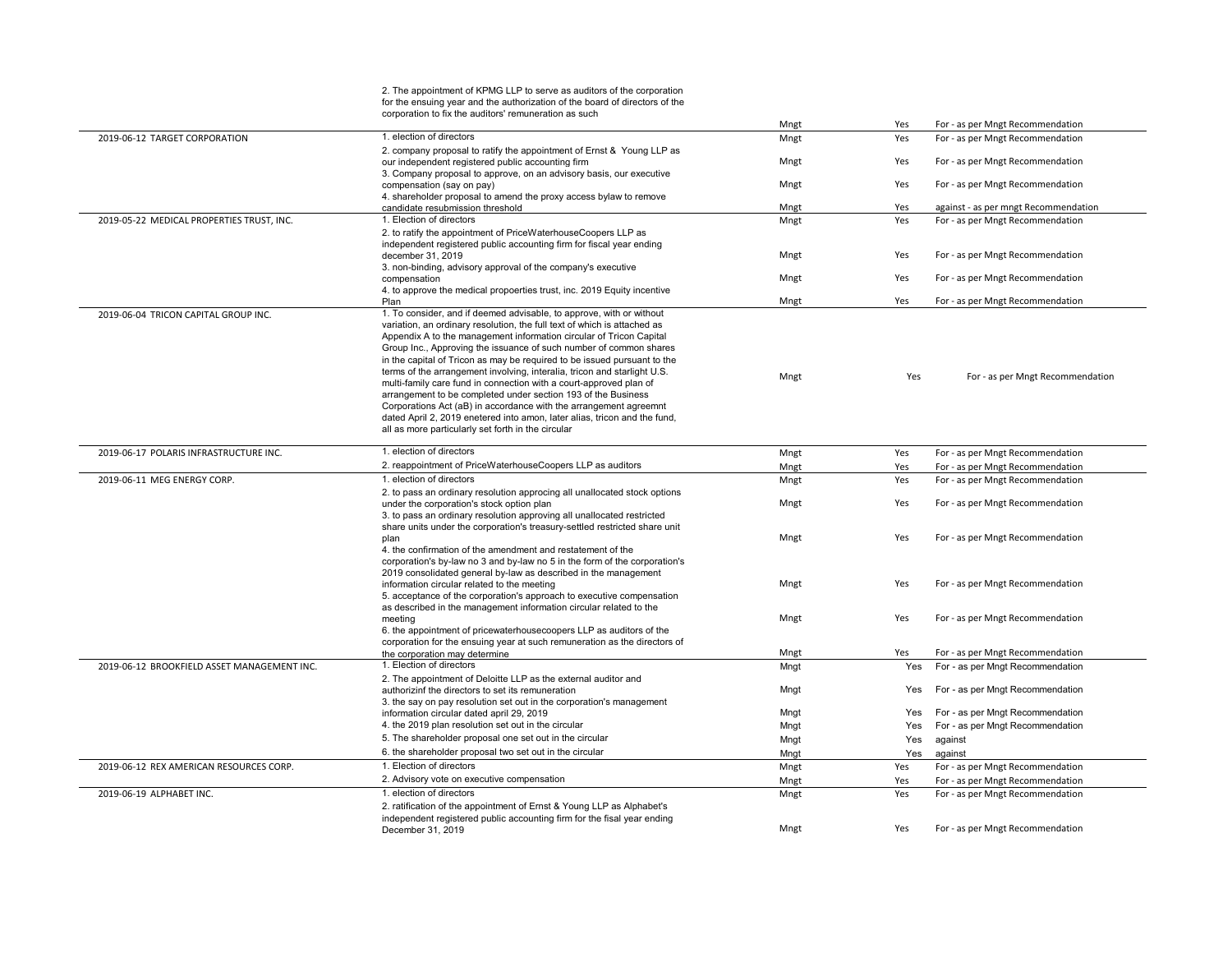|                                             | 2. The appointment of KPMG LLP to serve as auditors of the corporation<br>for the ensuing year and the authorization of the board of directors of the |      |     |                                      |
|---------------------------------------------|-------------------------------------------------------------------------------------------------------------------------------------------------------|------|-----|--------------------------------------|
|                                             | corporation to fix the auditors' remuneration as such                                                                                                 | Mngt | Yes | For - as per Mngt Recommendation     |
| 2019-06-12 TARGET CORPORATION               | 1. election of directors                                                                                                                              | Mngt | Yes | For - as per Mngt Recommendation     |
|                                             | 2. company proposal to ratify the appointment of Ernst & Young LLP as                                                                                 |      |     |                                      |
|                                             | our independent registered public accounting firm                                                                                                     | Mngt | Yes | For - as per Mngt Recommendation     |
|                                             | 3. Company proposal to approve, on an advisory basis, our executive                                                                                   |      |     |                                      |
|                                             | compensation (say on pay)                                                                                                                             | Mngt | Yes | For - as per Mngt Recommendation     |
|                                             | 4. shareholder proposal to amend the proxy access bylaw to remove                                                                                     |      |     |                                      |
|                                             | candidate resubmission threshold                                                                                                                      | Mngt | Yes | against - as per mngt Recommendation |
| 2019-05-22 MEDICAL PROPERTIES TRUST, INC.   | 1. Election of directors                                                                                                                              | Mngt | Yes | For - as per Mngt Recommendation     |
|                                             | 2. to ratify the appointment of PriceWaterhouseCoopers LLP as<br>independent registered public accounting firm for fiscal year ending                 |      |     |                                      |
|                                             | december 31, 2019                                                                                                                                     | Mngt | Yes | For - as per Mngt Recommendation     |
|                                             | 3. non-binding, advisory approval of the company's executive                                                                                          |      |     |                                      |
|                                             | compensation                                                                                                                                          | Mngt | Yes | For - as per Mngt Recommendation     |
|                                             | 4. to approve the medical propoerties trust, inc. 2019 Equity incentive                                                                               |      |     |                                      |
|                                             | Plan                                                                                                                                                  | Mngt | Yes | For - as per Mngt Recommendation     |
| 2019-06-04 TRICON CAPITAL GROUP INC.        | 1. To consider, and if deemed advisable, to approve, with or without                                                                                  |      |     |                                      |
|                                             | variation, an ordinary resolution, the full text of which is attached as                                                                              |      |     |                                      |
|                                             | Appendix A to the management information circular of Tricon Capital                                                                                   |      |     |                                      |
|                                             | Group Inc., Approving the issuance of such number of common shares<br>in the capital of Tricon as may be required to be issued pursuant to the        |      |     |                                      |
|                                             | terms of the arrangement involving, interalia, tricon and starlight U.S.                                                                              |      |     |                                      |
|                                             | multi-family care fund in connection with a court-approved plan of                                                                                    | Mngt | Yes | For - as per Mngt Recommendation     |
|                                             | arrangement to be completed under section 193 of the Business                                                                                         |      |     |                                      |
|                                             | Corporations Act (aB) in accordance with the arrangement agreemnt                                                                                     |      |     |                                      |
|                                             | dated April 2, 2019 enetered into amon, later alias, tricon and the fund,                                                                             |      |     |                                      |
|                                             | all as more particularly set forth in the circular                                                                                                    |      |     |                                      |
| 2019-06-17 POLARIS INFRASTRUCTURE INC.      | 1. election of directors                                                                                                                              | Mngt | Yes | For - as per Mngt Recommendation     |
|                                             | 2. reappointment of PriceWaterhouseCoopers LLP as auditors                                                                                            | Mngt | Yes | For - as per Mngt Recommendation     |
| 2019-06-11 MEG ENERGY CORP.                 | 1. election of directors                                                                                                                              | Mngt | Yes | For - as per Mngt Recommendation     |
|                                             | 2. to pass an ordinary resolution approcing all unallocated stock options                                                                             |      |     |                                      |
|                                             | under the corporation's stock option plan                                                                                                             | Mngt | Yes | For - as per Mngt Recommendation     |
|                                             | 3. to pass an ordinary resolution approving all unallocated restricted                                                                                |      |     |                                      |
|                                             | share units under the corporation's treasury-settled restricted share unit                                                                            |      |     |                                      |
|                                             | plan                                                                                                                                                  | Mngt | Yes | For - as per Mngt Recommendation     |
|                                             | 4. the confirmation of the amendment and restatement of the                                                                                           |      |     |                                      |
|                                             | corporation's by-law no 3 and by-law no 5 in the form of the corporation's<br>2019 consolidated general by-law as described in the management         |      |     |                                      |
|                                             | information circular related to the meeting                                                                                                           | Mngt | Yes | For - as per Mngt Recommendation     |
|                                             | 5. acceptance of the corporation's approach to executive compensation                                                                                 |      |     |                                      |
|                                             | as described in the management information circular related to the                                                                                    |      |     |                                      |
|                                             | meeting                                                                                                                                               | Mngt | Yes | For - as per Mngt Recommendation     |
|                                             | 6. the appointment of pricewaterhousecoopers LLP as auditors of the                                                                                   |      |     |                                      |
|                                             | corporation for the ensuing year at such remuneration as the directors of                                                                             |      |     |                                      |
|                                             | the corporation may determine                                                                                                                         | Mngt | Yes | For - as per Mngt Recommendation     |
| 2019-06-12 BROOKFIELD ASSET MANAGEMENT INC. | 1. Election of directors                                                                                                                              | Mngt | Yes | For - as per Mngt Recommendation     |
|                                             | 2. The appointment of Deloitte LLP as the external auditor and<br>authorizinf the directors to set its remuneration                                   | Mngt | Yes | For - as per Mngt Recommendation     |
|                                             | 3. the say on pay resolution set out in the corporation's management                                                                                  |      |     |                                      |
|                                             | information circular dated april 29, 2019                                                                                                             | Mngt | Yes | For - as per Mngt Recommendation     |
|                                             | 4. the 2019 plan resolution set out in the circular                                                                                                   | Mngt | Yes | For - as per Mngt Recommendation     |
|                                             | 5. The shareholder proposal one set out in the circular                                                                                               | Mngt | Yes | against                              |
|                                             | 6. the shareholder proposal two set out in the circular                                                                                               | Mngt | Yes | against                              |
| 2019-06-12 REX AMERICAN RESOURCES CORP.     | 1. Election of directors                                                                                                                              | Mngt | Yes | For - as per Mngt Recommendation     |
|                                             | 2. Advisory vote on executive compensation                                                                                                            | Mngt | Yes | For - as per Mngt Recommendation     |
| 2019-06-19 ALPHABET INC.                    | 1. election of directors                                                                                                                              | Mngt | Yes | For - as per Mngt Recommendation     |
|                                             | 2. ratification of the appointment of Ernst & Young LLP as Alphabet's                                                                                 |      |     |                                      |
|                                             | independent registered public accounting firm for the fisal year ending                                                                               |      |     |                                      |
|                                             | December 31, 2019                                                                                                                                     | Mngt | Yes | For - as per Mngt Recommendation     |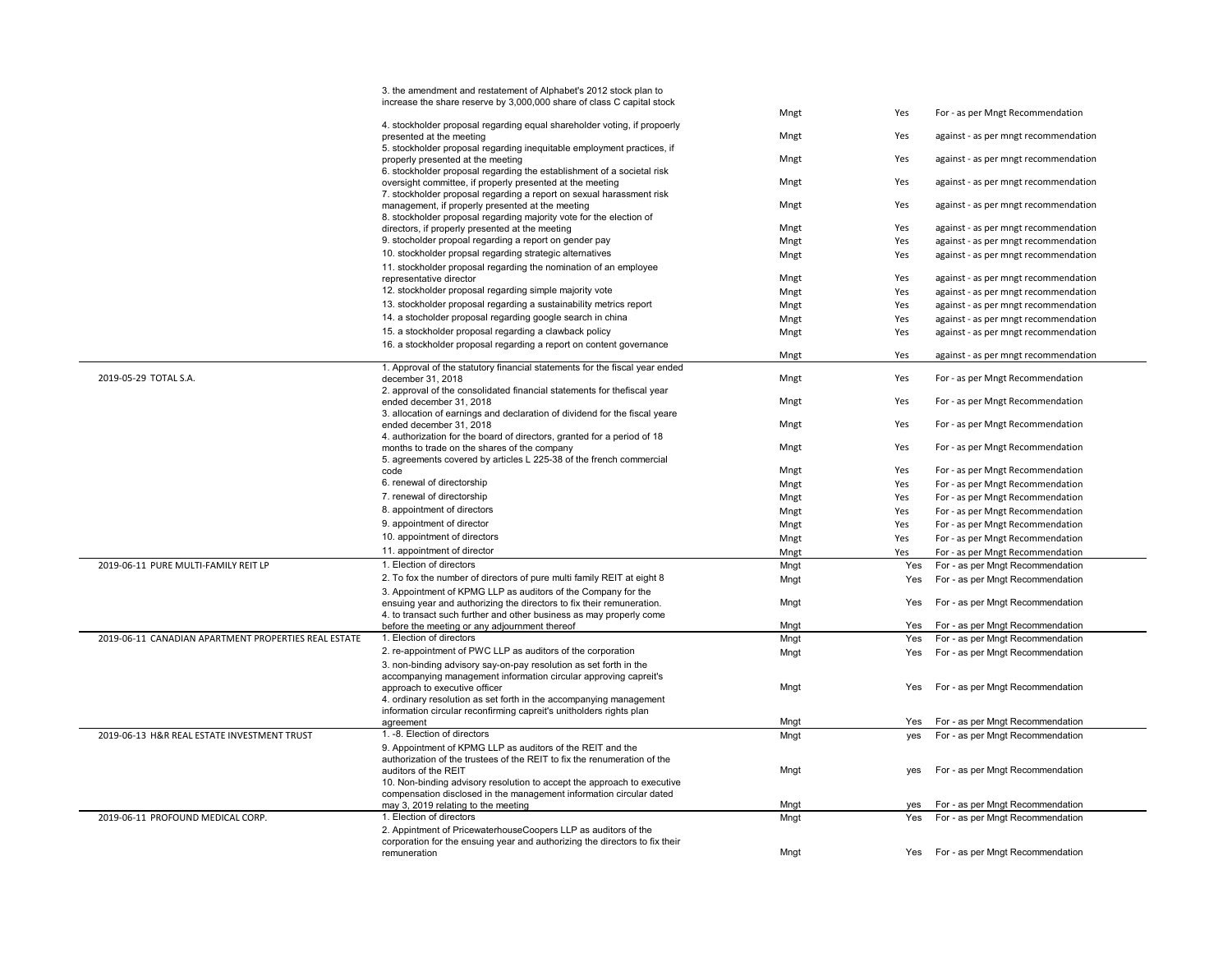|                                                      | 3. the amendment and restatement of Alphabet's 2012 stock plan to                                  |      |     |                                      |
|------------------------------------------------------|----------------------------------------------------------------------------------------------------|------|-----|--------------------------------------|
|                                                      | increase the share reserve by 3,000,000 share of class C capital stock                             |      |     |                                      |
|                                                      |                                                                                                    | Mngt | Yes | For - as per Mngt Recommendation     |
|                                                      | 4. stockholder proposal regarding equal shareholder voting, if propoerly                           |      | Yes |                                      |
|                                                      | presented at the meeting<br>5. stockholder proposal regarding inequitable employment practices, if | Mngt |     | against - as per mngt recommendation |
|                                                      | properly presented at the meeting                                                                  | Mngt | Yes | against - as per mngt recommendation |
|                                                      | 6. stockholder proposal regarding the establishment of a societal risk                             |      |     |                                      |
|                                                      | oversight committee, if properly presented at the meeting                                          | Mngt | Yes | against - as per mngt recommendation |
|                                                      | 7. stockholder proposal regarding a report on sexual harassment risk                               |      |     |                                      |
|                                                      | management, if properly presented at the meeting                                                   | Mngt | Yes | against - as per mngt recommendation |
|                                                      | 8. stockholder proposal regarding majority vote for the election of                                | Mngt | Yes | against - as per mngt recommendation |
|                                                      | directors, if properly presented at the meeting                                                    |      |     |                                      |
|                                                      | 9. stocholder propoal regarding a report on gender pay                                             | Mngt | Yes | against - as per mngt recommendation |
|                                                      | 10. stockholder propsal regarding strategic alternatives                                           | Mngt | Yes | against - as per mngt recommendation |
|                                                      | 11. stockholder proposal regarding the nomination of an employee<br>representative director        | Mngt | Yes | against - as per mngt recommendation |
|                                                      | 12. stockholder proposal regarding simple majority vote                                            |      |     |                                      |
|                                                      | 13. stockholder proposal regarding a sustainability metrics report                                 | Mngt | Yes | against - as per mngt recommendation |
|                                                      |                                                                                                    | Mngt | Yes | against - as per mngt recommendation |
|                                                      | 14. a stocholder proposal regarding google search in china                                         | Mngt | Yes | against - as per mngt recommendation |
|                                                      | 15. a stockholder proposal regarding a clawback policy                                             | Mngt | Yes | against - as per mngt recommendation |
|                                                      | 16. a stockholder proposal regarding a report on content governance                                | Mngt | Yes |                                      |
|                                                      | 1. Approval of the statutory financial statements for the fiscal year ended                        |      |     | against - as per mngt recommendation |
| 2019-05-29 TOTAL S.A.                                | december 31, 2018                                                                                  | Mngt | Yes | For - as per Mngt Recommendation     |
|                                                      | 2. approval of the consolidated financial statements for thefiscal year                            |      |     |                                      |
|                                                      | ended december 31, 2018                                                                            | Mngt | Yes | For - as per Mngt Recommendation     |
|                                                      | 3. allocation of earnings and declaration of dividend for the fiscal yeare                         |      |     |                                      |
|                                                      | ended december 31, 2018                                                                            | Mngt | Yes | For - as per Mngt Recommendation     |
|                                                      | 4. authorization for the board of directors, granted for a period of 18                            |      |     |                                      |
|                                                      | months to trade on the shares of the company                                                       | Mngt | Yes | For - as per Mngt Recommendation     |
|                                                      | 5. agreements covered by articles L 225-38 of the french commercial                                |      |     |                                      |
|                                                      | code                                                                                               | Mngt | Yes | For - as per Mngt Recommendation     |
|                                                      | 6. renewal of directorship                                                                         | Mngt | Yes | For - as per Mngt Recommendation     |
|                                                      | 7. renewal of directorship                                                                         | Mngt | Yes | For - as per Mngt Recommendation     |
|                                                      | 8. appointment of directors                                                                        | Mngt | Yes | For - as per Mngt Recommendation     |
|                                                      | 9. appointment of director                                                                         | Mngt | Yes | For - as per Mngt Recommendation     |
|                                                      | 10. appointment of directors                                                                       | Mngt | Yes | For - as per Mngt Recommendation     |
|                                                      | 11. appointment of director                                                                        | Mngt | Yes | For - as per Mngt Recommendation     |
| 2019-06-11 PURE MULTI-FAMILY REIT LP                 | 1. Election of directors                                                                           | Mngt | Yes | For - as per Mngt Recommendation     |
|                                                      | 2. To fox the number of directors of pure multi family REIT at eight 8                             | Mngt | Yes | For - as per Mngt Recommendation     |
|                                                      | 3. Appointment of KPMG LLP as auditors of the Company for the                                      |      |     |                                      |
|                                                      | ensuing year and authorizing the directors to fix their remuneration.                              | Mngt | Yes | For - as per Mngt Recommendation     |
|                                                      | 4. to transact such further and other business as may properly come                                |      |     |                                      |
|                                                      | before the meeting or any adjournment thereof                                                      | Mnat | Yes | For - as per Mngt Recommendation     |
| 2019-06-11 CANADIAN APARTMENT PROPERTIES REAL ESTATE | 1. Election of directors                                                                           | Mngt | Yes | For - as per Mngt Recommendation     |
|                                                      | 2. re-appointment of PWC LLP as auditors of the corporation                                        | Mngt | Yes | For - as per Mngt Recommendation     |
|                                                      | 3. non-binding advisory say-on-pay resolution as set forth in the                                  |      |     |                                      |
|                                                      | accompanying management information circular approving capreit's                                   |      |     |                                      |
|                                                      | approach to executive officer                                                                      | Mngt | Yes | For - as per Mngt Recommendation     |
|                                                      | 4. ordinary resolution as set forth in the accompanying management                                 |      |     |                                      |
|                                                      | information circular reconfirming capreit's unitholders rights plan                                | Mngt |     |                                      |
|                                                      | agreement<br>1. -8. Election of directors                                                          |      | Yes | For - as per Mngt Recommendation     |
| 2019-06-13 H&R REAL ESTATE INVESTMENT TRUST          |                                                                                                    | Mngt | yes | For - as per Mngt Recommendation     |
|                                                      | 9. Appointment of KPMG LLP as auditors of the REIT and the                                         |      |     |                                      |
|                                                      | authorization of the trustees of the REIT to fix the renumeration of the<br>auditors of the REIT   | Mngt | yes | For - as per Mngt Recommendation     |
|                                                      | 10. Non-binding advisory resolution to accept the approach to executive                            |      |     |                                      |
|                                                      | compensation disclosed in the management information circular dated                                |      |     |                                      |
|                                                      | may 3, 2019 relating to the meeting                                                                | Mnat | yes | For - as per Mngt Recommendation     |
| 2019-06-11 PROFOUND MEDICAL CORP.                    | 1. Election of directors                                                                           | Mngt | Yes | For - as per Mngt Recommendation     |
|                                                      | 2. Appintment of PricewaterhouseCoopers LLP as auditors of the                                     |      |     |                                      |
|                                                      | corporation for the ensuing year and authorizing the directors to fix their                        |      |     |                                      |
|                                                      | remuneration                                                                                       | Mngt | Yes | For - as per Mngt Recommendation     |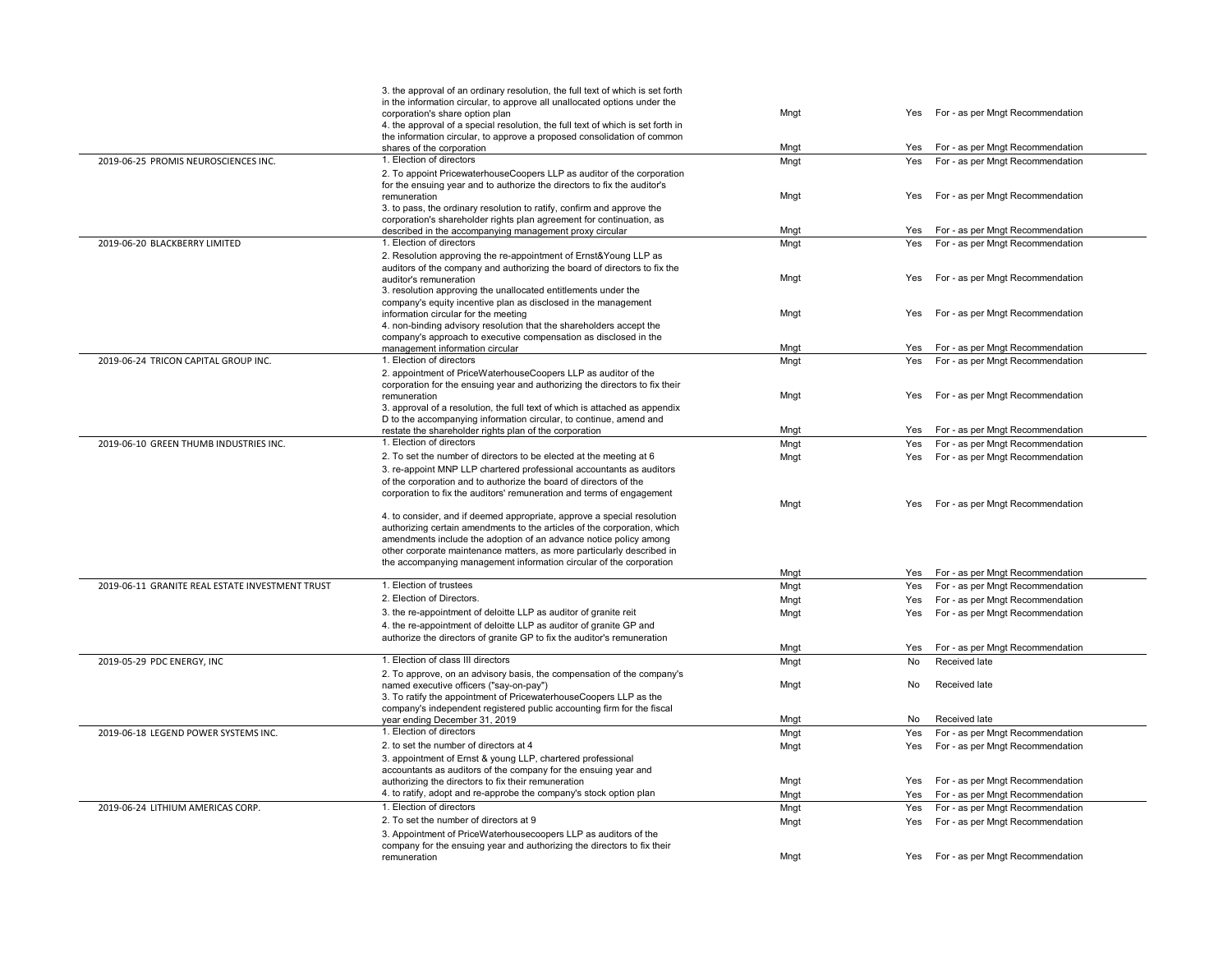|                                                 | 3. the approval of an ordinary resolution, the full text of which is set forth                                                                      |      |     |                                      |
|-------------------------------------------------|-----------------------------------------------------------------------------------------------------------------------------------------------------|------|-----|--------------------------------------|
|                                                 | in the information circular, to approve all unallocated options under the                                                                           |      |     |                                      |
|                                                 | corporation's share option plan                                                                                                                     | Mngt |     | Yes For - as per Mngt Recommendation |
|                                                 | 4. the approval of a special resolution, the full text of which is set forth in                                                                     |      |     |                                      |
|                                                 | the information circular, to approve a proposed consolidation of common                                                                             |      |     |                                      |
|                                                 | shares of the corporation                                                                                                                           | Mngt | Yes | For - as per Mngt Recommendation     |
| 2019-06-25 PROMIS NEUROSCIENCES INC.            | 1. Election of directors                                                                                                                            | Mngt | Yes | For - as per Mngt Recommendation     |
|                                                 | 2. To appoint PricewaterhouseCoopers LLP as auditor of the corporation                                                                              |      |     |                                      |
|                                                 | for the ensuing year and to authorize the directors to fix the auditor's<br>remuneration                                                            | Mngt |     | Yes For - as per Mngt Recommendation |
|                                                 | 3. to pass, the ordinary resolution to ratify, confirm and approve the                                                                              |      |     |                                      |
|                                                 | corporation's shareholder rights plan agreement for continuation, as                                                                                |      |     |                                      |
|                                                 | described in the accompanying management proxy circular                                                                                             | Mngt |     | Yes For - as per Mngt Recommendation |
| 2019-06-20 BLACKBERRY LIMITED                   | 1. Election of directors                                                                                                                            | Mngt | Yes | For - as per Mngt Recommendation     |
|                                                 | 2. Resolution approving the re-appointment of Ernst& Young LLP as                                                                                   |      |     |                                      |
|                                                 | auditors of the company and authorizing the board of directors to fix the                                                                           |      |     |                                      |
|                                                 | auditor's remuneration                                                                                                                              | Mngt | Yes | For - as per Mngt Recommendation     |
|                                                 | 3. resolution approving the unallocated entitlements under the                                                                                      |      |     |                                      |
|                                                 | company's equity incentive plan as disclosed in the management                                                                                      |      |     |                                      |
|                                                 | information circular for the meeting                                                                                                                | Mngt | Yes | For - as per Mngt Recommendation     |
|                                                 | 4. non-binding advisory resolution that the shareholders accept the                                                                                 |      |     |                                      |
|                                                 | company's approach to executive compensation as disclosed in the<br>management information circular                                                 | Mngt | Yes | For - as per Mngt Recommendation     |
| 2019-06-24 TRICON CAPITAL GROUP INC.            | 1. Election of directors                                                                                                                            | Mngt | Yes | For - as per Mngt Recommendation     |
|                                                 | 2. appointment of PriceWaterhouseCoopers LLP as auditor of the                                                                                      |      |     |                                      |
|                                                 | corporation for the ensuing year and authorizing the directors to fix their                                                                         |      |     |                                      |
|                                                 | remuneration                                                                                                                                        | Mngt | Yes | For - as per Mngt Recommendation     |
|                                                 | 3. approval of a resolution, the full text of which is attached as appendix                                                                         |      |     |                                      |
|                                                 | D to the accompanying information circular, to continue, amend and                                                                                  |      |     |                                      |
|                                                 | restate the shareholder rights plan of the corporation                                                                                              | Mngt | Yes | For - as per Mngt Recommendation     |
| 2019-06-10 GREEN THUMB INDUSTRIES INC.          | 1. Election of directors                                                                                                                            | Mngt | Yes | For - as per Mngt Recommendation     |
|                                                 | 2. To set the number of directors to be elected at the meeting at 6                                                                                 | Mngt | Yes | For - as per Mngt Recommendation     |
|                                                 | 3. re-appoint MNP LLP chartered professional accountants as auditors                                                                                |      |     |                                      |
|                                                 | of the corporation and to authorize the board of directors of the                                                                                   |      |     |                                      |
|                                                 | corporation to fix the auditors' remuneration and terms of engagement                                                                               |      |     |                                      |
|                                                 |                                                                                                                                                     | Mngt |     | Yes For - as per Mngt Recommendation |
|                                                 | 4. to consider, and if deemed appropriate, approve a special resolution<br>authorizing certain amendments to the articles of the corporation, which |      |     |                                      |
|                                                 | amendments include the adoption of an advance notice policy among                                                                                   |      |     |                                      |
|                                                 | other corporate maintenance matters, as more particularly described in                                                                              |      |     |                                      |
|                                                 | the accompanying management information circular of the corporation                                                                                 |      |     |                                      |
|                                                 |                                                                                                                                                     | Mngt | Yes | For - as per Mngt Recommendation     |
| 2019-06-11 GRANITE REAL ESTATE INVESTMENT TRUST | 1. Election of trustees                                                                                                                             | Mngt | Yes | For - as per Mngt Recommendation     |
|                                                 | 2. Election of Directors.                                                                                                                           | Mngt | Yes | For - as per Mngt Recommendation     |
|                                                 | 3. the re-appointment of deloitte LLP as auditor of granite reit                                                                                    | Mngt | Yes | For - as per Mngt Recommendation     |
|                                                 | 4. the re-appointment of deloitte LLP as auditor of granite GP and                                                                                  |      |     |                                      |
|                                                 | authorize the directors of granite GP to fix the auditor's remuneration                                                                             |      |     |                                      |
|                                                 |                                                                                                                                                     | Mngt | Yes | For - as per Mngt Recommendation     |
| 2019-05-29 PDC ENERGY, INC                      | 1. Election of class III directors                                                                                                                  | Mngt | No  | Received late                        |
|                                                 | 2. To approve, on an advisory basis, the compensation of the company's                                                                              |      |     |                                      |
|                                                 | named executive officers ("say-on-pay")                                                                                                             | Mngt | No  | Received late                        |
|                                                 | 3. To ratify the appointment of PricewaterhouseCoopers LLP as the                                                                                   |      |     |                                      |
|                                                 | company's independent registered public accounting firm for the fiscal<br>year ending December 31, 2019                                             | Mngt | No  | Received late                        |
| 2019-06-18 LEGEND POWER SYSTEMS INC.            | 1. Election of directors                                                                                                                            | Mngt | Yes | For - as per Mngt Recommendation     |
|                                                 | 2. to set the number of directors at 4                                                                                                              |      |     |                                      |
|                                                 |                                                                                                                                                     | Mngt | Yes | For - as per Mngt Recommendation     |
|                                                 | 3. appointment of Ernst & young LLP, chartered professional<br>accountants as auditors of the company for the ensuing year and                      |      |     |                                      |
|                                                 | authorizing the directors to fix their remuneration                                                                                                 | Mngt | Yes | For - as per Mngt Recommendation     |
|                                                 | 4. to ratify, adopt and re-approbe the company's stock option plan                                                                                  | Mngt | Yes | For - as per Mngt Recommendation     |
| 2019-06-24 LITHIUM AMERICAS CORP.               | 1. Election of directors                                                                                                                            | Mngt | Yes | For - as per Mngt Recommendation     |
|                                                 | 2. To set the number of directors at 9                                                                                                              |      |     |                                      |
|                                                 | 3. Appointment of PriceWaterhousecoopers LLP as auditors of the                                                                                     | Mngt | Yes | For - as per Mngt Recommendation     |
|                                                 | company for the ensuing year and authorizing the directors to fix their                                                                             |      |     |                                      |
|                                                 | remuneration                                                                                                                                        | Mngt |     | Yes For - as per Mngt Recommendation |
|                                                 |                                                                                                                                                     |      |     |                                      |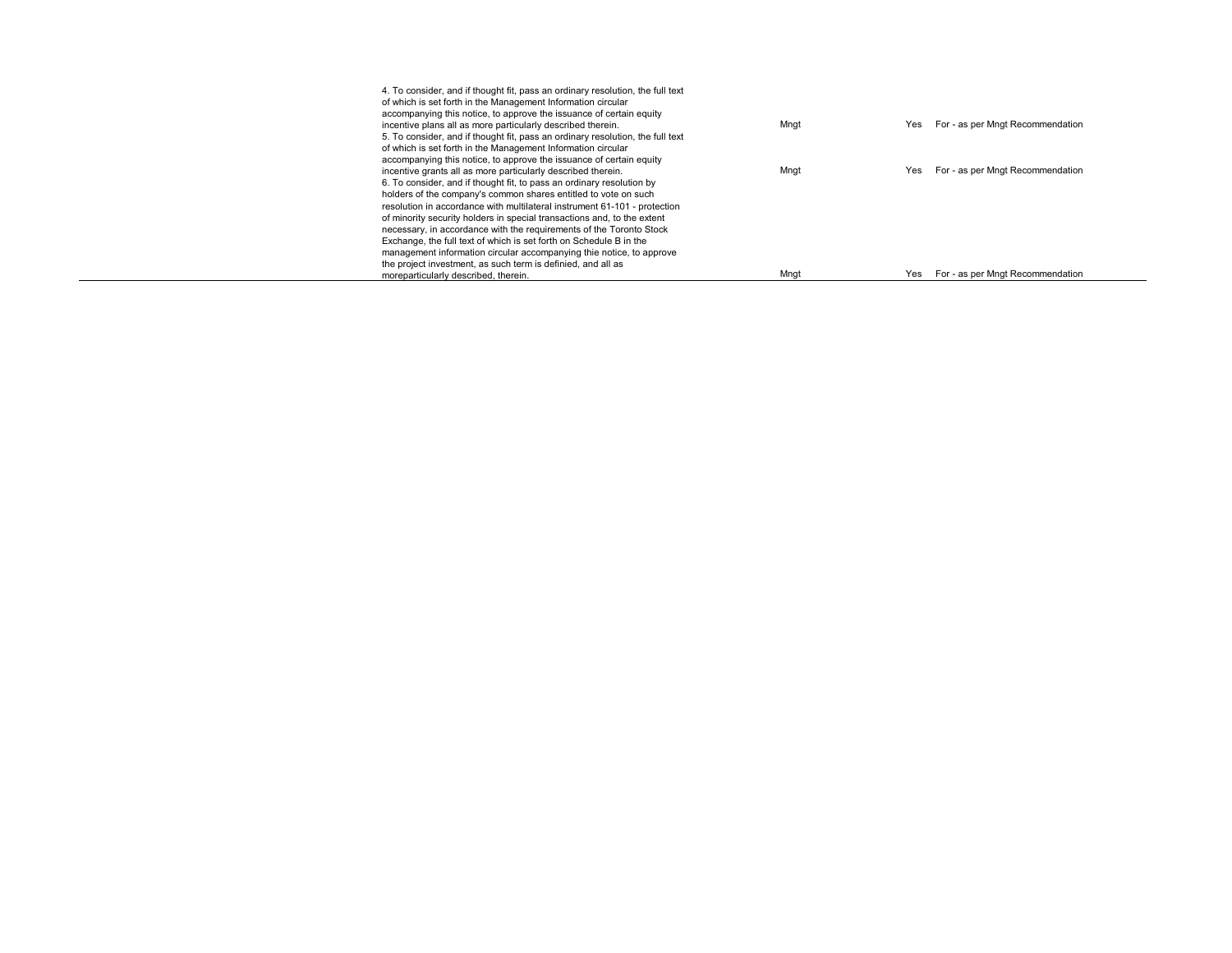| 4. To consider, and if thought fit, pass an ordinary resolution, the full text |      |     |                                  |
|--------------------------------------------------------------------------------|------|-----|----------------------------------|
| of which is set forth in the Management Information circular                   |      |     |                                  |
| accompanying this notice, to approve the issuance of certain equity            |      |     |                                  |
| incentive plans all as more particularly described therein.                    | Mngt | Yes | For - as per Mngt Recommendation |
| 5. To consider, and if thought fit, pass an ordinary resolution, the full text |      |     |                                  |
| of which is set forth in the Management Information circular                   |      |     |                                  |
| accompanying this notice, to approve the issuance of certain equity            |      |     |                                  |
| incentive grants all as more particularly described therein.                   | Mngt | Yes | For - as per Mngt Recommendation |
| 6. To consider, and if thought fit, to pass an ordinary resolution by          |      |     |                                  |
| holders of the company's common shares entitled to vote on such                |      |     |                                  |
| resolution in accordance with multilateral instrument 61-101 - protection      |      |     |                                  |
| of minority security holders in special transactions and, to the extent        |      |     |                                  |
| necessary, in accordance with the requirements of the Toronto Stock            |      |     |                                  |
| Exchange, the full text of which is set forth on Schedule B in the             |      |     |                                  |
| management information circular accompanying thie notice, to approve           |      |     |                                  |
| the project investment, as such term is definied, and all as                   |      |     |                                  |
| moreparticularly described, therein.                                           | Mnat | Yes | For - as per Mngt Recommendation |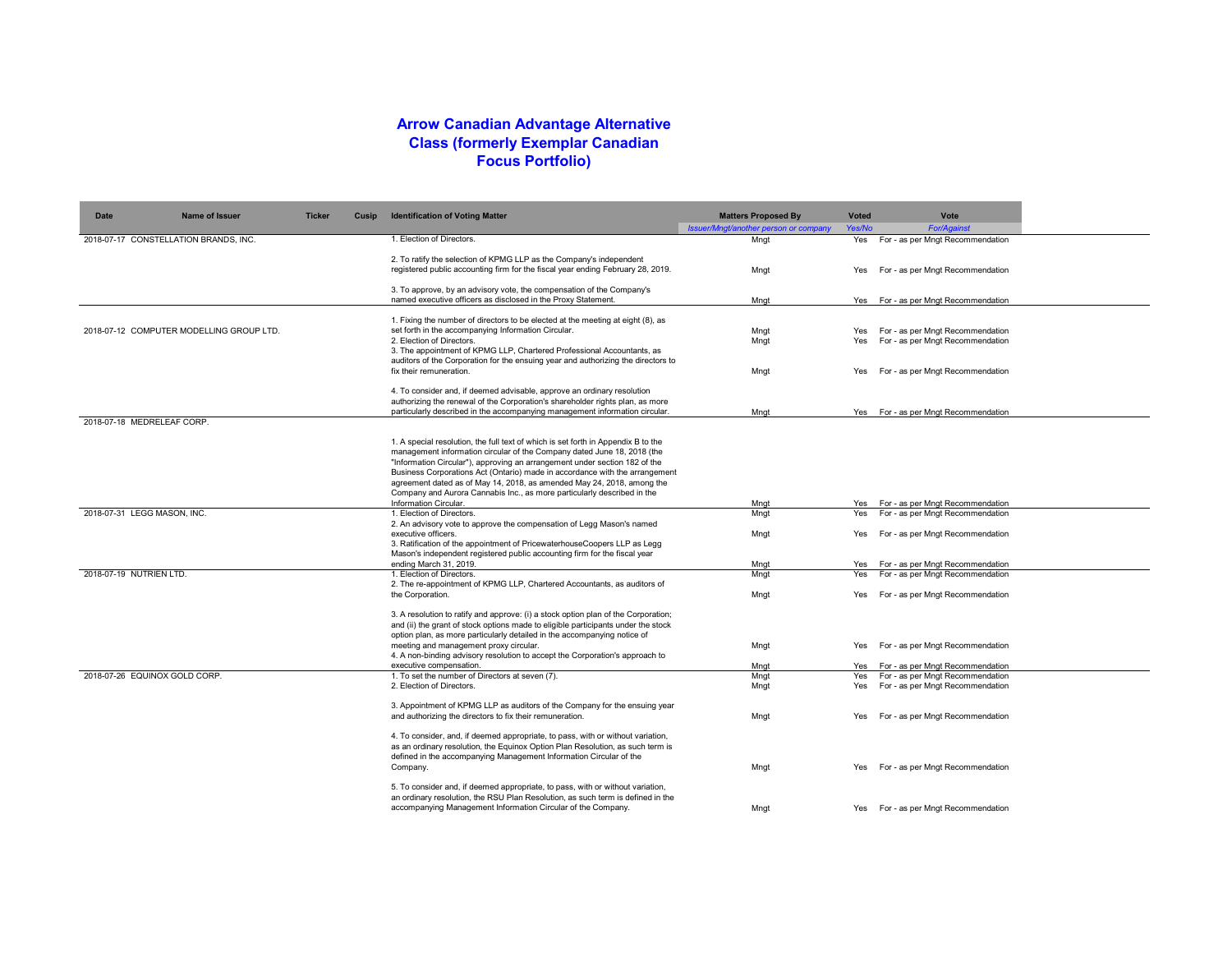## **Arrow Canadian Advantage Alternative Class (formerly Exemplar Canadian Focus Portfolio)**

| <b>Date</b>                 | <b>Name of Issuer</b>                    | <b>Ticker</b> | Cusip | <b>Identification of Voting Matter</b>                                                                                                                            | <b>Matters Proposed By</b>            | <b>Voted</b> | Vote                                 |  |
|-----------------------------|------------------------------------------|---------------|-------|-------------------------------------------------------------------------------------------------------------------------------------------------------------------|---------------------------------------|--------------|--------------------------------------|--|
|                             |                                          |               |       | 1. Election of Directors.                                                                                                                                         | Issuer/Mngt/another person or company | Yes/No       | <b>For/Against</b>                   |  |
|                             | 2018-07-17 CONSTELLATION BRANDS, INC.    |               |       |                                                                                                                                                                   | Mnat                                  | Yes          | For - as per Mngt Recommendation     |  |
|                             |                                          |               |       | 2. To ratify the selection of KPMG LLP as the Company's independent                                                                                               |                                       |              |                                      |  |
|                             |                                          |               |       | registered public accounting firm for the fiscal year ending February 28, 2019.                                                                                   | Mngt                                  | Yes          | For - as per Mngt Recommendation     |  |
|                             |                                          |               |       |                                                                                                                                                                   |                                       |              |                                      |  |
|                             |                                          |               |       | 3. To approve, by an advisory vote, the compensation of the Company's                                                                                             |                                       |              |                                      |  |
|                             |                                          |               |       | named executive officers as disclosed in the Proxy Statement.                                                                                                     | Mnat                                  |              | Yes For - as per Mngt Recommendation |  |
|                             |                                          |               |       | 1. Fixing the number of directors to be elected at the meeting at eight (8), as                                                                                   |                                       |              |                                      |  |
|                             | 2018-07-12 COMPUTER MODELLING GROUP LTD. |               |       | set forth in the accompanying Information Circular.                                                                                                               | Mngt                                  | Yes          | For - as per Mngt Recommendation     |  |
|                             |                                          |               |       | 2. Election of Directors.                                                                                                                                         | Mnat                                  | Yes          | For - as per Mngt Recommendation     |  |
|                             |                                          |               |       | 3. The appointment of KPMG LLP, Chartered Professional Accountants, as                                                                                            |                                       |              |                                      |  |
|                             |                                          |               |       | auditors of the Corporation for the ensuing year and authorizing the directors to                                                                                 |                                       |              |                                      |  |
|                             |                                          |               |       | fix their remuneration.                                                                                                                                           | Mngt                                  | Yes          | For - as per Mngt Recommendation     |  |
|                             |                                          |               |       | 4. To consider and, if deemed advisable, approve an ordinary resolution                                                                                           |                                       |              |                                      |  |
|                             |                                          |               |       | authorizing the renewal of the Corporation's shareholder rights plan, as more                                                                                     |                                       |              |                                      |  |
|                             |                                          |               |       | particularly described in the accompanying management information circular.                                                                                       | Mnat                                  |              | Yes For - as per Mngt Recommendation |  |
|                             | 2018-07-18 MEDRELEAF CORP.               |               |       |                                                                                                                                                                   |                                       |              |                                      |  |
|                             |                                          |               |       | 1. A special resolution, the full text of which is set forth in Appendix B to the                                                                                 |                                       |              |                                      |  |
|                             |                                          |               |       | management information circular of the Company dated June 18, 2018 (the                                                                                           |                                       |              |                                      |  |
|                             |                                          |               |       | "Information Circular"), approving an arrangement under section 182 of the                                                                                        |                                       |              |                                      |  |
|                             |                                          |               |       | Business Corporations Act (Ontario) made in accordance with the arrangement                                                                                       |                                       |              |                                      |  |
|                             |                                          |               |       | agreement dated as of May 14, 2018, as amended May 24, 2018, among the                                                                                            |                                       |              |                                      |  |
|                             |                                          |               |       | Company and Aurora Cannabis Inc., as more particularly described in the                                                                                           |                                       |              |                                      |  |
|                             |                                          |               |       | Information Circular.<br>1. Election of Directors.                                                                                                                | Mngt                                  | Yes          | For - as per Mngt Recommendation     |  |
| 2018-07-31 LEGG MASON, INC. |                                          |               |       | 2. An advisory vote to approve the compensation of Legg Mason's named                                                                                             | Mngt                                  | Yes          | For - as per Mngt Recommendation     |  |
|                             |                                          |               |       | executive officers.                                                                                                                                               | Mngt                                  | Yes          | For - as per Mngt Recommendation     |  |
|                             |                                          |               |       | 3. Ratification of the appointment of PricewaterhouseCoopers LLP as Legg                                                                                          |                                       |              |                                      |  |
|                             |                                          |               |       | Mason's independent registered public accounting firm for the fiscal year                                                                                         |                                       |              |                                      |  |
|                             |                                          |               |       | ending March 31, 2019.                                                                                                                                            | Mngt                                  | Yes          | For - as per Mngt Recommendation     |  |
| 2018-07-19 NUTRIEN LTD.     |                                          |               |       | 1. Election of Directors.<br>2. The re-appointment of KPMG LLP, Chartered Accountants, as auditors of                                                             | Mngt                                  | Yes          | For - as per Mngt Recommendation     |  |
|                             |                                          |               |       | the Corporation.                                                                                                                                                  | Mngt                                  | Yes          | For - as per Mngt Recommendation     |  |
|                             |                                          |               |       |                                                                                                                                                                   |                                       |              |                                      |  |
|                             |                                          |               |       | 3. A resolution to ratify and approve: (i) a stock option plan of the Corporation;                                                                                |                                       |              |                                      |  |
|                             |                                          |               |       | and (ii) the grant of stock options made to eligible participants under the stock                                                                                 |                                       |              |                                      |  |
|                             |                                          |               |       | option plan, as more particularly detailed in the accompanying notice of                                                                                          |                                       |              |                                      |  |
|                             |                                          |               |       | meeting and management proxy circular.                                                                                                                            | Mngt                                  | Yes          | For - as per Mngt Recommendation     |  |
|                             |                                          |               |       | 4. A non-binding advisory resolution to accept the Corporation's approach to<br>executive compensation.                                                           | Mngt                                  | Yes          | For - as per Mngt Recommendation     |  |
|                             | 2018-07-26 EQUINOX GOLD CORP.            |               |       | 1. To set the number of Directors at seven (7).                                                                                                                   | Mngt                                  | Yes          | For - as per Mngt Recommendation     |  |
|                             |                                          |               |       | 2. Election of Directors.                                                                                                                                         | Mngt                                  | Yes          | For - as per Mngt Recommendation     |  |
|                             |                                          |               |       |                                                                                                                                                                   |                                       |              |                                      |  |
|                             |                                          |               |       | 3. Appointment of KPMG LLP as auditors of the Company for the ensuing year                                                                                        |                                       |              |                                      |  |
|                             |                                          |               |       | and authorizing the directors to fix their remuneration.                                                                                                          | Mngt                                  | Yes          | For - as per Mngt Recommendation     |  |
|                             |                                          |               |       | 4. To consider, and, if deemed appropriate, to pass, with or without variation,                                                                                   |                                       |              |                                      |  |
|                             |                                          |               |       | as an ordinary resolution, the Equinox Option Plan Resolution, as such term is                                                                                    |                                       |              |                                      |  |
|                             |                                          |               |       | defined in the accompanying Management Information Circular of the                                                                                                |                                       |              |                                      |  |
|                             |                                          |               |       | Company.                                                                                                                                                          | Mngt                                  | Yes          | For - as per Mngt Recommendation     |  |
|                             |                                          |               |       |                                                                                                                                                                   |                                       |              |                                      |  |
|                             |                                          |               |       | 5. To consider and, if deemed appropriate, to pass, with or without variation,<br>an ordinary resolution, the RSU Plan Resolution, as such term is defined in the |                                       |              |                                      |  |
|                             |                                          |               |       | accompanying Management Information Circular of the Company.                                                                                                      | Mnat                                  |              | Yes For - as per Mngt Recommendation |  |
|                             |                                          |               |       |                                                                                                                                                                   |                                       |              |                                      |  |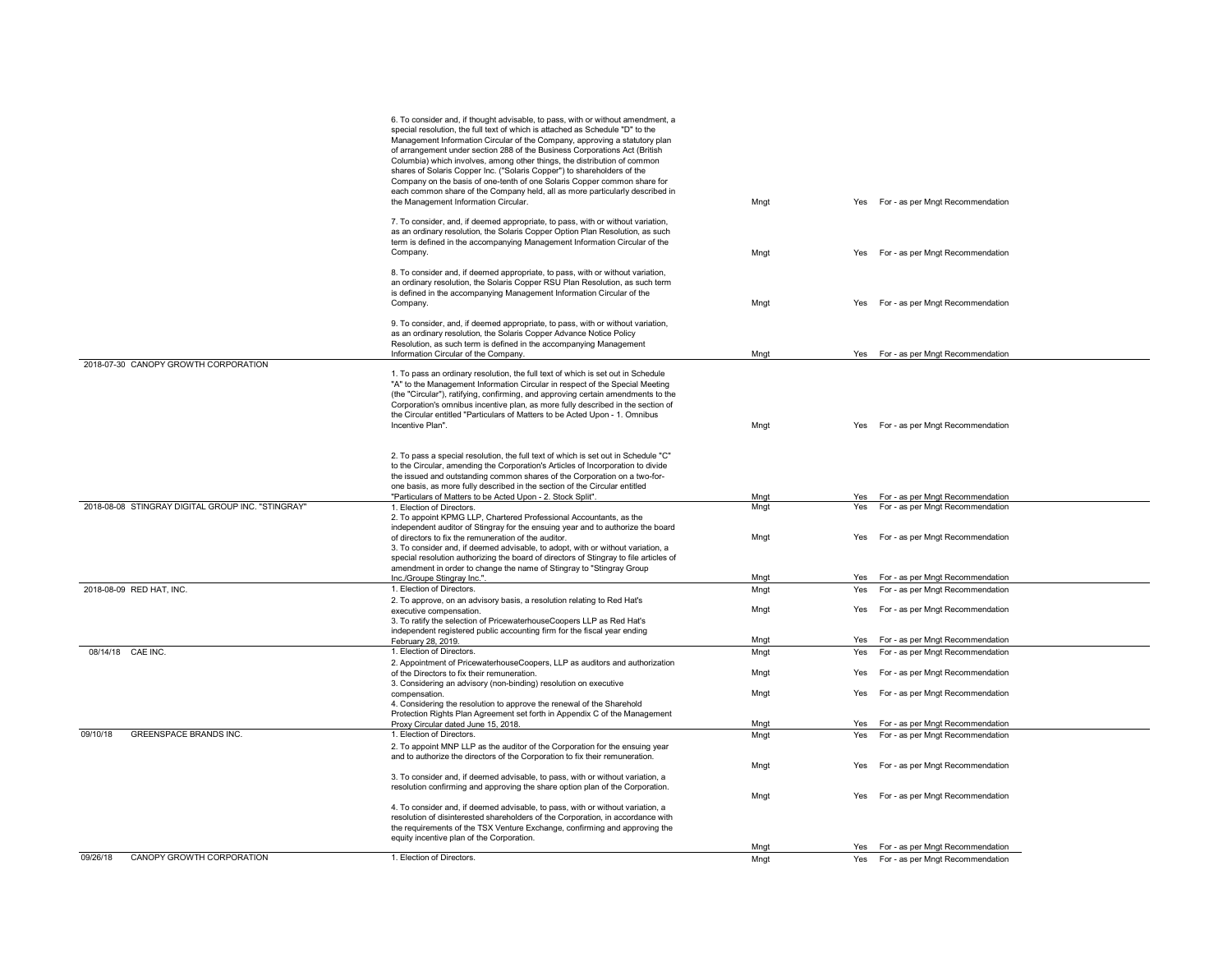|                                                   | 6. To consider and, if thought advisable, to pass, with or without amendment, a<br>special resolution, the full text of which is attached as Schedule "D" to the<br>Management Information Circular of the Company, approving a statutory plan<br>of arrangement under section 288 of the Business Corporations Act (British<br>Columbia) which involves, among other things, the distribution of common<br>shares of Solaris Copper Inc. ("Solaris Copper") to shareholders of the<br>Company on the basis of one-tenth of one Solaris Copper common share for<br>each common share of the Company held, all as more particularly described in<br>the Management Information Circular. | Mngt         | For - as per Mngt Recommendation<br>Yes                                            |  |
|---------------------------------------------------|-----------------------------------------------------------------------------------------------------------------------------------------------------------------------------------------------------------------------------------------------------------------------------------------------------------------------------------------------------------------------------------------------------------------------------------------------------------------------------------------------------------------------------------------------------------------------------------------------------------------------------------------------------------------------------------------|--------------|------------------------------------------------------------------------------------|--|
|                                                   | 7. To consider, and, if deemed appropriate, to pass, with or without variation,<br>as an ordinary resolution, the Solaris Copper Option Plan Resolution, as such<br>term is defined in the accompanying Management Information Circular of the<br>Company.                                                                                                                                                                                                                                                                                                                                                                                                                              | Mngt         | For - as per Mngt Recommendation<br>Yes                                            |  |
|                                                   | 8. To consider and, if deemed appropriate, to pass, with or without variation,<br>an ordinary resolution, the Solaris Copper RSU Plan Resolution, as such term<br>is defined in the accompanying Management Information Circular of the<br>Company.                                                                                                                                                                                                                                                                                                                                                                                                                                     | Mngt         | For - as per Mngt Recommendation<br>Yes                                            |  |
|                                                   | 9. To consider, and, if deemed appropriate, to pass, with or without variation,<br>as an ordinary resolution, the Solaris Copper Advance Notice Policy<br>Resolution, as such term is defined in the accompanying Management                                                                                                                                                                                                                                                                                                                                                                                                                                                            |              |                                                                                    |  |
| 2018-07-30 CANOPY GROWTH CORPORATION              | Information Circular of the Company.                                                                                                                                                                                                                                                                                                                                                                                                                                                                                                                                                                                                                                                    | Mngt         | Yes For - as per Mngt Recommendation                                               |  |
|                                                   | 1. To pass an ordinary resolution, the full text of which is set out in Schedule<br>"A" to the Management Information Circular in respect of the Special Meeting<br>(the "Circular"), ratifying, confirming, and approving certain amendments to the<br>Corporation's omnibus incentive plan, as more fully described in the section of<br>the Circular entitled "Particulars of Matters to be Acted Upon - 1. Omnibus<br>Incentive Plan".                                                                                                                                                                                                                                              | Mngt         | Yes For - as per Mngt Recommendation                                               |  |
|                                                   | 2. To pass a special resolution, the full text of which is set out in Schedule "C"<br>to the Circular, amending the Corporation's Articles of Incorporation to divide<br>the issued and outstanding common shares of the Corporation on a two-for-<br>one basis, as more fully described in the section of the Circular entitled<br>"Particulars of Matters to be Acted Upon - 2. Stock Split".                                                                                                                                                                                                                                                                                         |              |                                                                                    |  |
| 2018-08-08 STINGRAY DIGITAL GROUP INC. "STINGRAY" | 1. Election of Directors.                                                                                                                                                                                                                                                                                                                                                                                                                                                                                                                                                                                                                                                               | Mngt<br>Mnat | Yes For - as per Mngt Recommendation<br>Yes<br>For - as per Mngt Recommendation    |  |
|                                                   | 2. To appoint KPMG LLP, Chartered Professional Accountants, as the<br>independent auditor of Stingray for the ensuing year and to authorize the board<br>of directors to fix the remuneration of the auditor.<br>3. To consider and, if deemed advisable, to adopt, with or without variation, a<br>special resolution authorizing the board of directors of Stingray to file articles of<br>amendment in order to change the name of Stingray to "Stingray Group                                                                                                                                                                                                                       | Mngt         | For - as per Mngt Recommendation<br>Yes                                            |  |
| 2018-08-09 RED HAT, INC.                          | Inc./Groupe Stingray Inc.".<br>1. Election of Directors.                                                                                                                                                                                                                                                                                                                                                                                                                                                                                                                                                                                                                                | Mngt<br>Mngt | Yes For - as per Mngt Recommendation<br>For - as per Mngt Recommendation<br>Yes    |  |
|                                                   | 2. To approve, on an advisory basis, a resolution relating to Red Hat's<br>executive compensation.                                                                                                                                                                                                                                                                                                                                                                                                                                                                                                                                                                                      | Mngt         | For - as per Mngt Recommendation<br>Yes                                            |  |
|                                                   | 3. To ratify the selection of PricewaterhouseCoopers LLP as Red Hat's<br>independent registered public accounting firm for the fiscal year ending<br>February 28, 2019.                                                                                                                                                                                                                                                                                                                                                                                                                                                                                                                 | Mngt         | For - as per Mngt Recommendation<br>Yes                                            |  |
| 08/14/18 CAE INC.                                 | 1. Election of Directors.<br>2. Appointment of PricewaterhouseCoopers, LLP as auditors and authorization<br>of the Directors to fix their remuneration.                                                                                                                                                                                                                                                                                                                                                                                                                                                                                                                                 | Mngt<br>Mngt | For - as per Mngt Recommendation<br>Yes<br>For - as per Mngt Recommendation<br>Yes |  |
|                                                   | 3. Considering an advisory (non-binding) resolution on executive<br>compensation.<br>4. Considering the resolution to approve the renewal of the Sharehold<br>Protection Rights Plan Agreement set forth in Appendix C of the Management                                                                                                                                                                                                                                                                                                                                                                                                                                                | Mngt         | For - as per Mngt Recommendation<br>Yes                                            |  |
| <b>GREENSPACE BRANDS INC.</b><br>09/10/18         | Proxy Circular dated June 15, 2018.                                                                                                                                                                                                                                                                                                                                                                                                                                                                                                                                                                                                                                                     | Mnat         | Yes For - as per Mngt Recommendation                                               |  |
|                                                   | 1. Election of Directors.<br>2. To appoint MNP LLP as the auditor of the Corporation for the ensuing year<br>and to authorize the directors of the Corporation to fix their remuneration.                                                                                                                                                                                                                                                                                                                                                                                                                                                                                               | Mngt         | Yes<br>For - as per Mngt Recommendation                                            |  |
|                                                   | 3. To consider and, if deemed advisable, to pass, with or without variation, a                                                                                                                                                                                                                                                                                                                                                                                                                                                                                                                                                                                                          | Mngt         | For - as per Mngt Recommendation<br>Yes                                            |  |
|                                                   | resolution confirming and approving the share option plan of the Corporation.                                                                                                                                                                                                                                                                                                                                                                                                                                                                                                                                                                                                           |              |                                                                                    |  |
|                                                   | 4. To consider and, if deemed advisable, to pass, with or without variation, a<br>resolution of disinterested shareholders of the Corporation, in accordance with<br>the requirements of the TSX Venture Exchange, confirming and approving the                                                                                                                                                                                                                                                                                                                                                                                                                                         | Mngt         | For - as per Mngt Recommendation<br>Yes                                            |  |
|                                                   | equity incentive plan of the Corporation.                                                                                                                                                                                                                                                                                                                                                                                                                                                                                                                                                                                                                                               | Mngt         | Yes For - as per Mngt Recommendation                                               |  |
| CANOPY GROWTH CORPORATION<br>09/26/18             | 1. Election of Directors.                                                                                                                                                                                                                                                                                                                                                                                                                                                                                                                                                                                                                                                               | Mngt         | Yes For - as per Mngt Recommendation                                               |  |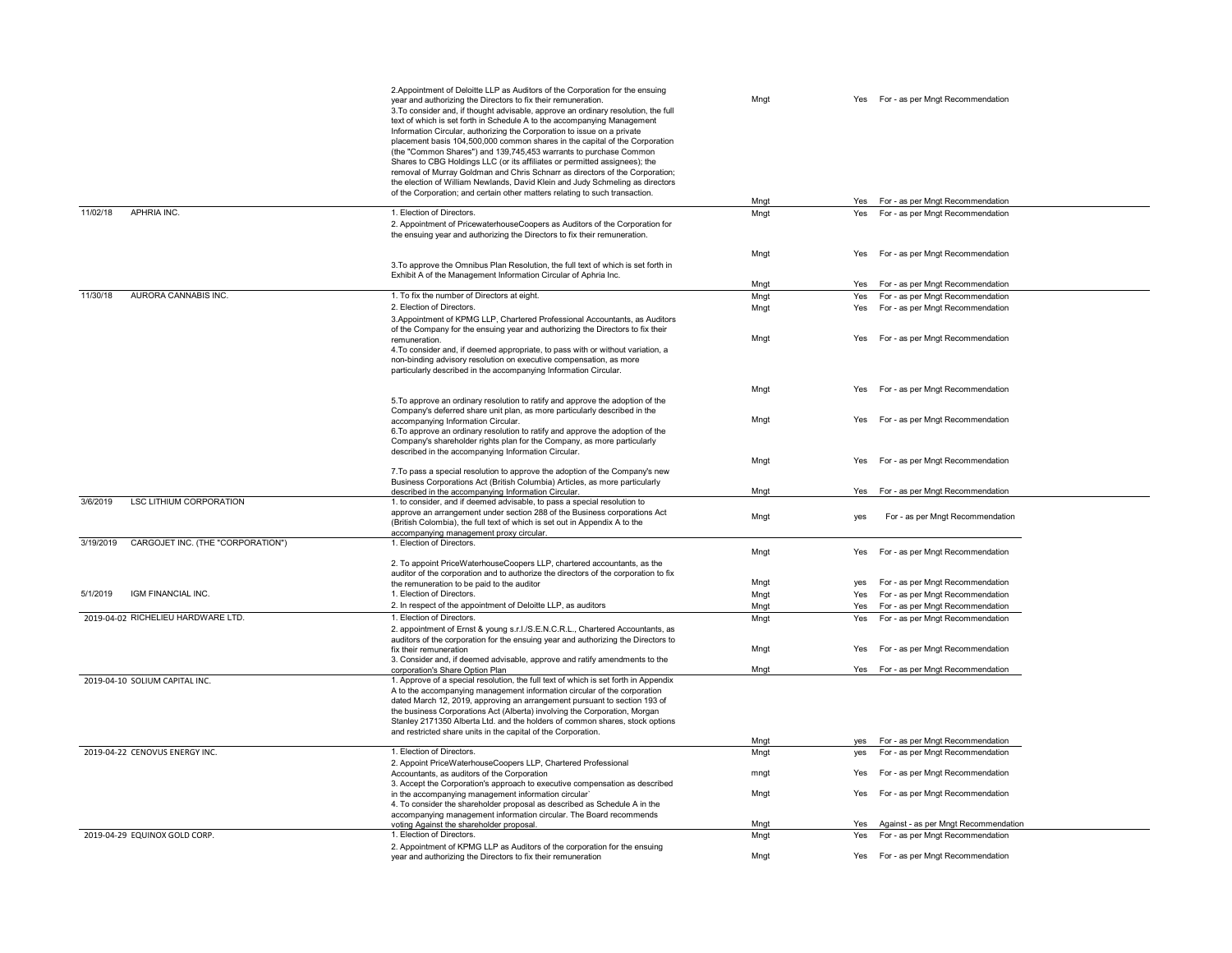|                                                | 2. Appointment of Deloitte LLP as Auditors of the Corporation for the ensuing<br>year and authorizing the Directors to fix their remuneration.<br>3. To consider and, if thought advisable, approve an ordinary resolution, the full<br>text of which is set forth in Schedule A to the accompanying Management<br>Information Circular, authorizing the Corporation to issue on a private<br>placement basis 104,500,000 common shares in the capital of the Corporation<br>(the "Common Shares") and 139,745,453 warrants to purchase Common<br>Shares to CBG Holdings LLC (or its affiliates or permitted assignees); the<br>removal of Murray Goldman and Chris Schnarr as directors of the Corporation;<br>the election of William Newlands, David Klein and Judy Schmeling as directors<br>of the Corporation; and certain other matters relating to such transaction. | Mngt<br>Mngt | Yes For - as per Mngt Recommendation<br>For - as per Mngt Recommendation<br>Yes    |
|------------------------------------------------|------------------------------------------------------------------------------------------------------------------------------------------------------------------------------------------------------------------------------------------------------------------------------------------------------------------------------------------------------------------------------------------------------------------------------------------------------------------------------------------------------------------------------------------------------------------------------------------------------------------------------------------------------------------------------------------------------------------------------------------------------------------------------------------------------------------------------------------------------------------------------|--------------|------------------------------------------------------------------------------------|
| 11/02/18<br>APHRIA INC.                        | 1. Election of Directors.                                                                                                                                                                                                                                                                                                                                                                                                                                                                                                                                                                                                                                                                                                                                                                                                                                                    | Mngt         | For - as per Mngt Recommendation<br>Yes                                            |
|                                                | 2. Appointment of PricewaterhouseCoopers as Auditors of the Corporation for<br>the ensuing year and authorizing the Directors to fix their remuneration.                                                                                                                                                                                                                                                                                                                                                                                                                                                                                                                                                                                                                                                                                                                     |              |                                                                                    |
|                                                | 3. To approve the Omnibus Plan Resolution, the full text of which is set forth in<br>Exhibit A of the Management Information Circular of Aphria Inc.                                                                                                                                                                                                                                                                                                                                                                                                                                                                                                                                                                                                                                                                                                                         | Mngt<br>Mngt | For - as per Mngt Recommendation<br>Yes<br>For - as per Mngt Recommendation<br>Yes |
| AURORA CANNABIS INC.<br>11/30/18               | 1. To fix the number of Directors at eight.                                                                                                                                                                                                                                                                                                                                                                                                                                                                                                                                                                                                                                                                                                                                                                                                                                  | Mngt         | Yes For - as per Mngt Recommendation                                               |
|                                                | 2. Election of Directors.                                                                                                                                                                                                                                                                                                                                                                                                                                                                                                                                                                                                                                                                                                                                                                                                                                                    | Mngt         | Yes For - as per Mngt Recommendation                                               |
|                                                | 3. Appointment of KPMG LLP, Chartered Professional Accountants, as Auditors<br>of the Company for the ensuing year and authorizing the Directors to fix their<br>remuneration.                                                                                                                                                                                                                                                                                                                                                                                                                                                                                                                                                                                                                                                                                               | Mngt         | For - as per Mngt Recommendation<br>Yes                                            |
|                                                | 4. To consider and, if deemed appropriate, to pass with or without variation, a<br>non-binding advisory resolution on executive compensation, as more<br>particularly described in the accompanying Information Circular.                                                                                                                                                                                                                                                                                                                                                                                                                                                                                                                                                                                                                                                    |              |                                                                                    |
|                                                | 5. To approve an ordinary resolution to ratify and approve the adoption of the<br>Company's deferred share unit plan, as more particularly described in the                                                                                                                                                                                                                                                                                                                                                                                                                                                                                                                                                                                                                                                                                                                  | Mngt         | Yes<br>For - as per Mngt Recommendation                                            |
|                                                | accompanying Information Circular.<br>6. To approve an ordinary resolution to ratify and approve the adoption of the<br>Company's shareholder rights plan for the Company, as more particularly<br>described in the accompanying Information Circular.                                                                                                                                                                                                                                                                                                                                                                                                                                                                                                                                                                                                                       | Mngt         | For - as per Mngt Recommendation<br>Yes                                            |
|                                                |                                                                                                                                                                                                                                                                                                                                                                                                                                                                                                                                                                                                                                                                                                                                                                                                                                                                              | Mngt         | For - as per Mngt Recommendation<br>Yes                                            |
|                                                | 7. To pass a special resolution to approve the adoption of the Company's new<br>Business Corporations Act (British Columbia) Articles, as more particularly<br>described in the accompanying Information Circular.                                                                                                                                                                                                                                                                                                                                                                                                                                                                                                                                                                                                                                                           | Mngt         | For - as per Mngt Recommendation<br>Yes                                            |
| <b>LSC LITHIUM CORPORATION</b><br>3/6/2019     | 1. to consider, and if deemed advisable, to pass a special resolution to<br>approve an arrangement under section 288 of the Business corporations Act<br>(British Colombia), the full text of which is set out in Appendix A to the                                                                                                                                                                                                                                                                                                                                                                                                                                                                                                                                                                                                                                          | Mngt         | For - as per Mngt Recommendation<br>yes                                            |
| CARGOJET INC. (THE "CORPORATION")<br>3/19/2019 | accompanying management proxy circular.<br>1. Election of Directors.                                                                                                                                                                                                                                                                                                                                                                                                                                                                                                                                                                                                                                                                                                                                                                                                         |              |                                                                                    |
|                                                | 2. To appoint PriceWaterhouseCoopers LLP, chartered accountants, as the                                                                                                                                                                                                                                                                                                                                                                                                                                                                                                                                                                                                                                                                                                                                                                                                      | Mngt         | For - as per Mngt Recommendation<br>Yes                                            |
|                                                | auditor of the corporation and to authorize the directors of the corporation to fix<br>the remuneration to be paid to the auditor                                                                                                                                                                                                                                                                                                                                                                                                                                                                                                                                                                                                                                                                                                                                            | Mngt         | For - as per Mngt Recommendation<br>yes                                            |
| IGM FINANCIAL INC.<br>5/1/2019                 | 1. Election of Directors.                                                                                                                                                                                                                                                                                                                                                                                                                                                                                                                                                                                                                                                                                                                                                                                                                                                    | Mngt         | For - as per Mngt Recommendation<br>Yes                                            |
|                                                | 2. In respect of the appointment of Deloitte LLP, as auditors                                                                                                                                                                                                                                                                                                                                                                                                                                                                                                                                                                                                                                                                                                                                                                                                                | Mngt         | Yes For - as per Mngt Recommendation                                               |
| 2019-04-02 RICHELIEU HARDWARE LTD.             | 1. Election of Directors.<br>2. appointment of Ernst & young s.r.l./S.E.N.C.R.L., Chartered Accountants, as                                                                                                                                                                                                                                                                                                                                                                                                                                                                                                                                                                                                                                                                                                                                                                  | Mngt         | For - as per Mngt Recommendation<br>Yes                                            |
|                                                | auditors of the corporation for the ensuing year and authorizing the Directors to<br>fix their remuneration<br>3. Consider and, if deemed advisable, approve and ratify amendments to the                                                                                                                                                                                                                                                                                                                                                                                                                                                                                                                                                                                                                                                                                    | Mngt<br>Mngt | For - as per Mngt Recommendation<br>Yes                                            |
| 2019-04-10 SOLIUM CAPITAL INC.                 | corporation's Share Option Plan<br>1. Approve of a special resolution, the full text of which is set forth in Appendix<br>A to the accompanying management information circular of the corporation<br>dated March 12, 2019, approving an arrangement pursuant to section 193 of<br>the business Corporations Act (Alberta) involving the Corporation, Morgan<br>Stanley 2171350 Alberta Ltd. and the holders of common shares, stock options<br>and restricted share units in the capital of the Corporation.                                                                                                                                                                                                                                                                                                                                                                |              | Yes For - as per Mngt Recommendation                                               |
|                                                |                                                                                                                                                                                                                                                                                                                                                                                                                                                                                                                                                                                                                                                                                                                                                                                                                                                                              | Mngt         | For - as per Mngt Recommendation<br>ves                                            |
| 2019-04-22 CENOVUS ENERGY INC.                 | 1. Election of Directors.<br>2. Appoint PriceWaterhouseCoopers LLP, Chartered Professional<br>Accountants, as auditors of the Corporation                                                                                                                                                                                                                                                                                                                                                                                                                                                                                                                                                                                                                                                                                                                                    | Mngt<br>mngt | For - as per Mngt Recommendation<br>yes<br>For - as per Mngt Recommendation<br>Yes |
|                                                | 3. Accept the Corporation's approach to executive compensation as described<br>in the accompanying management information circular'                                                                                                                                                                                                                                                                                                                                                                                                                                                                                                                                                                                                                                                                                                                                          | Mngt         | For - as per Mngt Recommendation<br>Yes                                            |
|                                                | 4. To consider the shareholder proposal as described as Schedule A in the<br>accompanying management information circular. The Board recommends                                                                                                                                                                                                                                                                                                                                                                                                                                                                                                                                                                                                                                                                                                                              |              |                                                                                    |
|                                                | voting Against the shareholder proposal.                                                                                                                                                                                                                                                                                                                                                                                                                                                                                                                                                                                                                                                                                                                                                                                                                                     | Mngt         | Yes Against - as per Mngt Recommendation                                           |
| 2019-04-29 EQUINOX GOLD CORP.                  | 1. Election of Directors.<br>2. Appointment of KPMG LLP as Auditors of the corporation for the ensuing<br>year and authorizing the Directors to fix their remuneration                                                                                                                                                                                                                                                                                                                                                                                                                                                                                                                                                                                                                                                                                                       | Mngt<br>Mngt | For - as per Mngt Recommendation<br>Yes<br>Yes For - as per Mngt Recommendation    |
|                                                |                                                                                                                                                                                                                                                                                                                                                                                                                                                                                                                                                                                                                                                                                                                                                                                                                                                                              |              |                                                                                    |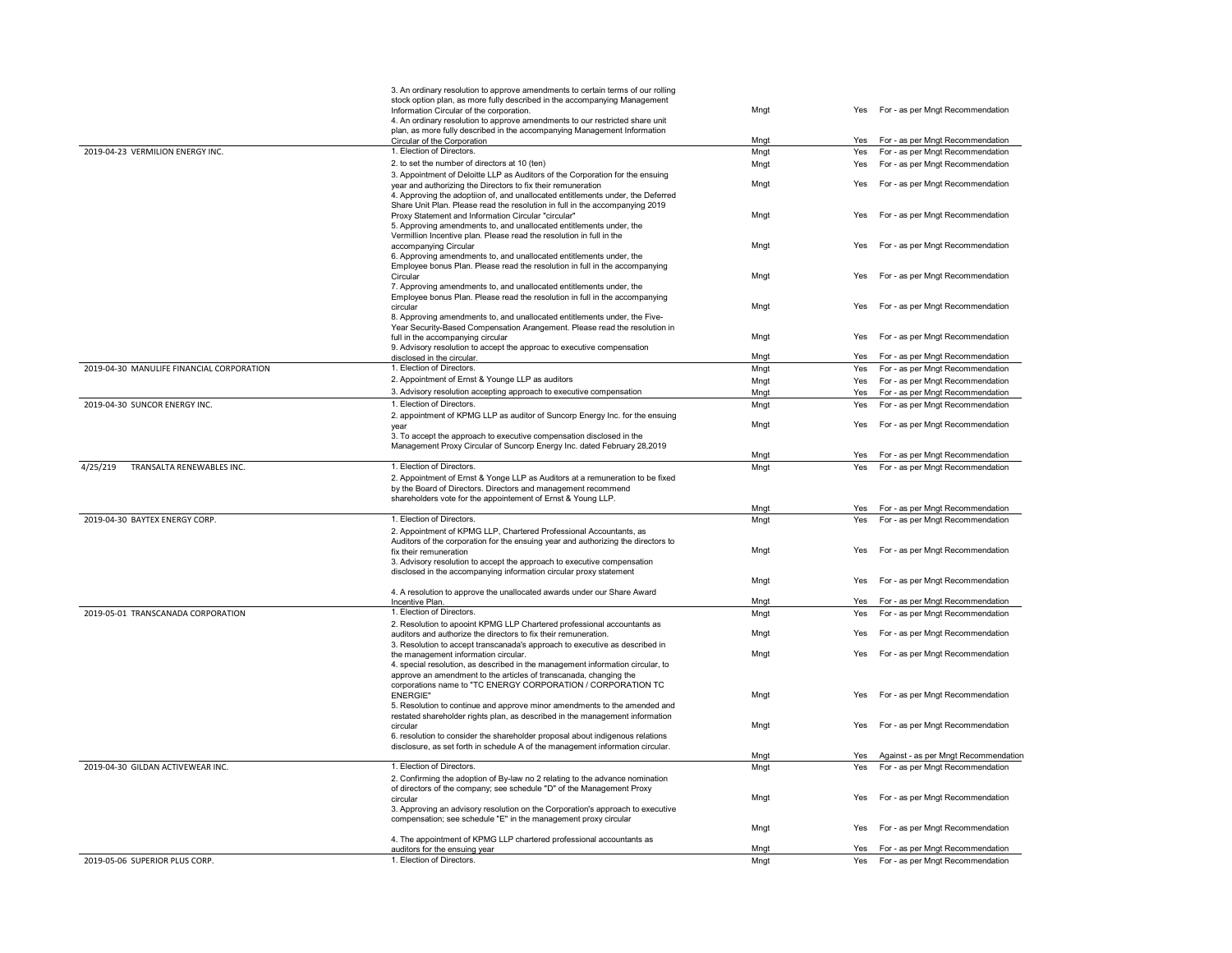|                                           | 3. An ordinary resolution to approve amendments to certain terms of our rolling                                                                |      |     |                                          |
|-------------------------------------------|------------------------------------------------------------------------------------------------------------------------------------------------|------|-----|------------------------------------------|
|                                           | stock option plan, as more fully described in the accompanying Management                                                                      |      |     |                                          |
|                                           | Information Circular of the corporation.                                                                                                       | Mngt | Yes | For - as per Mngt Recommendation         |
|                                           | 4. An ordinary resolution to approve amendments to our restricted share unit                                                                   |      |     |                                          |
|                                           | plan, as more fully described in the accompanying Management Information<br>Circular of the Corporation                                        | Mngt | Yes | For - as per Mngt Recommendation         |
| 2019-04-23 VERMILION ENERGY INC.          | 1. Election of Directors.                                                                                                                      | Mngt | Yes | For - as per Mngt Recommendation         |
|                                           | 2. to set the number of directors at 10 (ten)                                                                                                  |      |     | For - as per Mngt Recommendation         |
|                                           |                                                                                                                                                | Mngt | Yes |                                          |
|                                           | 3. Appointment of Deloitte LLP as Auditors of the Corporation for the ensuing<br>year and authorizing the Directors to fix their remuneration  | Mngt | Yes | For - as per Mngt Recommendation         |
|                                           | 4. Approving the adoptiion of, and unallocated entitlements under, the Deferred                                                                |      |     |                                          |
|                                           | Share Unit Plan. Please read the resolution in full in the accompanying 2019                                                                   |      |     |                                          |
|                                           | Proxy Statement and Information Circular "circular"                                                                                            | Mngt | Yes | For - as per Mngt Recommendation         |
|                                           | 5. Approving amendments to, and unallocated entitlements under, the                                                                            |      |     |                                          |
|                                           | Vermillion Incentive plan. Please read the resolution in full in the                                                                           |      |     |                                          |
|                                           | accompanying Circular                                                                                                                          | Mngt | Yes | For - as per Mngt Recommendation         |
|                                           | 6. Approving amendments to, and unallocated entitlements under, the                                                                            |      |     |                                          |
|                                           | Employee bonus Plan. Please read the resolution in full in the accompanying                                                                    |      |     |                                          |
|                                           | Circular                                                                                                                                       | Mngt | Yes | For - as per Mngt Recommendation         |
|                                           | 7. Approving amendments to, and unallocated entitlements under, the                                                                            |      |     |                                          |
|                                           | Employee bonus Plan. Please read the resolution in full in the accompanying                                                                    |      |     |                                          |
|                                           | circular                                                                                                                                       | Mngt | Yes | For - as per Mngt Recommendation         |
|                                           | 8. Approving amendments to, and unallocated entitlements under, the Five-                                                                      |      |     |                                          |
|                                           | Year Security-Based Compensation Arangement. Please read the resolution in                                                                     |      |     |                                          |
|                                           | full in the accompanying circular                                                                                                              | Mngt | Yes | For - as per Mngt Recommendation         |
|                                           | 9. Advisory resolution to accept the approac to executive compensation                                                                         |      | Yes |                                          |
|                                           | disclosed in the circular.<br>1. Election of Directors.                                                                                        | Mngt |     | For - as per Mngt Recommendation         |
| 2019-04-30 MANULIFE FINANCIAL CORPORATION |                                                                                                                                                | Mngt | Yes | For - as per Mngt Recommendation         |
|                                           | 2. Appointment of Ernst & Younge LLP as auditors                                                                                               | Mngt |     | Yes For - as per Mngt Recommendation     |
|                                           | 3. Advisory resolution accepting approach to executive compensation                                                                            | Mngt | Yes | For - as per Mngt Recommendation         |
| 2019-04-30 SUNCOR ENERGY INC.             | 1. Election of Directors.                                                                                                                      | Mngt | Yes | For - as per Mngt Recommendation         |
|                                           | 2. appointment of KPMG LLP as auditor of Suncorp Energy Inc. for the ensuing                                                                   |      |     |                                          |
|                                           | year                                                                                                                                           | Mngt | Yes | For - as per Mngt Recommendation         |
|                                           | 3. To accept the approach to executive compensation disclosed in the                                                                           |      |     |                                          |
|                                           | Management Proxy Circular of Suncorp Energy Inc. dated February 28,2019                                                                        |      |     |                                          |
|                                           |                                                                                                                                                | Mngt | Yes | For - as per Mngt Recommendation         |
| 4/25/219<br>TRANSALTA RENEWABLES INC.     | 1. Election of Directors.                                                                                                                      | Mngt | Yes | For - as per Mngt Recommendation         |
|                                           | 2. Appointment of Ernst & Yonge LLP as Auditors at a remuneration to be fixed                                                                  |      |     |                                          |
|                                           | by the Board of Directors. Directors and management recommend                                                                                  |      |     |                                          |
|                                           | shareholders vote for the appointement of Ernst & Young LLP.                                                                                   |      |     |                                          |
|                                           |                                                                                                                                                | Mngt | Yes | For - as per Mngt Recommendation         |
| 2019-04-30 BAYTEX ENERGY CORP.            | 1. Election of Directors.                                                                                                                      | Mngt | Yes | For - as per Mngt Recommendation         |
|                                           | 2. Appointment of KPMG LLP, Chartered Professional Accountants, as                                                                             |      |     |                                          |
|                                           | Auditors of the corporation for the ensuing year and authorizing the directors to                                                              |      |     |                                          |
|                                           | fix their remuneration                                                                                                                         | Mngt | Yes | For - as per Mngt Recommendation         |
|                                           | 3. Advisory resolution to accept the approach to executive compensation                                                                        |      |     |                                          |
|                                           | disclosed in the accompanying information circular proxy statement                                                                             |      | Yes |                                          |
|                                           |                                                                                                                                                | Mngt |     | For - as per Mngt Recommendation         |
|                                           | 4. A resolution to approve the unallocated awards under our Share Award                                                                        |      | Yes | For - as per Mngt Recommendation         |
| 2019-05-01 TRANSCANADA CORPORATION        | Incentive Plan.<br>1. Election of Directors.                                                                                                   | Mngt |     |                                          |
|                                           |                                                                                                                                                | Mngt | Yes | For - as per Mngt Recommendation         |
|                                           | 2. Resolution to apooint KPMG LLP Chartered professional accountants as                                                                        |      | Yes |                                          |
|                                           | auditors and authorize the directors to fix their remuneration.<br>3. Resolution to accept transcanada's approach to executive as described in | Mngt |     | For - as per Mngt Recommendation         |
|                                           | the management information circular.                                                                                                           | Mngt | Yes | For - as per Mngt Recommendation         |
|                                           | 4. special resolution, as described in the management information circular, to                                                                 |      |     |                                          |
|                                           | approve an amendment to the articles of transcanada, changing the                                                                              |      |     |                                          |
|                                           | corporations name to "TC ENERGY CORPORATION / CORPORATION TC                                                                                   |      |     |                                          |
|                                           | <b>ENERGIE"</b>                                                                                                                                | Mngt | Yes | For - as per Mngt Recommendation         |
|                                           | 5. Resolution to continue and approve minor amendments to the amended and                                                                      |      |     |                                          |
|                                           | restated shareholder rights plan, as described in the management information                                                                   |      |     |                                          |
|                                           | circular                                                                                                                                       | Mngt | Yes | For - as per Mngt Recommendation         |
|                                           | 6. resolution to consider the shareholder proposal about indigenous relations                                                                  |      |     |                                          |
|                                           | disclosure, as set forth in schedule A of the management information circular.                                                                 |      |     |                                          |
|                                           |                                                                                                                                                | Mngt |     | Yes Against - as per Mngt Recommendation |
| 2019-04-30 GILDAN ACTIVEWEAR INC.         | 1. Election of Directors.                                                                                                                      | Mngt | Yes | For - as per Mngt Recommendation         |
|                                           | 2. Confirming the adoption of By-law no 2 relating to the advance nomination                                                                   |      |     |                                          |
|                                           | of directors of the company; see schedule "D" of the Management Proxy                                                                          |      |     |                                          |
|                                           | circular                                                                                                                                       | Mngt | Yes | For - as per Mngt Recommendation         |
|                                           | 3. Approving an advisory resolution on the Corporation's approach to executive                                                                 |      |     |                                          |
|                                           | compensation; see schedule "E" in the management proxy circular                                                                                |      |     |                                          |
|                                           |                                                                                                                                                | Mngt | Yes | For - as per Mngt Recommendation         |
|                                           | 4. The appointment of KPMG LLP chartered professional accountants as                                                                           |      |     |                                          |
|                                           | auditors for the ensuing year                                                                                                                  | Mngt |     | Yes For - as per Mngt Recommendation     |
| 2019-05-06 SUPERIOR PLUS CORP.            | 1. Election of Directors.                                                                                                                      | Mngt |     | Yes For - as per Mngt Recommendation     |
|                                           |                                                                                                                                                |      |     |                                          |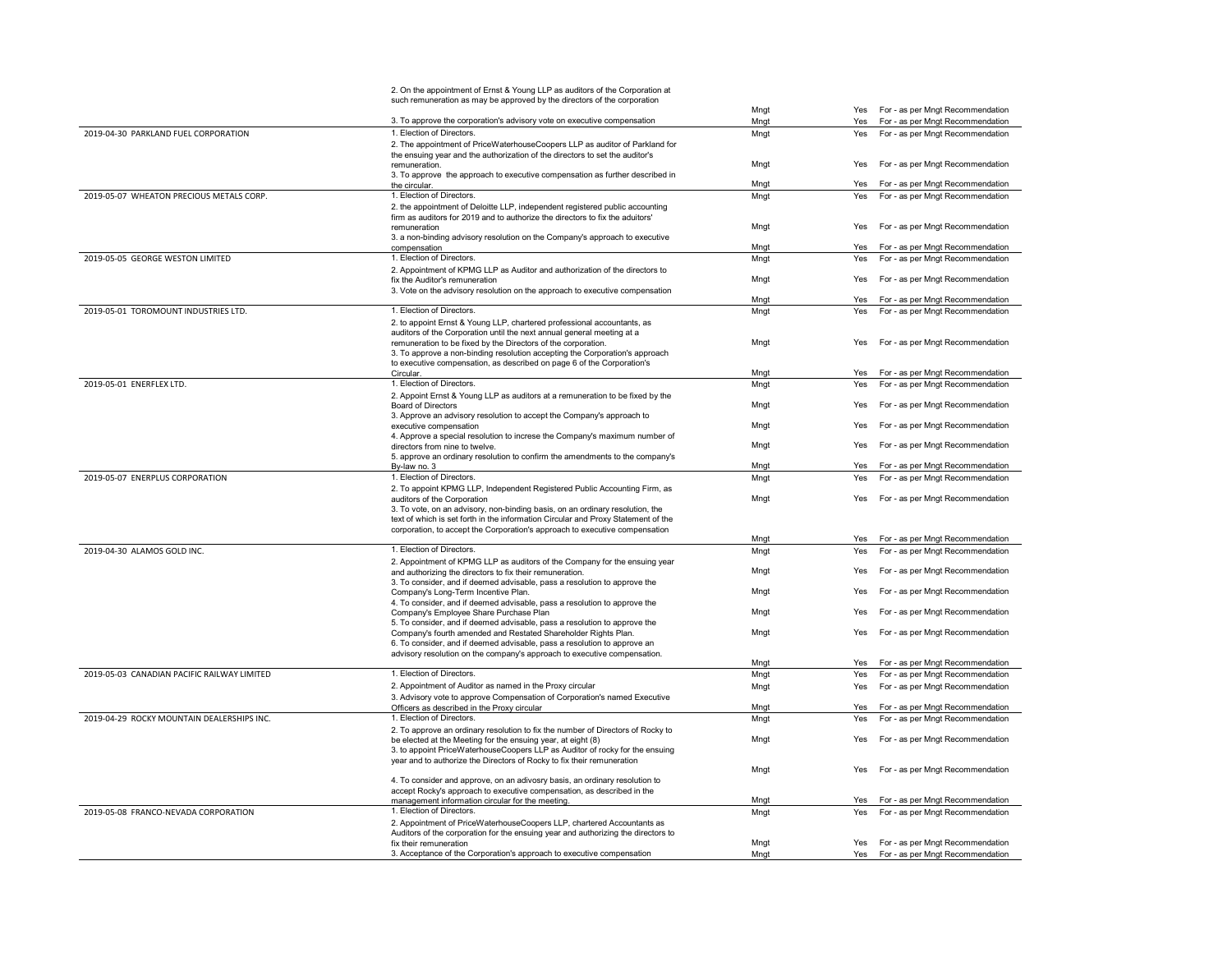| Yes For - as per Mngt Recommendation<br>Mngt<br>3. To approve the corporation's advisory vote on executive compensation<br>For - as per Mngt Recommendation<br>Mngt<br>Yes<br>2019-04-30 PARKLAND FUEL CORPORATION<br>1. Election of Directors.<br>Mngt<br>For - as per Mngt Recommendation<br>Yes<br>2. The appointment of PriceWaterhouseCoopers LLP as auditor of Parkland for<br>the ensuing year and the authorization of the directors to set the auditor's<br>Mngt<br>For - as per Mngt Recommendation<br>Yes<br>remuneration.<br>3. To approve the approach to executive compensation as further described in<br>Mngt<br>For - as per Mngt Recommendation<br>Yes<br>the circular.<br>1. Election of Directors.<br>2019-05-07 WHEATON PRECIOUS METALS CORP.<br>Mngt<br>For - as per Mngt Recommendation<br>Yes<br>2. the appointment of Deloitte LLP, independent registered public accounting<br>firm as auditors for 2019 and to authorize the directors to fix the aduitors'<br>Mngt<br>For - as per Mngt Recommendation<br>Yes<br>remuneration<br>3. a non-binding advisory resolution on the Company's approach to executive<br>For - as per Mngt Recommendation<br>Mngt<br>Yes<br>compensation<br>2019-05-05 GEORGE WESTON LIMITED<br>1. Election of Directors.<br>Mngt<br>For - as per Mngt Recommendation<br>Yes<br>2. Appointment of KPMG LLP as Auditor and authorization of the directors to<br>Mngt<br>For - as per Mngt Recommendation<br>fix the Auditor's remuneration<br>Yes<br>3. Vote on the advisory resolution on the approach to executive compensation<br>For - as per Mngt Recommendation<br>Mngt<br>Yes<br>1. Election of Directors.<br>2019-05-01 TOROMOUNT INDUSTRIES LTD.<br>For - as per Mngt Recommendation<br>Mngt<br>Yes<br>2. to appoint Ernst & Young LLP, chartered professional accountants, as<br>auditors of the Corporation until the next annual general meeting at a<br>For - as per Mngt Recommendation<br>Mngt<br>remuneration to be fixed by the Directors of the corporation.<br>Yes<br>3. To approve a non-binding resolution accepting the Corporation's approach<br>to executive compensation, as described on page 6 of the Corporation's<br>Mngt<br>For - as per Mngt Recommendation<br>Circular.<br>Yes<br>2019-05-01 ENERFLEX LTD.<br>1. Election of Directors.<br>Mngt<br>For - as per Mngt Recommendation<br>Yes<br>2. Appoint Ernst & Young LLP as auditors at a remuneration to be fixed by the<br>Mngt<br>For - as per Mngt Recommendation<br>Yes<br><b>Board of Directors</b><br>3. Approve an advisory resolution to accept the Company's approach to<br>For - as per Mngt Recommendation<br>Mngt<br>Yes<br>executive compensation<br>4. Approve a special resolution to increse the Company's maximum number of<br>Mngt<br>For - as per Mngt Recommendation<br>directors from nine to twelve.<br>Yes<br>5. approve an ordinary resolution to confirm the amendments to the company's<br>Mngt<br>For - as per Mngt Recommendation<br>By-law no. 3<br>Yes<br>1. Election of Directors.<br>2019-05-07 ENERPLUS CORPORATION<br>For - as per Mngt Recommendation<br>Mngt<br>Yes<br>2. To appoint KPMG LLP, Independent Registered Public Accounting Firm, as<br>Mngt<br>For - as per Mngt Recommendation<br>Yes<br>auditors of the Corporation<br>3. To vote, on an advisory, non-binding basis, on an ordinary resolution, the<br>text of which is set forth in the information Circular and Proxy Statement of the<br>corporation, to accept the Corporation's approach to executive compensation<br>Mngt<br>For - as per Mngt Recommendation<br>Yes<br>1. Election of Directors.<br>2019-04-30 ALAMOS GOLD INC.<br>For - as per Mngt Recommendation<br>Mngt<br>Yes<br>2. Appointment of KPMG LLP as auditors of the Company for the ensuing year<br>For - as per Mngt Recommendation<br>Mngt<br>and authorizing the directors to fix their remuneration.<br>Yes<br>3. To consider, and if deemed advisable, pass a resolution to approve the<br>For - as per Mngt Recommendation<br>Mngt<br>Company's Long-Term Incentive Plan.<br>Yes<br>4. To consider, and if deemed advisable, pass a resolution to approve the<br>For - as per Mngt Recommendation<br>Mngt<br>Yes<br>Company's Employee Share Purchase Plan<br>5. To consider, and if deemed advisable, pass a resolution to approve the<br>Mngt<br>For - as per Mngt Recommendation<br>Company's fourth amended and Restated Shareholder Rights Plan.<br>Yes<br>6. To consider, and if deemed advisable, pass a resolution to approve an<br>advisory resolution on the company's approach to executive compensation.<br>Mngt<br>For - as per Mngt Recommendation<br>Yes<br>1. Election of Directors.<br>2019-05-03 CANADIAN PACIFIC RAILWAY LIMITED<br>Mngt<br>For - as per Mngt Recommendation<br>Yes<br>2. Appointment of Auditor as named in the Proxy circular<br>For - as per Mngt Recommendation<br>Mngt<br>Yes<br>3. Advisory vote to approve Compensation of Corporation's named Executive<br>For - as per Mngt Recommendation<br>Officers as described in the Proxy circular<br>Mngt<br>Yes<br>2019-04-29 ROCKY MOUNTAIN DEALERSHIPS INC.<br>1. Election of Directors.<br>Mngt<br>Yes<br>For - as per Mngt Recommendation<br>2. To approve an ordinary resolution to fix the number of Directors of Rocky to<br>Mngt<br>For - as per Mngt Recommendation<br>be elected at the Meeting for the ensuing year, at eight (8)<br>Yes<br>3. to appoint PriceWaterhouseCoopers LLP as Auditor of rocky for the ensuing<br>year and to authorize the Directors of Rocky to fix their remuneration<br>Mngt<br>For - as per Mngt Recommendation<br>Yes<br>4. To consider and approve, on an adivosry basis, an ordinary resolution to<br>accept Rocky's approach to executive compensation, as described in the<br>For - as per Mngt Recommendation<br>management information circular for the meeting.<br>Mngt<br>Yes<br>1. Election of Directors.<br>2019-05-08 FRANCO-NEVADA CORPORATION<br>Mngt<br>For - as per Mngt Recommendation<br>Yes<br>2. Appointment of PriceWaterhouseCoopers LLP, chartered Accountants as<br>Auditors of the corporation for the ensuing year and authorizing the directors to<br>Yes For - as per Mngt Recommendation<br>Mngt<br>fix their remuneration<br>3. Acceptance of the Corporation's approach to executive compensation<br>Mngt<br>Yes For - as per Mngt Recommendation |  | 2. On the appointment of Ernst & Young LLP as auditors of the Corporation at |  |  |
|---------------------------------------------------------------------------------------------------------------------------------------------------------------------------------------------------------------------------------------------------------------------------------------------------------------------------------------------------------------------------------------------------------------------------------------------------------------------------------------------------------------------------------------------------------------------------------------------------------------------------------------------------------------------------------------------------------------------------------------------------------------------------------------------------------------------------------------------------------------------------------------------------------------------------------------------------------------------------------------------------------------------------------------------------------------------------------------------------------------------------------------------------------------------------------------------------------------------------------------------------------------------------------------------------------------------------------------------------------------------------------------------------------------------------------------------------------------------------------------------------------------------------------------------------------------------------------------------------------------------------------------------------------------------------------------------------------------------------------------------------------------------------------------------------------------------------------------------------------------------------------------------------------------------------------------------------------------------------------------------------------------------------------------------------------------------------------------------------------------------------------------------------------------------------------------------------------------------------------------------------------------------------------------------------------------------------------------------------------------------------------------------------------------------------------------------------------------------------------------------------------------------------------------------------------------------------------------------------------------------------------------------------------------------------------------------------------------------------------------------------------------------------------------------------------------------------------------------------------------------------------------------------------------------------------------------------------------------------------------------------------------------------------------------------------------------------------------------------------------------------------------------------------------------------------------------------------------------------------------------------------------------------------------------------------------------------------------------------------------------------------------------------------------------------------------------------------------------------------------------------------------------------------------------------------------------------------------------------------------------------------------------------------------------------------------------------------------------------------------------------------------------------------------------------------------------------------------------------------------------------------------------------------------------------------------------------------------------------------------------------------------------------------------------------------------------------------------------------------------------------------------------------------------------------------------------------------------------------------------------------------------------------------------------------------------------------------------------------------------------------------------------------------------------------------------------------------------------------------------------------------------------------------------------------------------------------------------------------------------------------------------------------------------------------------------------------------------------------------------------------------------------------------------------------------------------------------------------------------------------------------------------------------------------------------------------------------------------------------------------------------------------------------------------------------------------------------------------------------------------------------------------------------------------------------------------------------------------------------------------------------------------------------------------------------------------------------------------------------------------------------------------------------------------------------------------------------------------------------------------------------------------------------------------------------------------------------------------------------------------------------------------------------------------------------------------------------------------------------------------------------------------------------------------------------------------------------------------------------------------------------------------------------------------------------------------------------------------------------------------------------------------------------------------------------------------------------------------------------------------------------------------------------------------------------------------------------------------------------------------------------------------------------------------------------------------------------------------------------------------------------------------------------------------------------------|--|------------------------------------------------------------------------------|--|--|
|                                                                                                                                                                                                                                                                                                                                                                                                                                                                                                                                                                                                                                                                                                                                                                                                                                                                                                                                                                                                                                                                                                                                                                                                                                                                                                                                                                                                                                                                                                                                                                                                                                                                                                                                                                                                                                                                                                                                                                                                                                                                                                                                                                                                                                                                                                                                                                                                                                                                                                                                                                                                                                                                                                                                                                                                                                                                                                                                                                                                                                                                                                                                                                                                                                                                                                                                                                                                                                                                                                                                                                                                                                                                                                                                                                                                                                                                                                                                                                                                                                                                                                                                                                                                                                                                                                                                                                                                                                                                                                                                                                                                                                                                                                                                                                                                                                                                                                                                                                                                                                                                                                                                                                                                                                                                                                                                                                                                                                                                                                                                                                                                                                                                                                                                                                                                                                                                                                                                                                                                                                                                                                                                                                                                                                                                                                                                                                                                                                       |  | such remuneration as may be approved by the directors of the corporation     |  |  |
|                                                                                                                                                                                                                                                                                                                                                                                                                                                                                                                                                                                                                                                                                                                                                                                                                                                                                                                                                                                                                                                                                                                                                                                                                                                                                                                                                                                                                                                                                                                                                                                                                                                                                                                                                                                                                                                                                                                                                                                                                                                                                                                                                                                                                                                                                                                                                                                                                                                                                                                                                                                                                                                                                                                                                                                                                                                                                                                                                                                                                                                                                                                                                                                                                                                                                                                                                                                                                                                                                                                                                                                                                                                                                                                                                                                                                                                                                                                                                                                                                                                                                                                                                                                                                                                                                                                                                                                                                                                                                                                                                                                                                                                                                                                                                                                                                                                                                                                                                                                                                                                                                                                                                                                                                                                                                                                                                                                                                                                                                                                                                                                                                                                                                                                                                                                                                                                                                                                                                                                                                                                                                                                                                                                                                                                                                                                                                                                                                                       |  |                                                                              |  |  |
|                                                                                                                                                                                                                                                                                                                                                                                                                                                                                                                                                                                                                                                                                                                                                                                                                                                                                                                                                                                                                                                                                                                                                                                                                                                                                                                                                                                                                                                                                                                                                                                                                                                                                                                                                                                                                                                                                                                                                                                                                                                                                                                                                                                                                                                                                                                                                                                                                                                                                                                                                                                                                                                                                                                                                                                                                                                                                                                                                                                                                                                                                                                                                                                                                                                                                                                                                                                                                                                                                                                                                                                                                                                                                                                                                                                                                                                                                                                                                                                                                                                                                                                                                                                                                                                                                                                                                                                                                                                                                                                                                                                                                                                                                                                                                                                                                                                                                                                                                                                                                                                                                                                                                                                                                                                                                                                                                                                                                                                                                                                                                                                                                                                                                                                                                                                                                                                                                                                                                                                                                                                                                                                                                                                                                                                                                                                                                                                                                                       |  |                                                                              |  |  |
|                                                                                                                                                                                                                                                                                                                                                                                                                                                                                                                                                                                                                                                                                                                                                                                                                                                                                                                                                                                                                                                                                                                                                                                                                                                                                                                                                                                                                                                                                                                                                                                                                                                                                                                                                                                                                                                                                                                                                                                                                                                                                                                                                                                                                                                                                                                                                                                                                                                                                                                                                                                                                                                                                                                                                                                                                                                                                                                                                                                                                                                                                                                                                                                                                                                                                                                                                                                                                                                                                                                                                                                                                                                                                                                                                                                                                                                                                                                                                                                                                                                                                                                                                                                                                                                                                                                                                                                                                                                                                                                                                                                                                                                                                                                                                                                                                                                                                                                                                                                                                                                                                                                                                                                                                                                                                                                                                                                                                                                                                                                                                                                                                                                                                                                                                                                                                                                                                                                                                                                                                                                                                                                                                                                                                                                                                                                                                                                                                                       |  |                                                                              |  |  |
|                                                                                                                                                                                                                                                                                                                                                                                                                                                                                                                                                                                                                                                                                                                                                                                                                                                                                                                                                                                                                                                                                                                                                                                                                                                                                                                                                                                                                                                                                                                                                                                                                                                                                                                                                                                                                                                                                                                                                                                                                                                                                                                                                                                                                                                                                                                                                                                                                                                                                                                                                                                                                                                                                                                                                                                                                                                                                                                                                                                                                                                                                                                                                                                                                                                                                                                                                                                                                                                                                                                                                                                                                                                                                                                                                                                                                                                                                                                                                                                                                                                                                                                                                                                                                                                                                                                                                                                                                                                                                                                                                                                                                                                                                                                                                                                                                                                                                                                                                                                                                                                                                                                                                                                                                                                                                                                                                                                                                                                                                                                                                                                                                                                                                                                                                                                                                                                                                                                                                                                                                                                                                                                                                                                                                                                                                                                                                                                                                                       |  |                                                                              |  |  |
|                                                                                                                                                                                                                                                                                                                                                                                                                                                                                                                                                                                                                                                                                                                                                                                                                                                                                                                                                                                                                                                                                                                                                                                                                                                                                                                                                                                                                                                                                                                                                                                                                                                                                                                                                                                                                                                                                                                                                                                                                                                                                                                                                                                                                                                                                                                                                                                                                                                                                                                                                                                                                                                                                                                                                                                                                                                                                                                                                                                                                                                                                                                                                                                                                                                                                                                                                                                                                                                                                                                                                                                                                                                                                                                                                                                                                                                                                                                                                                                                                                                                                                                                                                                                                                                                                                                                                                                                                                                                                                                                                                                                                                                                                                                                                                                                                                                                                                                                                                                                                                                                                                                                                                                                                                                                                                                                                                                                                                                                                                                                                                                                                                                                                                                                                                                                                                                                                                                                                                                                                                                                                                                                                                                                                                                                                                                                                                                                                                       |  |                                                                              |  |  |
|                                                                                                                                                                                                                                                                                                                                                                                                                                                                                                                                                                                                                                                                                                                                                                                                                                                                                                                                                                                                                                                                                                                                                                                                                                                                                                                                                                                                                                                                                                                                                                                                                                                                                                                                                                                                                                                                                                                                                                                                                                                                                                                                                                                                                                                                                                                                                                                                                                                                                                                                                                                                                                                                                                                                                                                                                                                                                                                                                                                                                                                                                                                                                                                                                                                                                                                                                                                                                                                                                                                                                                                                                                                                                                                                                                                                                                                                                                                                                                                                                                                                                                                                                                                                                                                                                                                                                                                                                                                                                                                                                                                                                                                                                                                                                                                                                                                                                                                                                                                                                                                                                                                                                                                                                                                                                                                                                                                                                                                                                                                                                                                                                                                                                                                                                                                                                                                                                                                                                                                                                                                                                                                                                                                                                                                                                                                                                                                                                                       |  |                                                                              |  |  |
|                                                                                                                                                                                                                                                                                                                                                                                                                                                                                                                                                                                                                                                                                                                                                                                                                                                                                                                                                                                                                                                                                                                                                                                                                                                                                                                                                                                                                                                                                                                                                                                                                                                                                                                                                                                                                                                                                                                                                                                                                                                                                                                                                                                                                                                                                                                                                                                                                                                                                                                                                                                                                                                                                                                                                                                                                                                                                                                                                                                                                                                                                                                                                                                                                                                                                                                                                                                                                                                                                                                                                                                                                                                                                                                                                                                                                                                                                                                                                                                                                                                                                                                                                                                                                                                                                                                                                                                                                                                                                                                                                                                                                                                                                                                                                                                                                                                                                                                                                                                                                                                                                                                                                                                                                                                                                                                                                                                                                                                                                                                                                                                                                                                                                                                                                                                                                                                                                                                                                                                                                                                                                                                                                                                                                                                                                                                                                                                                                                       |  |                                                                              |  |  |
|                                                                                                                                                                                                                                                                                                                                                                                                                                                                                                                                                                                                                                                                                                                                                                                                                                                                                                                                                                                                                                                                                                                                                                                                                                                                                                                                                                                                                                                                                                                                                                                                                                                                                                                                                                                                                                                                                                                                                                                                                                                                                                                                                                                                                                                                                                                                                                                                                                                                                                                                                                                                                                                                                                                                                                                                                                                                                                                                                                                                                                                                                                                                                                                                                                                                                                                                                                                                                                                                                                                                                                                                                                                                                                                                                                                                                                                                                                                                                                                                                                                                                                                                                                                                                                                                                                                                                                                                                                                                                                                                                                                                                                                                                                                                                                                                                                                                                                                                                                                                                                                                                                                                                                                                                                                                                                                                                                                                                                                                                                                                                                                                                                                                                                                                                                                                                                                                                                                                                                                                                                                                                                                                                                                                                                                                                                                                                                                                                                       |  |                                                                              |  |  |
|                                                                                                                                                                                                                                                                                                                                                                                                                                                                                                                                                                                                                                                                                                                                                                                                                                                                                                                                                                                                                                                                                                                                                                                                                                                                                                                                                                                                                                                                                                                                                                                                                                                                                                                                                                                                                                                                                                                                                                                                                                                                                                                                                                                                                                                                                                                                                                                                                                                                                                                                                                                                                                                                                                                                                                                                                                                                                                                                                                                                                                                                                                                                                                                                                                                                                                                                                                                                                                                                                                                                                                                                                                                                                                                                                                                                                                                                                                                                                                                                                                                                                                                                                                                                                                                                                                                                                                                                                                                                                                                                                                                                                                                                                                                                                                                                                                                                                                                                                                                                                                                                                                                                                                                                                                                                                                                                                                                                                                                                                                                                                                                                                                                                                                                                                                                                                                                                                                                                                                                                                                                                                                                                                                                                                                                                                                                                                                                                                                       |  |                                                                              |  |  |
|                                                                                                                                                                                                                                                                                                                                                                                                                                                                                                                                                                                                                                                                                                                                                                                                                                                                                                                                                                                                                                                                                                                                                                                                                                                                                                                                                                                                                                                                                                                                                                                                                                                                                                                                                                                                                                                                                                                                                                                                                                                                                                                                                                                                                                                                                                                                                                                                                                                                                                                                                                                                                                                                                                                                                                                                                                                                                                                                                                                                                                                                                                                                                                                                                                                                                                                                                                                                                                                                                                                                                                                                                                                                                                                                                                                                                                                                                                                                                                                                                                                                                                                                                                                                                                                                                                                                                                                                                                                                                                                                                                                                                                                                                                                                                                                                                                                                                                                                                                                                                                                                                                                                                                                                                                                                                                                                                                                                                                                                                                                                                                                                                                                                                                                                                                                                                                                                                                                                                                                                                                                                                                                                                                                                                                                                                                                                                                                                                                       |  |                                                                              |  |  |
|                                                                                                                                                                                                                                                                                                                                                                                                                                                                                                                                                                                                                                                                                                                                                                                                                                                                                                                                                                                                                                                                                                                                                                                                                                                                                                                                                                                                                                                                                                                                                                                                                                                                                                                                                                                                                                                                                                                                                                                                                                                                                                                                                                                                                                                                                                                                                                                                                                                                                                                                                                                                                                                                                                                                                                                                                                                                                                                                                                                                                                                                                                                                                                                                                                                                                                                                                                                                                                                                                                                                                                                                                                                                                                                                                                                                                                                                                                                                                                                                                                                                                                                                                                                                                                                                                                                                                                                                                                                                                                                                                                                                                                                                                                                                                                                                                                                                                                                                                                                                                                                                                                                                                                                                                                                                                                                                                                                                                                                                                                                                                                                                                                                                                                                                                                                                                                                                                                                                                                                                                                                                                                                                                                                                                                                                                                                                                                                                                                       |  |                                                                              |  |  |
|                                                                                                                                                                                                                                                                                                                                                                                                                                                                                                                                                                                                                                                                                                                                                                                                                                                                                                                                                                                                                                                                                                                                                                                                                                                                                                                                                                                                                                                                                                                                                                                                                                                                                                                                                                                                                                                                                                                                                                                                                                                                                                                                                                                                                                                                                                                                                                                                                                                                                                                                                                                                                                                                                                                                                                                                                                                                                                                                                                                                                                                                                                                                                                                                                                                                                                                                                                                                                                                                                                                                                                                                                                                                                                                                                                                                                                                                                                                                                                                                                                                                                                                                                                                                                                                                                                                                                                                                                                                                                                                                                                                                                                                                                                                                                                                                                                                                                                                                                                                                                                                                                                                                                                                                                                                                                                                                                                                                                                                                                                                                                                                                                                                                                                                                                                                                                                                                                                                                                                                                                                                                                                                                                                                                                                                                                                                                                                                                                                       |  |                                                                              |  |  |
|                                                                                                                                                                                                                                                                                                                                                                                                                                                                                                                                                                                                                                                                                                                                                                                                                                                                                                                                                                                                                                                                                                                                                                                                                                                                                                                                                                                                                                                                                                                                                                                                                                                                                                                                                                                                                                                                                                                                                                                                                                                                                                                                                                                                                                                                                                                                                                                                                                                                                                                                                                                                                                                                                                                                                                                                                                                                                                                                                                                                                                                                                                                                                                                                                                                                                                                                                                                                                                                                                                                                                                                                                                                                                                                                                                                                                                                                                                                                                                                                                                                                                                                                                                                                                                                                                                                                                                                                                                                                                                                                                                                                                                                                                                                                                                                                                                                                                                                                                                                                                                                                                                                                                                                                                                                                                                                                                                                                                                                                                                                                                                                                                                                                                                                                                                                                                                                                                                                                                                                                                                                                                                                                                                                                                                                                                                                                                                                                                                       |  |                                                                              |  |  |
|                                                                                                                                                                                                                                                                                                                                                                                                                                                                                                                                                                                                                                                                                                                                                                                                                                                                                                                                                                                                                                                                                                                                                                                                                                                                                                                                                                                                                                                                                                                                                                                                                                                                                                                                                                                                                                                                                                                                                                                                                                                                                                                                                                                                                                                                                                                                                                                                                                                                                                                                                                                                                                                                                                                                                                                                                                                                                                                                                                                                                                                                                                                                                                                                                                                                                                                                                                                                                                                                                                                                                                                                                                                                                                                                                                                                                                                                                                                                                                                                                                                                                                                                                                                                                                                                                                                                                                                                                                                                                                                                                                                                                                                                                                                                                                                                                                                                                                                                                                                                                                                                                                                                                                                                                                                                                                                                                                                                                                                                                                                                                                                                                                                                                                                                                                                                                                                                                                                                                                                                                                                                                                                                                                                                                                                                                                                                                                                                                                       |  |                                                                              |  |  |
|                                                                                                                                                                                                                                                                                                                                                                                                                                                                                                                                                                                                                                                                                                                                                                                                                                                                                                                                                                                                                                                                                                                                                                                                                                                                                                                                                                                                                                                                                                                                                                                                                                                                                                                                                                                                                                                                                                                                                                                                                                                                                                                                                                                                                                                                                                                                                                                                                                                                                                                                                                                                                                                                                                                                                                                                                                                                                                                                                                                                                                                                                                                                                                                                                                                                                                                                                                                                                                                                                                                                                                                                                                                                                                                                                                                                                                                                                                                                                                                                                                                                                                                                                                                                                                                                                                                                                                                                                                                                                                                                                                                                                                                                                                                                                                                                                                                                                                                                                                                                                                                                                                                                                                                                                                                                                                                                                                                                                                                                                                                                                                                                                                                                                                                                                                                                                                                                                                                                                                                                                                                                                                                                                                                                                                                                                                                                                                                                                                       |  |                                                                              |  |  |
|                                                                                                                                                                                                                                                                                                                                                                                                                                                                                                                                                                                                                                                                                                                                                                                                                                                                                                                                                                                                                                                                                                                                                                                                                                                                                                                                                                                                                                                                                                                                                                                                                                                                                                                                                                                                                                                                                                                                                                                                                                                                                                                                                                                                                                                                                                                                                                                                                                                                                                                                                                                                                                                                                                                                                                                                                                                                                                                                                                                                                                                                                                                                                                                                                                                                                                                                                                                                                                                                                                                                                                                                                                                                                                                                                                                                                                                                                                                                                                                                                                                                                                                                                                                                                                                                                                                                                                                                                                                                                                                                                                                                                                                                                                                                                                                                                                                                                                                                                                                                                                                                                                                                                                                                                                                                                                                                                                                                                                                                                                                                                                                                                                                                                                                                                                                                                                                                                                                                                                                                                                                                                                                                                                                                                                                                                                                                                                                                                                       |  |                                                                              |  |  |
|                                                                                                                                                                                                                                                                                                                                                                                                                                                                                                                                                                                                                                                                                                                                                                                                                                                                                                                                                                                                                                                                                                                                                                                                                                                                                                                                                                                                                                                                                                                                                                                                                                                                                                                                                                                                                                                                                                                                                                                                                                                                                                                                                                                                                                                                                                                                                                                                                                                                                                                                                                                                                                                                                                                                                                                                                                                                                                                                                                                                                                                                                                                                                                                                                                                                                                                                                                                                                                                                                                                                                                                                                                                                                                                                                                                                                                                                                                                                                                                                                                                                                                                                                                                                                                                                                                                                                                                                                                                                                                                                                                                                                                                                                                                                                                                                                                                                                                                                                                                                                                                                                                                                                                                                                                                                                                                                                                                                                                                                                                                                                                                                                                                                                                                                                                                                                                                                                                                                                                                                                                                                                                                                                                                                                                                                                                                                                                                                                                       |  |                                                                              |  |  |
|                                                                                                                                                                                                                                                                                                                                                                                                                                                                                                                                                                                                                                                                                                                                                                                                                                                                                                                                                                                                                                                                                                                                                                                                                                                                                                                                                                                                                                                                                                                                                                                                                                                                                                                                                                                                                                                                                                                                                                                                                                                                                                                                                                                                                                                                                                                                                                                                                                                                                                                                                                                                                                                                                                                                                                                                                                                                                                                                                                                                                                                                                                                                                                                                                                                                                                                                                                                                                                                                                                                                                                                                                                                                                                                                                                                                                                                                                                                                                                                                                                                                                                                                                                                                                                                                                                                                                                                                                                                                                                                                                                                                                                                                                                                                                                                                                                                                                                                                                                                                                                                                                                                                                                                                                                                                                                                                                                                                                                                                                                                                                                                                                                                                                                                                                                                                                                                                                                                                                                                                                                                                                                                                                                                                                                                                                                                                                                                                                                       |  |                                                                              |  |  |
|                                                                                                                                                                                                                                                                                                                                                                                                                                                                                                                                                                                                                                                                                                                                                                                                                                                                                                                                                                                                                                                                                                                                                                                                                                                                                                                                                                                                                                                                                                                                                                                                                                                                                                                                                                                                                                                                                                                                                                                                                                                                                                                                                                                                                                                                                                                                                                                                                                                                                                                                                                                                                                                                                                                                                                                                                                                                                                                                                                                                                                                                                                                                                                                                                                                                                                                                                                                                                                                                                                                                                                                                                                                                                                                                                                                                                                                                                                                                                                                                                                                                                                                                                                                                                                                                                                                                                                                                                                                                                                                                                                                                                                                                                                                                                                                                                                                                                                                                                                                                                                                                                                                                                                                                                                                                                                                                                                                                                                                                                                                                                                                                                                                                                                                                                                                                                                                                                                                                                                                                                                                                                                                                                                                                                                                                                                                                                                                                                                       |  |                                                                              |  |  |
|                                                                                                                                                                                                                                                                                                                                                                                                                                                                                                                                                                                                                                                                                                                                                                                                                                                                                                                                                                                                                                                                                                                                                                                                                                                                                                                                                                                                                                                                                                                                                                                                                                                                                                                                                                                                                                                                                                                                                                                                                                                                                                                                                                                                                                                                                                                                                                                                                                                                                                                                                                                                                                                                                                                                                                                                                                                                                                                                                                                                                                                                                                                                                                                                                                                                                                                                                                                                                                                                                                                                                                                                                                                                                                                                                                                                                                                                                                                                                                                                                                                                                                                                                                                                                                                                                                                                                                                                                                                                                                                                                                                                                                                                                                                                                                                                                                                                                                                                                                                                                                                                                                                                                                                                                                                                                                                                                                                                                                                                                                                                                                                                                                                                                                                                                                                                                                                                                                                                                                                                                                                                                                                                                                                                                                                                                                                                                                                                                                       |  |                                                                              |  |  |
|                                                                                                                                                                                                                                                                                                                                                                                                                                                                                                                                                                                                                                                                                                                                                                                                                                                                                                                                                                                                                                                                                                                                                                                                                                                                                                                                                                                                                                                                                                                                                                                                                                                                                                                                                                                                                                                                                                                                                                                                                                                                                                                                                                                                                                                                                                                                                                                                                                                                                                                                                                                                                                                                                                                                                                                                                                                                                                                                                                                                                                                                                                                                                                                                                                                                                                                                                                                                                                                                                                                                                                                                                                                                                                                                                                                                                                                                                                                                                                                                                                                                                                                                                                                                                                                                                                                                                                                                                                                                                                                                                                                                                                                                                                                                                                                                                                                                                                                                                                                                                                                                                                                                                                                                                                                                                                                                                                                                                                                                                                                                                                                                                                                                                                                                                                                                                                                                                                                                                                                                                                                                                                                                                                                                                                                                                                                                                                                                                                       |  |                                                                              |  |  |
|                                                                                                                                                                                                                                                                                                                                                                                                                                                                                                                                                                                                                                                                                                                                                                                                                                                                                                                                                                                                                                                                                                                                                                                                                                                                                                                                                                                                                                                                                                                                                                                                                                                                                                                                                                                                                                                                                                                                                                                                                                                                                                                                                                                                                                                                                                                                                                                                                                                                                                                                                                                                                                                                                                                                                                                                                                                                                                                                                                                                                                                                                                                                                                                                                                                                                                                                                                                                                                                                                                                                                                                                                                                                                                                                                                                                                                                                                                                                                                                                                                                                                                                                                                                                                                                                                                                                                                                                                                                                                                                                                                                                                                                                                                                                                                                                                                                                                                                                                                                                                                                                                                                                                                                                                                                                                                                                                                                                                                                                                                                                                                                                                                                                                                                                                                                                                                                                                                                                                                                                                                                                                                                                                                                                                                                                                                                                                                                                                                       |  |                                                                              |  |  |
|                                                                                                                                                                                                                                                                                                                                                                                                                                                                                                                                                                                                                                                                                                                                                                                                                                                                                                                                                                                                                                                                                                                                                                                                                                                                                                                                                                                                                                                                                                                                                                                                                                                                                                                                                                                                                                                                                                                                                                                                                                                                                                                                                                                                                                                                                                                                                                                                                                                                                                                                                                                                                                                                                                                                                                                                                                                                                                                                                                                                                                                                                                                                                                                                                                                                                                                                                                                                                                                                                                                                                                                                                                                                                                                                                                                                                                                                                                                                                                                                                                                                                                                                                                                                                                                                                                                                                                                                                                                                                                                                                                                                                                                                                                                                                                                                                                                                                                                                                                                                                                                                                                                                                                                                                                                                                                                                                                                                                                                                                                                                                                                                                                                                                                                                                                                                                                                                                                                                                                                                                                                                                                                                                                                                                                                                                                                                                                                                                                       |  |                                                                              |  |  |
|                                                                                                                                                                                                                                                                                                                                                                                                                                                                                                                                                                                                                                                                                                                                                                                                                                                                                                                                                                                                                                                                                                                                                                                                                                                                                                                                                                                                                                                                                                                                                                                                                                                                                                                                                                                                                                                                                                                                                                                                                                                                                                                                                                                                                                                                                                                                                                                                                                                                                                                                                                                                                                                                                                                                                                                                                                                                                                                                                                                                                                                                                                                                                                                                                                                                                                                                                                                                                                                                                                                                                                                                                                                                                                                                                                                                                                                                                                                                                                                                                                                                                                                                                                                                                                                                                                                                                                                                                                                                                                                                                                                                                                                                                                                                                                                                                                                                                                                                                                                                                                                                                                                                                                                                                                                                                                                                                                                                                                                                                                                                                                                                                                                                                                                                                                                                                                                                                                                                                                                                                                                                                                                                                                                                                                                                                                                                                                                                                                       |  |                                                                              |  |  |
|                                                                                                                                                                                                                                                                                                                                                                                                                                                                                                                                                                                                                                                                                                                                                                                                                                                                                                                                                                                                                                                                                                                                                                                                                                                                                                                                                                                                                                                                                                                                                                                                                                                                                                                                                                                                                                                                                                                                                                                                                                                                                                                                                                                                                                                                                                                                                                                                                                                                                                                                                                                                                                                                                                                                                                                                                                                                                                                                                                                                                                                                                                                                                                                                                                                                                                                                                                                                                                                                                                                                                                                                                                                                                                                                                                                                                                                                                                                                                                                                                                                                                                                                                                                                                                                                                                                                                                                                                                                                                                                                                                                                                                                                                                                                                                                                                                                                                                                                                                                                                                                                                                                                                                                                                                                                                                                                                                                                                                                                                                                                                                                                                                                                                                                                                                                                                                                                                                                                                                                                                                                                                                                                                                                                                                                                                                                                                                                                                                       |  |                                                                              |  |  |
|                                                                                                                                                                                                                                                                                                                                                                                                                                                                                                                                                                                                                                                                                                                                                                                                                                                                                                                                                                                                                                                                                                                                                                                                                                                                                                                                                                                                                                                                                                                                                                                                                                                                                                                                                                                                                                                                                                                                                                                                                                                                                                                                                                                                                                                                                                                                                                                                                                                                                                                                                                                                                                                                                                                                                                                                                                                                                                                                                                                                                                                                                                                                                                                                                                                                                                                                                                                                                                                                                                                                                                                                                                                                                                                                                                                                                                                                                                                                                                                                                                                                                                                                                                                                                                                                                                                                                                                                                                                                                                                                                                                                                                                                                                                                                                                                                                                                                                                                                                                                                                                                                                                                                                                                                                                                                                                                                                                                                                                                                                                                                                                                                                                                                                                                                                                                                                                                                                                                                                                                                                                                                                                                                                                                                                                                                                                                                                                                                                       |  |                                                                              |  |  |
|                                                                                                                                                                                                                                                                                                                                                                                                                                                                                                                                                                                                                                                                                                                                                                                                                                                                                                                                                                                                                                                                                                                                                                                                                                                                                                                                                                                                                                                                                                                                                                                                                                                                                                                                                                                                                                                                                                                                                                                                                                                                                                                                                                                                                                                                                                                                                                                                                                                                                                                                                                                                                                                                                                                                                                                                                                                                                                                                                                                                                                                                                                                                                                                                                                                                                                                                                                                                                                                                                                                                                                                                                                                                                                                                                                                                                                                                                                                                                                                                                                                                                                                                                                                                                                                                                                                                                                                                                                                                                                                                                                                                                                                                                                                                                                                                                                                                                                                                                                                                                                                                                                                                                                                                                                                                                                                                                                                                                                                                                                                                                                                                                                                                                                                                                                                                                                                                                                                                                                                                                                                                                                                                                                                                                                                                                                                                                                                                                                       |  |                                                                              |  |  |
|                                                                                                                                                                                                                                                                                                                                                                                                                                                                                                                                                                                                                                                                                                                                                                                                                                                                                                                                                                                                                                                                                                                                                                                                                                                                                                                                                                                                                                                                                                                                                                                                                                                                                                                                                                                                                                                                                                                                                                                                                                                                                                                                                                                                                                                                                                                                                                                                                                                                                                                                                                                                                                                                                                                                                                                                                                                                                                                                                                                                                                                                                                                                                                                                                                                                                                                                                                                                                                                                                                                                                                                                                                                                                                                                                                                                                                                                                                                                                                                                                                                                                                                                                                                                                                                                                                                                                                                                                                                                                                                                                                                                                                                                                                                                                                                                                                                                                                                                                                                                                                                                                                                                                                                                                                                                                                                                                                                                                                                                                                                                                                                                                                                                                                                                                                                                                                                                                                                                                                                                                                                                                                                                                                                                                                                                                                                                                                                                                                       |  |                                                                              |  |  |
|                                                                                                                                                                                                                                                                                                                                                                                                                                                                                                                                                                                                                                                                                                                                                                                                                                                                                                                                                                                                                                                                                                                                                                                                                                                                                                                                                                                                                                                                                                                                                                                                                                                                                                                                                                                                                                                                                                                                                                                                                                                                                                                                                                                                                                                                                                                                                                                                                                                                                                                                                                                                                                                                                                                                                                                                                                                                                                                                                                                                                                                                                                                                                                                                                                                                                                                                                                                                                                                                                                                                                                                                                                                                                                                                                                                                                                                                                                                                                                                                                                                                                                                                                                                                                                                                                                                                                                                                                                                                                                                                                                                                                                                                                                                                                                                                                                                                                                                                                                                                                                                                                                                                                                                                                                                                                                                                                                                                                                                                                                                                                                                                                                                                                                                                                                                                                                                                                                                                                                                                                                                                                                                                                                                                                                                                                                                                                                                                                                       |  |                                                                              |  |  |
|                                                                                                                                                                                                                                                                                                                                                                                                                                                                                                                                                                                                                                                                                                                                                                                                                                                                                                                                                                                                                                                                                                                                                                                                                                                                                                                                                                                                                                                                                                                                                                                                                                                                                                                                                                                                                                                                                                                                                                                                                                                                                                                                                                                                                                                                                                                                                                                                                                                                                                                                                                                                                                                                                                                                                                                                                                                                                                                                                                                                                                                                                                                                                                                                                                                                                                                                                                                                                                                                                                                                                                                                                                                                                                                                                                                                                                                                                                                                                                                                                                                                                                                                                                                                                                                                                                                                                                                                                                                                                                                                                                                                                                                                                                                                                                                                                                                                                                                                                                                                                                                                                                                                                                                                                                                                                                                                                                                                                                                                                                                                                                                                                                                                                                                                                                                                                                                                                                                                                                                                                                                                                                                                                                                                                                                                                                                                                                                                                                       |  |                                                                              |  |  |
|                                                                                                                                                                                                                                                                                                                                                                                                                                                                                                                                                                                                                                                                                                                                                                                                                                                                                                                                                                                                                                                                                                                                                                                                                                                                                                                                                                                                                                                                                                                                                                                                                                                                                                                                                                                                                                                                                                                                                                                                                                                                                                                                                                                                                                                                                                                                                                                                                                                                                                                                                                                                                                                                                                                                                                                                                                                                                                                                                                                                                                                                                                                                                                                                                                                                                                                                                                                                                                                                                                                                                                                                                                                                                                                                                                                                                                                                                                                                                                                                                                                                                                                                                                                                                                                                                                                                                                                                                                                                                                                                                                                                                                                                                                                                                                                                                                                                                                                                                                                                                                                                                                                                                                                                                                                                                                                                                                                                                                                                                                                                                                                                                                                                                                                                                                                                                                                                                                                                                                                                                                                                                                                                                                                                                                                                                                                                                                                                                                       |  |                                                                              |  |  |
|                                                                                                                                                                                                                                                                                                                                                                                                                                                                                                                                                                                                                                                                                                                                                                                                                                                                                                                                                                                                                                                                                                                                                                                                                                                                                                                                                                                                                                                                                                                                                                                                                                                                                                                                                                                                                                                                                                                                                                                                                                                                                                                                                                                                                                                                                                                                                                                                                                                                                                                                                                                                                                                                                                                                                                                                                                                                                                                                                                                                                                                                                                                                                                                                                                                                                                                                                                                                                                                                                                                                                                                                                                                                                                                                                                                                                                                                                                                                                                                                                                                                                                                                                                                                                                                                                                                                                                                                                                                                                                                                                                                                                                                                                                                                                                                                                                                                                                                                                                                                                                                                                                                                                                                                                                                                                                                                                                                                                                                                                                                                                                                                                                                                                                                                                                                                                                                                                                                                                                                                                                                                                                                                                                                                                                                                                                                                                                                                                                       |  |                                                                              |  |  |
|                                                                                                                                                                                                                                                                                                                                                                                                                                                                                                                                                                                                                                                                                                                                                                                                                                                                                                                                                                                                                                                                                                                                                                                                                                                                                                                                                                                                                                                                                                                                                                                                                                                                                                                                                                                                                                                                                                                                                                                                                                                                                                                                                                                                                                                                                                                                                                                                                                                                                                                                                                                                                                                                                                                                                                                                                                                                                                                                                                                                                                                                                                                                                                                                                                                                                                                                                                                                                                                                                                                                                                                                                                                                                                                                                                                                                                                                                                                                                                                                                                                                                                                                                                                                                                                                                                                                                                                                                                                                                                                                                                                                                                                                                                                                                                                                                                                                                                                                                                                                                                                                                                                                                                                                                                                                                                                                                                                                                                                                                                                                                                                                                                                                                                                                                                                                                                                                                                                                                                                                                                                                                                                                                                                                                                                                                                                                                                                                                                       |  |                                                                              |  |  |
|                                                                                                                                                                                                                                                                                                                                                                                                                                                                                                                                                                                                                                                                                                                                                                                                                                                                                                                                                                                                                                                                                                                                                                                                                                                                                                                                                                                                                                                                                                                                                                                                                                                                                                                                                                                                                                                                                                                                                                                                                                                                                                                                                                                                                                                                                                                                                                                                                                                                                                                                                                                                                                                                                                                                                                                                                                                                                                                                                                                                                                                                                                                                                                                                                                                                                                                                                                                                                                                                                                                                                                                                                                                                                                                                                                                                                                                                                                                                                                                                                                                                                                                                                                                                                                                                                                                                                                                                                                                                                                                                                                                                                                                                                                                                                                                                                                                                                                                                                                                                                                                                                                                                                                                                                                                                                                                                                                                                                                                                                                                                                                                                                                                                                                                                                                                                                                                                                                                                                                                                                                                                                                                                                                                                                                                                                                                                                                                                                                       |  |                                                                              |  |  |
|                                                                                                                                                                                                                                                                                                                                                                                                                                                                                                                                                                                                                                                                                                                                                                                                                                                                                                                                                                                                                                                                                                                                                                                                                                                                                                                                                                                                                                                                                                                                                                                                                                                                                                                                                                                                                                                                                                                                                                                                                                                                                                                                                                                                                                                                                                                                                                                                                                                                                                                                                                                                                                                                                                                                                                                                                                                                                                                                                                                                                                                                                                                                                                                                                                                                                                                                                                                                                                                                                                                                                                                                                                                                                                                                                                                                                                                                                                                                                                                                                                                                                                                                                                                                                                                                                                                                                                                                                                                                                                                                                                                                                                                                                                                                                                                                                                                                                                                                                                                                                                                                                                                                                                                                                                                                                                                                                                                                                                                                                                                                                                                                                                                                                                                                                                                                                                                                                                                                                                                                                                                                                                                                                                                                                                                                                                                                                                                                                                       |  |                                                                              |  |  |
|                                                                                                                                                                                                                                                                                                                                                                                                                                                                                                                                                                                                                                                                                                                                                                                                                                                                                                                                                                                                                                                                                                                                                                                                                                                                                                                                                                                                                                                                                                                                                                                                                                                                                                                                                                                                                                                                                                                                                                                                                                                                                                                                                                                                                                                                                                                                                                                                                                                                                                                                                                                                                                                                                                                                                                                                                                                                                                                                                                                                                                                                                                                                                                                                                                                                                                                                                                                                                                                                                                                                                                                                                                                                                                                                                                                                                                                                                                                                                                                                                                                                                                                                                                                                                                                                                                                                                                                                                                                                                                                                                                                                                                                                                                                                                                                                                                                                                                                                                                                                                                                                                                                                                                                                                                                                                                                                                                                                                                                                                                                                                                                                                                                                                                                                                                                                                                                                                                                                                                                                                                                                                                                                                                                                                                                                                                                                                                                                                                       |  |                                                                              |  |  |
|                                                                                                                                                                                                                                                                                                                                                                                                                                                                                                                                                                                                                                                                                                                                                                                                                                                                                                                                                                                                                                                                                                                                                                                                                                                                                                                                                                                                                                                                                                                                                                                                                                                                                                                                                                                                                                                                                                                                                                                                                                                                                                                                                                                                                                                                                                                                                                                                                                                                                                                                                                                                                                                                                                                                                                                                                                                                                                                                                                                                                                                                                                                                                                                                                                                                                                                                                                                                                                                                                                                                                                                                                                                                                                                                                                                                                                                                                                                                                                                                                                                                                                                                                                                                                                                                                                                                                                                                                                                                                                                                                                                                                                                                                                                                                                                                                                                                                                                                                                                                                                                                                                                                                                                                                                                                                                                                                                                                                                                                                                                                                                                                                                                                                                                                                                                                                                                                                                                                                                                                                                                                                                                                                                                                                                                                                                                                                                                                                                       |  |                                                                              |  |  |
|                                                                                                                                                                                                                                                                                                                                                                                                                                                                                                                                                                                                                                                                                                                                                                                                                                                                                                                                                                                                                                                                                                                                                                                                                                                                                                                                                                                                                                                                                                                                                                                                                                                                                                                                                                                                                                                                                                                                                                                                                                                                                                                                                                                                                                                                                                                                                                                                                                                                                                                                                                                                                                                                                                                                                                                                                                                                                                                                                                                                                                                                                                                                                                                                                                                                                                                                                                                                                                                                                                                                                                                                                                                                                                                                                                                                                                                                                                                                                                                                                                                                                                                                                                                                                                                                                                                                                                                                                                                                                                                                                                                                                                                                                                                                                                                                                                                                                                                                                                                                                                                                                                                                                                                                                                                                                                                                                                                                                                                                                                                                                                                                                                                                                                                                                                                                                                                                                                                                                                                                                                                                                                                                                                                                                                                                                                                                                                                                                                       |  |                                                                              |  |  |
|                                                                                                                                                                                                                                                                                                                                                                                                                                                                                                                                                                                                                                                                                                                                                                                                                                                                                                                                                                                                                                                                                                                                                                                                                                                                                                                                                                                                                                                                                                                                                                                                                                                                                                                                                                                                                                                                                                                                                                                                                                                                                                                                                                                                                                                                                                                                                                                                                                                                                                                                                                                                                                                                                                                                                                                                                                                                                                                                                                                                                                                                                                                                                                                                                                                                                                                                                                                                                                                                                                                                                                                                                                                                                                                                                                                                                                                                                                                                                                                                                                                                                                                                                                                                                                                                                                                                                                                                                                                                                                                                                                                                                                                                                                                                                                                                                                                                                                                                                                                                                                                                                                                                                                                                                                                                                                                                                                                                                                                                                                                                                                                                                                                                                                                                                                                                                                                                                                                                                                                                                                                                                                                                                                                                                                                                                                                                                                                                                                       |  |                                                                              |  |  |
|                                                                                                                                                                                                                                                                                                                                                                                                                                                                                                                                                                                                                                                                                                                                                                                                                                                                                                                                                                                                                                                                                                                                                                                                                                                                                                                                                                                                                                                                                                                                                                                                                                                                                                                                                                                                                                                                                                                                                                                                                                                                                                                                                                                                                                                                                                                                                                                                                                                                                                                                                                                                                                                                                                                                                                                                                                                                                                                                                                                                                                                                                                                                                                                                                                                                                                                                                                                                                                                                                                                                                                                                                                                                                                                                                                                                                                                                                                                                                                                                                                                                                                                                                                                                                                                                                                                                                                                                                                                                                                                                                                                                                                                                                                                                                                                                                                                                                                                                                                                                                                                                                                                                                                                                                                                                                                                                                                                                                                                                                                                                                                                                                                                                                                                                                                                                                                                                                                                                                                                                                                                                                                                                                                                                                                                                                                                                                                                                                                       |  |                                                                              |  |  |
|                                                                                                                                                                                                                                                                                                                                                                                                                                                                                                                                                                                                                                                                                                                                                                                                                                                                                                                                                                                                                                                                                                                                                                                                                                                                                                                                                                                                                                                                                                                                                                                                                                                                                                                                                                                                                                                                                                                                                                                                                                                                                                                                                                                                                                                                                                                                                                                                                                                                                                                                                                                                                                                                                                                                                                                                                                                                                                                                                                                                                                                                                                                                                                                                                                                                                                                                                                                                                                                                                                                                                                                                                                                                                                                                                                                                                                                                                                                                                                                                                                                                                                                                                                                                                                                                                                                                                                                                                                                                                                                                                                                                                                                                                                                                                                                                                                                                                                                                                                                                                                                                                                                                                                                                                                                                                                                                                                                                                                                                                                                                                                                                                                                                                                                                                                                                                                                                                                                                                                                                                                                                                                                                                                                                                                                                                                                                                                                                                                       |  |                                                                              |  |  |
|                                                                                                                                                                                                                                                                                                                                                                                                                                                                                                                                                                                                                                                                                                                                                                                                                                                                                                                                                                                                                                                                                                                                                                                                                                                                                                                                                                                                                                                                                                                                                                                                                                                                                                                                                                                                                                                                                                                                                                                                                                                                                                                                                                                                                                                                                                                                                                                                                                                                                                                                                                                                                                                                                                                                                                                                                                                                                                                                                                                                                                                                                                                                                                                                                                                                                                                                                                                                                                                                                                                                                                                                                                                                                                                                                                                                                                                                                                                                                                                                                                                                                                                                                                                                                                                                                                                                                                                                                                                                                                                                                                                                                                                                                                                                                                                                                                                                                                                                                                                                                                                                                                                                                                                                                                                                                                                                                                                                                                                                                                                                                                                                                                                                                                                                                                                                                                                                                                                                                                                                                                                                                                                                                                                                                                                                                                                                                                                                                                       |  |                                                                              |  |  |
|                                                                                                                                                                                                                                                                                                                                                                                                                                                                                                                                                                                                                                                                                                                                                                                                                                                                                                                                                                                                                                                                                                                                                                                                                                                                                                                                                                                                                                                                                                                                                                                                                                                                                                                                                                                                                                                                                                                                                                                                                                                                                                                                                                                                                                                                                                                                                                                                                                                                                                                                                                                                                                                                                                                                                                                                                                                                                                                                                                                                                                                                                                                                                                                                                                                                                                                                                                                                                                                                                                                                                                                                                                                                                                                                                                                                                                                                                                                                                                                                                                                                                                                                                                                                                                                                                                                                                                                                                                                                                                                                                                                                                                                                                                                                                                                                                                                                                                                                                                                                                                                                                                                                                                                                                                                                                                                                                                                                                                                                                                                                                                                                                                                                                                                                                                                                                                                                                                                                                                                                                                                                                                                                                                                                                                                                                                                                                                                                                                       |  |                                                                              |  |  |
|                                                                                                                                                                                                                                                                                                                                                                                                                                                                                                                                                                                                                                                                                                                                                                                                                                                                                                                                                                                                                                                                                                                                                                                                                                                                                                                                                                                                                                                                                                                                                                                                                                                                                                                                                                                                                                                                                                                                                                                                                                                                                                                                                                                                                                                                                                                                                                                                                                                                                                                                                                                                                                                                                                                                                                                                                                                                                                                                                                                                                                                                                                                                                                                                                                                                                                                                                                                                                                                                                                                                                                                                                                                                                                                                                                                                                                                                                                                                                                                                                                                                                                                                                                                                                                                                                                                                                                                                                                                                                                                                                                                                                                                                                                                                                                                                                                                                                                                                                                                                                                                                                                                                                                                                                                                                                                                                                                                                                                                                                                                                                                                                                                                                                                                                                                                                                                                                                                                                                                                                                                                                                                                                                                                                                                                                                                                                                                                                                                       |  |                                                                              |  |  |
|                                                                                                                                                                                                                                                                                                                                                                                                                                                                                                                                                                                                                                                                                                                                                                                                                                                                                                                                                                                                                                                                                                                                                                                                                                                                                                                                                                                                                                                                                                                                                                                                                                                                                                                                                                                                                                                                                                                                                                                                                                                                                                                                                                                                                                                                                                                                                                                                                                                                                                                                                                                                                                                                                                                                                                                                                                                                                                                                                                                                                                                                                                                                                                                                                                                                                                                                                                                                                                                                                                                                                                                                                                                                                                                                                                                                                                                                                                                                                                                                                                                                                                                                                                                                                                                                                                                                                                                                                                                                                                                                                                                                                                                                                                                                                                                                                                                                                                                                                                                                                                                                                                                                                                                                                                                                                                                                                                                                                                                                                                                                                                                                                                                                                                                                                                                                                                                                                                                                                                                                                                                                                                                                                                                                                                                                                                                                                                                                                                       |  |                                                                              |  |  |
|                                                                                                                                                                                                                                                                                                                                                                                                                                                                                                                                                                                                                                                                                                                                                                                                                                                                                                                                                                                                                                                                                                                                                                                                                                                                                                                                                                                                                                                                                                                                                                                                                                                                                                                                                                                                                                                                                                                                                                                                                                                                                                                                                                                                                                                                                                                                                                                                                                                                                                                                                                                                                                                                                                                                                                                                                                                                                                                                                                                                                                                                                                                                                                                                                                                                                                                                                                                                                                                                                                                                                                                                                                                                                                                                                                                                                                                                                                                                                                                                                                                                                                                                                                                                                                                                                                                                                                                                                                                                                                                                                                                                                                                                                                                                                                                                                                                                                                                                                                                                                                                                                                                                                                                                                                                                                                                                                                                                                                                                                                                                                                                                                                                                                                                                                                                                                                                                                                                                                                                                                                                                                                                                                                                                                                                                                                                                                                                                                                       |  |                                                                              |  |  |
|                                                                                                                                                                                                                                                                                                                                                                                                                                                                                                                                                                                                                                                                                                                                                                                                                                                                                                                                                                                                                                                                                                                                                                                                                                                                                                                                                                                                                                                                                                                                                                                                                                                                                                                                                                                                                                                                                                                                                                                                                                                                                                                                                                                                                                                                                                                                                                                                                                                                                                                                                                                                                                                                                                                                                                                                                                                                                                                                                                                                                                                                                                                                                                                                                                                                                                                                                                                                                                                                                                                                                                                                                                                                                                                                                                                                                                                                                                                                                                                                                                                                                                                                                                                                                                                                                                                                                                                                                                                                                                                                                                                                                                                                                                                                                                                                                                                                                                                                                                                                                                                                                                                                                                                                                                                                                                                                                                                                                                                                                                                                                                                                                                                                                                                                                                                                                                                                                                                                                                                                                                                                                                                                                                                                                                                                                                                                                                                                                                       |  |                                                                              |  |  |
|                                                                                                                                                                                                                                                                                                                                                                                                                                                                                                                                                                                                                                                                                                                                                                                                                                                                                                                                                                                                                                                                                                                                                                                                                                                                                                                                                                                                                                                                                                                                                                                                                                                                                                                                                                                                                                                                                                                                                                                                                                                                                                                                                                                                                                                                                                                                                                                                                                                                                                                                                                                                                                                                                                                                                                                                                                                                                                                                                                                                                                                                                                                                                                                                                                                                                                                                                                                                                                                                                                                                                                                                                                                                                                                                                                                                                                                                                                                                                                                                                                                                                                                                                                                                                                                                                                                                                                                                                                                                                                                                                                                                                                                                                                                                                                                                                                                                                                                                                                                                                                                                                                                                                                                                                                                                                                                                                                                                                                                                                                                                                                                                                                                                                                                                                                                                                                                                                                                                                                                                                                                                                                                                                                                                                                                                                                                                                                                                                                       |  |                                                                              |  |  |
|                                                                                                                                                                                                                                                                                                                                                                                                                                                                                                                                                                                                                                                                                                                                                                                                                                                                                                                                                                                                                                                                                                                                                                                                                                                                                                                                                                                                                                                                                                                                                                                                                                                                                                                                                                                                                                                                                                                                                                                                                                                                                                                                                                                                                                                                                                                                                                                                                                                                                                                                                                                                                                                                                                                                                                                                                                                                                                                                                                                                                                                                                                                                                                                                                                                                                                                                                                                                                                                                                                                                                                                                                                                                                                                                                                                                                                                                                                                                                                                                                                                                                                                                                                                                                                                                                                                                                                                                                                                                                                                                                                                                                                                                                                                                                                                                                                                                                                                                                                                                                                                                                                                                                                                                                                                                                                                                                                                                                                                                                                                                                                                                                                                                                                                                                                                                                                                                                                                                                                                                                                                                                                                                                                                                                                                                                                                                                                                                                                       |  |                                                                              |  |  |
|                                                                                                                                                                                                                                                                                                                                                                                                                                                                                                                                                                                                                                                                                                                                                                                                                                                                                                                                                                                                                                                                                                                                                                                                                                                                                                                                                                                                                                                                                                                                                                                                                                                                                                                                                                                                                                                                                                                                                                                                                                                                                                                                                                                                                                                                                                                                                                                                                                                                                                                                                                                                                                                                                                                                                                                                                                                                                                                                                                                                                                                                                                                                                                                                                                                                                                                                                                                                                                                                                                                                                                                                                                                                                                                                                                                                                                                                                                                                                                                                                                                                                                                                                                                                                                                                                                                                                                                                                                                                                                                                                                                                                                                                                                                                                                                                                                                                                                                                                                                                                                                                                                                                                                                                                                                                                                                                                                                                                                                                                                                                                                                                                                                                                                                                                                                                                                                                                                                                                                                                                                                                                                                                                                                                                                                                                                                                                                                                                                       |  |                                                                              |  |  |
|                                                                                                                                                                                                                                                                                                                                                                                                                                                                                                                                                                                                                                                                                                                                                                                                                                                                                                                                                                                                                                                                                                                                                                                                                                                                                                                                                                                                                                                                                                                                                                                                                                                                                                                                                                                                                                                                                                                                                                                                                                                                                                                                                                                                                                                                                                                                                                                                                                                                                                                                                                                                                                                                                                                                                                                                                                                                                                                                                                                                                                                                                                                                                                                                                                                                                                                                                                                                                                                                                                                                                                                                                                                                                                                                                                                                                                                                                                                                                                                                                                                                                                                                                                                                                                                                                                                                                                                                                                                                                                                                                                                                                                                                                                                                                                                                                                                                                                                                                                                                                                                                                                                                                                                                                                                                                                                                                                                                                                                                                                                                                                                                                                                                                                                                                                                                                                                                                                                                                                                                                                                                                                                                                                                                                                                                                                                                                                                                                                       |  |                                                                              |  |  |
|                                                                                                                                                                                                                                                                                                                                                                                                                                                                                                                                                                                                                                                                                                                                                                                                                                                                                                                                                                                                                                                                                                                                                                                                                                                                                                                                                                                                                                                                                                                                                                                                                                                                                                                                                                                                                                                                                                                                                                                                                                                                                                                                                                                                                                                                                                                                                                                                                                                                                                                                                                                                                                                                                                                                                                                                                                                                                                                                                                                                                                                                                                                                                                                                                                                                                                                                                                                                                                                                                                                                                                                                                                                                                                                                                                                                                                                                                                                                                                                                                                                                                                                                                                                                                                                                                                                                                                                                                                                                                                                                                                                                                                                                                                                                                                                                                                                                                                                                                                                                                                                                                                                                                                                                                                                                                                                                                                                                                                                                                                                                                                                                                                                                                                                                                                                                                                                                                                                                                                                                                                                                                                                                                                                                                                                                                                                                                                                                                                       |  |                                                                              |  |  |
|                                                                                                                                                                                                                                                                                                                                                                                                                                                                                                                                                                                                                                                                                                                                                                                                                                                                                                                                                                                                                                                                                                                                                                                                                                                                                                                                                                                                                                                                                                                                                                                                                                                                                                                                                                                                                                                                                                                                                                                                                                                                                                                                                                                                                                                                                                                                                                                                                                                                                                                                                                                                                                                                                                                                                                                                                                                                                                                                                                                                                                                                                                                                                                                                                                                                                                                                                                                                                                                                                                                                                                                                                                                                                                                                                                                                                                                                                                                                                                                                                                                                                                                                                                                                                                                                                                                                                                                                                                                                                                                                                                                                                                                                                                                                                                                                                                                                                                                                                                                                                                                                                                                                                                                                                                                                                                                                                                                                                                                                                                                                                                                                                                                                                                                                                                                                                                                                                                                                                                                                                                                                                                                                                                                                                                                                                                                                                                                                                                       |  |                                                                              |  |  |
|                                                                                                                                                                                                                                                                                                                                                                                                                                                                                                                                                                                                                                                                                                                                                                                                                                                                                                                                                                                                                                                                                                                                                                                                                                                                                                                                                                                                                                                                                                                                                                                                                                                                                                                                                                                                                                                                                                                                                                                                                                                                                                                                                                                                                                                                                                                                                                                                                                                                                                                                                                                                                                                                                                                                                                                                                                                                                                                                                                                                                                                                                                                                                                                                                                                                                                                                                                                                                                                                                                                                                                                                                                                                                                                                                                                                                                                                                                                                                                                                                                                                                                                                                                                                                                                                                                                                                                                                                                                                                                                                                                                                                                                                                                                                                                                                                                                                                                                                                                                                                                                                                                                                                                                                                                                                                                                                                                                                                                                                                                                                                                                                                                                                                                                                                                                                                                                                                                                                                                                                                                                                                                                                                                                                                                                                                                                                                                                                                                       |  |                                                                              |  |  |
|                                                                                                                                                                                                                                                                                                                                                                                                                                                                                                                                                                                                                                                                                                                                                                                                                                                                                                                                                                                                                                                                                                                                                                                                                                                                                                                                                                                                                                                                                                                                                                                                                                                                                                                                                                                                                                                                                                                                                                                                                                                                                                                                                                                                                                                                                                                                                                                                                                                                                                                                                                                                                                                                                                                                                                                                                                                                                                                                                                                                                                                                                                                                                                                                                                                                                                                                                                                                                                                                                                                                                                                                                                                                                                                                                                                                                                                                                                                                                                                                                                                                                                                                                                                                                                                                                                                                                                                                                                                                                                                                                                                                                                                                                                                                                                                                                                                                                                                                                                                                                                                                                                                                                                                                                                                                                                                                                                                                                                                                                                                                                                                                                                                                                                                                                                                                                                                                                                                                                                                                                                                                                                                                                                                                                                                                                                                                                                                                                                       |  |                                                                              |  |  |
|                                                                                                                                                                                                                                                                                                                                                                                                                                                                                                                                                                                                                                                                                                                                                                                                                                                                                                                                                                                                                                                                                                                                                                                                                                                                                                                                                                                                                                                                                                                                                                                                                                                                                                                                                                                                                                                                                                                                                                                                                                                                                                                                                                                                                                                                                                                                                                                                                                                                                                                                                                                                                                                                                                                                                                                                                                                                                                                                                                                                                                                                                                                                                                                                                                                                                                                                                                                                                                                                                                                                                                                                                                                                                                                                                                                                                                                                                                                                                                                                                                                                                                                                                                                                                                                                                                                                                                                                                                                                                                                                                                                                                                                                                                                                                                                                                                                                                                                                                                                                                                                                                                                                                                                                                                                                                                                                                                                                                                                                                                                                                                                                                                                                                                                                                                                                                                                                                                                                                                                                                                                                                                                                                                                                                                                                                                                                                                                                                                       |  |                                                                              |  |  |
|                                                                                                                                                                                                                                                                                                                                                                                                                                                                                                                                                                                                                                                                                                                                                                                                                                                                                                                                                                                                                                                                                                                                                                                                                                                                                                                                                                                                                                                                                                                                                                                                                                                                                                                                                                                                                                                                                                                                                                                                                                                                                                                                                                                                                                                                                                                                                                                                                                                                                                                                                                                                                                                                                                                                                                                                                                                                                                                                                                                                                                                                                                                                                                                                                                                                                                                                                                                                                                                                                                                                                                                                                                                                                                                                                                                                                                                                                                                                                                                                                                                                                                                                                                                                                                                                                                                                                                                                                                                                                                                                                                                                                                                                                                                                                                                                                                                                                                                                                                                                                                                                                                                                                                                                                                                                                                                                                                                                                                                                                                                                                                                                                                                                                                                                                                                                                                                                                                                                                                                                                                                                                                                                                                                                                                                                                                                                                                                                                                       |  |                                                                              |  |  |
|                                                                                                                                                                                                                                                                                                                                                                                                                                                                                                                                                                                                                                                                                                                                                                                                                                                                                                                                                                                                                                                                                                                                                                                                                                                                                                                                                                                                                                                                                                                                                                                                                                                                                                                                                                                                                                                                                                                                                                                                                                                                                                                                                                                                                                                                                                                                                                                                                                                                                                                                                                                                                                                                                                                                                                                                                                                                                                                                                                                                                                                                                                                                                                                                                                                                                                                                                                                                                                                                                                                                                                                                                                                                                                                                                                                                                                                                                                                                                                                                                                                                                                                                                                                                                                                                                                                                                                                                                                                                                                                                                                                                                                                                                                                                                                                                                                                                                                                                                                                                                                                                                                                                                                                                                                                                                                                                                                                                                                                                                                                                                                                                                                                                                                                                                                                                                                                                                                                                                                                                                                                                                                                                                                                                                                                                                                                                                                                                                                       |  |                                                                              |  |  |
|                                                                                                                                                                                                                                                                                                                                                                                                                                                                                                                                                                                                                                                                                                                                                                                                                                                                                                                                                                                                                                                                                                                                                                                                                                                                                                                                                                                                                                                                                                                                                                                                                                                                                                                                                                                                                                                                                                                                                                                                                                                                                                                                                                                                                                                                                                                                                                                                                                                                                                                                                                                                                                                                                                                                                                                                                                                                                                                                                                                                                                                                                                                                                                                                                                                                                                                                                                                                                                                                                                                                                                                                                                                                                                                                                                                                                                                                                                                                                                                                                                                                                                                                                                                                                                                                                                                                                                                                                                                                                                                                                                                                                                                                                                                                                                                                                                                                                                                                                                                                                                                                                                                                                                                                                                                                                                                                                                                                                                                                                                                                                                                                                                                                                                                                                                                                                                                                                                                                                                                                                                                                                                                                                                                                                                                                                                                                                                                                                                       |  |                                                                              |  |  |
|                                                                                                                                                                                                                                                                                                                                                                                                                                                                                                                                                                                                                                                                                                                                                                                                                                                                                                                                                                                                                                                                                                                                                                                                                                                                                                                                                                                                                                                                                                                                                                                                                                                                                                                                                                                                                                                                                                                                                                                                                                                                                                                                                                                                                                                                                                                                                                                                                                                                                                                                                                                                                                                                                                                                                                                                                                                                                                                                                                                                                                                                                                                                                                                                                                                                                                                                                                                                                                                                                                                                                                                                                                                                                                                                                                                                                                                                                                                                                                                                                                                                                                                                                                                                                                                                                                                                                                                                                                                                                                                                                                                                                                                                                                                                                                                                                                                                                                                                                                                                                                                                                                                                                                                                                                                                                                                                                                                                                                                                                                                                                                                                                                                                                                                                                                                                                                                                                                                                                                                                                                                                                                                                                                                                                                                                                                                                                                                                                                       |  |                                                                              |  |  |
|                                                                                                                                                                                                                                                                                                                                                                                                                                                                                                                                                                                                                                                                                                                                                                                                                                                                                                                                                                                                                                                                                                                                                                                                                                                                                                                                                                                                                                                                                                                                                                                                                                                                                                                                                                                                                                                                                                                                                                                                                                                                                                                                                                                                                                                                                                                                                                                                                                                                                                                                                                                                                                                                                                                                                                                                                                                                                                                                                                                                                                                                                                                                                                                                                                                                                                                                                                                                                                                                                                                                                                                                                                                                                                                                                                                                                                                                                                                                                                                                                                                                                                                                                                                                                                                                                                                                                                                                                                                                                                                                                                                                                                                                                                                                                                                                                                                                                                                                                                                                                                                                                                                                                                                                                                                                                                                                                                                                                                                                                                                                                                                                                                                                                                                                                                                                                                                                                                                                                                                                                                                                                                                                                                                                                                                                                                                                                                                                                                       |  |                                                                              |  |  |
|                                                                                                                                                                                                                                                                                                                                                                                                                                                                                                                                                                                                                                                                                                                                                                                                                                                                                                                                                                                                                                                                                                                                                                                                                                                                                                                                                                                                                                                                                                                                                                                                                                                                                                                                                                                                                                                                                                                                                                                                                                                                                                                                                                                                                                                                                                                                                                                                                                                                                                                                                                                                                                                                                                                                                                                                                                                                                                                                                                                                                                                                                                                                                                                                                                                                                                                                                                                                                                                                                                                                                                                                                                                                                                                                                                                                                                                                                                                                                                                                                                                                                                                                                                                                                                                                                                                                                                                                                                                                                                                                                                                                                                                                                                                                                                                                                                                                                                                                                                                                                                                                                                                                                                                                                                                                                                                                                                                                                                                                                                                                                                                                                                                                                                                                                                                                                                                                                                                                                                                                                                                                                                                                                                                                                                                                                                                                                                                                                                       |  |                                                                              |  |  |
|                                                                                                                                                                                                                                                                                                                                                                                                                                                                                                                                                                                                                                                                                                                                                                                                                                                                                                                                                                                                                                                                                                                                                                                                                                                                                                                                                                                                                                                                                                                                                                                                                                                                                                                                                                                                                                                                                                                                                                                                                                                                                                                                                                                                                                                                                                                                                                                                                                                                                                                                                                                                                                                                                                                                                                                                                                                                                                                                                                                                                                                                                                                                                                                                                                                                                                                                                                                                                                                                                                                                                                                                                                                                                                                                                                                                                                                                                                                                                                                                                                                                                                                                                                                                                                                                                                                                                                                                                                                                                                                                                                                                                                                                                                                                                                                                                                                                                                                                                                                                                                                                                                                                                                                                                                                                                                                                                                                                                                                                                                                                                                                                                                                                                                                                                                                                                                                                                                                                                                                                                                                                                                                                                                                                                                                                                                                                                                                                                                       |  |                                                                              |  |  |
|                                                                                                                                                                                                                                                                                                                                                                                                                                                                                                                                                                                                                                                                                                                                                                                                                                                                                                                                                                                                                                                                                                                                                                                                                                                                                                                                                                                                                                                                                                                                                                                                                                                                                                                                                                                                                                                                                                                                                                                                                                                                                                                                                                                                                                                                                                                                                                                                                                                                                                                                                                                                                                                                                                                                                                                                                                                                                                                                                                                                                                                                                                                                                                                                                                                                                                                                                                                                                                                                                                                                                                                                                                                                                                                                                                                                                                                                                                                                                                                                                                                                                                                                                                                                                                                                                                                                                                                                                                                                                                                                                                                                                                                                                                                                                                                                                                                                                                                                                                                                                                                                                                                                                                                                                                                                                                                                                                                                                                                                                                                                                                                                                                                                                                                                                                                                                                                                                                                                                                                                                                                                                                                                                                                                                                                                                                                                                                                                                                       |  |                                                                              |  |  |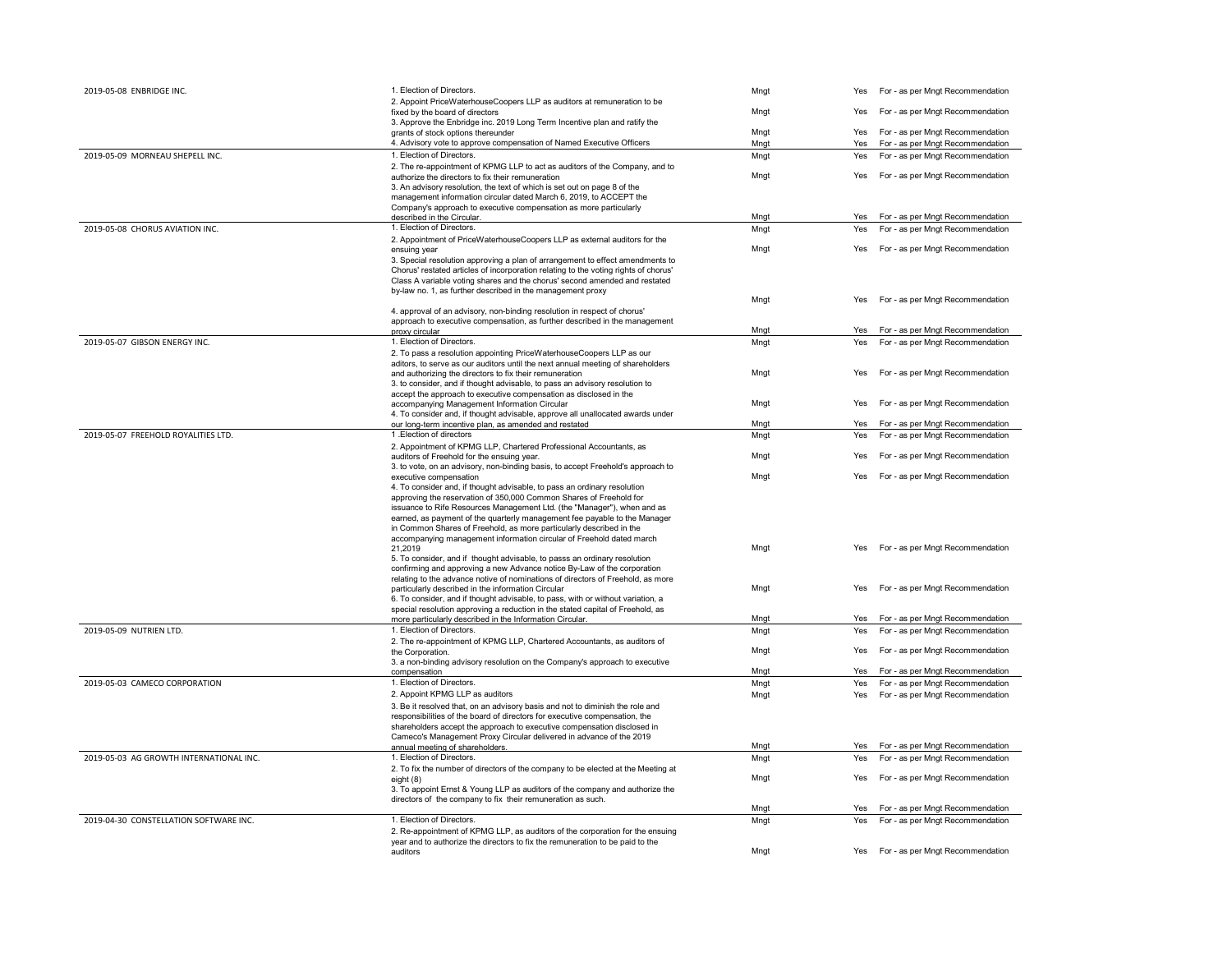| 2019-05-08 ENBRIDGE INC.                | 1. Election of Directors.                                                                                                                        | Mngt | Yes | For - as per Mngt Recommendation     |
|-----------------------------------------|--------------------------------------------------------------------------------------------------------------------------------------------------|------|-----|--------------------------------------|
|                                         | 2. Appoint PriceWaterhouseCoopers LLP as auditors at remuneration to be                                                                          |      |     |                                      |
|                                         | fixed by the board of directors                                                                                                                  | Mngt | Yes | For - as per Mngt Recommendation     |
|                                         | 3. Approve the Enbridge inc. 2019 Long Term Incentive plan and ratify the<br>grants of stock options thereunder                                  | Mngt | Yes | For - as per Mngt Recommendation     |
|                                         | 4. Advisory vote to approve compensation of Named Executive Officers                                                                             | Mnat | Yes | For - as per Mngt Recommendation     |
| 2019-05-09 MORNEAU SHEPELL INC.         | 1. Election of Directors.                                                                                                                        | Mngt | Yes | For - as per Mngt Recommendation     |
|                                         | 2. The re-appointment of KPMG LLP to act as auditors of the Company, and to                                                                      |      |     |                                      |
|                                         | authorize the directors to fix their remuneration                                                                                                | Mngt | Yes | For - as per Mngt Recommendation     |
|                                         | 3. An advisory resolution, the text of which is set out on page 8 of the                                                                         |      |     |                                      |
|                                         | management information circular dated March 6, 2019, to ACCEPT the                                                                               |      |     |                                      |
|                                         | Company's approach to executive compensation as more particularly                                                                                | Mngt | Yes | For - as per Mngt Recommendation     |
| 2019-05-08 CHORUS AVIATION INC.         | described in the Circular.<br>1. Election of Directors.                                                                                          | Mngt | Yes | For - as per Mngt Recommendation     |
|                                         | 2. Appointment of PriceWaterhouseCoopers LLP as external auditors for the                                                                        |      |     |                                      |
|                                         | ensuing year                                                                                                                                     | Mngt | Yes | For - as per Mngt Recommendation     |
|                                         | 3. Special resolution approving a plan of arrangement to effect amendments to                                                                    |      |     |                                      |
|                                         | Chorus' restated articles of incorporation relating to the voting rights of chorus'                                                              |      |     |                                      |
|                                         | Class A variable voting shares and the chorus' second amended and restated                                                                       |      |     |                                      |
|                                         | by-law no. 1, as further described in the management proxy                                                                                       | Mngt | Yes | For - as per Mngt Recommendation     |
|                                         | 4. approval of an advisory, non-binding resolution in respect of chorus'                                                                         |      |     |                                      |
|                                         | approach to executive compensation, as further described in the management                                                                       |      |     |                                      |
|                                         | proxy circular                                                                                                                                   | Mngt | Yes | For - as per Mngt Recommendation     |
| 2019-05-07 GIBSON ENERGY INC.           | 1. Election of Directors.                                                                                                                        | Mngt | Yes | For - as per Mngt Recommendation     |
|                                         | 2. To pass a resolution appointing PriceWaterhouseCoopers LLP as our                                                                             |      |     |                                      |
|                                         | aditors, to serve as our auditors until the next annual meeting of shareholders                                                                  | Mngt | Yes | For - as per Mngt Recommendation     |
|                                         | and authorizing the directors to fix their remuneration<br>3. to consider, and if thought advisable, to pass an advisory resolution to           |      |     |                                      |
|                                         | accept the approach to executive compensation as disclosed in the                                                                                |      |     |                                      |
|                                         | accompanying Management Information Circular                                                                                                     | Mngt | Yes | For - as per Mngt Recommendation     |
|                                         | 4. To consider and, if thought advisable, approve all unallocated awards under                                                                   |      |     |                                      |
|                                         | our long-term incentive plan, as amended and restated                                                                                            | Mngt | Yes | For - as per Mngt Recommendation     |
| 2019-05-07 FREEHOLD ROYALITIES LTD.     | 1. Election of directors                                                                                                                         | Mngt | Yes | For - as per Mngt Recommendation     |
|                                         | 2. Appointment of KPMG LLP, Chartered Professional Accountants, as<br>auditors of Freehold for the ensuing year.                                 | Mngt | Yes | For - as per Mngt Recommendation     |
|                                         | 3. to vote, on an advisory, non-binding basis, to accept Freehold's approach to                                                                  |      |     |                                      |
|                                         | executive compensation                                                                                                                           | Mngt | Yes | For - as per Mngt Recommendation     |
|                                         | 4. To consider and, if thought advisable, to pass an ordinary resolution                                                                         |      |     |                                      |
|                                         | approving the reservation of 350,000 Common Shares of Freehold for                                                                               |      |     |                                      |
|                                         | issuance to Rife Resources Management Ltd. (the "Manager"), when and as                                                                          |      |     |                                      |
|                                         | earned, as payment of the quarterly management fee payable to the Manager<br>in Common Shares of Freehold, as more particularly described in the |      |     |                                      |
|                                         | accompanying management information circular of Freehold dated march                                                                             |      |     |                                      |
|                                         | 21.2019                                                                                                                                          | Mngt | Yes | For - as per Mngt Recommendation     |
|                                         | 5. To consider, and if thought advisable, to passs an ordinary resolution                                                                        |      |     |                                      |
|                                         | confirming and approving a new Advance notice By-Law of the corporation                                                                          |      |     |                                      |
|                                         | relating to the advance notive of nominations of directors of Freehold, as more<br>particularly described in the information Circular            | Mngt | Yes | For - as per Mngt Recommendation     |
|                                         | 6. To consider, and if thought advisable, to pass, with or without variation, a                                                                  |      |     |                                      |
|                                         | special resolution approving a reduction in the stated capital of Freehold, as                                                                   |      |     |                                      |
|                                         | more particularly described in the Information Circular.                                                                                         | Mngt | Yes | For - as per Mngt Recommendation     |
| 2019-05-09 NUTRIEN LTD.                 | 1. Election of Directors.                                                                                                                        | Mngt | Yes | For - as per Mngt Recommendation     |
|                                         | 2. The re-appointment of KPMG LLP, Chartered Accountants, as auditors of                                                                         |      |     |                                      |
|                                         | the Corporation.<br>3. a non-binding advisory resolution on the Company's approach to executive                                                  | Mngt | Yes | For - as per Mngt Recommendation     |
|                                         | compensation                                                                                                                                     | Mngt | Yes | For - as per Mngt Recommendation     |
| 2019-05-03 CAMECO CORPORATION           | 1. Election of Directors.                                                                                                                        | Mnat | Yes | For - as per Mngt Recommendation     |
|                                         | 2. Appoint KPMG LLP as auditors                                                                                                                  | Mngt | Yes | For - as per Mngt Recommendation     |
|                                         | 3. Be it resolved that, on an advisory basis and not to diminish the role and                                                                    |      |     |                                      |
|                                         | responsibilities of the board of directors for executive compensation, the                                                                       |      |     |                                      |
|                                         | shareholders accept the approach to executive compensation disclosed in                                                                          |      |     |                                      |
|                                         | Cameco's Management Proxy Circular delivered in advance of the 2019                                                                              | Mngt | Yes | For - as per Mngt Recommendation     |
| 2019-05-03 AG GROWTH INTERNATIONAL INC. | annual meeting of shareholders.<br>1. Election of Directors.                                                                                     | Mngt | Yes | For - as per Mngt Recommendation     |
|                                         | 2. To fix the number of directors of the company to be elected at the Meeting at                                                                 |      |     |                                      |
|                                         | eight (8)                                                                                                                                        | Mngt | Yes | For - as per Mngt Recommendation     |
|                                         | 3. To appoint Ernst & Young LLP as auditors of the company and authorize the                                                                     |      |     |                                      |
|                                         | directors of the company to fix their remuneration as such.                                                                                      |      |     |                                      |
|                                         | 1. Election of Directors.                                                                                                                        | Mngt | Yes | For - as per Mngt Recommendation     |
| 2019-04-30 CONSTELLATION SOFTWARE INC.  | 2. Re-appointment of KPMG LLP, as auditors of the corporation for the ensuing                                                                    | Mngt | Yes | For - as per Mngt Recommendation     |
|                                         | year and to authorize the directors to fix the remuneration to be paid to the                                                                    |      |     |                                      |
|                                         | auditors                                                                                                                                         | Mngt |     | Yes For - as per Mngt Recommendation |
|                                         |                                                                                                                                                  |      |     |                                      |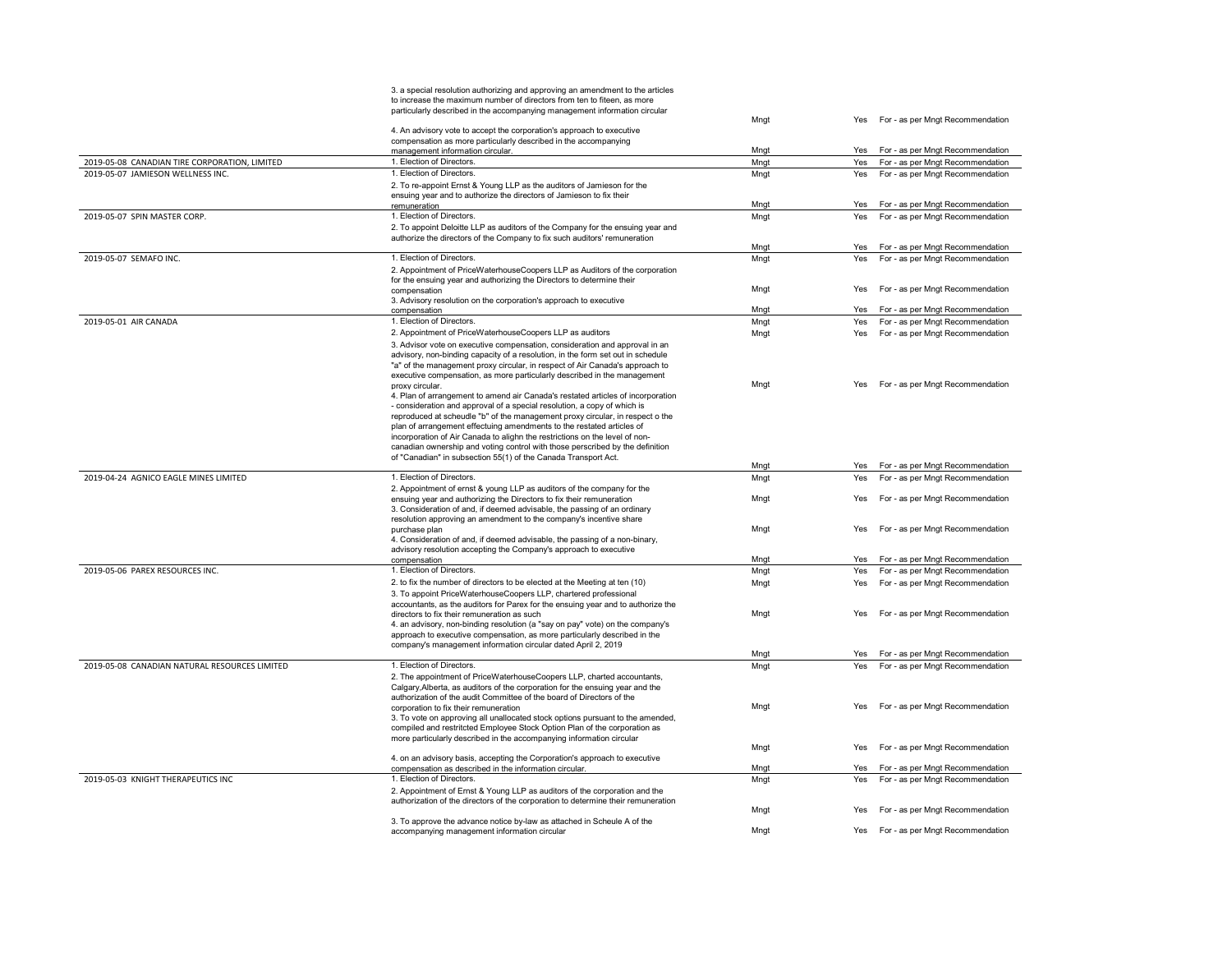|                                               | 3. a special resolution authorizing and approving an amendment to the articles                                                                                  |      |     |                                      |
|-----------------------------------------------|-----------------------------------------------------------------------------------------------------------------------------------------------------------------|------|-----|--------------------------------------|
|                                               | to increase the maximum number of directors from ten to fiteen, as more                                                                                         |      |     |                                      |
|                                               | particularly described in the accompanying management information circular                                                                                      | Mngt | Yes | For - as per Mngt Recommendation     |
|                                               | 4. An advisory vote to accept the corporation's approach to executive                                                                                           |      |     |                                      |
|                                               | compensation as more particularly described in the accompanying                                                                                                 |      |     |                                      |
|                                               | management information circular.                                                                                                                                | Mngt | Yes | For - as per Mngt Recommendation     |
| 2019-05-08 CANADIAN TIRE CORPORATION, LIMITED | 1. Election of Directors.                                                                                                                                       | Mngt | Yes | For - as per Mngt Recommendation     |
| 2019-05-07 JAMIESON WELLNESS INC.             | 1. Election of Directors.                                                                                                                                       | Mngt | Yes | For - as per Mngt Recommendation     |
|                                               | 2. To re-appoint Ernst & Young LLP as the auditors of Jamieson for the                                                                                          |      |     |                                      |
|                                               | ensuing year and to authorize the directors of Jamieson to fix their<br>remuneration                                                                            | Mngt | Yes | For - as per Mngt Recommendation     |
| 2019-05-07 SPIN MASTER CORP.                  | 1. Election of Directors.                                                                                                                                       | Mngt | Yes | For - as per Mngt Recommendation     |
|                                               | 2. To appoint Deloitte LLP as auditors of the Company for the ensuing year and                                                                                  |      |     |                                      |
|                                               | authorize the directors of the Company to fix such auditors' remuneration                                                                                       |      |     |                                      |
|                                               |                                                                                                                                                                 | Mngt | Yes | For - as per Mngt Recommendation     |
| 2019-05-07 SEMAFO INC.                        | 1. Election of Directors.                                                                                                                                       | Mngt | Yes | For - as per Mngt Recommendation     |
|                                               | 2. Appointment of PriceWaterhouseCoopers LLP as Auditors of the corporation                                                                                     |      |     |                                      |
|                                               | for the ensuing year and authorizing the Directors to determine their                                                                                           |      |     |                                      |
|                                               | compensation                                                                                                                                                    | Mngt | Yes | For - as per Mngt Recommendation     |
|                                               | 3. Advisory resolution on the corporation's approach to executive<br>compensation                                                                               | Mnat | Yes | For - as per Mngt Recommendation     |
| 2019-05-01 AIR CANADA                         | 1. Election of Directors.                                                                                                                                       | Mnat | Yes | For - as per Mngt Recommendation     |
|                                               | 2. Appointment of PriceWaterhouseCoopers LLP as auditors                                                                                                        | Mngt | Yes | For - as per Mngt Recommendation     |
|                                               | 3. Advisor vote on executive compensation, consideration and approval in an                                                                                     |      |     |                                      |
|                                               | advisory, non-binding capacity of a resolution, in the form set out in schedule                                                                                 |      |     |                                      |
|                                               | "a" of the management proxy circular, in respect of Air Canada's approach to                                                                                    |      |     |                                      |
|                                               | executive compensation, as more particularly described in the management                                                                                        |      |     |                                      |
|                                               | proxy circular.                                                                                                                                                 | Mngt | Yes | For - as per Mngt Recommendation     |
|                                               | 4. Plan of arrangement to amend air Canada's restated articles of incorporation                                                                                 |      |     |                                      |
|                                               | - consideration and approval of a special resolution, a copy of which is<br>reproduced at scheudle "b" of the management proxy circular, in respect o the       |      |     |                                      |
|                                               | plan of arrangement effectuing amendments to the restated articles of                                                                                           |      |     |                                      |
|                                               | incorporation of Air Canada to alighn the restrictions on the level of non-                                                                                     |      |     |                                      |
|                                               | canadian ownership and voting control with those perscribed by the definition                                                                                   |      |     |                                      |
|                                               | of "Canadian" in subsection 55(1) of the Canada Transport Act.                                                                                                  |      |     |                                      |
|                                               |                                                                                                                                                                 | Mngt | Yes | For - as per Mngt Recommendation     |
| 2019-04-24 AGNICO EAGLE MINES LIMITED         | 1. Election of Directors.                                                                                                                                       | Mngt | Yes | For - as per Mngt Recommendation     |
|                                               | 2. Appointment of ernst & young LLP as auditors of the company for the                                                                                          | Mngt | Yes | For - as per Mngt Recommendation     |
|                                               | ensuing year and authorizing the Directors to fix their remuneration<br>3. Consideration of and, if deemed advisable, the passing of an ordinary                |      |     |                                      |
|                                               | resolution approving an amendment to the company's incentive share                                                                                              |      |     |                                      |
|                                               | purchase plan                                                                                                                                                   | Mngt | Yes | For - as per Mngt Recommendation     |
|                                               | 4. Consideration of and, if deemed advisable, the passing of a non-binary,                                                                                      |      |     |                                      |
|                                               | advisory resolution accepting the Company's approach to executive                                                                                               |      |     |                                      |
|                                               | compensation                                                                                                                                                    | Mngt |     | Yes For - as per Mngt Recommendation |
| 2019-05-06 PAREX RESOURCES INC.               | 1. Election of Directors.                                                                                                                                       | Mngt | Yes | For - as per Mngt Recommendation     |
|                                               | 2. to fix the number of directors to be elected at the Meeting at ten (10)                                                                                      | Mngt | Yes | For - as per Mngt Recommendation     |
|                                               | 3. To appoint PriceWaterhouseCoopers LLP, chartered professional                                                                                                |      |     |                                      |
|                                               | accountants, as the auditors for Parex for the ensuing year and to authorize the<br>directors to fix their remuneration as such                                 | Mngt | Yes | For - as per Mngt Recommendation     |
|                                               | 4. an advisory, non-binding resolution (a "say on pay" vote) on the company's                                                                                   |      |     |                                      |
|                                               | approach to executive compensation, as more particularly described in the                                                                                       |      |     |                                      |
|                                               | company's management information circular dated April 2, 2019                                                                                                   |      |     |                                      |
|                                               |                                                                                                                                                                 | Mngt | Yes | For - as per Mngt Recommendation     |
| 2019-05-08 CANADIAN NATURAL RESOURCES LIMITED | 1. Election of Directors.                                                                                                                                       | Mngt | Yes | For - as per Mngt Recommendation     |
|                                               | 2. The appointment of PriceWaterhouseCoopers LLP, charted accountants,                                                                                          |      |     |                                      |
|                                               | Calgary, Alberta, as auditors of the corporation for the ensuing year and the                                                                                   |      |     |                                      |
|                                               | authorization of the audit Committee of the board of Directors of the<br>corporation to fix their remuneration                                                  | Mngt | Yes | For - as per Mngt Recommendation     |
|                                               | 3. To vote on approving all unallocated stock options pursuant to the amended,                                                                                  |      |     |                                      |
|                                               | compiled and restritcted Employee Stock Option Plan of the corporation as                                                                                       |      |     |                                      |
|                                               | more particularly described in the accompanying information circular                                                                                            |      |     |                                      |
|                                               |                                                                                                                                                                 | Mngt | Yes | For - as per Mngt Recommendation     |
|                                               | 4. on an advisory basis, accepting the Corporation's approach to executive                                                                                      |      |     |                                      |
|                                               | compensation as described in the information circular.                                                                                                          | Mngt | Yes | For - as per Mngt Recommendation     |
| 2019-05-03 KNIGHT THERAPEUTICS INC            | 1. Election of Directors.                                                                                                                                       | Mngt | Yes | For - as per Mngt Recommendation     |
|                                               | 2. Appointment of Ernst & Young LLP as auditors of the corporation and the<br>authorization of the directors of the corporation to determine their remuneration |      |     |                                      |
|                                               |                                                                                                                                                                 | Mngt | Yes | For - as per Mngt Recommendation     |
|                                               |                                                                                                                                                                 |      |     |                                      |
|                                               | 3. To approve the advance notice by-law as attached in Scheule A of the                                                                                         |      |     |                                      |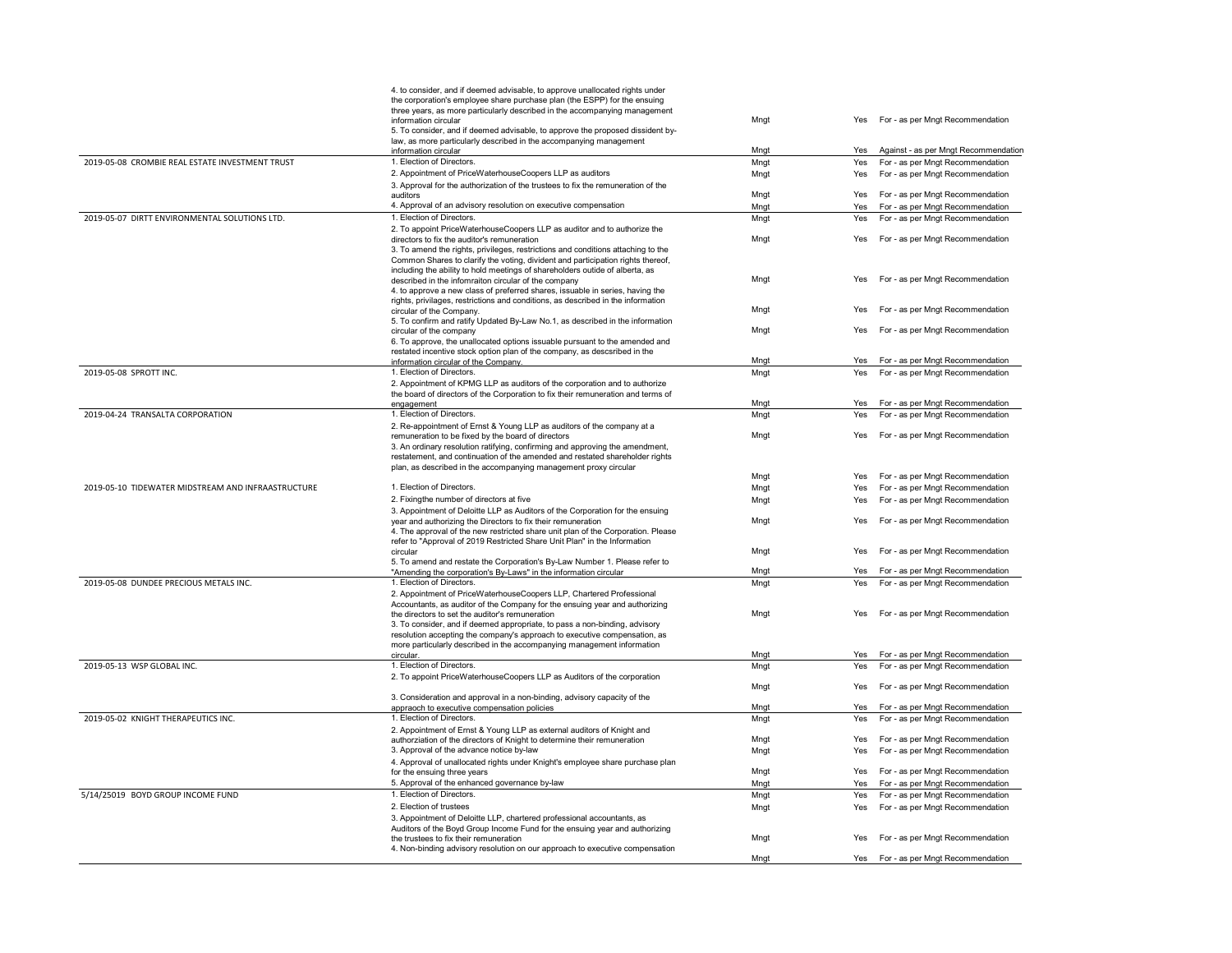|                                                    | 4. to consider, and if deemed advisable, to approve unallocated rights under<br>the corporation's employee share purchase plan (the ESPP) for the ensuing<br>three years, as more particularly described in the accompanying management<br>information circular | Mngt         | Yes        | For - as per Mngt Recommendation                                         |
|----------------------------------------------------|-----------------------------------------------------------------------------------------------------------------------------------------------------------------------------------------------------------------------------------------------------------------|--------------|------------|--------------------------------------------------------------------------|
|                                                    | 5. To consider, and if deemed advisable, to approve the proposed dissident by-<br>law, as more particularly described in the accompanying management                                                                                                            |              |            |                                                                          |
| 2019-05-08 CROMBIE REAL ESTATE INVESTMENT TRUST    | information circular<br>1. Election of Directors.                                                                                                                                                                                                               | Mngt<br>Mngt | Yes<br>Yes | Against - as per Mngt Recommendation<br>For - as per Mngt Recommendation |
|                                                    | 2. Appointment of PriceWaterhouseCoopers LLP as auditors                                                                                                                                                                                                        | Mngt         | Yes        | For - as per Mngt Recommendation                                         |
|                                                    | 3. Approval for the authorization of the trustees to fix the remuneration of the                                                                                                                                                                                |              |            |                                                                          |
|                                                    | auditors                                                                                                                                                                                                                                                        | Mngt         | Yes        | For - as per Mngt Recommendation                                         |
|                                                    | 4. Approval of an advisory resolution on executive compensation                                                                                                                                                                                                 | Mngt         | Yes        | For - as per Mngt Recommendation                                         |
| 2019-05-07 DIRTT ENVIRONMENTAL SOLUTIONS LTD.      | 1. Election of Directors.                                                                                                                                                                                                                                       | Mngt         | Yes        | For - as per Mngt Recommendation                                         |
|                                                    | 2. To appoint PriceWaterhouseCoopers LLP as auditor and to authorize the                                                                                                                                                                                        |              |            |                                                                          |
|                                                    | directors to fix the auditor's remuneration                                                                                                                                                                                                                     | Mngt         | Yes        | For - as per Mngt Recommendation                                         |
|                                                    | 3. To amend the rights, privileges, restrictions and conditions attaching to the                                                                                                                                                                                |              |            |                                                                          |
|                                                    | Common Shares to clarify the voting, divident and participation rights thereof,<br>including the ability to hold meetings of shareholders outide of alberta, as                                                                                                 |              |            |                                                                          |
|                                                    | described in the infomraiton circular of the company                                                                                                                                                                                                            | Mngt         | Yes        | For - as per Mngt Recommendation                                         |
|                                                    | 4. to approve a new class of preferred shares, issuable in series, having the                                                                                                                                                                                   |              |            |                                                                          |
|                                                    | rights, privilages, restrictions and conditions, as described in the information                                                                                                                                                                                |              |            |                                                                          |
|                                                    | circular of the Company.                                                                                                                                                                                                                                        | Mngt         | Yes        | For - as per Mngt Recommendation                                         |
|                                                    | 5. To confirm and ratify Updated By-Law No.1, as described in the information<br>circular of the company                                                                                                                                                        | Mngt         | Yes        | For - as per Mngt Recommendation                                         |
|                                                    | 6. To approve, the unallocated options issuable pursuant to the amended and                                                                                                                                                                                     |              |            |                                                                          |
|                                                    | restated incentive stock option plan of the company, as descsribed in the                                                                                                                                                                                       |              |            |                                                                          |
|                                                    | information circular of the Company.                                                                                                                                                                                                                            | Mngt         | Yes        | For - as per Mngt Recommendation                                         |
| 2019-05-08 SPROTT INC.                             | 1. Election of Directors.                                                                                                                                                                                                                                       | Mngt         | Yes        | For - as per Mngt Recommendation                                         |
|                                                    | 2. Appointment of KPMG LLP as auditors of the corporation and to authorize                                                                                                                                                                                      |              |            |                                                                          |
|                                                    | the board of directors of the Corporation to fix their remuneration and terms of                                                                                                                                                                                | Mngt         | Yes        | For - as per Mngt Recommendation                                         |
| 2019-04-24 TRANSALTA CORPORATION                   | engagement<br>1. Election of Directors.                                                                                                                                                                                                                         | Mngt         | Yes        | For - as per Mngt Recommendation                                         |
|                                                    | 2. Re-appointment of Ernst & Young LLP as auditors of the company at a                                                                                                                                                                                          |              |            |                                                                          |
|                                                    | remuneration to be fixed by the board of directors                                                                                                                                                                                                              | Mngt         | Yes        | For - as per Mngt Recommendation                                         |
|                                                    | 3. An ordinary resolution ratifying, confirming and approving the amendment,<br>restatement, and continuation of the amended and restated shareholder rights                                                                                                    |              |            |                                                                          |
|                                                    | plan, as described in the accompanying management proxy circular                                                                                                                                                                                                | Mngt         | Yes        | For - as per Mngt Recommendation                                         |
| 2019-05-10 TIDEWATER MIDSTREAM AND INFRAASTRUCTURE | 1. Election of Directors.                                                                                                                                                                                                                                       | Mngt         | Yes        | For - as per Mngt Recommendation                                         |
|                                                    | 2. Fixingthe number of directors at five                                                                                                                                                                                                                        | Mngt         | Yes        | For - as per Mngt Recommendation                                         |
|                                                    | 3. Appointment of Deloitte LLP as Auditors of the Corporation for the ensuing                                                                                                                                                                                   |              |            |                                                                          |
|                                                    | year and authorizing the Directors to fix their remuneration<br>4. The approval of the new restricted share unit plan of the Corporation. Please                                                                                                                | Mngt         | Yes        | For - as per Mngt Recommendation                                         |
|                                                    | refer to "Approval of 2019 Restricted Share Unit Plan" in the Information<br>circular                                                                                                                                                                           | Mngt         | Yes        | For - as per Mngt Recommendation                                         |
|                                                    | 5. To amend and restate the Corporation's By-Law Number 1. Please refer to                                                                                                                                                                                      |              |            |                                                                          |
|                                                    | "Amending the corporation's By-Laws" in the information circular                                                                                                                                                                                                | Mngt         | Yes        | For - as per Mngt Recommendation                                         |
| 2019-05-08 DUNDEE PRECIOUS METALS INC.             | 1. Election of Directors.                                                                                                                                                                                                                                       | Mngt         | Yes        | For - as per Mngt Recommendation                                         |
|                                                    | 2. Appointment of PriceWaterhouseCoopers LLP, Chartered Professional                                                                                                                                                                                            |              |            |                                                                          |
|                                                    | Accountants, as auditor of the Company for the ensuing year and authorizing                                                                                                                                                                                     | Mngt         | Yes        | For - as per Mngt Recommendation                                         |
|                                                    | the directors to set the auditor's remuneration<br>3. To consider, and if deemed appropriate, to pass a non-binding, advisory                                                                                                                                   |              |            |                                                                          |
|                                                    | resolution accepting the company's approach to executive compensation, as                                                                                                                                                                                       |              |            |                                                                          |
|                                                    | more particularly described in the accompanying management information                                                                                                                                                                                          |              |            |                                                                          |
|                                                    | circular.                                                                                                                                                                                                                                                       | Mngt         | Yes        | For - as per Mngt Recommendation                                         |
| 2019-05-13 WSP GLOBAL INC.                         | 1. Election of Directors.                                                                                                                                                                                                                                       | Mngt         | Yes        | For - as per Mngt Recommendation                                         |
|                                                    | 2. To appoint PriceWaterhouseCoopers LLP as Auditors of the corporation                                                                                                                                                                                         | Mngt         | Yes        | For - as per Mngt Recommendation                                         |
|                                                    | 3. Consideration and approval in a non-binding, advisory capacity of the                                                                                                                                                                                        |              |            |                                                                          |
|                                                    | appraoch to executive compensation policies                                                                                                                                                                                                                     | Mngt         | Yes        | For - as per Mngt Recommendation                                         |
| 2019-05-02 KNIGHT THERAPEUTICS INC.                | 1. Election of Directors.                                                                                                                                                                                                                                       | Mngt         | Yes        | For - as per Mngt Recommendation                                         |
|                                                    | 2. Appointment of Ernst & Young LLP as external auditors of Knight and                                                                                                                                                                                          |              |            |                                                                          |
|                                                    | authorziation of the directors of Knight to determine their remuneration                                                                                                                                                                                        | Mngt         | Yes        | For - as per Mngt Recommendation                                         |
|                                                    | 3. Approval of the advance notice by-law                                                                                                                                                                                                                        | Mngt         | Yes        | For - as per Mngt Recommendation                                         |
|                                                    | 4. Approval of unallocated rights under Knight's employee share purchase plan                                                                                                                                                                                   | Mngt         | Yes        | For - as per Mngt Recommendation                                         |
|                                                    | for the ensuing three years<br>5. Approval of the enhanced governance by-law                                                                                                                                                                                    | Mngt         | Yes        | For - as per Mngt Recommendation                                         |
| 5/14/25019 BOYD GROUP INCOME FUND                  | 1. Election of Directors.                                                                                                                                                                                                                                       | Mngt         | Yes        | For - as per Mngt Recommendation                                         |
|                                                    | 2. Election of trustees                                                                                                                                                                                                                                         | Mngt         | Yes        | For - as per Mngt Recommendation                                         |
|                                                    | 3. Appointment of Deloitte LLP, chartered professional accountants, as                                                                                                                                                                                          |              |            |                                                                          |
|                                                    | Auditors of the Boyd Group Income Fund for the ensuing year and authorizing                                                                                                                                                                                     |              |            |                                                                          |
|                                                    | the trustees to fix their remuneration                                                                                                                                                                                                                          | Mngt         | Yes        | For - as per Mngt Recommendation                                         |
|                                                    | 4. Non-binding advisory resolution on our approach to executive compensation                                                                                                                                                                                    |              |            | Yes For - as per Mngt Recommendation                                     |
|                                                    |                                                                                                                                                                                                                                                                 | Mngt         |            |                                                                          |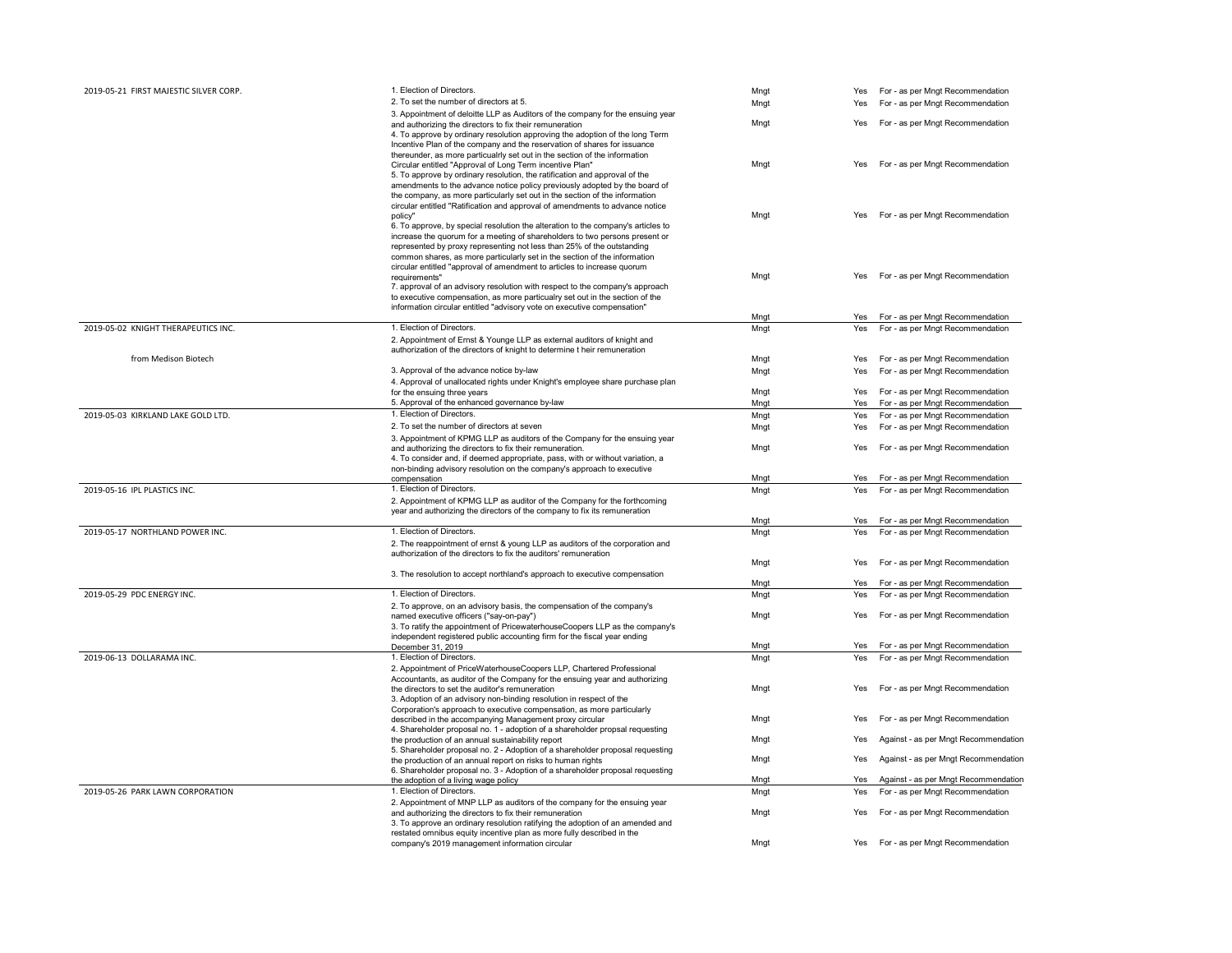| 2019-05-21 FIRST MAJESTIC SILVER CORP. | 1. Election of Directors.                                                                                                                                                                                                                                                                                                                                                                                         | Mngt |     | Yes For - as per Mngt Recommendation |
|----------------------------------------|-------------------------------------------------------------------------------------------------------------------------------------------------------------------------------------------------------------------------------------------------------------------------------------------------------------------------------------------------------------------------------------------------------------------|------|-----|--------------------------------------|
|                                        | 2. To set the number of directors at 5.                                                                                                                                                                                                                                                                                                                                                                           | Mngt | Yes | For - as per Mngt Recommendation     |
|                                        | 3. Appointment of deloitte LLP as Auditors of the company for the ensuing year<br>and authorizing the directors to fix their remuneration                                                                                                                                                                                                                                                                         | Mngt | Yes | For - as per Mngt Recommendation     |
|                                        | 4. To approve by ordinary resolution approving the adoption of the long Term<br>Incentive Plan of the company and the reservation of shares for issuance<br>thereunder, as more particualrly set out in the section of the information                                                                                                                                                                            |      |     |                                      |
|                                        | Circular entitled "Approval of Long Term incentive Plan"<br>5. To approve by ordinary resolution, the ratification and approval of the<br>amendments to the advance notice policy previously adopted by the board of<br>the company, as more particularly set out in the section of the information                                                                                                               | Mngt | Yes | For - as per Mngt Recommendation     |
|                                        | circular entitled "Ratification and approval of amendments to advance notice<br>policy"<br>6. To approve, by special resolution the alteration to the company's articles to<br>increase the quorum for a meeting of shareholders to two persons present or<br>represented by proxy representing not less than 25% of the outstanding<br>common shares, as more particularly set in the section of the information | Mngt | Yes | For - as per Mngt Recommendation     |
|                                        | circular entitled "approval of amendment to articles to increase quorum<br>requirements"<br>7. approval of an advisory resolution with respect to the company's approach<br>to executive compensation, as more particualry set out in the section of the<br>information circular entitled "advisory vote on executive compensation"                                                                               | Mngt | Yes | For - as per Mngt Recommendation     |
|                                        |                                                                                                                                                                                                                                                                                                                                                                                                                   | Mngt | Yes | For - as per Mngt Recommendation     |
| 2019-05-02 KNIGHT THERAPEUTICS INC.    | 1. Election of Directors.<br>2. Appointment of Ernst & Younge LLP as external auditors of knight and<br>authorization of the directors of knight to determine t heir remuneration                                                                                                                                                                                                                                 | Mngt | Yes | For - as per Mngt Recommendation     |
| from Medison Biotech                   |                                                                                                                                                                                                                                                                                                                                                                                                                   | Mngt | Yes | For - as per Mngt Recommendation     |
|                                        | 3. Approval of the advance notice by-law                                                                                                                                                                                                                                                                                                                                                                          | Mngt | Yes | For - as per Mngt Recommendation     |
|                                        | 4. Approval of unallocated rights under Knight's employee share purchase plan                                                                                                                                                                                                                                                                                                                                     |      |     |                                      |
|                                        | for the ensuing three years                                                                                                                                                                                                                                                                                                                                                                                       | Mngt | Yes | For - as per Mngt Recommendation     |
|                                        | 5. Approval of the enhanced governance by-law                                                                                                                                                                                                                                                                                                                                                                     | Mngt | Yes | For - as per Mngt Recommendation     |
| 2019-05-03 KIRKLAND LAKE GOLD LTD.     | 1. Election of Directors.                                                                                                                                                                                                                                                                                                                                                                                         | Mngt | Yes | For - as per Mngt Recommendation     |
|                                        | 2. To set the number of directors at seven                                                                                                                                                                                                                                                                                                                                                                        | Mngt | Yes | For - as per Mngt Recommendation     |
|                                        | 3. Appointment of KPMG LLP as auditors of the Company for the ensuing year                                                                                                                                                                                                                                                                                                                                        |      |     |                                      |
|                                        | and authorizing the directors to fix their remuneration.<br>4. To consider and, if deemed appropriate, pass, with or without variation, a<br>non-binding advisory resolution on the company's approach to executive                                                                                                                                                                                               | Mngt | Yes | For - as per Mngt Recommendation     |
|                                        | compensation                                                                                                                                                                                                                                                                                                                                                                                                      | Mngt | Yes | For - as per Mngt Recommendation     |
| 2019-05-16 IPL PLASTICS INC.           | 1. Election of Directors.                                                                                                                                                                                                                                                                                                                                                                                         | Mngt | Yes | For - as per Mngt Recommendation     |
|                                        | 2. Appointment of KPMG LLP as auditor of the Company for the forthcoming<br>year and authorizing the directors of the company to fix its remuneration                                                                                                                                                                                                                                                             |      |     |                                      |
|                                        | 1. Election of Directors.                                                                                                                                                                                                                                                                                                                                                                                         | Mngt | Yes | For - as per Mngt Recommendation     |
| 2019-05-17 NORTHLAND POWER INC.        | 2. The reappointment of ernst & young LLP as auditors of the corporation and<br>authorization of the directors to fix the auditors' remuneration                                                                                                                                                                                                                                                                  | Mngt | Yes | For - as per Mngt Recommendation     |
|                                        | 3. The resolution to accept northland's approach to executive compensation                                                                                                                                                                                                                                                                                                                                        | Mngt | Yes | For - as per Mngt Recommendation     |
|                                        |                                                                                                                                                                                                                                                                                                                                                                                                                   | Mngt | Yes | For - as per Mngt Recommendation     |
| 2019-05-29 PDC ENERGY INC.             | 1. Election of Directors.                                                                                                                                                                                                                                                                                                                                                                                         | Mngt | Yes | For - as per Mngt Recommendation     |
|                                        | 2. To approve, on an advisory basis, the compensation of the company's<br>named executive officers ("say-on-pay")<br>3. To ratify the appointment of PricewaterhouseCoopers LLP as the company's                                                                                                                                                                                                                  | Mngt | Yes | For - as per Mngt Recommendation     |
|                                        | independent registered public accounting firm for the fiscal year ending                                                                                                                                                                                                                                                                                                                                          |      |     |                                      |
|                                        | December 31, 2019                                                                                                                                                                                                                                                                                                                                                                                                 | Mngt | Yes | For - as per Mngt Recommendation     |
| 2019-06-13 DOLLARAMA INC.              | 1. Election of Directors.<br>2. Appointment of PriceWaterhouseCoopers LLP, Chartered Professional                                                                                                                                                                                                                                                                                                                 | Mngt | Yes | For - as per Mngt Recommendation     |
|                                        | Accountants, as auditor of the Company for the ensuing year and authorizing<br>the directors to set the auditor's remuneration<br>3. Adoption of an advisory non-binding resolution in respect of the                                                                                                                                                                                                             | Mngt | Yes | For - as per Mngt Recommendation     |
|                                        | Corporation's approach to executive compensation, as more particularly<br>described in the accompanying Management proxy circular<br>4. Shareholder proposal no. 1 - adoption of a shareholder propsal requesting                                                                                                                                                                                                 | Mngt | Yes | For - as per Mngt Recommendation     |
|                                        | the production of an annual sustainability report<br>5. Shareholder proposal no. 2 - Adoption of a shareholder proposal requesting                                                                                                                                                                                                                                                                                | Mngt | Yes | Against - as per Mngt Recommendation |
|                                        | the production of an annual report on risks to human rights<br>6. Shareholder proposal no. 3 - Adoption of a shareholder proposal requesting                                                                                                                                                                                                                                                                      | Mngt | Yes | Against - as per Mngt Recommendation |
|                                        | the adoption of a living wage policy                                                                                                                                                                                                                                                                                                                                                                              | Mngt | Yes | Against - as per Mngt Recommendation |
| 2019-05-26 PARK LAWN CORPORATION       | 1. Election of Directors.<br>2. Appointment of MNP LLP as auditors of the company for the ensuing year                                                                                                                                                                                                                                                                                                            | Mngt | Yes | For - as per Mngt Recommendation     |
|                                        | and authorizing the directors to fix their remuneration<br>3. To approve an ordinary resolution ratifying the adoption of an amended and<br>restated omnibus equity incentive plan as more fully described in the                                                                                                                                                                                                 | Mngt | Yes | For - as per Mngt Recommendation     |
|                                        | company's 2019 management information circular                                                                                                                                                                                                                                                                                                                                                                    | Mngt | Yes | For - as per Mngt Recommendation     |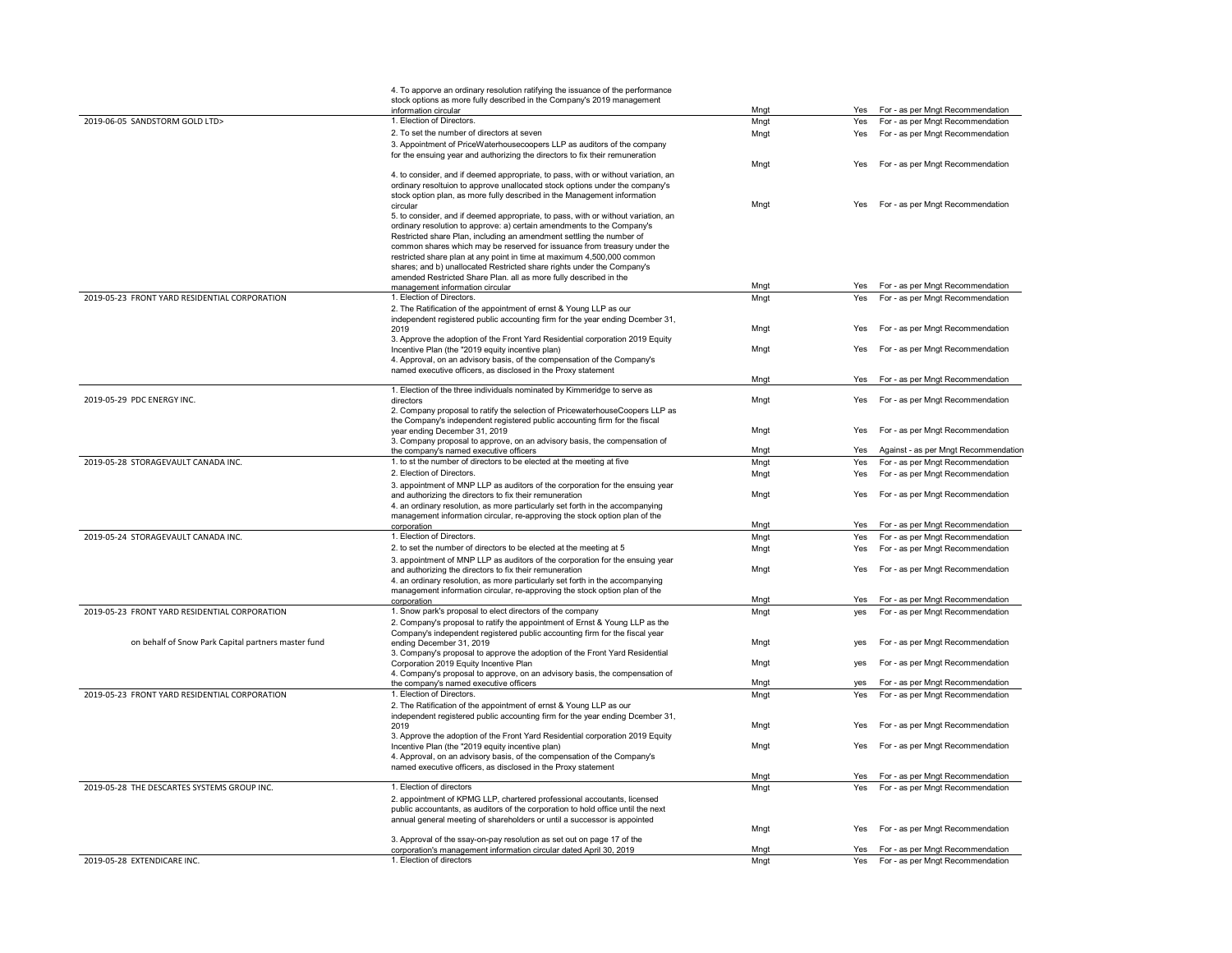|                                                     | 4. To apporve an ordinary resolution ratifying the issuance of the performance                                                                              |      |            |                                      |
|-----------------------------------------------------|-------------------------------------------------------------------------------------------------------------------------------------------------------------|------|------------|--------------------------------------|
|                                                     | stock options as more fully described in the Company's 2019 management<br>information circular                                                              | Mngt | Yes        | For - as per Mngt Recommendation     |
| 2019-06-05 SANDSTORM GOLD LTD>                      | 1. Election of Directors.                                                                                                                                   | Mngt | Yes        | For - as per Mngt Recommendation     |
|                                                     | 2. To set the number of directors at seven                                                                                                                  | Mngt | Yes        | For - as per Mngt Recommendation     |
|                                                     | 3. Appointment of PriceWaterhousecoopers LLP as auditors of the company                                                                                     |      |            |                                      |
|                                                     | for the ensuing year and authorizing the directors to fix their remuneration                                                                                |      |            |                                      |
|                                                     | 4. to consider, and if deemed appropriate, to pass, with or without variation, an                                                                           | Mngt | Yes        | For - as per Mngt Recommendation     |
|                                                     | ordinary resoltuion to approve unallocated stock options under the company's                                                                                |      |            |                                      |
|                                                     | stock option plan, as more fully described in the Management information                                                                                    |      |            |                                      |
|                                                     | circular                                                                                                                                                    | Mngt | Yes        | For - as per Mngt Recommendation     |
|                                                     | 5. to consider, and if deemed appropriate, to pass, with or without variation, an                                                                           |      |            |                                      |
|                                                     | ordinary resolution to approve: a) certain amendments to the Company's<br>Restricted share Plan, including an amendment settling the number of              |      |            |                                      |
|                                                     | common shares which may be reserved for issuance from treasury under the                                                                                    |      |            |                                      |
|                                                     | restricted share plan at any point in time at maximum 4,500,000 common                                                                                      |      |            |                                      |
|                                                     | shares; and b) unallocated Restricted share rights under the Company's                                                                                      |      |            |                                      |
|                                                     | amended Restricted Share Plan. all as more fully described in the<br>management information circular                                                        | Mngt | Yes        | For - as per Mngt Recommendation     |
| 2019-05-23 FRONT YARD RESIDENTIAL CORPORATION       | 1. Election of Directors.                                                                                                                                   | Mnat | Yes        | For - as per Mngt Recommendation     |
|                                                     | 2. The Ratification of the appointment of ernst & Young LLP as our                                                                                          |      |            |                                      |
|                                                     | independent registered public accounting firm for the year ending Dcember 31,                                                                               |      |            |                                      |
|                                                     | 2019                                                                                                                                                        | Mngt | Yes        | For - as per Mngt Recommendation     |
|                                                     | 3. Approve the adoption of the Front Yard Residential corporation 2019 Equity                                                                               |      | Yes        | For - as per Mngt Recommendation     |
|                                                     | Incentive Plan (the "2019 equity incentive plan)<br>4. Approval, on an advisory basis, of the compensation of the Company's                                 | Mngt |            |                                      |
|                                                     | named executive officers, as disclosed in the Proxy statement                                                                                               |      |            |                                      |
|                                                     |                                                                                                                                                             | Mngt | Yes        | For - as per Mngt Recommendation     |
|                                                     | 1. Election of the three individuals nominated by Kimmeridge to serve as                                                                                    |      |            |                                      |
| 2019-05-29 PDC ENERGY INC.                          | directors<br>2. Company proposal to ratify the selection of PricewaterhouseCoopers LLP as                                                                   | Mngt | Yes        | For - as per Mngt Recommendation     |
|                                                     | the Company's independent registered public accounting firm for the fiscal                                                                                  |      |            |                                      |
|                                                     | vear ending December 31, 2019                                                                                                                               | Mngt | Yes        | For - as per Mngt Recommendation     |
|                                                     | 3. Company proposal to approve, on an advisory basis, the compensation of                                                                                   |      |            |                                      |
|                                                     | the company's named executive officers<br>1. to st the number of directors to be elected at the meeting at five                                             | Mngt | Yes        | Against - as per Mngt Recommendation |
| 2019-05-28 STORAGEVAULT CANADA INC.                 | 2. Election of Directors.                                                                                                                                   | Mngt | Yes        | For - as per Mngt Recommendation     |
|                                                     | 3. appointment of MNP LLP as auditors of the corporation for the ensuing year                                                                               | Mngt | Yes        | For - as per Mngt Recommendation     |
|                                                     | and authorizing the directors to fix their remuneration                                                                                                     | Mngt | Yes        | For - as per Mngt Recommendation     |
|                                                     | 4. an ordinary resolution, as more particularly set forth in the accompanying                                                                               |      |            |                                      |
|                                                     | management information circular, re-approving the stock option plan of the                                                                                  |      |            |                                      |
| 2019-05-24 STORAGEVAULT CANADA INC.                 | corporation<br>1. Election of Directors.                                                                                                                    | Mngt | Yes        | For - as per Mngt Recommendation     |
|                                                     | 2. to set the number of directors to be elected at the meeting at 5                                                                                         | Mngt | Yes<br>Yes | For - as per Mngt Recommendation     |
|                                                     | 3. appointment of MNP LLP as auditors of the corporation for the ensuing year                                                                               | Mngt |            | For - as per Mngt Recommendation     |
|                                                     | and authorizing the directors to fix their remuneration                                                                                                     | Mngt | Yes        | For - as per Mngt Recommendation     |
|                                                     | 4. an ordinary resolution, as more particularly set forth in the accompanying                                                                               |      |            |                                      |
|                                                     | management information circular, re-approving the stock option plan of the                                                                                  |      |            |                                      |
|                                                     | corporation                                                                                                                                                 | Mngt | Yes        | For - as per Mngt Recommendation     |
| 2019-05-23 FRONT YARD RESIDENTIAL CORPORATION       | 1. Snow park's proposal to elect directors of the company<br>2. Company's proposal to ratify the appointment of Ernst & Young LLP as the                    | Mngt | yes        | For - as per Mngt Recommendation     |
|                                                     | Company's independent registered public accounting firm for the fiscal year                                                                                 |      |            |                                      |
| on behalf of Snow Park Capital partners master fund | ending December 31, 2019                                                                                                                                    | Mngt | yes        | For - as per Mngt Recommendation     |
|                                                     | 3. Company's proposal to approve the adoption of the Front Yard Residential                                                                                 |      |            |                                      |
|                                                     | Corporation 2019 Equity Incentive Plan<br>4. Company's proposal to approve, on an advisory basis, the compensation of                                       | Mngt | yes        | For - as per Mngt Recommendation     |
|                                                     | the company's named executive officers                                                                                                                      | Mnat | ves        | For - as per Mngt Recommendation     |
| 2019-05-23 FRONT YARD RESIDENTIAL CORPORATION       | 1. Election of Directors.                                                                                                                                   | Mngt | Yes        | For - as per Mngt Recommendation     |
|                                                     | 2. The Ratification of the appointment of ernst & Young LLP as our                                                                                          |      |            |                                      |
|                                                     | independent registered public accounting firm for the year ending Dcember 31,                                                                               |      |            |                                      |
|                                                     | 2019<br>3. Approve the adoption of the Front Yard Residential corporation 2019 Equity                                                                       | Mngt | Yes        | For - as per Mngt Recommendation     |
|                                                     | Incentive Plan (the "2019 equity incentive plan)                                                                                                            | Mngt | Yes        | For - as per Mngt Recommendation     |
|                                                     | 4. Approval, on an advisory basis, of the compensation of the Company's                                                                                     |      |            |                                      |
|                                                     | named executive officers, as disclosed in the Proxy statement                                                                                               |      |            |                                      |
|                                                     |                                                                                                                                                             | Mngt | Yes        | For - as per Mngt Recommendation     |
| 2019-05-28 THE DESCARTES SYSTEMS GROUP INC.         | 1. Election of directors                                                                                                                                    | Mngt | Yes        | For - as per Mngt Recommendation     |
|                                                     | 2. appointment of KPMG LLP, chartered professional accoutants, licensed<br>public accountants, as auditors of the corporation to hold office until the next |      |            |                                      |
|                                                     | annual general meeting of shareholders or until a successor is appointed                                                                                    |      |            |                                      |
|                                                     |                                                                                                                                                             | Mngt | Yes        | For - as per Mngt Recommendation     |
|                                                     | 3. Approval of the ssay-on-pay resolution as set out on page 17 of the                                                                                      |      |            |                                      |
| 2019-05-28 EXTENDICARE INC.                         | corporation's management information circular dated April 30, 2019<br>1. Election of directors                                                              | Mngt | Yes        | For - as per Mngt Recommendation     |
|                                                     |                                                                                                                                                             | Mngt | Yes        | For - as per Mngt Recommendation     |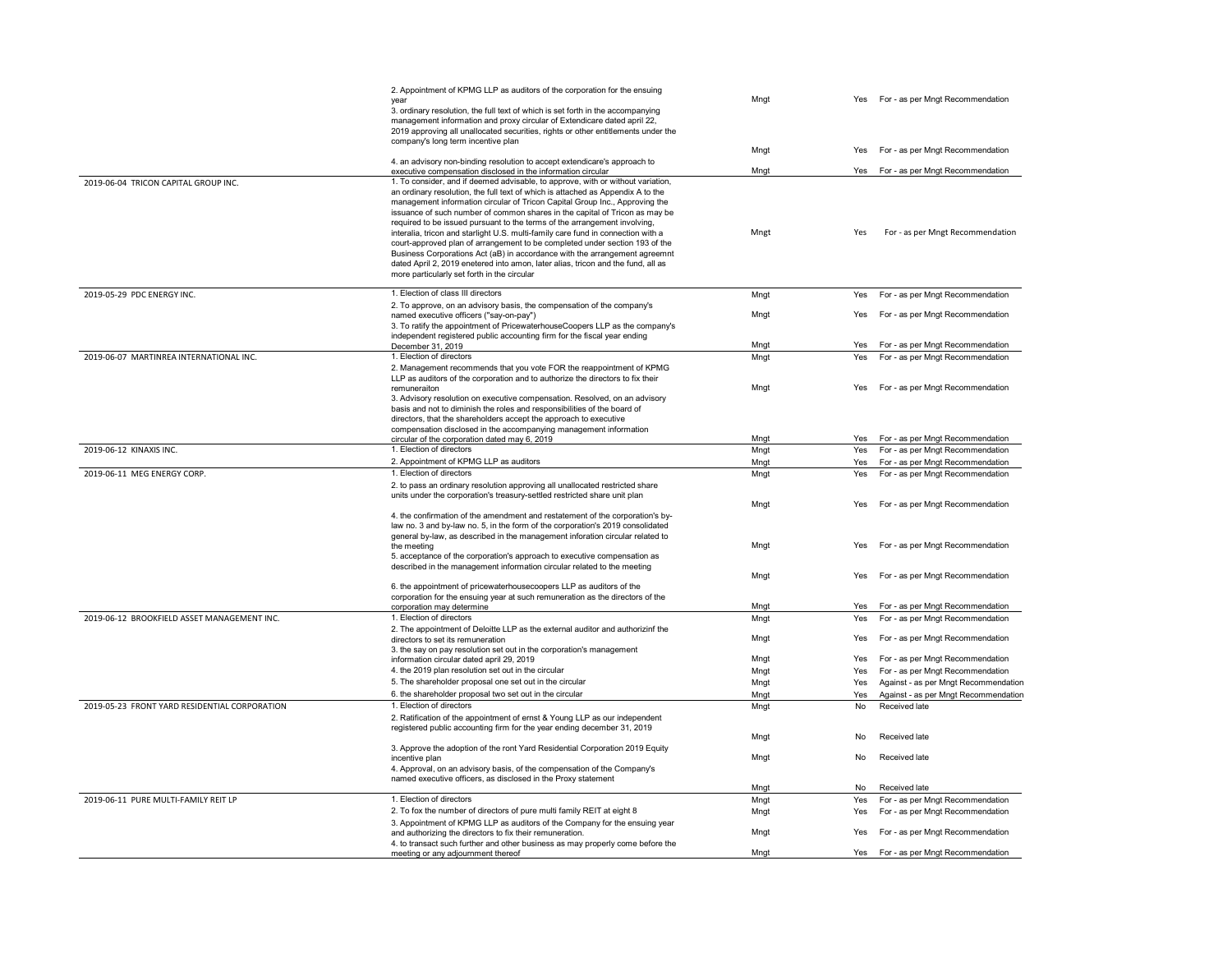|                                               | 2. Appointment of KPMG LLP as auditors of the corporation for the ensuing<br>vear                                                                                                                                                                                                                                                                                                                                                                                                                                                                                                                                                                                                                                                                                                                 | Mngt         | Yes        | For - as per Mngt Recommendation                                         |
|-----------------------------------------------|---------------------------------------------------------------------------------------------------------------------------------------------------------------------------------------------------------------------------------------------------------------------------------------------------------------------------------------------------------------------------------------------------------------------------------------------------------------------------------------------------------------------------------------------------------------------------------------------------------------------------------------------------------------------------------------------------------------------------------------------------------------------------------------------------|--------------|------------|--------------------------------------------------------------------------|
|                                               | 3. ordinary resolution, the full text of which is set forth in the accompanying<br>management information and proxy circular of Extendicare dated april 22,<br>2019 approving all unallocated securities, rights or other entitlements under the<br>company's long term incentive plan                                                                                                                                                                                                                                                                                                                                                                                                                                                                                                            |              |            |                                                                          |
|                                               | 4. an advisory non-binding resolution to accept extendicare's approach to                                                                                                                                                                                                                                                                                                                                                                                                                                                                                                                                                                                                                                                                                                                         | Mngt         | Yes        | For - as per Mngt Recommendation                                         |
|                                               | executive compensation disclosed in the information circular                                                                                                                                                                                                                                                                                                                                                                                                                                                                                                                                                                                                                                                                                                                                      | Mngt         | Yes        | For - as per Mngt Recommendation                                         |
| 2019-06-04 TRICON CAPITAL GROUP INC.          | 1. To consider, and if deemed advisable, to approve, with or without variation,<br>an ordinary resolution, the full text of which is attached as Appendix A to the<br>management information circular of Tricon Capital Group Inc., Approving the<br>issuance of such number of common shares in the capital of Tricon as may be<br>required to be issued pursuant to the terms of the arrangement involving,<br>interalia, tricon and starlight U.S. multi-family care fund in connection with a<br>court-approved plan of arrangement to be completed under section 193 of the<br>Business Corporations Act (aB) in accordance with the arrangement agreemnt<br>dated April 2, 2019 enetered into amon, later alias, tricon and the fund, all as<br>more particularly set forth in the circular | Mngt         | Yes        | For - as per Mngt Recommendation                                         |
| 2019-05-29 PDC ENERGY INC.                    | 1. Election of class III directors                                                                                                                                                                                                                                                                                                                                                                                                                                                                                                                                                                                                                                                                                                                                                                | Mngt         | Yes        | For - as per Mngt Recommendation                                         |
|                                               | 2. To approve, on an advisory basis, the compensation of the company's<br>named executive officers ("say-on-pay")<br>3. To ratify the appointment of PricewaterhouseCoopers LLP as the company's<br>independent registered public accounting firm for the fiscal year ending<br>December 31, 2019                                                                                                                                                                                                                                                                                                                                                                                                                                                                                                 | Mngt<br>Mngt | Yes<br>Yes | For - as per Mngt Recommendation<br>For - as per Mngt Recommendation     |
| 2019-06-07 MARTINREA INTERNATIONAL INC.       | 1. Election of directors                                                                                                                                                                                                                                                                                                                                                                                                                                                                                                                                                                                                                                                                                                                                                                          | Mngt         | Yes        | For - as per Mngt Recommendation                                         |
|                                               | 2. Management recommends that you vote FOR the reappointment of KPMG<br>LLP as auditors of the corporation and to authorize the directors to fix their<br>remuneraiton<br>3. Advisory resolution on executive compensation. Resolved, on an advisory<br>basis and not to diminish the roles and responsibilities of the board of<br>directors, that the shareholders accept the approach to executive<br>compensation disclosed in the accompanying management information                                                                                                                                                                                                                                                                                                                        | Mngt         | Yes        | For - as per Mngt Recommendation                                         |
|                                               | circular of the corporation dated may 6, 2019.<br>1. Election of directors                                                                                                                                                                                                                                                                                                                                                                                                                                                                                                                                                                                                                                                                                                                        | Mngt         |            | Yes For - as per Mngt Recommendation                                     |
| 2019-06-12 KINAXIS INC.                       | 2. Appointment of KPMG LLP as auditors                                                                                                                                                                                                                                                                                                                                                                                                                                                                                                                                                                                                                                                                                                                                                            | Mngt<br>Mngt | Yes<br>Yes | For - as per Mngt Recommendation<br>For - as per Mngt Recommendation     |
| 2019-06-11 MEG ENERGY CORP.                   | 1. Election of directors                                                                                                                                                                                                                                                                                                                                                                                                                                                                                                                                                                                                                                                                                                                                                                          | Mngt         | Yes        | For - as per Mngt Recommendation                                         |
|                                               | 2. to pass an ordinary resolution approving all unallocated restricted share<br>units under the corporation's treasury-settled restricted share unit plan                                                                                                                                                                                                                                                                                                                                                                                                                                                                                                                                                                                                                                         | Mngt         | Yes        | For - as per Mngt Recommendation                                         |
|                                               | 4. the confirmation of the amendment and restatement of the corporation's by-<br>law no. 3 and by-law no. 5, in the form of the corporation's 2019 consolidated<br>general by-law, as described in the management inforation circular related to<br>the meeting<br>5. acceptance of the corporation's approach to executive compensation as<br>described in the management information circular related to the meeting                                                                                                                                                                                                                                                                                                                                                                            | Mngt         | Yes        | For - as per Mngt Recommendation                                         |
|                                               | 6. the appointment of pricewaterhousecoopers LLP as auditors of the<br>corporation for the ensuing year at such remuneration as the directors of the                                                                                                                                                                                                                                                                                                                                                                                                                                                                                                                                                                                                                                              | Mngt         | Yes        | For - as per Mngt Recommendation                                         |
|                                               | corporation may determine                                                                                                                                                                                                                                                                                                                                                                                                                                                                                                                                                                                                                                                                                                                                                                         | Mngt         | Yes        | For - as per Mngt Recommendation                                         |
| 2019-06-12 BROOKFIELD ASSET MANAGEMENT INC.   | 1. Election of directors<br>2. The appointment of Deloitte LLP as the external auditor and authorizinf the                                                                                                                                                                                                                                                                                                                                                                                                                                                                                                                                                                                                                                                                                        | Mngt         | Yes        | For - as per Mngt Recommendation                                         |
|                                               | directors to set its remuneration<br>3. the say on pay resolution set out in the corporation's management                                                                                                                                                                                                                                                                                                                                                                                                                                                                                                                                                                                                                                                                                         | Mngt         | Yes        | For - as per Mngt Recommendation                                         |
|                                               | information circular dated april 29, 2019<br>4. the 2019 plan resolution set out in the circular                                                                                                                                                                                                                                                                                                                                                                                                                                                                                                                                                                                                                                                                                                  | Mngt         | Yes        | For - as per Mngt Recommendation                                         |
|                                               | 5. The shareholder proposal one set out in the circular                                                                                                                                                                                                                                                                                                                                                                                                                                                                                                                                                                                                                                                                                                                                           | Mngt<br>Mngt | Yes<br>Yes | For - as per Mngt Recommendation<br>Against - as per Mngt Recommendation |
|                                               | 6. the shareholder proposal two set out in the circular                                                                                                                                                                                                                                                                                                                                                                                                                                                                                                                                                                                                                                                                                                                                           | Mngt         | Yes        | Against - as per Mngt Recommendation                                     |
| 2019-05-23 FRONT YARD RESIDENTIAL CORPORATION | 1. Election of directors                                                                                                                                                                                                                                                                                                                                                                                                                                                                                                                                                                                                                                                                                                                                                                          | Mngt         | No         | Received late                                                            |
|                                               | 2. Ratification of the appointment of ernst & Young LLP as our independent<br>registered public accounting firm for the year ending december 31, 2019                                                                                                                                                                                                                                                                                                                                                                                                                                                                                                                                                                                                                                             | Mngt         | No         | Received late                                                            |
|                                               | 3. Approve the adoption of the ront Yard Residential Corporation 2019 Equity                                                                                                                                                                                                                                                                                                                                                                                                                                                                                                                                                                                                                                                                                                                      |              |            |                                                                          |
|                                               | incentive plan<br>4. Approval, on an advisory basis, of the compensation of the Company's<br>named executive officers, as disclosed in the Proxy statement                                                                                                                                                                                                                                                                                                                                                                                                                                                                                                                                                                                                                                        | Mngt         | No         | Received late                                                            |
|                                               |                                                                                                                                                                                                                                                                                                                                                                                                                                                                                                                                                                                                                                                                                                                                                                                                   | Mngt         | No         | Received late                                                            |
| 2019-06-11 PURE MULTI-FAMILY REIT LP          | 1. Election of directors                                                                                                                                                                                                                                                                                                                                                                                                                                                                                                                                                                                                                                                                                                                                                                          | Mngt         | Yes        | For - as per Mngt Recommendation                                         |
|                                               | 2. To fox the number of directors of pure multi family REIT at eight 8<br>3. Appointment of KPMG LLP as auditors of the Company for the ensuing year<br>and authorizing the directors to fix their remuneration.                                                                                                                                                                                                                                                                                                                                                                                                                                                                                                                                                                                  | Mngt<br>Mngt | Yes<br>Yes | For - as per Mngt Recommendation<br>For - as per Mngt Recommendation     |
|                                               | 4. to transact such further and other business as may properly come before the<br>meeting or any adjournment thereof                                                                                                                                                                                                                                                                                                                                                                                                                                                                                                                                                                                                                                                                              | Mngt         | Yes        | For - as per Mngt Recommendation                                         |
|                                               |                                                                                                                                                                                                                                                                                                                                                                                                                                                                                                                                                                                                                                                                                                                                                                                                   |              |            |                                                                          |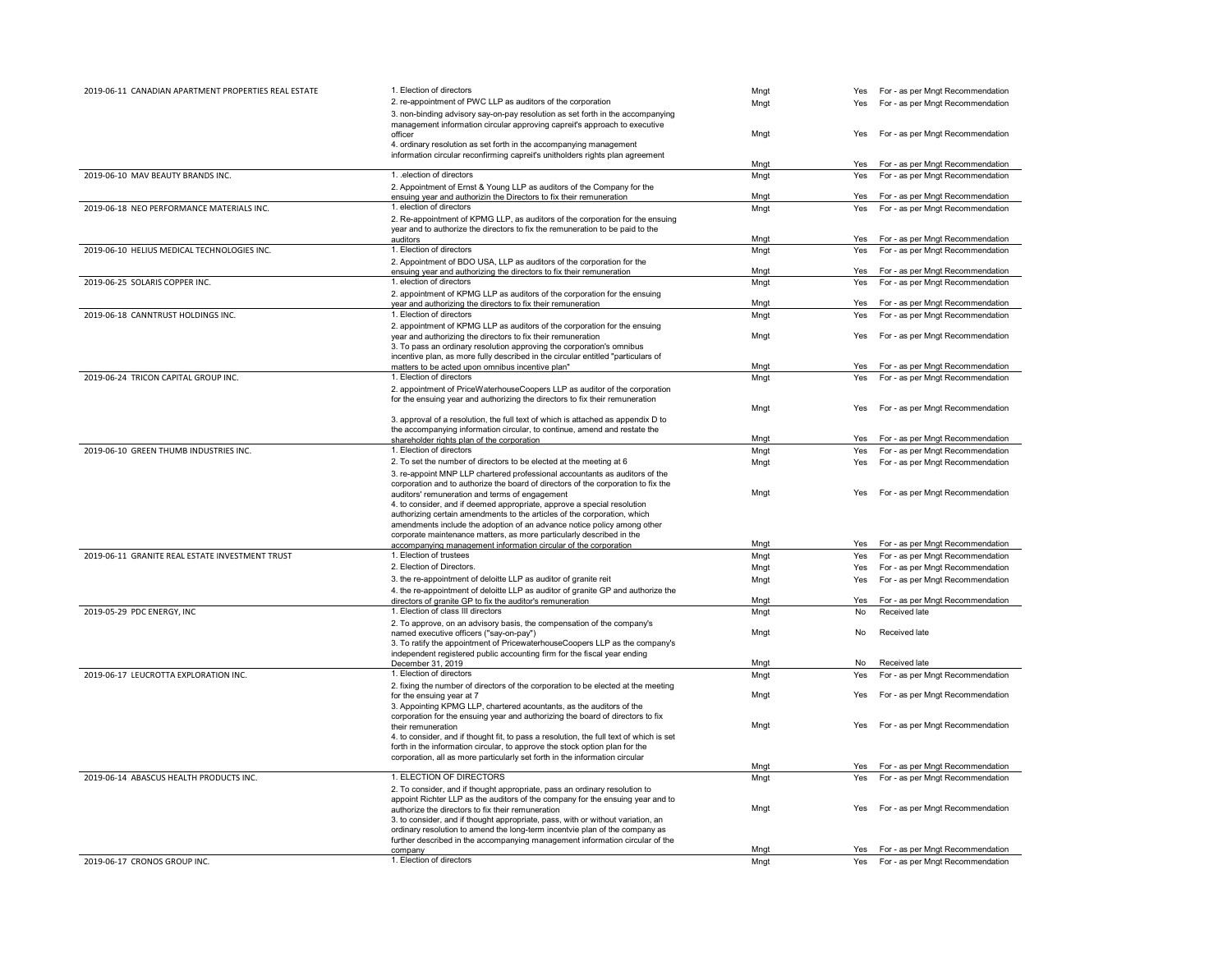| 2019-06-11 CANADIAN APARTMENT PROPERTIES REAL ESTATE | 1. Election of directors                                                                | Mngt | Yes | For - as per Mngt Recommendation |
|------------------------------------------------------|-----------------------------------------------------------------------------------------|------|-----|----------------------------------|
|                                                      | 2. re-appointment of PWC LLP as auditors of the corporation                             | Mngt | Yes | For - as per Mngt Recommendation |
|                                                      | 3. non-binding advisory say-on-pay resolution as set forth in the accompanying          |      |     |                                  |
|                                                      | management information circular approving capreit's approach to executive               |      |     |                                  |
|                                                      | officer                                                                                 | Mngt | Yes | For - as per Mngt Recommendation |
|                                                      | 4. ordinary resolution as set forth in the accompanying management                      |      |     |                                  |
|                                                      | information circular reconfirming capreit's unitholders rights plan agreement           |      |     |                                  |
|                                                      |                                                                                         | Mngt | Yes | For - as per Mngt Recommendation |
| 2019-06-10 MAV BEAUTY BRANDS INC.                    | 1. .election of directors                                                               | Mngt | Yes | For - as per Mngt Recommendation |
|                                                      | 2. Appointment of Ernst & Young LLP as auditors of the Company for the                  |      |     |                                  |
|                                                      | ensuing year and authorizin the Directors to fix their remuneration                     | Mngt | Yes | For - as per Mngt Recommendation |
| 2019-06-18 NEO PERFORMANCE MATERIALS INC.            | 1. election of directors                                                                | Mngt | Yes | For - as per Mngt Recommendation |
|                                                      | 2. Re-appointment of KPMG LLP, as auditors of the corporation for the ensuing           |      |     |                                  |
|                                                      | year and to authorize the directors to fix the remuneration to be paid to the           |      |     |                                  |
|                                                      | auditors                                                                                | Mngt | Yes | For - as per Mngt Recommendation |
| 2019-06-10 HELIUS MEDICAL TECHNOLOGIES INC.          | 1. Election of directors                                                                | Mngt | Yes | For - as per Mngt Recommendation |
|                                                      | 2. Appointment of BDO USA, LLP as auditors of the corporation for the                   |      |     |                                  |
|                                                      | ensuing year and authorizing the directors to fix their remuneration                    | Mngt | Yes | For - as per Mngt Recommendation |
| 2019-06-25 SOLARIS COPPER INC.                       | 1. election of directors                                                                | Mngt | Yes | For - as per Mngt Recommendation |
|                                                      | 2. appointment of KPMG LLP as auditors of the corporation for the ensuing               |      |     |                                  |
|                                                      | year and authorizing the directors to fix their remuneration                            | Mngt | Yes | For - as per Mngt Recommendation |
| 2019-06-18 CANNTRUST HOLDINGS INC.                   | 1. Election of directors                                                                | Mngt | Yes | For - as per Mngt Recommendation |
|                                                      | 2. appointment of KPMG LLP as auditors of the corporation for the ensuing               |      |     |                                  |
|                                                      | year and authorizing the directors to fix their remuneration                            | Mngt | Yes | For - as per Mngt Recommendation |
|                                                      | 3. To pass an ordinary resolution approving the corporation's omnibus                   |      |     |                                  |
|                                                      | incentive plan, as more fully described in the circular entitled "particulars of        |      |     |                                  |
|                                                      | matters to be acted upon omnibus incentive plan"                                        | Mngt | Yes | For - as per Mngt Recommendation |
| 2019-06-24 TRICON CAPITAL GROUP INC.                 | 1. Election of directors                                                                | Mnat | Yes | For - as per Mngt Recommendation |
|                                                      | 2. appointment of PriceWaterhouseCoopers LLP as auditor of the corporation              |      |     |                                  |
|                                                      | for the ensuing year and authorizing the directors to fix their remuneration            |      |     |                                  |
|                                                      |                                                                                         | Mngt | Yes | For - as per Mngt Recommendation |
|                                                      | 3. approval of a resolution, the full text of which is attached as appendix D to        |      |     |                                  |
|                                                      | the accompanying information circular, to continue, amend and restate the               |      |     |                                  |
|                                                      | shareholder rights plan of the corporation                                              | Mngt | Yes | For - as per Mngt Recommendation |
| 2019-06-10 GREEN THUMB INDUSTRIES INC.               | 1. Election of directors                                                                | Mngt | Yes | For - as per Mngt Recommendation |
|                                                      | 2. To set the number of directors to be elected at the meeting at 6                     | Mngt | Yes | For - as per Mngt Recommendation |
|                                                      | 3. re-appoint MNP LLP chartered professional accountants as auditors of the             |      |     |                                  |
|                                                      | corporation and to authorize the board of directors of the corporation to fix the       |      |     |                                  |
|                                                      | auditors' remuneration and terms of engagement                                          | Mngt | Yes | For - as per Mngt Recommendation |
|                                                      | 4. to consider, and if deemed appropriate, approve a special resolution                 |      |     |                                  |
|                                                      | authorizing certain amendments to the articles of the corporation, which                |      |     |                                  |
|                                                      | amendments include the adoption of an advance notice policy among other                 |      |     |                                  |
|                                                      | corporate maintenance matters, as more particularly described in the                    |      |     |                                  |
|                                                      | accompanying management information circular of the corporation                         | Mngt | Yes | For - as per Mngt Recommendation |
| 2019-06-11 GRANITE REAL ESTATE INVESTMENT TRUST      | 1. Election of trustees                                                                 | Mngt | Yes | For - as per Mngt Recommendation |
|                                                      | 2. Election of Directors.                                                               | Mngt | Yes | For - as per Mngt Recommendation |
|                                                      | 3. the re-appointment of deloitte LLP as auditor of granite reit                        | Mngt | Yes | For - as per Mngt Recommendation |
|                                                      | 4. the re-appointment of deloitte LLP as auditor of granite GP and authorize the        |      |     |                                  |
|                                                      | directors of granite GP to fix the auditor's remuneration                               | Mngt | Yes | For - as per Mngt Recommendation |
| 2019-05-29 PDC ENERGY, INC                           | 1. Election of class III directors                                                      | Mngt | No  | Received late                    |
|                                                      | 2. To approve, on an advisory basis, the compensation of the company's                  |      |     |                                  |
|                                                      | named executive officers ("say-on-pay")                                                 | Mngt | No  | Received late                    |
|                                                      | 3. To ratify the appointment of PricewaterhouseCoopers LLP as the company's             |      |     |                                  |
|                                                      | independent registered public accounting firm for the fiscal year ending                |      |     |                                  |
|                                                      | December 31, 2019                                                                       | Mngt | No  | Received late                    |
| 2019-06-17 LEUCROTTA EXPLORATION INC.                | 1. Election of directors                                                                | Mngt | Yes | For - as per Mngt Recommendation |
|                                                      | 2. fixing the number of directors of the corporation to be elected at the meeting       |      |     |                                  |
|                                                      | for the ensuing year at 7                                                               | Mngt | Yes | For - as per Mngt Recommendation |
|                                                      | 3. Appointing KPMG LLP, chartered acountants, as the auditors of the                    |      |     |                                  |
|                                                      | corporation for the ensuing year and authorizing the board of directors to fix          |      |     |                                  |
|                                                      | their remuneration                                                                      | Mngt | Yes | For - as per Mngt Recommendation |
|                                                      | 4. to consider, and if thought fit, to pass a resolution, the full text of which is set |      |     |                                  |
|                                                      | forth in the information circular, to approve the stock option plan for the             |      |     |                                  |
|                                                      | corporation, all as more particularly set forth in the information circular             | Mngt | Yes | For - as per Mngt Recommendation |
|                                                      |                                                                                         |      |     |                                  |
| 2019-06-14 ABASCUS HEALTH PRODUCTS INC.              | 1. ELECTION OF DIRECTORS                                                                | Mngt | Yes | For - as per Mngt Recommendation |
|                                                      | 2. To consider, and if thought appropriate, pass an ordinary resolution to              |      |     |                                  |
|                                                      | appoint Richter LLP as the auditors of the company for the ensuing year and to          |      |     |                                  |
|                                                      | authorize the directors to fix their remuneration                                       | Mngt | Yes | For - as per Mngt Recommendation |
|                                                      | 3. to consider, and if thought appropriate, pass, with or without variation, an         |      |     |                                  |
|                                                      | ordinary resolution to amend the long-term incentvie plan of the company as             |      |     |                                  |
|                                                      | further described in the accompanying management information circular of the            | Mnat | Yes | For - as per Mngt Recommendation |
| 2019-06-17 CRONOS GROUP INC.                         | company<br>1. Election of directors                                                     | Mngt |     |                                  |
|                                                      |                                                                                         |      | Yes | For - as per Mngt Recommendation |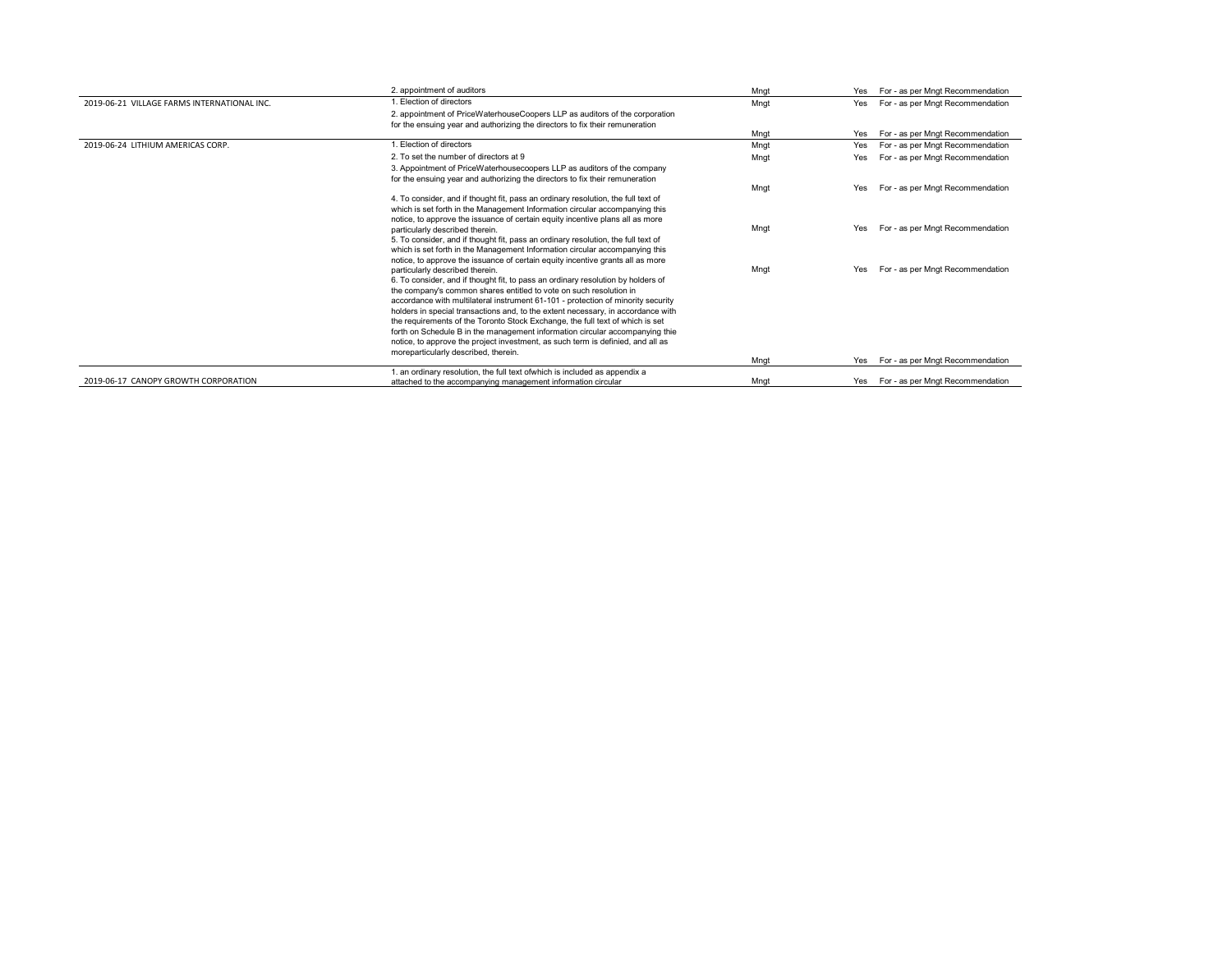|                                             | 2. appointment of auditors                                                                                                                                                                                                                                                                                                                                                                                                                                                                                                                                                                                                                                    | Mngt | Yes | For - as per Mngt Recommendation     |
|---------------------------------------------|---------------------------------------------------------------------------------------------------------------------------------------------------------------------------------------------------------------------------------------------------------------------------------------------------------------------------------------------------------------------------------------------------------------------------------------------------------------------------------------------------------------------------------------------------------------------------------------------------------------------------------------------------------------|------|-----|--------------------------------------|
| 2019-06-21 VILLAGE FARMS INTERNATIONAL INC. | . Election of directors                                                                                                                                                                                                                                                                                                                                                                                                                                                                                                                                                                                                                                       | Mngt | Yes | For - as per Mngt Recommendation     |
|                                             | 2. appointment of PriceWaterhouseCoopers LLP as auditors of the corporation<br>for the ensuing year and authorizing the directors to fix their remuneration                                                                                                                                                                                                                                                                                                                                                                                                                                                                                                   |      |     |                                      |
|                                             |                                                                                                                                                                                                                                                                                                                                                                                                                                                                                                                                                                                                                                                               | Mngt | Yes | For - as per Mngt Recommendation     |
| 2019-06-24 LITHIUM AMFRICAS CORP.           | . Election of directors                                                                                                                                                                                                                                                                                                                                                                                                                                                                                                                                                                                                                                       | Mngt | Yes | For - as per Mngt Recommendation     |
|                                             | 2. To set the number of directors at 9                                                                                                                                                                                                                                                                                                                                                                                                                                                                                                                                                                                                                        | Mngt | Yes | For - as per Mngt Recommendation     |
|                                             | 3. Appointment of PriceWaterhousecoopers LLP as auditors of the company<br>for the ensuing year and authorizing the directors to fix their remuneration                                                                                                                                                                                                                                                                                                                                                                                                                                                                                                       |      |     |                                      |
|                                             |                                                                                                                                                                                                                                                                                                                                                                                                                                                                                                                                                                                                                                                               | Mngt | Yes | For - as per Mngt Recommendation     |
|                                             | 4. To consider, and if thought fit, pass an ordinary resolution, the full text of<br>which is set forth in the Management Information circular accompanying this<br>notice, to approve the issuance of certain equity incentive plans all as more                                                                                                                                                                                                                                                                                                                                                                                                             |      |     |                                      |
|                                             | particularly described therein.<br>5. To consider, and if thought fit, pass an ordinary resolution, the full text of<br>which is set forth in the Management Information circular accompanying this<br>notice, to approve the issuance of certain equity incentive grants all as more                                                                                                                                                                                                                                                                                                                                                                         | Mngt | Yes | For - as per Mngt Recommendation     |
|                                             | particularly described therein.<br>6. To consider, and if thought fit, to pass an ordinary resolution by holders of<br>the company's common shares entitled to vote on such resolution in<br>accordance with multilateral instrument 61-101 - protection of minority security<br>holders in special transactions and, to the extent necessary, in accordance with<br>the requirements of the Toronto Stock Exchange, the full text of which is set<br>forth on Schedule B in the management information circular accompanying thie<br>notice, to approve the project investment, as such term is definied, and all as<br>moreparticularly described, therein. | Mngt | Yes | For - as per Mngt Recommendation     |
|                                             |                                                                                                                                                                                                                                                                                                                                                                                                                                                                                                                                                                                                                                                               | Mngt | Yes | For - as per Mngt Recommendation     |
| 2019-06-17 CANOPY GROWTH CORPORATION        | 1. an ordinary resolution, the full text ofwhich is included as appendix a<br>attached to the accompanying management information circular                                                                                                                                                                                                                                                                                                                                                                                                                                                                                                                    | Mnat |     | Yes For - as per Mngt Recommendation |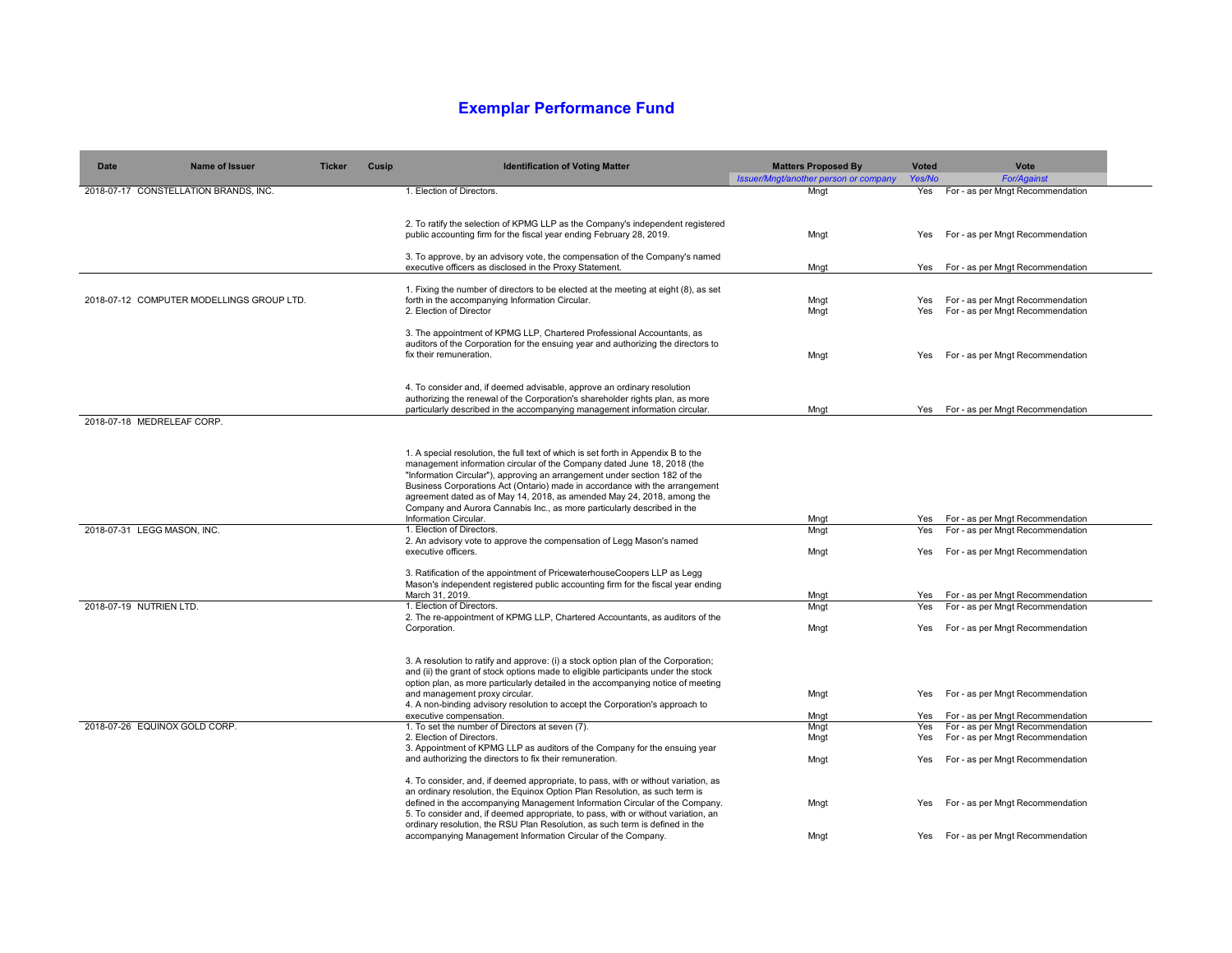## **Exemplar Performance Fund**

| Date                          | <b>Name of Issuer</b>                     | <b>Ticker</b> | Cusip | <b>Identification of Voting Matter</b>                                                                                                                                                                                                                                                                                                                                                                                                                                                                  | <b>Matters Proposed By</b>                    | <b>Voted</b> | Vote                                                       |
|-------------------------------|-------------------------------------------|---------------|-------|---------------------------------------------------------------------------------------------------------------------------------------------------------------------------------------------------------------------------------------------------------------------------------------------------------------------------------------------------------------------------------------------------------------------------------------------------------------------------------------------------------|-----------------------------------------------|--------------|------------------------------------------------------------|
|                               | 2018-07-17 CONSTELLATION BRANDS, INC.     |               |       | 1. Election of Directors.                                                                                                                                                                                                                                                                                                                                                                                                                                                                               | Issuer/Mngt/another person or company<br>Mngt | Yes/No       | <b>For/Against</b><br>Yes For - as per Mngt Recommendation |
|                               |                                           |               |       |                                                                                                                                                                                                                                                                                                                                                                                                                                                                                                         |                                               |              |                                                            |
|                               |                                           |               |       | 2. To ratify the selection of KPMG LLP as the Company's independent registered<br>public accounting firm for the fiscal year ending February 28, 2019.                                                                                                                                                                                                                                                                                                                                                  | Mngt                                          | Yes          | For - as per Mngt Recommendation                           |
|                               |                                           |               |       | 3. To approve, by an advisory vote, the compensation of the Company's named<br>executive officers as disclosed in the Proxy Statement.                                                                                                                                                                                                                                                                                                                                                                  | Mngt                                          |              | Yes For - as per Mngt Recommendation                       |
|                               |                                           |               |       |                                                                                                                                                                                                                                                                                                                                                                                                                                                                                                         |                                               |              |                                                            |
|                               | 2018-07-12 COMPUTER MODELLINGS GROUP LTD. |               |       | 1. Fixing the number of directors to be elected at the meeting at eight (8), as set<br>forth in the accompanying Information Circular.                                                                                                                                                                                                                                                                                                                                                                  | Mngt                                          | Yes          | For - as per Mngt Recommendation                           |
|                               |                                           |               |       | 2. Election of Director                                                                                                                                                                                                                                                                                                                                                                                                                                                                                 | Mngt                                          | Yes          | For - as per Mngt Recommendation                           |
|                               |                                           |               |       |                                                                                                                                                                                                                                                                                                                                                                                                                                                                                                         |                                               |              |                                                            |
|                               |                                           |               |       | 3. The appointment of KPMG LLP, Chartered Professional Accountants, as<br>auditors of the Corporation for the ensuing year and authorizing the directors to<br>fix their remuneration.                                                                                                                                                                                                                                                                                                                  | Mngt                                          | Yes          | For - as per Mngt Recommendation                           |
|                               |                                           |               |       |                                                                                                                                                                                                                                                                                                                                                                                                                                                                                                         |                                               |              |                                                            |
|                               |                                           |               |       | 4. To consider and, if deemed advisable, approve an ordinary resolution<br>authorizing the renewal of the Corporation's shareholder rights plan, as more<br>particularly described in the accompanying management information circular.                                                                                                                                                                                                                                                                 | Mngt                                          |              | Yes For - as per Mngt Recommendation                       |
| 2018-07-18 MEDRELEAF CORP.    |                                           |               |       |                                                                                                                                                                                                                                                                                                                                                                                                                                                                                                         |                                               |              |                                                            |
|                               |                                           |               |       | 1. A special resolution, the full text of which is set forth in Appendix B to the<br>management information circular of the Company dated June 18, 2018 (the<br>"Information Circular"), approving an arrangement under section 182 of the<br>Business Corporations Act (Ontario) made in accordance with the arrangement<br>agreement dated as of May 14, 2018, as amended May 24, 2018, among the<br>Company and Aurora Cannabis Inc., as more particularly described in the<br>Information Circular. | Mngt                                          | Yes          | For - as per Mngt Recommendation                           |
| 2018-07-31 LEGG MASON, INC.   |                                           |               |       | 1. Election of Directors.                                                                                                                                                                                                                                                                                                                                                                                                                                                                               | Mngt                                          | Yes          | For - as per Mngt Recommendation                           |
|                               |                                           |               |       | 2. An advisory vote to approve the compensation of Legg Mason's named<br>executive officers.                                                                                                                                                                                                                                                                                                                                                                                                            | Mngt                                          | Yes          | For - as per Mngt Recommendation                           |
|                               |                                           |               |       | 3. Ratification of the appointment of PricewaterhouseCoopers LLP as Legg<br>Mason's independent registered public accounting firm for the fiscal year ending<br>March 31, 2019.                                                                                                                                                                                                                                                                                                                         | Mnat                                          |              | Yes For - as per Mngt Recommendation                       |
| 2018-07-19 NUTRIEN LTD.       |                                           |               |       | 1. Election of Directors.                                                                                                                                                                                                                                                                                                                                                                                                                                                                               | Mngt                                          | Yes          | For - as per Mngt Recommendation                           |
|                               |                                           |               |       | 2. The re-appointment of KPMG LLP, Chartered Accountants, as auditors of the                                                                                                                                                                                                                                                                                                                                                                                                                            |                                               |              |                                                            |
|                               |                                           |               |       | Corporation.                                                                                                                                                                                                                                                                                                                                                                                                                                                                                            | Mngt                                          | Yes          | For - as per Mngt Recommendation                           |
|                               |                                           |               |       | 3. A resolution to ratify and approve: (i) a stock option plan of the Corporation;<br>and (ii) the grant of stock options made to eligible participants under the stock<br>option plan, as more particularly detailed in the accompanying notice of meeting                                                                                                                                                                                                                                             |                                               |              |                                                            |
|                               |                                           |               |       | and management proxy circular.<br>4. A non-binding advisory resolution to accept the Corporation's approach to                                                                                                                                                                                                                                                                                                                                                                                          | Mngt                                          | Yes          | For - as per Mngt Recommendation                           |
|                               |                                           |               |       | executive compensation.                                                                                                                                                                                                                                                                                                                                                                                                                                                                                 | Mngt                                          | Yes          | For - as per Mngt Recommendation                           |
| 2018-07-26 EQUINOX GOLD CORP. |                                           |               |       | 1. To set the number of Directors at seven (7).                                                                                                                                                                                                                                                                                                                                                                                                                                                         | Mngt                                          | Yes          | For - as per Mngt Recommendation                           |
|                               |                                           |               |       | 2. Election of Directors.                                                                                                                                                                                                                                                                                                                                                                                                                                                                               | Mngt                                          | Yes          | For - as per Mngt Recommendation                           |
|                               |                                           |               |       | 3. Appointment of KPMG LLP as auditors of the Company for the ensuing year                                                                                                                                                                                                                                                                                                                                                                                                                              |                                               |              |                                                            |
|                               |                                           |               |       | and authorizing the directors to fix their remuneration.                                                                                                                                                                                                                                                                                                                                                                                                                                                | Mngt                                          | Yes          | For - as per Mngt Recommendation                           |
|                               |                                           |               |       | 4. To consider, and, if deemed appropriate, to pass, with or without variation, as                                                                                                                                                                                                                                                                                                                                                                                                                      |                                               |              |                                                            |
|                               |                                           |               |       | an ordinary resolution, the Equinox Option Plan Resolution, as such term is<br>defined in the accompanying Management Information Circular of the Company.                                                                                                                                                                                                                                                                                                                                              | Mngt                                          | Yes          | For - as per Mngt Recommendation                           |
|                               |                                           |               |       | 5. To consider and, if deemed appropriate, to pass, with or without variation, an<br>ordinary resolution, the RSU Plan Resolution, as such term is defined in the                                                                                                                                                                                                                                                                                                                                       |                                               |              |                                                            |
|                               |                                           |               |       | accompanying Management Information Circular of the Company.                                                                                                                                                                                                                                                                                                                                                                                                                                            | Mngt                                          | Yes          | For - as per Mngt Recommendation                           |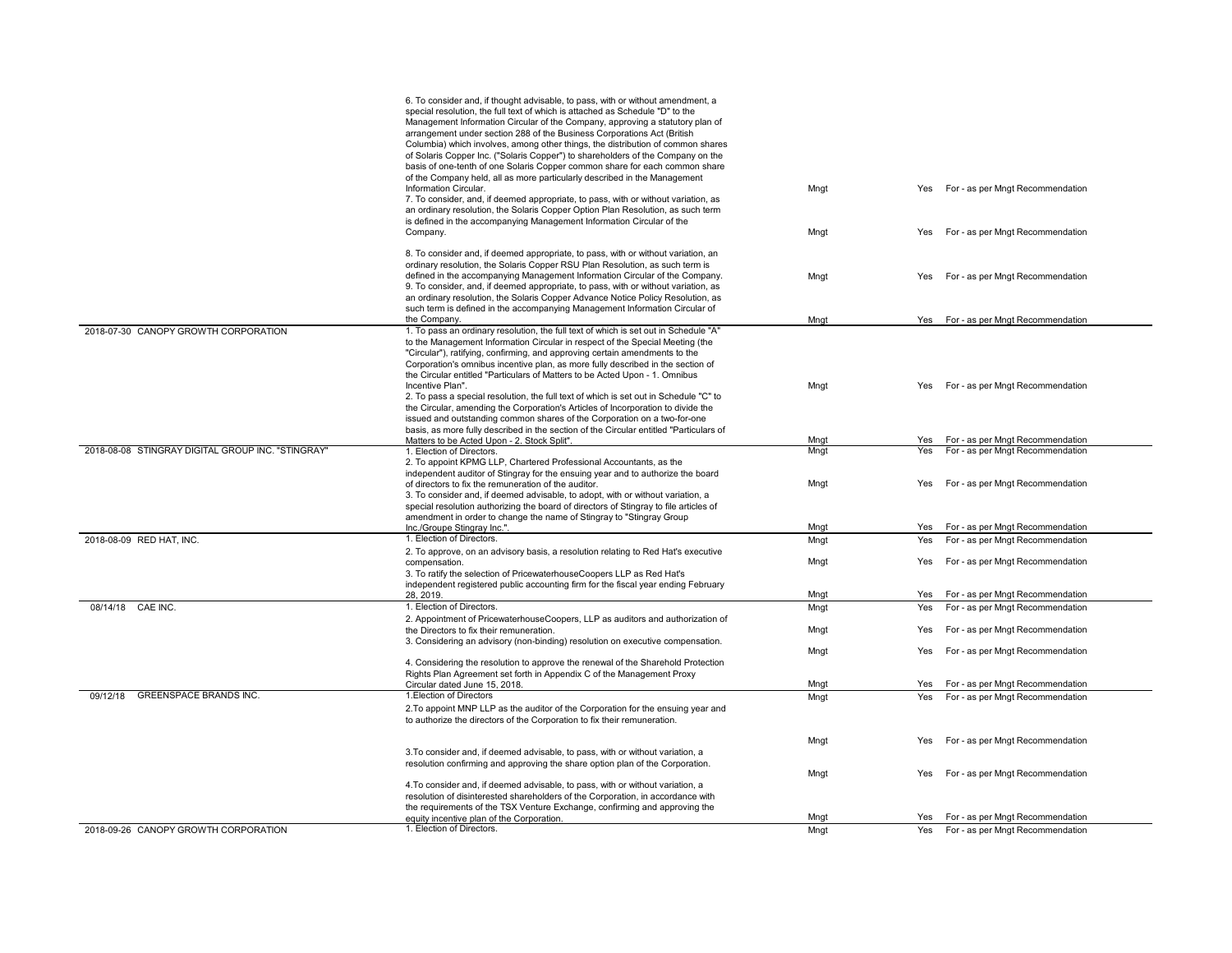|                                                   | 6. To consider and, if thought advisable, to pass, with or without amendment, a<br>special resolution, the full text of which is attached as Schedule "D" to the<br>Management Information Circular of the Company, approving a statutory plan of<br>arrangement under section 288 of the Business Corporations Act (British<br>Columbia) which involves, among other things, the distribution of common shares<br>of Solaris Copper Inc. ("Solaris Copper") to shareholders of the Company on the<br>basis of one-tenth of one Solaris Copper common share for each common share<br>of the Company held, all as more particularly described in the Management                                                                                                                                                                               |              |                                                                                    |
|---------------------------------------------------|----------------------------------------------------------------------------------------------------------------------------------------------------------------------------------------------------------------------------------------------------------------------------------------------------------------------------------------------------------------------------------------------------------------------------------------------------------------------------------------------------------------------------------------------------------------------------------------------------------------------------------------------------------------------------------------------------------------------------------------------------------------------------------------------------------------------------------------------|--------------|------------------------------------------------------------------------------------|
|                                                   | Information Circular.<br>7. To consider, and, if deemed appropriate, to pass, with or without variation, as<br>an ordinary resolution, the Solaris Copper Option Plan Resolution, as such term<br>is defined in the accompanying Management Information Circular of the                                                                                                                                                                                                                                                                                                                                                                                                                                                                                                                                                                      | Mngt         | For - as per Mngt Recommendation<br><b>Yes</b>                                     |
|                                                   | Company.                                                                                                                                                                                                                                                                                                                                                                                                                                                                                                                                                                                                                                                                                                                                                                                                                                     | Mngt         | For - as per Mngt Recommendation<br>Yes                                            |
|                                                   | 8. To consider and, if deemed appropriate, to pass, with or without variation, an<br>ordinary resolution, the Solaris Copper RSU Plan Resolution, as such term is<br>defined in the accompanying Management Information Circular of the Company.<br>9. To consider, and, if deemed appropriate, to pass, with or without variation, as<br>an ordinary resolution, the Solaris Copper Advance Notice Policy Resolution, as<br>such term is defined in the accompanying Management Information Circular of                                                                                                                                                                                                                                                                                                                                     | Mngt         | For - as per Mngt Recommendation<br><b>Yes</b>                                     |
|                                                   | the Company.                                                                                                                                                                                                                                                                                                                                                                                                                                                                                                                                                                                                                                                                                                                                                                                                                                 | Mngt         | For - as per Mngt Recommendation<br>Yes                                            |
| 2018-07-30 CANOPY GROWTH CORPORATION              | 1. To pass an ordinary resolution, the full text of which is set out in Schedule "A"<br>to the Management Information Circular in respect of the Special Meeting (the<br>"Circular"), ratifying, confirming, and approving certain amendments to the<br>Corporation's omnibus incentive plan, as more fully described in the section of<br>the Circular entitled "Particulars of Matters to be Acted Upon - 1. Omnibus<br>Incentive Plan".<br>2. To pass a special resolution, the full text of which is set out in Schedule "C" to<br>the Circular, amending the Corporation's Articles of Incorporation to divide the<br>issued and outstanding common shares of the Corporation on a two-for-one<br>basis, as more fully described in the section of the Circular entitled "Particulars of<br>Matters to be Acted Upon - 2. Stock Split". | Mngt<br>Mngt | For - as per Mngt Recommendation<br>Yes<br>For - as per Mngt Recommendation<br>Yes |
| 2018-08-08 STINGRAY DIGITAL GROUP INC. "STINGRAY" | 1. Election of Directors.                                                                                                                                                                                                                                                                                                                                                                                                                                                                                                                                                                                                                                                                                                                                                                                                                    | Mngt         | For - as per Mngt Recommendation<br>Yes                                            |
|                                                   | 2. To appoint KPMG LLP, Chartered Professional Accountants, as the<br>independent auditor of Stingray for the ensuing year and to authorize the board<br>of directors to fix the remuneration of the auditor.<br>3. To consider and, if deemed advisable, to adopt, with or without variation, a<br>special resolution authorizing the board of directors of Stingray to file articles of<br>amendment in order to change the name of Stingray to "Stingray Group<br>Inc./Groupe Stingray Inc.".                                                                                                                                                                                                                                                                                                                                             | Mngt<br>Mngt | For - as per Mngt Recommendation<br>Yes<br>For - as per Mngt Recommendation<br>Yes |
| 2018-08-09 RED HAT, INC.                          | 1. Election of Directors.                                                                                                                                                                                                                                                                                                                                                                                                                                                                                                                                                                                                                                                                                                                                                                                                                    | Mngt         | For - as per Mngt Recommendation<br>Yes                                            |
|                                                   | 2. To approve, on an advisory basis, a resolution relating to Red Hat's executive<br>compensation.<br>3. To ratify the selection of PricewaterhouseCoopers LLP as Red Hat's<br>independent registered public accounting firm for the fiscal year ending February                                                                                                                                                                                                                                                                                                                                                                                                                                                                                                                                                                             | Mngt         | For - as per Mngt Recommendation<br>Yes                                            |
|                                                   | 28, 2019.                                                                                                                                                                                                                                                                                                                                                                                                                                                                                                                                                                                                                                                                                                                                                                                                                                    | Mngt         | For - as per Mngt Recommendation<br>Yes                                            |
| 08/14/18<br>CAE INC.                              | 1. Election of Directors.                                                                                                                                                                                                                                                                                                                                                                                                                                                                                                                                                                                                                                                                                                                                                                                                                    | Mngt         | For - as per Mngt Recommendation<br>Yes                                            |
|                                                   | 2. Appointment of PricewaterhouseCoopers, LLP as auditors and authorization of<br>the Directors to fix their remuneration.<br>3. Considering an advisory (non-binding) resolution on executive compensation.                                                                                                                                                                                                                                                                                                                                                                                                                                                                                                                                                                                                                                 | Mngt         | For - as per Mngt Recommendation<br>Yes                                            |
|                                                   | 4. Considering the resolution to approve the renewal of the Sharehold Protection<br>Rights Plan Agreement set forth in Appendix C of the Management Proxy<br>Circular dated June 15, 2018.                                                                                                                                                                                                                                                                                                                                                                                                                                                                                                                                                                                                                                                   | Mngt<br>Mngt | For - as per Mngt Recommendation<br>Yes<br>For - as per Mngt Recommendation<br>Yes |
| <b>GREENSPACE BRANDS INC.</b><br>09/12/18         | 1. Election of Directors                                                                                                                                                                                                                                                                                                                                                                                                                                                                                                                                                                                                                                                                                                                                                                                                                     | Mngt         | Yes<br>For - as per Mngt Recommendation                                            |
|                                                   | 2. To appoint MNP LLP as the auditor of the Corporation for the ensuing year and<br>to authorize the directors of the Corporation to fix their remuneration.                                                                                                                                                                                                                                                                                                                                                                                                                                                                                                                                                                                                                                                                                 |              |                                                                                    |
|                                                   | 3. To consider and, if deemed advisable, to pass, with or without variation, a<br>resolution confirming and approving the share option plan of the Corporation.                                                                                                                                                                                                                                                                                                                                                                                                                                                                                                                                                                                                                                                                              | Mngt         | For - as per Mngt Recommendation<br>Yes                                            |
|                                                   |                                                                                                                                                                                                                                                                                                                                                                                                                                                                                                                                                                                                                                                                                                                                                                                                                                              | Mngt         | For - as per Mngt Recommendation<br>Yes                                            |
|                                                   | 4. To consider and, if deemed advisable, to pass, with or without variation, a<br>resolution of disinterested shareholders of the Corporation, in accordance with<br>the requirements of the TSX Venture Exchange, confirming and approving the                                                                                                                                                                                                                                                                                                                                                                                                                                                                                                                                                                                              |              |                                                                                    |
|                                                   | equity incentive plan of the Corporation.                                                                                                                                                                                                                                                                                                                                                                                                                                                                                                                                                                                                                                                                                                                                                                                                    | Mngt         | For - as per Mngt Recommendation<br>Yes                                            |
| 2018-09-26 CANOPY GROWTH CORPORATION              | 1. Election of Directors.                                                                                                                                                                                                                                                                                                                                                                                                                                                                                                                                                                                                                                                                                                                                                                                                                    | Mngt         | Yes For - as per Mngt Recommendation                                               |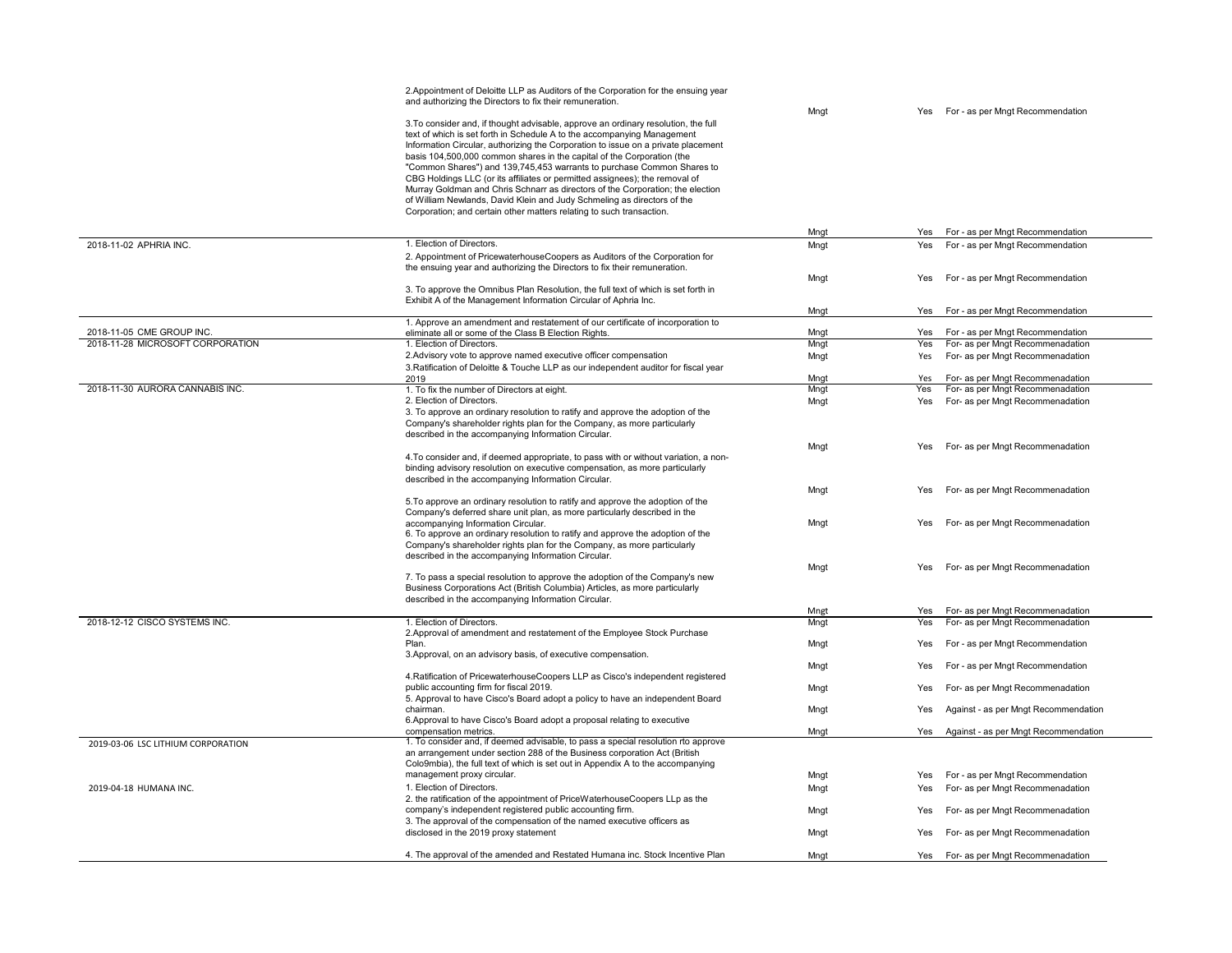|                                    | 2. Appointment of Deloitte LLP as Auditors of the Corporation for the ensuing year                                                                                                                                                                                                                                                                                                                                                                                                                                                                                                                                                                                                                                         |      |            |                                                                      |
|------------------------------------|----------------------------------------------------------------------------------------------------------------------------------------------------------------------------------------------------------------------------------------------------------------------------------------------------------------------------------------------------------------------------------------------------------------------------------------------------------------------------------------------------------------------------------------------------------------------------------------------------------------------------------------------------------------------------------------------------------------------------|------|------------|----------------------------------------------------------------------|
|                                    | and authorizing the Directors to fix their remuneration.                                                                                                                                                                                                                                                                                                                                                                                                                                                                                                                                                                                                                                                                   |      |            |                                                                      |
|                                    | 3. To consider and, if thought advisable, approve an ordinary resolution, the full<br>text of which is set forth in Schedule A to the accompanying Management<br>Information Circular, authorizing the Corporation to issue on a private placement<br>basis 104,500,000 common shares in the capital of the Corporation (the<br>"Common Shares") and 139,745,453 warrants to purchase Common Shares to<br>CBG Holdings LLC (or its affiliates or permitted assignees); the removal of<br>Murray Goldman and Chris Schnarr as directors of the Corporation; the election<br>of William Newlands, David Klein and Judy Schmeling as directors of the<br>Corporation; and certain other matters relating to such transaction. | Mngt | <b>Yes</b> | For - as per Mngt Recommendation                                     |
|                                    |                                                                                                                                                                                                                                                                                                                                                                                                                                                                                                                                                                                                                                                                                                                            | Mngt |            | Yes For - as per Mngt Recommendation                                 |
| 2018-11-02 APHRIA INC.             | 1. Election of Directors.                                                                                                                                                                                                                                                                                                                                                                                                                                                                                                                                                                                                                                                                                                  | Mngt | Yes        | For - as per Mngt Recommendation                                     |
|                                    | 2. Appointment of PricewaterhouseCoopers as Auditors of the Corporation for<br>the ensuing year and authorizing the Directors to fix their remuneration.                                                                                                                                                                                                                                                                                                                                                                                                                                                                                                                                                                   | Mngt | Yes        | For - as per Mngt Recommendation                                     |
|                                    | 3. To approve the Omnibus Plan Resolution, the full text of which is set forth in<br>Exhibit A of the Management Information Circular of Aphria Inc.                                                                                                                                                                                                                                                                                                                                                                                                                                                                                                                                                                       |      |            |                                                                      |
|                                    |                                                                                                                                                                                                                                                                                                                                                                                                                                                                                                                                                                                                                                                                                                                            | Mngt | Yes        | For - as per Mngt Recommendation                                     |
| 2018-11-05 CME GROUP INC.          | 1. Approve an amendment and restatement of our certificate of incorporation to<br>eliminate all or some of the Class B Election Rights.                                                                                                                                                                                                                                                                                                                                                                                                                                                                                                                                                                                    | Mngt | Yes        | For - as per Mngt Recommendation                                     |
| 2018-11-28 MICROSOFT CORPORATION   | 1. Election of Directors.                                                                                                                                                                                                                                                                                                                                                                                                                                                                                                                                                                                                                                                                                                  | Mngt | Yes        | For- as per Mngt Recommenadation                                     |
|                                    | 2. Advisory vote to approve named executive officer compensation                                                                                                                                                                                                                                                                                                                                                                                                                                                                                                                                                                                                                                                           | Mngt | Yes        | For- as per Mngt Recommenadation                                     |
|                                    | 3. Ratification of Deloitte & Touche LLP as our independent auditor for fiscal year                                                                                                                                                                                                                                                                                                                                                                                                                                                                                                                                                                                                                                        |      |            |                                                                      |
|                                    | 2019                                                                                                                                                                                                                                                                                                                                                                                                                                                                                                                                                                                                                                                                                                                       | Mngt | Yes        | For- as per Mngt Recommenadation                                     |
| 2018-11-30 AURORA CANNABIS INC.    | 1. To fix the number of Directors at eight.                                                                                                                                                                                                                                                                                                                                                                                                                                                                                                                                                                                                                                                                                | Mngt | Yes        | For- as per Mngt Recommenadation                                     |
|                                    | 2. Election of Directors.<br>3. To approve an ordinary resolution to ratify and approve the adoption of the<br>Company's shareholder rights plan for the Company, as more particularly<br>described in the accompanying Information Circular.                                                                                                                                                                                                                                                                                                                                                                                                                                                                              | Mngt | Yes        | For- as per Mngt Recommenadation                                     |
|                                    |                                                                                                                                                                                                                                                                                                                                                                                                                                                                                                                                                                                                                                                                                                                            | Mngt | Yes        | For- as per Mngt Recommenadation                                     |
|                                    | 4. To consider and, if deemed appropriate, to pass with or without variation, a non-<br>binding advisory resolution on executive compensation, as more particularly<br>described in the accompanying Information Circular.                                                                                                                                                                                                                                                                                                                                                                                                                                                                                                 |      |            |                                                                      |
|                                    |                                                                                                                                                                                                                                                                                                                                                                                                                                                                                                                                                                                                                                                                                                                            | Mngt | Yes        | For- as per Mngt Recommenadation                                     |
|                                    | 5. To approve an ordinary resolution to ratify and approve the adoption of the<br>Company's deferred share unit plan, as more particularly described in the<br>accompanying Information Circular.<br>6. To approve an ordinary resolution to ratify and approve the adoption of the<br>Company's shareholder rights plan for the Company, as more particularly<br>described in the accompanying Information Circular.                                                                                                                                                                                                                                                                                                      | Mngt | Yes        | For- as per Mngt Recommenadation                                     |
|                                    | 7. To pass a special resolution to approve the adoption of the Company's new<br>Business Corporations Act (British Columbia) Articles, as more particularly<br>described in the accompanying Information Circular.                                                                                                                                                                                                                                                                                                                                                                                                                                                                                                         | Mngt | Yes        | For- as per Mngt Recommenadation                                     |
| 2018-12-12 CISCO SYSTEMS INC.      | 1. Election of Directors.                                                                                                                                                                                                                                                                                                                                                                                                                                                                                                                                                                                                                                                                                                  | Mngt | Yes        | For- as per Mngt Recommenadation<br>For- as per Mngt Recommenadation |
|                                    | 2. Approval of amendment and restatement of the Employee Stock Purchase                                                                                                                                                                                                                                                                                                                                                                                                                                                                                                                                                                                                                                                    | Mngt | Yes        |                                                                      |
|                                    | Plan.<br>3. Approval, on an advisory basis, of executive compensation.                                                                                                                                                                                                                                                                                                                                                                                                                                                                                                                                                                                                                                                     | Mngt | Yes        | For - as per Mngt Recommendation                                     |
|                                    | 4. Ratification of PricewaterhouseCoopers LLP as Cisco's independent registered                                                                                                                                                                                                                                                                                                                                                                                                                                                                                                                                                                                                                                            | Mngt | Yes        | For - as per Mngt Recommendation                                     |
|                                    | public accounting firm for fiscal 2019.<br>5. Approval to have Cisco's Board adopt a policy to have an independent Board                                                                                                                                                                                                                                                                                                                                                                                                                                                                                                                                                                                                   | Mngt | Yes        | For- as per Mngt Recommenadation                                     |
|                                    | chairman.<br>6. Approval to have Cisco's Board adopt a proposal relating to executive                                                                                                                                                                                                                                                                                                                                                                                                                                                                                                                                                                                                                                      | Mngt | Yes        | Against - as per Mngt Recommendation                                 |
| 2019-03-06 LSC LITHIUM CORPORATION | compensation metrics.<br>1. To consider and, if deemed advisable, to pass a special resolution rto approve                                                                                                                                                                                                                                                                                                                                                                                                                                                                                                                                                                                                                 | Mngt | Yes        | Against - as per Mngt Recommendation                                 |
|                                    | an arrangement under section 288 of the Business corporation Act (British<br>Colo9mbia), the full text of which is set out in Appendix A to the accompanying<br>management proxy circular.                                                                                                                                                                                                                                                                                                                                                                                                                                                                                                                                 | Mngt | Yes        |                                                                      |
| 2019-04-18 HUMANA INC.             | 1. Election of Directors.                                                                                                                                                                                                                                                                                                                                                                                                                                                                                                                                                                                                                                                                                                  | Mngt | Yes        | For - as per Mngt Recommendation<br>For- as per Mngt Recommenadation |
|                                    | 2. the ratification of the appointment of PriceWaterhouseCoopers LLp as the                                                                                                                                                                                                                                                                                                                                                                                                                                                                                                                                                                                                                                                |      |            |                                                                      |
|                                    | company's independent registered public accounting firm.<br>3. The approval of the compensation of the named executive officers as                                                                                                                                                                                                                                                                                                                                                                                                                                                                                                                                                                                         | Mngt | Yes        | For- as per Mngt Recommenadation                                     |
|                                    | disclosed in the 2019 proxy statement                                                                                                                                                                                                                                                                                                                                                                                                                                                                                                                                                                                                                                                                                      | Mngt | Yes        | For- as per Mngt Recommenadation                                     |
|                                    | 4. The approval of the amended and Restated Humana inc. Stock Incentive Plan                                                                                                                                                                                                                                                                                                                                                                                                                                                                                                                                                                                                                                               | Mngt | Yes        | For- as per Mngt Recommenadation                                     |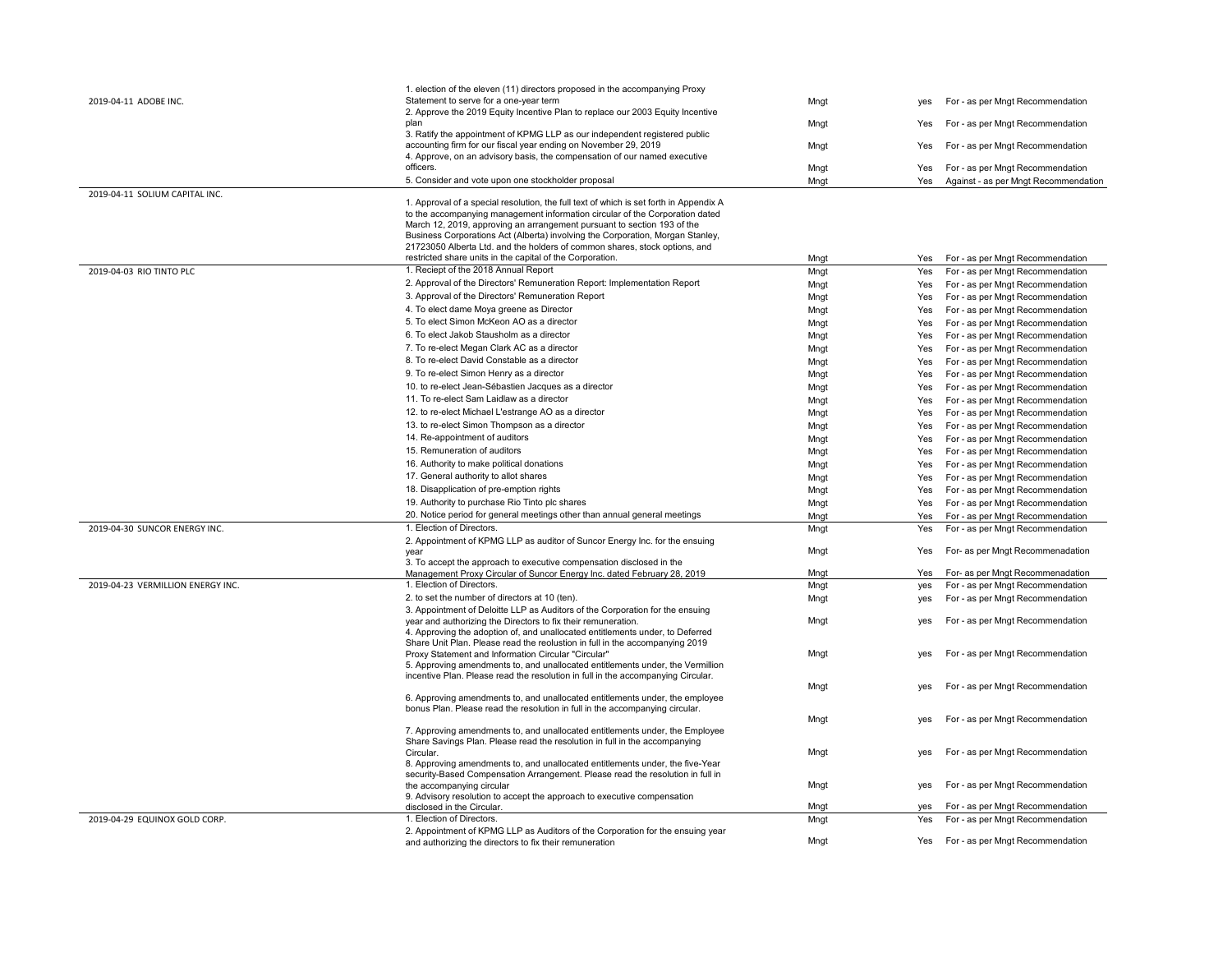| 2019-04-11 ADOBE INC.             | 1. election of the eleven (11) directors proposed in the accompanying Proxy<br>Statement to serve for a one-year term                                                                                                                                                                                                                                                                                             | Mngt         | ves        | For - as per Mngt Recommendation                                     |
|-----------------------------------|-------------------------------------------------------------------------------------------------------------------------------------------------------------------------------------------------------------------------------------------------------------------------------------------------------------------------------------------------------------------------------------------------------------------|--------------|------------|----------------------------------------------------------------------|
|                                   | 2. Approve the 2019 Equity Incentive Plan to replace our 2003 Equity Incentive<br>plan                                                                                                                                                                                                                                                                                                                            | Mngt         | Yes        | For - as per Mngt Recommendation                                     |
|                                   | 3. Ratify the appointment of KPMG LLP as our independent registered public<br>accounting firm for our fiscal year ending on November 29, 2019                                                                                                                                                                                                                                                                     | Mngt         | Yes        | For - as per Mngt Recommendation                                     |
|                                   | 4. Approve, on an advisory basis, the compensation of our named executive                                                                                                                                                                                                                                                                                                                                         |              |            |                                                                      |
|                                   | officers.                                                                                                                                                                                                                                                                                                                                                                                                         | Mngt         | Yes        | For - as per Mngt Recommendation                                     |
| 2019-04-11 SOLIUM CAPITAL INC.    | 5. Consider and vote upon one stockholder proposal                                                                                                                                                                                                                                                                                                                                                                | Mngt         | Yes        | Against - as per Mngt Recommendation                                 |
|                                   | 1. Approval of a special resolution, the full text of which is set forth in Appendix A<br>to the accompanying management information circular of the Corporation dated<br>March 12, 2019, approving an arrangement pursuant to section 193 of the<br>Business Corporations Act (Alberta) involving the Corporation, Morgan Stanley,<br>21723050 Alberta Ltd. and the holders of common shares, stock options, and |              |            |                                                                      |
| 2019-04-03 RIO TINTO PLC          | restricted share units in the capital of the Corporation.<br>1. Reciept of the 2018 Annual Report                                                                                                                                                                                                                                                                                                                 | Mngt<br>Mngt | Yes<br>Yes | For - as per Mngt Recommendation<br>For - as per Mngt Recommendation |
|                                   | 2. Approval of the Directors' Remuneration Report: Implementation Report                                                                                                                                                                                                                                                                                                                                          |              |            |                                                                      |
|                                   | 3. Approval of the Directors' Remuneration Report                                                                                                                                                                                                                                                                                                                                                                 | Mngt         | Yes        | For - as per Mngt Recommendation                                     |
|                                   | 4. To elect dame Moya greene as Director                                                                                                                                                                                                                                                                                                                                                                          | Mngt         | Yes        | For - as per Mngt Recommendation                                     |
|                                   | 5. To elect Simon McKeon AO as a director                                                                                                                                                                                                                                                                                                                                                                         | Mngt         | Yes        | For - as per Mngt Recommendation                                     |
|                                   | 6. To elect Jakob Stausholm as a director                                                                                                                                                                                                                                                                                                                                                                         | Mngt         | Yes        | For - as per Mngt Recommendation                                     |
|                                   |                                                                                                                                                                                                                                                                                                                                                                                                                   | Mngt         | Yes        | For - as per Mngt Recommendation                                     |
|                                   | 7. To re-elect Megan Clark AC as a director                                                                                                                                                                                                                                                                                                                                                                       | Mngt         | Yes        | For - as per Mngt Recommendation                                     |
|                                   | 8. To re-elect David Constable as a director                                                                                                                                                                                                                                                                                                                                                                      | Mngt         | Yes        | For - as per Mngt Recommendation                                     |
|                                   | 9. To re-elect Simon Henry as a director                                                                                                                                                                                                                                                                                                                                                                          | Mngt         | Yes        | For - as per Mngt Recommendation                                     |
|                                   | 10. to re-elect Jean-Sébastien Jacques as a director                                                                                                                                                                                                                                                                                                                                                              | Mngt         | Yes        | For - as per Mngt Recommendation                                     |
|                                   | 11. To re-elect Sam Laidlaw as a director                                                                                                                                                                                                                                                                                                                                                                         | Mngt         | Yes        | For - as per Mngt Recommendation                                     |
|                                   | 12. to re-elect Michael L'estrange AO as a director                                                                                                                                                                                                                                                                                                                                                               | Mngt         | Yes        | For - as per Mngt Recommendation                                     |
|                                   | 13. to re-elect Simon Thompson as a director                                                                                                                                                                                                                                                                                                                                                                      | Mngt         | Yes        | For - as per Mngt Recommendation                                     |
|                                   | 14. Re-appointment of auditors                                                                                                                                                                                                                                                                                                                                                                                    | Mngt         | Yes        | For - as per Mngt Recommendation                                     |
|                                   | 15. Remuneration of auditors                                                                                                                                                                                                                                                                                                                                                                                      | Mngt         | Yes        | For - as per Mngt Recommendation                                     |
|                                   | 16. Authority to make political donations                                                                                                                                                                                                                                                                                                                                                                         | Mngt         | Yes        | For - as per Mngt Recommendation                                     |
|                                   | 17. General authority to allot shares                                                                                                                                                                                                                                                                                                                                                                             | Mngt         | Yes        | For - as per Mngt Recommendation                                     |
|                                   | 18. Disapplication of pre-emption rights                                                                                                                                                                                                                                                                                                                                                                          | Mngt         | Yes        | For - as per Mngt Recommendation                                     |
|                                   | 19. Authority to purchase Rio Tinto plc shares                                                                                                                                                                                                                                                                                                                                                                    | Mngt         | Yes        | For - as per Mngt Recommendation                                     |
|                                   | 20. Notice period for general meetings other than annual general meetings                                                                                                                                                                                                                                                                                                                                         | Mngt         | Yes        | For - as per Mngt Recommendation                                     |
| 2019-04-30 SUNCOR ENERGY INC.     | 1. Election of Directors.                                                                                                                                                                                                                                                                                                                                                                                         | Mngt         | Yes        | For - as per Mngt Recommendation                                     |
|                                   | 2. Appointment of KPMG LLP as auditor of Suncor Energy Inc. for the ensuing<br>vear<br>3. To accept the approach to executive compensation disclosed in the                                                                                                                                                                                                                                                       | Mngt         | Yes        | For- as per Mngt Recommenadation                                     |
|                                   | Management Proxy Circular of Suncor Energy Inc. dated February 28, 2019                                                                                                                                                                                                                                                                                                                                           | Mngt         | Yes        | For- as per Mngt Recommenadation                                     |
| 2019-04-23 VERMILLION ENERGY INC. | 1. Election of Directors.                                                                                                                                                                                                                                                                                                                                                                                         | Mngt         | yes        | For - as per Mngt Recommendation                                     |
|                                   | 2. to set the number of directors at 10 (ten).                                                                                                                                                                                                                                                                                                                                                                    | Mngt         | yes        | For - as per Mngt Recommendation                                     |
|                                   | 3. Appointment of Deloitte LLP as Auditors of the Corporation for the ensuing                                                                                                                                                                                                                                                                                                                                     |              |            |                                                                      |
|                                   | year and authorizing the Directors to fix their remuneration.<br>4. Approving the adoption of, and unallocated entitlements under, to Deferred<br>Share Unit Plan. Please read the reolustion in full in the accompanying 2019                                                                                                                                                                                    | Mngt         | yes        | For - as per Mngt Recommendation                                     |
|                                   | Proxy Statement and Information Circular "Circular"<br>5. Approving amendments to, and unallocated entitlements under, the Vermillion                                                                                                                                                                                                                                                                             | Mngt         | ves        | For - as per Mngt Recommendation                                     |
|                                   | incentive Plan. Please read the resolution in full in the accompanying Circular.                                                                                                                                                                                                                                                                                                                                  | Mngt         | ves        | For - as per Mngt Recommendation                                     |
|                                   | 6. Approving amendments to, and unallocated entitlements under, the employee<br>bonus Plan. Please read the resolution in full in the accompanying circular.                                                                                                                                                                                                                                                      |              |            |                                                                      |
|                                   |                                                                                                                                                                                                                                                                                                                                                                                                                   | Mngt         | ves        | For - as per Mngt Recommendation                                     |
|                                   | 7. Approving amendments to, and unallocated entitlements under, the Employee<br>Share Savings Plan. Please read the resolution in full in the accompanying<br>Circular.                                                                                                                                                                                                                                           | Mngt         | ves        | For - as per Mngt Recommendation                                     |
|                                   | 8. Approving amendments to, and unallocated entitlements under, the five-Year<br>security-Based Compensation Arrangement. Please read the resolution in full in                                                                                                                                                                                                                                                   |              |            |                                                                      |
|                                   | the accompanying circular                                                                                                                                                                                                                                                                                                                                                                                         | Mngt         | yes        | For - as per Mngt Recommendation                                     |
|                                   | 9. Advisory resolution to accept the approach to executive compensation<br>disclosed in the Circular.                                                                                                                                                                                                                                                                                                             | Mngt         | ves        | For - as per Mngt Recommendation                                     |
| 2019-04-29 EQUINOX GOLD CORP.     | 1. Election of Directors.                                                                                                                                                                                                                                                                                                                                                                                         | Mngt         | Yes        | For - as per Mngt Recommendation                                     |
|                                   | 2. Appointment of KPMG LLP as Auditors of the Corporation for the ensuing year<br>and authorizing the directors to fix their remuneration                                                                                                                                                                                                                                                                         | Mngt         | Yes        | For - as per Mngt Recommendation                                     |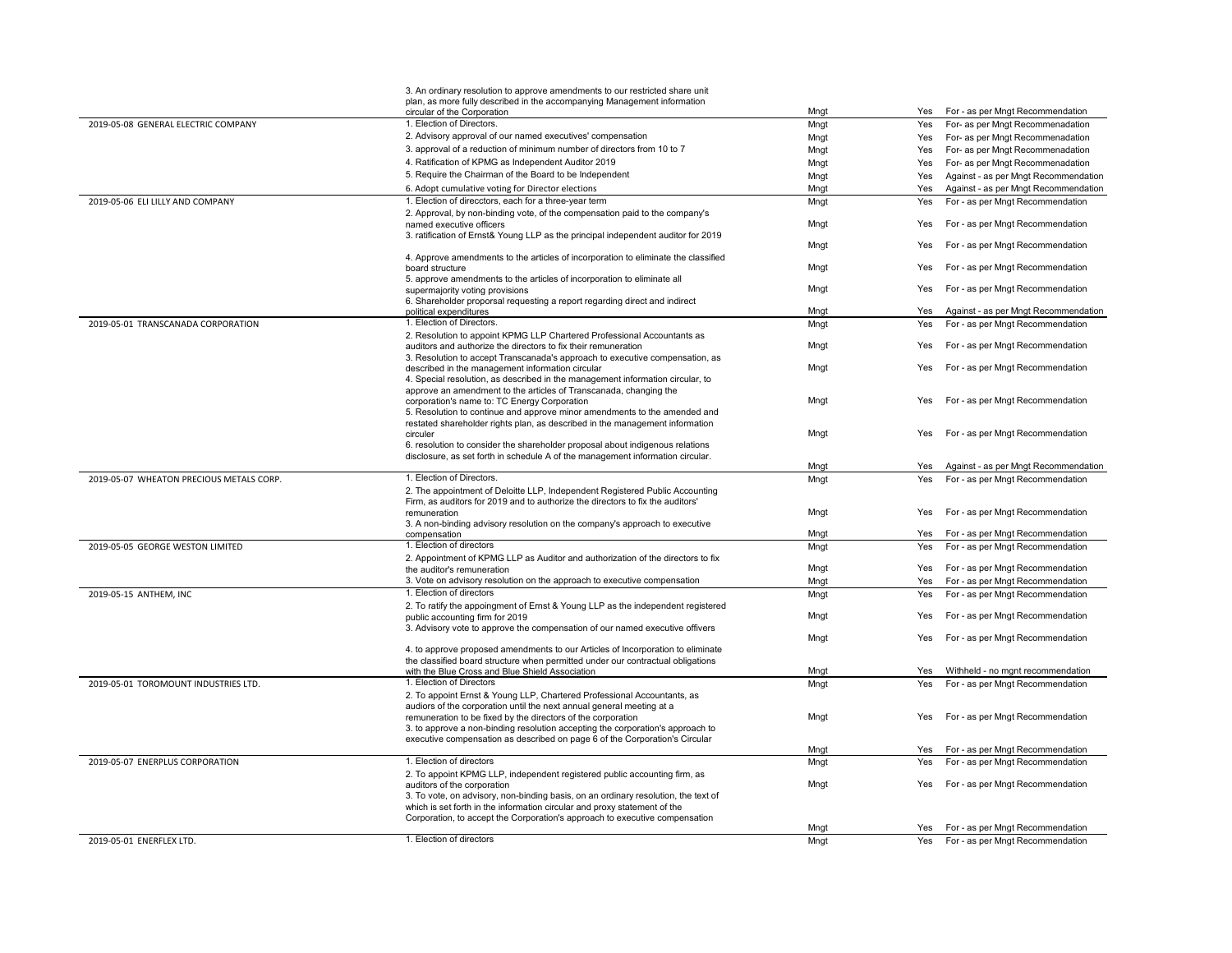|                                          | 3. An ordinary resolution to approve amendments to our restricted share unit<br>plan, as more fully described in the accompanying Management information                                                                                                                                               |      |     |                                      |
|------------------------------------------|--------------------------------------------------------------------------------------------------------------------------------------------------------------------------------------------------------------------------------------------------------------------------------------------------------|------|-----|--------------------------------------|
|                                          | circular of the Corporation                                                                                                                                                                                                                                                                            | Mngt | Yes | For - as per Mngt Recommendation     |
| 2019-05-08 GENERAL ELECTRIC COMPANY      | 1. Election of Directors.                                                                                                                                                                                                                                                                              | Mngt | Yes | For- as per Mngt Recommenadation     |
|                                          | 2. Advisory approval of our named executives' compensation                                                                                                                                                                                                                                             | Mngt | Yes | For- as per Mngt Recommenadation     |
|                                          | 3. approval of a reduction of minimum number of directors from 10 to 7                                                                                                                                                                                                                                 | Mngt | Yes | For- as per Mngt Recommenadation     |
|                                          | 4. Ratification of KPMG as Independent Auditor 2019                                                                                                                                                                                                                                                    | Mngt | Yes | For- as per Mngt Recommenadation     |
|                                          | 5. Require the Chairman of the Board to be Independent                                                                                                                                                                                                                                                 | Mngt | Yes | Against - as per Mngt Recommendation |
|                                          | 6. Adopt cumulative voting for Director elections                                                                                                                                                                                                                                                      | Mngt | Yes | Against - as per Mngt Recommendation |
| 2019-05-06 ELI LILLY AND COMPANY         | 1. Election of direcctors, each for a three-year term                                                                                                                                                                                                                                                  | Mngt | Yes | For - as per Mngt Recommendation     |
|                                          | 2. Approval, by non-binding vote, of the compensation paid to the company's<br>named executive officers                                                                                                                                                                                                | Mngt | Yes | For - as per Mngt Recommendation     |
|                                          | 3. ratification of Ernst& Young LLP as the principal independent auditor for 2019<br>4. Approve amendments to the articles of incorporation to eliminate the classified                                                                                                                                | Mngt | Yes | For - as per Mngt Recommendation     |
|                                          | board structure<br>5. approve amendments to the articles of incorporation to eliminate all                                                                                                                                                                                                             | Mngt | Yes | For - as per Mngt Recommendation     |
|                                          | supermajority voting provisions                                                                                                                                                                                                                                                                        | Mngt | Yes | For - as per Mngt Recommendation     |
|                                          | 6. Shareholder proporsal requesting a report regarding direct and indirect<br>political expenditures                                                                                                                                                                                                   | Mngt | Yes | Against - as per Mngt Recommendation |
| 2019-05-01 TRANSCANADA CORPORATION       | 1. Election of Directors.                                                                                                                                                                                                                                                                              | Mngt | Yes | For - as per Mngt Recommendation     |
|                                          | 2. Resolution to appoint KPMG LLP Chartered Professional Accountants as                                                                                                                                                                                                                                |      |     |                                      |
|                                          | auditors and authorize the directors to fix their remuneration<br>3. Resolution to accept Transcanada's approach to executive compensation, as                                                                                                                                                         | Mngt | Yes | For - as per Mngt Recommendation     |
|                                          | described in the management information circular<br>4. Special resolution, as described in the management information circular, to                                                                                                                                                                     | Mngt | Yes | For - as per Mngt Recommendation     |
|                                          | approve an amendment to the articles of Transcanada, changing the<br>corporation's name to: TC Energy Corporation<br>5. Resolution to continue and approve minor amendments to the amended and                                                                                                         | Mnat | Yes | For - as per Mngt Recommendation     |
|                                          | restated shareholder rights plan, as described in the management information<br>circuler<br>6. resolution to consider the shareholder proposal about indigenous relations                                                                                                                              | Mnat | Yes | For - as per Mngt Recommendation     |
|                                          | disclosure, as set forth in schedule A of the management information circular.                                                                                                                                                                                                                         | Mngt | Yes | Against - as per Mngt Recommendation |
| 2019-05-07 WHEATON PRECIOUS METALS CORP. | 1. Election of Directors.                                                                                                                                                                                                                                                                              | Mngt | Yes | For - as per Mngt Recommendation     |
|                                          | 2. The appointment of Deloitte LLP, Independent Registered Public Accounting<br>Firm, as auditors for 2019 and to authorize the directors to fix the auditors'<br>remuneration                                                                                                                         | Mngt | Yes | For - as per Mngt Recommendation     |
|                                          | 3. A non-binding advisory resolution on the company's approach to executive                                                                                                                                                                                                                            |      |     |                                      |
|                                          | compensation                                                                                                                                                                                                                                                                                           | Mngt | Yes | For - as per Mngt Recommendation     |
| 2019-05-05 GEORGE WESTON LIMITED         | 1. Election of directors<br>2. Appointment of KPMG LLP as Auditor and authorization of the directors to fix                                                                                                                                                                                            | Mngt | Yes | For - as per Mngt Recommendation     |
|                                          | the auditor's remuneration                                                                                                                                                                                                                                                                             | Mngt | Yes | For - as per Mngt Recommendation     |
|                                          | 3. Vote on advisory resolution on the approach to executive compensation                                                                                                                                                                                                                               | Mngt | Yes | For - as per Mngt Recommendation     |
| 2019-05-15 ANTHEM, INC                   | 1. Election of directors                                                                                                                                                                                                                                                                               | Mngt | Yes | For - as per Mngt Recommendation     |
|                                          | 2. To ratify the appoingment of Ernst & Young LLP as the independent registered<br>public accounting firm for 2019                                                                                                                                                                                     | Mngt | Yes | For - as per Mngt Recommendation     |
|                                          | 3. Advisory vote to approve the compensation of our named executive offivers                                                                                                                                                                                                                           | Mnat | Yes | For - as per Mngt Recommendation     |
|                                          | 4. to approve proposed amendments to our Articles of Incorporation to eliminate<br>the classified board structure when permitted under our contractual obligations                                                                                                                                     |      |     |                                      |
|                                          | with the Blue Cross and Blue Shield Association                                                                                                                                                                                                                                                        | Mngt | Yes | Withheld - no mgnt recommendation    |
| 2019-05-01 TOROMOUNT INDUSTRIES LTD.     | 1. Election of Directors<br>2. To appoint Ernst & Young LLP, Chartered Professional Accountants, as                                                                                                                                                                                                    | Mngt | Yes | For - as per Mngt Recommendation     |
|                                          | audiors of the corporation until the next annual general meeting at a<br>remuneration to be fixed by the directors of the corporation<br>3. to approve a non-binding resolution accepting the corporation's approach to<br>executive compensation as described on page 6 of the Corporation's Circular | Mngt | Yes | For - as per Mngt Recommendation     |
|                                          |                                                                                                                                                                                                                                                                                                        | Mngt | Yes | For - as per Mngt Recommendation     |
| 2019-05-07 ENERPLUS CORPORATION          | 1. Election of directors<br>2. To appoint KPMG LLP, independent registered public accounting firm, as                                                                                                                                                                                                  | Mngt | Yes | For - as per Mngt Recommendation     |
|                                          | auditors of the corporation<br>3. To vote, on advisory, non-binding basis, on an ordinary resolution, the text of<br>which is set forth in the information circular and proxy statement of the<br>Corporation, to accept the Corporation's approach to executive compensation                          | Mnat | Yes | For - as per Mngt Recommendation     |
|                                          |                                                                                                                                                                                                                                                                                                        | Mnat | Yes | For - as per Mngt Recommendation     |
| 2019-05-01 ENERFLEX LTD.                 | 1. Election of directors                                                                                                                                                                                                                                                                               | Mngt | Yes | For - as per Mngt Recommendation     |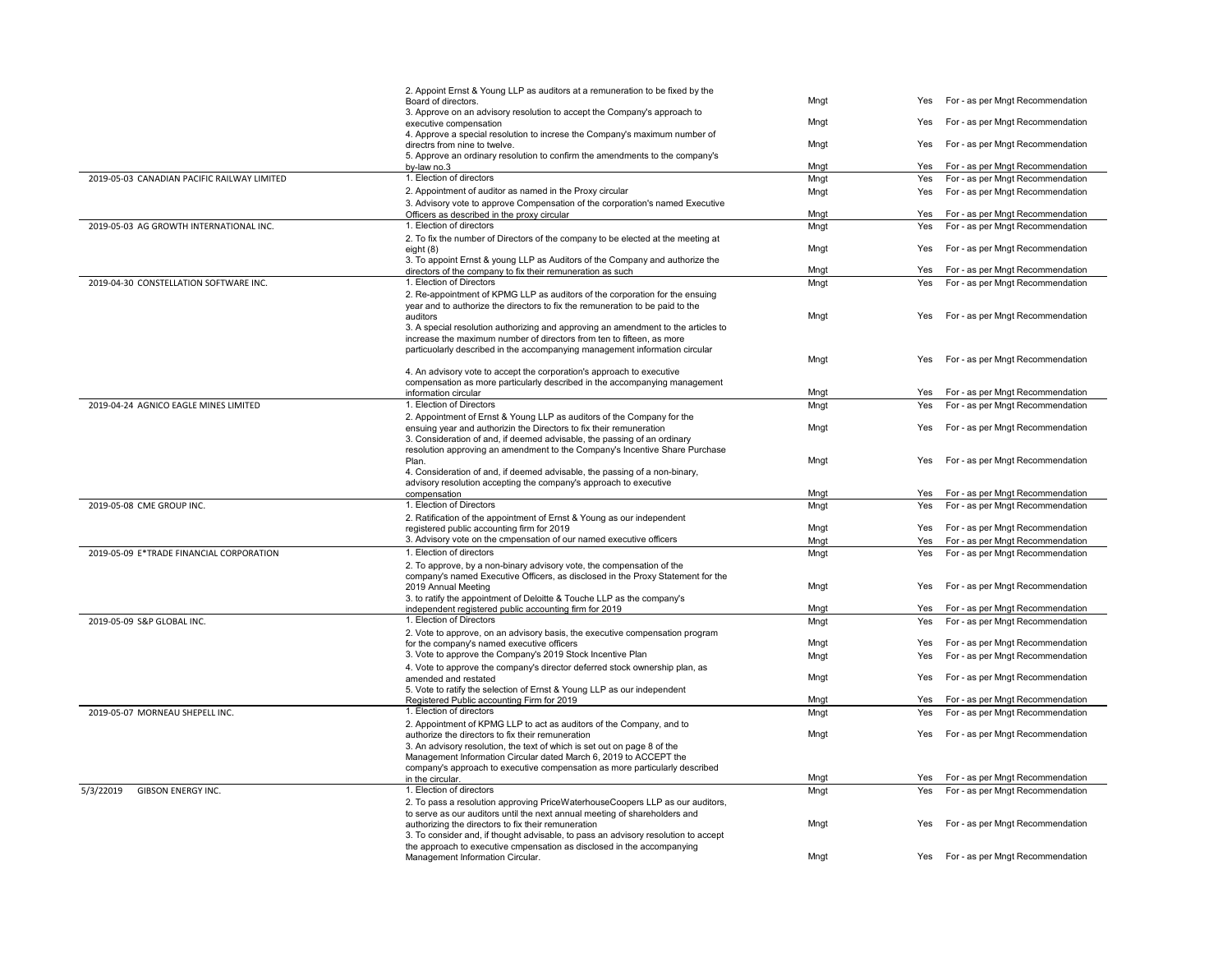|                                             | 2. Appoint Ernst & Young LLP as auditors at a remuneration to be fixed by the<br>Board of directors.                                                       | Mngt | Yes | For - as per Mngt Recommendation |
|---------------------------------------------|------------------------------------------------------------------------------------------------------------------------------------------------------------|------|-----|----------------------------------|
|                                             | 3. Approve on an advisory resolution to accept the Company's approach to<br>executive compensation                                                         | Mngt | Yes | For - as per Mngt Recommendation |
|                                             | 4. Approve a special resolution to increse the Company's maximum number of<br>directrs from nine to twelve.                                                | Mngt | Yes | For - as per Mngt Recommendation |
|                                             | 5. Approve an ordinary resolution to confirm the amendments to the company's<br>by-law no.3                                                                | Mngt | Yes | For - as per Mngt Recommendation |
| 2019-05-03 CANADIAN PACIFIC RAILWAY LIMITED | 1. Election of directors                                                                                                                                   | Mngt | Yes | For - as per Mngt Recommendation |
|                                             | 2. Appointment of auditor as named in the Proxy circular                                                                                                   | Mngt | Yes | For - as per Mngt Recommendation |
|                                             | 3. Advisory vote to approve Compensation of the corporation's named Executive                                                                              |      |     |                                  |
|                                             | Officers as described in the proxy circular                                                                                                                | Mngt | Yes | For - as per Mngt Recommendation |
| 2019-05-03 AG GROWTH INTERNATIONAL INC.     | 1. Election of directors                                                                                                                                   | Mngt | Yes | For - as per Mngt Recommendation |
|                                             | 2. To fix the number of Directors of the company to be elected at the meeting at                                                                           |      |     |                                  |
|                                             | eight $(8)$<br>3. To appoint Ernst & young LLP as Auditors of the Company and authorize the                                                                | Mngt | Yes | For - as per Mngt Recommendation |
|                                             | directors of the company to fix their remuneration as such                                                                                                 | Mngt | Yes | For - as per Mngt Recommendation |
| 2019-04-30 CONSTELLATION SOFTWARE INC.      | 1. Election of Directors                                                                                                                                   | Mngt | Yes | For - as per Mngt Recommendation |
|                                             | 2. Re-appointment of KPMG LLP as auditors of the corporation for the ensuing                                                                               |      |     |                                  |
|                                             | year and to authorize the directors to fix the remuneration to be paid to the                                                                              |      |     |                                  |
|                                             | auditors                                                                                                                                                   | Mngt | Yes | For - as per Mngt Recommendation |
|                                             | 3. A special resolution authorizing and approving an amendment to the articles to<br>increase the maximum number of directors from ten to fifteen, as more |      |     |                                  |
|                                             | particuolarly described in the accompanying management information circular                                                                                |      |     |                                  |
|                                             |                                                                                                                                                            | Mngt | Yes | For - as per Mngt Recommendation |
|                                             | 4. An advisory vote to accept the corporation's approach to executive                                                                                      |      |     |                                  |
|                                             | compensation as more particularly described in the accompanying management                                                                                 |      |     |                                  |
|                                             | information circular<br>1. Election of Directors                                                                                                           | Mngt | Yes | For - as per Mngt Recommendation |
| 2019-04-24 AGNICO EAGLE MINES LIMITED       |                                                                                                                                                            | Mngt | Yes | For - as per Mngt Recommendation |
|                                             | 2. Appointment of Ernst & Young LLP as auditors of the Company for the<br>ensuing year and authorizin the Directors to fix their remuneration              | Mngt | Yes | For - as per Mngt Recommendation |
|                                             | 3. Consideration of and, if deemed advisable, the passing of an ordinary                                                                                   |      |     |                                  |
|                                             | resolution approving an amendment to the Company's Incentive Share Purchase                                                                                |      |     |                                  |
|                                             | Plan.                                                                                                                                                      | Mngt | Yes | For - as per Mngt Recommendation |
|                                             | 4. Consideration of and, if deemed advisable, the passing of a non-binary,                                                                                 |      |     |                                  |
|                                             | advisory resolution accepting the company's approach to executive<br>compensation                                                                          | Mngt | Yes | For - as per Mngt Recommendation |
| 2019-05-08 CME GROUP INC.                   | 1. Election of Directors                                                                                                                                   | Mngt | Yes | For - as per Mngt Recommendation |
|                                             | 2. Ratification of the appointment of Ernst & Young as our independent                                                                                     |      |     |                                  |
|                                             | registered public accounting firm for 2019                                                                                                                 | Mngt | Yes | For - as per Mngt Recommendation |
|                                             | 3. Advisory vote on the cmpensation of our named executive officers                                                                                        | Mngt | Yes | For - as per Mngt Recommendation |
| 2019-05-09 E*TRADE FINANCIAL CORPORATION    | 1. Election of directors                                                                                                                                   | Mngt | Yes | For - as per Mngt Recommendation |
|                                             | 2. To approve, by a non-binary advisory vote, the compensation of the                                                                                      |      |     |                                  |
|                                             | company's named Executive Officers, as disclosed in the Proxy Statement for the                                                                            |      | Yes | For - as per Mngt Recommendation |
|                                             | 2019 Annual Meeting<br>3. to ratify the appointment of Deloitte & Touche LLP as the company's                                                              | Mngt |     |                                  |
|                                             | independent registered public accounting firm for 2019                                                                                                     | Mngt | Yes | For - as per Mngt Recommendation |
| 2019-05-09 S&P GLOBAL INC.                  | 1. Election of Directors                                                                                                                                   | Mngt | Yes | For - as per Mngt Recommendation |
|                                             | 2. Vote to approve, on an advisory basis, the executive compensation program                                                                               |      |     |                                  |
|                                             | for the company's named executive officers                                                                                                                 | Mngt | Yes | For - as per Mngt Recommendation |
|                                             | 3. Vote to approve the Company's 2019 Stock Incentive Plan                                                                                                 | Mngt | Yes | For - as per Mngt Recommendation |
|                                             | 4. Vote to approve the company's director deferred stock ownership plan, as                                                                                |      |     |                                  |
|                                             | amended and restated<br>5. Vote to ratify the selection of Ernst & Young LLP as our independent                                                            | Mngt | Yes | For - as per Mngt Recommendation |
|                                             | Registered Public accounting Firm for 2019                                                                                                                 | Mngt | Yes | For - as per Mngt Recommendation |
| 2019-05-07 MORNEAU SHEPELL INC.             | 1. Election of directors                                                                                                                                   | Mngt | Yes | For - as per Mngt Recommendation |
|                                             | 2. Appointment of KPMG LLP to act as auditors of the Company, and to                                                                                       |      |     |                                  |
|                                             | authorize the directors to fix their remuneration                                                                                                          | Mngt | Yes | For - as per Mngt Recommendation |
|                                             | 3. An advisory resolution, the text of which is set out on page 8 of the                                                                                   |      |     |                                  |
|                                             | Management Information Circular dated March 6, 2019 to ACCEPT the<br>company's approach to executive compensation as more particularly described           |      |     |                                  |
|                                             | in the circular.                                                                                                                                           | Mngt | Yes | For - as per Mngt Recommendation |
| 5/3/22019<br>GIBSON ENERGY INC.             | 1. Election of directors                                                                                                                                   | Mngt | Yes | For - as per Mngt Recommendation |
|                                             | 2. To pass a resolution approving PriceWaterhouseCoopers LLP as our auditors,                                                                              |      |     |                                  |
|                                             | to serve as our auditors until the next annual meeting of shareholders and                                                                                 |      |     |                                  |
|                                             | authorizing the directors to fix their remuneration                                                                                                        | Mngt | Yes | For - as per Mngt Recommendation |
|                                             | 3. To consider and, if thought advisable, to pass an advisory resolution to accept                                                                         |      |     |                                  |
|                                             | the approach to executive cmpensation as disclosed in the accompanying<br>Management Information Circular.                                                 | Mngt | Yes | For - as per Mngt Recommendation |
|                                             |                                                                                                                                                            |      |     |                                  |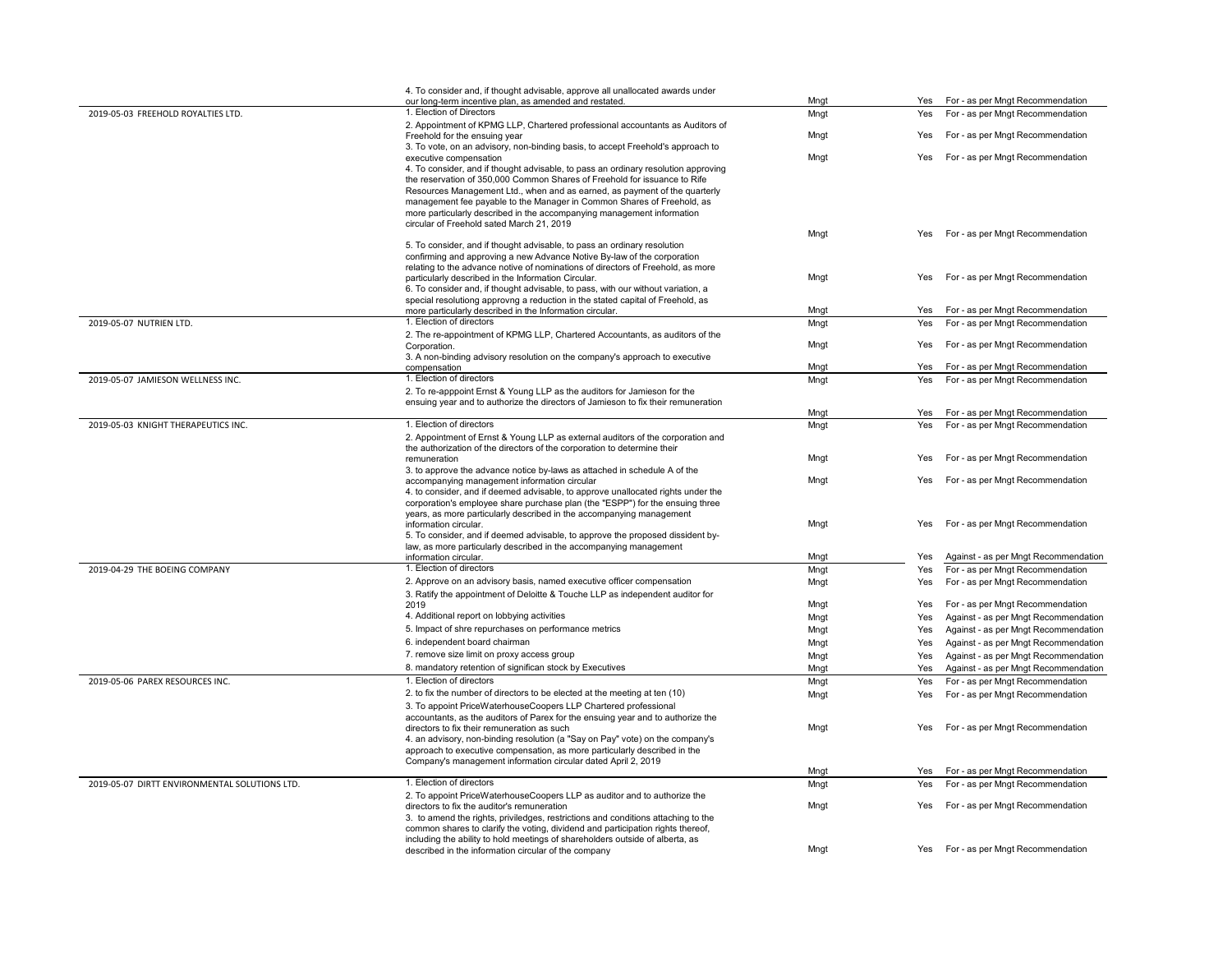|                                               | 4. To consider and, if thought advisable, approve all unallocated awards under                                                                                   |      |     |                                      |
|-----------------------------------------------|------------------------------------------------------------------------------------------------------------------------------------------------------------------|------|-----|--------------------------------------|
|                                               | our long-term incentive plan, as amended and restated.                                                                                                           | Mngt | Yes | For - as per Mngt Recommendation     |
| 2019-05-03 FREEHOLD ROYALTIES LTD.            | 1. Election of Directors                                                                                                                                         | Mngt | Yes | For - as per Mngt Recommendation     |
|                                               | 2. Appointment of KPMG LLP, Chartered professional accountants as Auditors of<br>Freehold for the ensuing year                                                   | Mngt | Yes | For - as per Mngt Recommendation     |
|                                               | 3. To vote, on an advisory, non-binding basis, to accept Freehold's approach to                                                                                  |      |     |                                      |
|                                               | executive compensation                                                                                                                                           | Mngt | Yes | For - as per Mngt Recommendation     |
|                                               | 4. To consider, and if thought advisable, to pass an ordinary resolution approving                                                                               |      |     |                                      |
|                                               | the reservation of 350,000 Common Shares of Freehold for issuance to Rife                                                                                        |      |     |                                      |
|                                               | Resources Management Ltd., when and as earned, as payment of the quarterly                                                                                       |      |     |                                      |
|                                               | management fee payable to the Manager in Common Shares of Freehold, as<br>more particularly described in the accompanying management information                 |      |     |                                      |
|                                               | circular of Freehold sated March 21, 2019                                                                                                                        |      |     |                                      |
|                                               |                                                                                                                                                                  | Mngt | Yes | For - as per Mngt Recommendation     |
|                                               | 5. To consider, and if thought advisable, to pass an ordinary resolution                                                                                         |      |     |                                      |
|                                               | confirming and approving a new Advance Notive By-law of the corporation                                                                                          |      |     |                                      |
|                                               | relating to the advance notive of nominations of directors of Freehold, as more                                                                                  |      |     |                                      |
|                                               | particularly described in the Information Circular.<br>6. To consider and, if thought advisable, to pass, with our without variation, a                          | Mngt | Yes | For - as per Mngt Recommendation     |
|                                               | special resolutiong approvng a reduction in the stated capital of Freehold, as                                                                                   |      |     |                                      |
|                                               | more particularly described in the Information circular.                                                                                                         | Mngt | Yes | For - as per Mngt Recommendation     |
| 2019-05-07 NUTRIEN LTD.                       | 1. Election of directors                                                                                                                                         | Mngt | Yes | For - as per Mngt Recommendation     |
|                                               | 2. The re-appointment of KPMG LLP, Chartered Accountants, as auditors of the                                                                                     |      |     |                                      |
|                                               | Corporation.                                                                                                                                                     | Mngt | Yes | For - as per Mngt Recommendation     |
|                                               | 3. A non-binding advisory resolution on the company's approach to executive                                                                                      |      |     |                                      |
|                                               | compensation                                                                                                                                                     | Mngt | Yes | For - as per Mngt Recommendation     |
| 2019-05-07 JAMIESON WELLNESS INC.             | 1. Election of directors                                                                                                                                         | Mngt | Yes | For - as per Mngt Recommendation     |
|                                               | 2. To re-apppoint Ernst & Young LLP as the auditors for Jamieson for the<br>ensuing year and to authorize the directors of Jamieson to fix their remuneration    |      |     |                                      |
|                                               |                                                                                                                                                                  | Mngt | Yes | For - as per Mngt Recommendation     |
| 2019-05-03 KNIGHT THERAPEUTICS INC.           | 1. Election of directors                                                                                                                                         | Mngt | Yes | For - as per Mngt Recommendation     |
|                                               | 2. Appointment of Ernst & Young LLP as external auditors of the corporation and                                                                                  |      |     |                                      |
|                                               | the authorization of the directors of the corporation to determine their                                                                                         |      |     |                                      |
|                                               | remuneration                                                                                                                                                     | Mngt | Yes | For - as per Mngt Recommendation     |
|                                               | 3. to approve the advance notice by-laws as attached in schedule A of the                                                                                        |      |     |                                      |
|                                               | accompanying management information circular<br>4. to consider, and if deemed advisable, to approve unallocated rights under the                                 | Mngt | Yes | For - as per Mngt Recommendation     |
|                                               | corporation's employee share purchase plan (the "ESPP") for the ensuing three                                                                                    |      |     |                                      |
|                                               | years, as more particularly described in the accompanying management                                                                                             |      |     |                                      |
|                                               | information circular.                                                                                                                                            | Mngt | Yes | For - as per Mngt Recommendation     |
|                                               | 5. To consider, and if deemed advisable, to approve the proposed dissident by-                                                                                   |      |     |                                      |
|                                               | law, as more particularly described in the accompanying management<br>information circular.                                                                      | Mngt | Yes | Against - as per Mngt Recommendation |
| 2019-04-29 THE BOEING COMPANY                 | 1. Election of directors                                                                                                                                         | Mngt | Yes | For - as per Mngt Recommendation     |
|                                               | 2. Approve on an advisory basis, named executive officer compensation                                                                                            | Mngt | Yes | For - as per Mngt Recommendation     |
|                                               | 3. Ratify the appointment of Deloitte & Touche LLP as independent auditor for                                                                                    |      |     |                                      |
|                                               | 2019                                                                                                                                                             | Mngt | Yes | For - as per Mngt Recommendation     |
|                                               | 4. Additional report on lobbying activities                                                                                                                      | Mngt | Yes | Against - as per Mngt Recommendation |
|                                               | 5. Impact of shre repurchases on performance metrics                                                                                                             | Mngt | Yes | Against - as per Mngt Recommendation |
|                                               | 6. independent board chairman                                                                                                                                    | Mngt | Yes | Against - as per Mngt Recommendation |
|                                               | 7. remove size limit on proxy access group                                                                                                                       | Mngt | Yes | Against - as per Mngt Recommendation |
|                                               | 8. mandatory retention of significan stock by Executives                                                                                                         | Mngt | Yes | Against - as per Mngt Recommendation |
| 2019-05-06 PAREX RESOURCES INC.               | 1. Election of directors                                                                                                                                         | Mngt | Yes | For - as per Mngt Recommendation     |
|                                               | 2. to fix the number of directors to be elected at the meeting at ten (10)                                                                                       | Mngt | Yes | For - as per Mngt Recommendation     |
|                                               | 3. To appoint PriceWaterhouseCoopers LLP Chartered professional                                                                                                  |      |     |                                      |
|                                               | accountants, as the auditors of Parex for the ensuing year and to authorize the                                                                                  |      |     |                                      |
|                                               | directors to fix their remuneration as such                                                                                                                      | Mngt | Yes | For - as per Mngt Recommendation     |
|                                               | 4. an advisory, non-binding resolution (a "Say on Pay" vote) on the company's                                                                                    |      |     |                                      |
|                                               | approach to executive compensation, as more particularly described in the<br>Company's management information circular dated April 2, 2019                       |      |     |                                      |
|                                               |                                                                                                                                                                  | Mngt | Yes | For - as per Mngt Recommendation     |
| 2019-05-07 DIRTT ENVIRONMENTAL SOLUTIONS LTD. | 1. Election of directors                                                                                                                                         | Mngt | Yes | For - as per Mngt Recommendation     |
|                                               | 2. To appoint PriceWaterhouseCoopers LLP as auditor and to authorize the                                                                                         |      |     |                                      |
|                                               | directors to fix the auditor's remuneration                                                                                                                      | Mngt | Yes | For - as per Mngt Recommendation     |
|                                               | 3. to amend the rights, priviledges, restrictions and conditions attaching to the                                                                                |      |     |                                      |
|                                               | common shares to clarify the voting, dividend and participation rights thereof,<br>including the ability to hold meetings of shareholders outside of alberta, as |      |     |                                      |
|                                               | described in the information circular of the company                                                                                                             | Mngt | Yes | For - as per Mngt Recommendation     |
|                                               |                                                                                                                                                                  |      |     |                                      |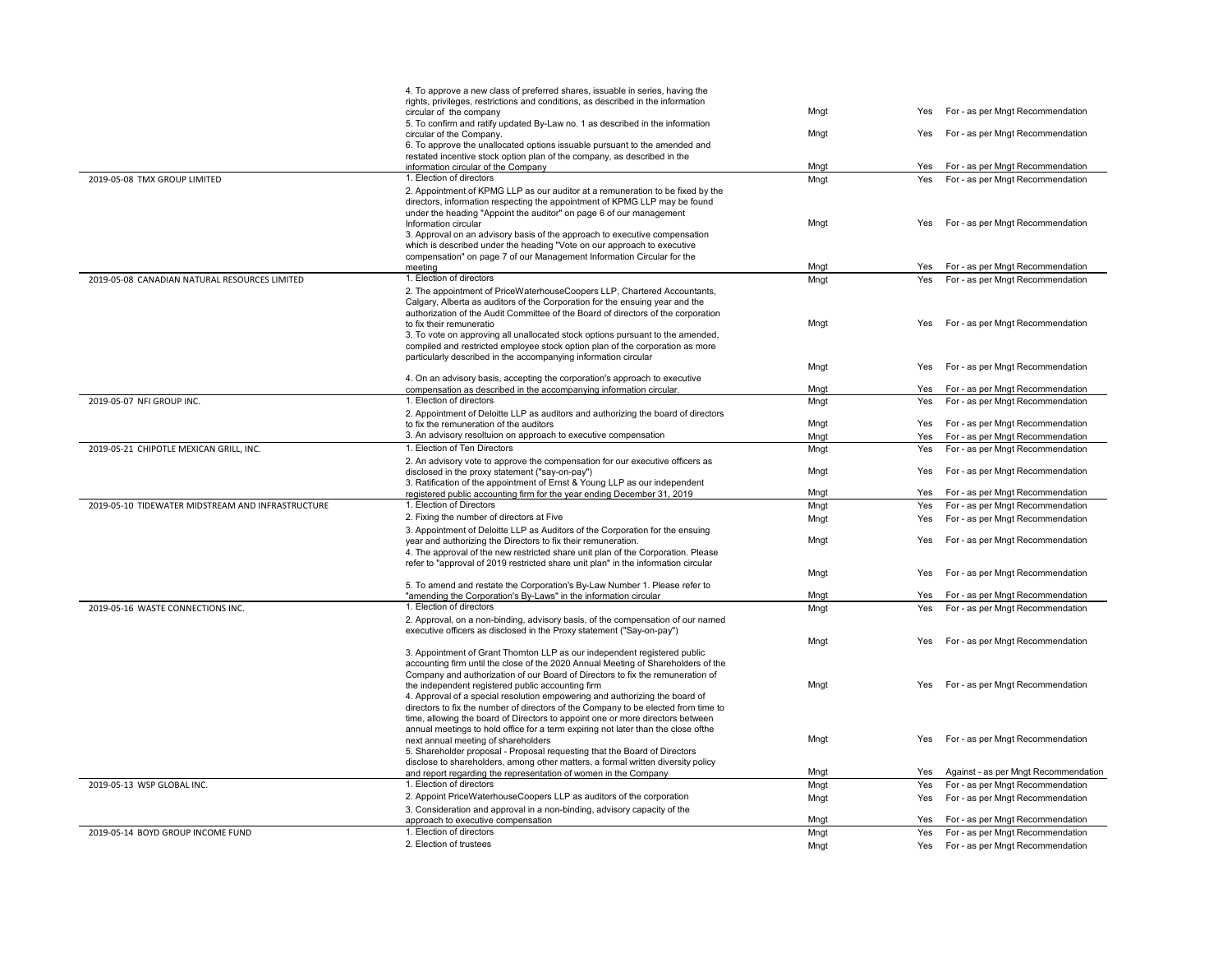|                                                   | 4. To approve a new class of preferred shares, issuable in series, having the<br>rights, privileges, restrictions and conditions, as described in the information                                                                                                                                                                                                                                                                                                                                               |              |     |                                                                              |
|---------------------------------------------------|-----------------------------------------------------------------------------------------------------------------------------------------------------------------------------------------------------------------------------------------------------------------------------------------------------------------------------------------------------------------------------------------------------------------------------------------------------------------------------------------------------------------|--------------|-----|------------------------------------------------------------------------------|
|                                                   | circular of the company<br>5. To confirm and ratify updated By-Law no. 1 as described in the information                                                                                                                                                                                                                                                                                                                                                                                                        | Mngt         | Yes | For - as per Mngt Recommendation                                             |
|                                                   | circular of the Company.<br>6. To approve the unallocated options issuable pursuant to the amended and<br>restated incentive stock option plan of the company, as described in the                                                                                                                                                                                                                                                                                                                              | Mngt         | Yes | For - as per Mngt Recommendation                                             |
|                                                   | information circular of the Company                                                                                                                                                                                                                                                                                                                                                                                                                                                                             | Mngt         | Yes | For - as per Mngt Recommendation                                             |
| 2019-05-08 TMX GROUP LIMITED                      | 1. Election of directors                                                                                                                                                                                                                                                                                                                                                                                                                                                                                        | Mngt         | Yes | For - as per Mngt Recommendation                                             |
|                                                   | 2. Appointment of KPMG LLP as our auditor at a remuneration to be fixed by the<br>directors, information respecting the appointment of KPMG LLP may be found<br>under the heading "Appoint the auditor" on page 6 of our management<br>Information circular<br>3. Approval on an advisory basis of the approach to executive compensation<br>which is described under the heading "Vote on our approach to executive<br>compensation" on page 7 of our Management Information Circular for the                  | Mngt         | Yes | For - as per Mngt Recommendation                                             |
|                                                   | meeting                                                                                                                                                                                                                                                                                                                                                                                                                                                                                                         | Mngt         | Yes | For - as per Mngt Recommendation                                             |
| 2019-05-08 CANADIAN NATURAL RESOURCES LIMITED     | 1. Election of directors                                                                                                                                                                                                                                                                                                                                                                                                                                                                                        | Mnat         | Yes | For - as per Mngt Recommendation                                             |
|                                                   | 2. The appointment of PriceWaterhouseCoopers LLP, Chartered Accountants,<br>Calgary, Alberta as auditors of the Corporation for the ensuing year and the<br>authorization of the Audit Committee of the Board of directors of the corporation<br>to fix their remuneratio<br>3. To vote on approving all unallocated stock options pursuant to the amended,<br>compiled and restricted employee stock option plan of the corporation as more<br>particularly described in the accompanying information circular | Mngt         | Yes | For - as per Mngt Recommendation                                             |
|                                                   |                                                                                                                                                                                                                                                                                                                                                                                                                                                                                                                 | Mngt         | Yes | For - as per Mngt Recommendation                                             |
|                                                   | 4. On an advisory basis, accepting the corporation's approach to executive                                                                                                                                                                                                                                                                                                                                                                                                                                      |              |     |                                                                              |
|                                                   | compensation as described in the accompanying information circular.                                                                                                                                                                                                                                                                                                                                                                                                                                             | Mngt         | Yes | For - as per Mngt Recommendation                                             |
| 2019-05-07 NFI GROUP INC.                         | 1. Election of directors                                                                                                                                                                                                                                                                                                                                                                                                                                                                                        | Mngt         | Yes | For - as per Mngt Recommendation                                             |
|                                                   | 2. Appointment of Deloitte LLP as auditors and authorizing the board of directors<br>to fix the remuneration of the auditors                                                                                                                                                                                                                                                                                                                                                                                    | Mngt         | Yes | For - as per Mngt Recommendation                                             |
|                                                   | 3. An advisory resoltuion on approach to executive compensation                                                                                                                                                                                                                                                                                                                                                                                                                                                 | Mngt         | Yes | For - as per Mngt Recommendation                                             |
| 2019-05-21 CHIPOTLE MEXICAN GRILL, INC.           | 1. Election of Ten Directors                                                                                                                                                                                                                                                                                                                                                                                                                                                                                    | Mngt         | Yes | For - as per Mngt Recommendation                                             |
|                                                   | 2. An advisory vote to approve the compensation for our executive officers as<br>disclosed in the proxy statement ("say-on-pay")<br>3. Ratification of the appointment of Ernst & Young LLP as our independent                                                                                                                                                                                                                                                                                                  | Mngt         | Yes | For - as per Mngt Recommendation                                             |
|                                                   | registered public accounting firm for the year ending December 31, 2019                                                                                                                                                                                                                                                                                                                                                                                                                                         | Mngt         | Yes | For - as per Mngt Recommendation                                             |
| 2019-05-10 TIDEWATER MIDSTREAM AND INFRASTRUCTURE | 1. Election of Directors                                                                                                                                                                                                                                                                                                                                                                                                                                                                                        | Mngt         | Yes | For - as per Mngt Recommendation                                             |
|                                                   | 2. Fixing the number of directors at Five                                                                                                                                                                                                                                                                                                                                                                                                                                                                       | Mngt         | Yes | For - as per Mngt Recommendation                                             |
|                                                   | 3. Appointment of Deloitte LLP as Auditors of the Corporation for the ensuing<br>year and authorizing the Directors to fix their remuneration.<br>4. The approval of the new restricted share unit plan of the Corporation. Please<br>refer to "approval of 2019 restricted share unit plan" in the information circular                                                                                                                                                                                        | Mngt         | Yes | For - as per Mngt Recommendation                                             |
|                                                   | 5. To amend and restate the Corporation's By-Law Number 1. Please refer to                                                                                                                                                                                                                                                                                                                                                                                                                                      | Mngt         | Yes | For - as per Mngt Recommendation                                             |
|                                                   | "amending the Corporation's By-Laws" in the information circular                                                                                                                                                                                                                                                                                                                                                                                                                                                | Mngt         |     | Yes For - as per Mngt Recommendation                                         |
| 2019-05-16 WASTE CONNECTIONS INC.                 | 1. Election of directors<br>2. Approval, on a non-binding, advisory basis, of the compensation of our named<br>executive officers as disclosed in the Proxy statement ("Say-on-pay")                                                                                                                                                                                                                                                                                                                            | Mngt         | Yes | For - as per Mngt Recommendation                                             |
|                                                   |                                                                                                                                                                                                                                                                                                                                                                                                                                                                                                                 | Mngt         | Yes | For - as per Mngt Recommendation                                             |
|                                                   | 3. Appointment of Grant Thornton LLP as our independent registered public<br>accounting firm until the close of the 2020 Annual Meeting of Shareholders of the<br>Company and authorization of our Board of Directors to fix the remuneration of                                                                                                                                                                                                                                                                |              |     |                                                                              |
|                                                   | the independent registered public accounting firm<br>4. Approval of a special resolution empowering and authorizing the board of<br>directors to fix the number of directors of the Company to be elected from time to<br>time, allowing the board of Directors to appoint one or more directors between<br>annual meetings to hold office for a term expiring not later than the close ofthe                                                                                                                   | Mngt         | Yes | For - as per Mngt Recommendation                                             |
|                                                   | next annual meeting of shareholders<br>5. Shareholder proposal - Proposal requesting that the Board of Directors<br>disclose to shareholders, among other matters, a formal written diversity policy<br>and report regarding the representation of women in the Company                                                                                                                                                                                                                                         | Mngt<br>Mngt | Yes | For - as per Mngt Recommendation<br>Yes Against - as per Mngt Recommendation |
| 2019-05-13 WSP GLOBAL INC.                        | 1. Election of directors                                                                                                                                                                                                                                                                                                                                                                                                                                                                                        | Mngt         | Yes | For - as per Mngt Recommendation                                             |
|                                                   | 2. Appoint PriceWaterhouseCoopers LLP as auditors of the corporation<br>3. Consideration and approval in a non-binding, advisory capacity of the                                                                                                                                                                                                                                                                                                                                                                | Mngt         | Yes | For - as per Mngt Recommendation                                             |
|                                                   | approach to executive compensation                                                                                                                                                                                                                                                                                                                                                                                                                                                                              | Mngt         |     | Yes For - as per Mngt Recommendation                                         |
| 2019-05-14 BOYD GROUP INCOME FUND                 | 1. Election of directors                                                                                                                                                                                                                                                                                                                                                                                                                                                                                        | Mngt         |     | Yes For - as per Mngt Recommendation                                         |
|                                                   | 2. Election of trustees                                                                                                                                                                                                                                                                                                                                                                                                                                                                                         | Mngt         |     | Yes For - as per Mngt Recommendation                                         |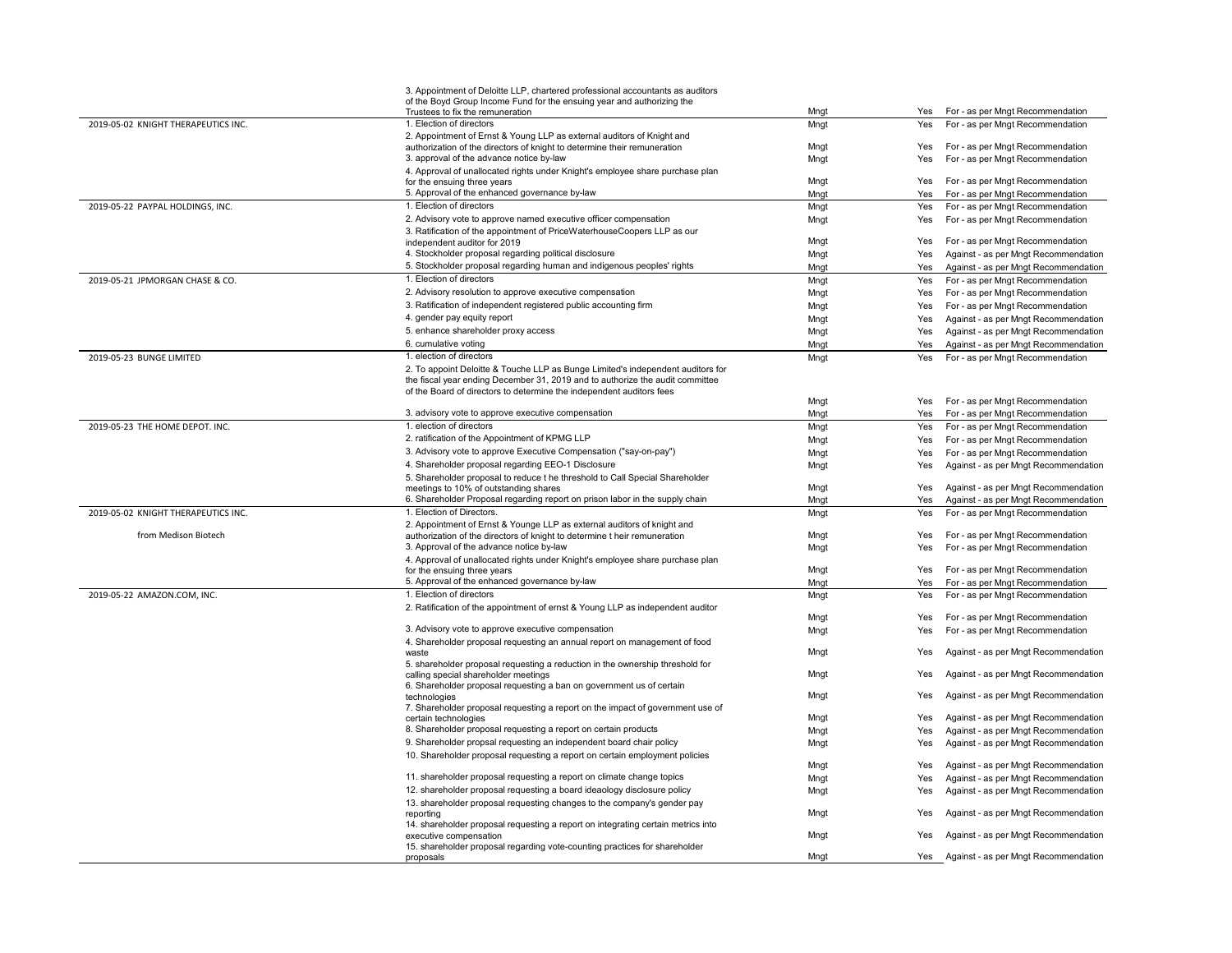|                                     | 3. Appointment of Deloitte LLP, chartered professional accountants as auditors<br>of the Boyd Group Income Fund for the ensuing year and authorizing the |              |            |                                                                      |
|-------------------------------------|----------------------------------------------------------------------------------------------------------------------------------------------------------|--------------|------------|----------------------------------------------------------------------|
| 2019-05-02 KNIGHT THERAPEUTICS INC. | Trustees to fix the remuneration<br>1. Election of directors                                                                                             | Mngt         | Yes        | For - as per Mngt Recommendation                                     |
|                                     | 2. Appointment of Ernst & Young LLP as external auditors of Knight and                                                                                   | Mngt         | Yes        | For - as per Mngt Recommendation                                     |
|                                     | authorization of the directors of knight to determine their remuneration                                                                                 | Mngt         | Yes        | For - as per Mngt Recommendation                                     |
|                                     | 3. approval of the advance notice by-law                                                                                                                 | Mngt         | Yes        | For - as per Mngt Recommendation                                     |
|                                     | 4. Approval of unallocated rights under Knight's employee share purchase plan                                                                            |              |            |                                                                      |
|                                     | for the ensuing three years                                                                                                                              | Mngt         | Yes        | For - as per Mngt Recommendation                                     |
|                                     | 5. Approval of the enhanced governance by-law                                                                                                            | Mngt         | Yes        | For - as per Mngt Recommendation                                     |
| 2019-05-22 PAYPAL HOLDINGS, INC.    | 1. Election of directors                                                                                                                                 | Mngt         | Yes        | For - as per Mngt Recommendation                                     |
|                                     | 2. Advisory vote to approve named executive officer compensation                                                                                         | Mngt         | Yes        | For - as per Mngt Recommendation                                     |
|                                     | 3. Ratification of the appointment of PriceWaterhouseCoopers LLP as our<br>independent auditor for 2019                                                  | Mngt         | Yes        | For - as per Mngt Recommendation                                     |
|                                     | 4. Stockholder proposal regarding political disclosure                                                                                                   | Mngt         | Yes        | Against - as per Mngt Recommendation                                 |
|                                     | 5. Stockholder proposal regarding human and indigenous peoples' rights                                                                                   | Mngt         | Yes        | Against - as per Mngt Recommendation                                 |
| 2019-05-21 JPMORGAN CHASE & CO.     | 1. Election of directors                                                                                                                                 | Mngt         | Yes        | For - as per Mngt Recommendation                                     |
|                                     | 2. Advisory resolution to approve executive compensation                                                                                                 | Mngt         | Yes        | For - as per Mngt Recommendation                                     |
|                                     | 3. Ratification of independent registered public accounting firm                                                                                         | Mngt         | Yes        | For - as per Mngt Recommendation                                     |
|                                     | 4. gender pay equity report                                                                                                                              | Mngt         | Yes        | Against - as per Mngt Recommendation                                 |
|                                     | 5. enhance shareholder proxy access                                                                                                                      | Mngt         | Yes        | Against - as per Mngt Recommendation                                 |
|                                     | 6. cumulative voting                                                                                                                                     | Mngt         | Yes        | Against - as per Mngt Recommendation                                 |
| 2019-05-23 BUNGE LIMITED            | 1. election of directors                                                                                                                                 | Mngt         | Yes        | For - as per Mngt Recommendation                                     |
|                                     | 2. To appoint Deloitte & Touche LLP as Bunge Limited's independent auditors for                                                                          |              |            |                                                                      |
|                                     | the fiscal year ending December 31, 2019 and to authorize the audit committee                                                                            |              |            |                                                                      |
|                                     | of the Board of directors to determine the independent auditors fees                                                                                     |              |            |                                                                      |
|                                     | 3. advisory vote to approve executive compensation                                                                                                       | Mngt         | Yes        | For - as per Mngt Recommendation                                     |
| 2019-05-23 THE HOME DEPOT. INC.     | 1. election of directors                                                                                                                                 | Mngt         | Yes        | For - as per Mngt Recommendation<br>For - as per Mngt Recommendation |
|                                     | 2. ratification of the Appointment of KPMG LLP                                                                                                           | Mngt         | Yes<br>Yes | For - as per Mngt Recommendation                                     |
|                                     | 3. Advisory vote to approve Executive Compensation ("say-on-pay")                                                                                        | Mngt         |            | For - as per Mngt Recommendation                                     |
|                                     | 4. Shareholder proposal regarding EEO-1 Disclosure                                                                                                       | Mngt<br>Mngt | Yes<br>Yes | Against - as per Mngt Recommendation                                 |
|                                     | 5. Shareholder proposal to reduce t he threshold to Call Special Shareholder                                                                             |              |            |                                                                      |
|                                     | meetings to 10% of outstanding shares                                                                                                                    | Mngt         | Yes        | Against - as per Mngt Recommendation                                 |
|                                     | 6. Shareholder Proposal regarding report on prison labor in the supply chain                                                                             | Mngt         | Yes        | Against - as per Mngt Recommendation                                 |
| 2019-05-02 KNIGHT THERAPEUTICS INC. | 1. Election of Directors.                                                                                                                                | Mngt         | Yes        | For - as per Mngt Recommendation                                     |
|                                     | 2. Appointment of Ernst & Younge LLP as external auditors of knight and                                                                                  |              |            |                                                                      |
| from Medison Biotech                | authorization of the directors of knight to determine t heir remuneration                                                                                | Mngt         | Yes        | For - as per Mngt Recommendation                                     |
|                                     | 3. Approval of the advance notice by-law                                                                                                                 | Mngt         | Yes        | For - as per Mngt Recommendation                                     |
|                                     | 4. Approval of unallocated rights under Knight's employee share purchase plan<br>for the ensuing three years                                             | Mngt         | Yes        | For - as per Mngt Recommendation                                     |
|                                     | 5. Approval of the enhanced governance by-law                                                                                                            | Mngt         | Yes        | For - as per Mngt Recommendation                                     |
| 2019-05-22 AMAZON.COM, INC.         | 1. Election of directors                                                                                                                                 | Mngt         | Yes        | For - as per Mngt Recommendation                                     |
|                                     | 2. Ratification of the appointment of ernst & Young LLP as independent auditor                                                                           |              |            |                                                                      |
|                                     |                                                                                                                                                          | Mngt         | Yes        | For - as per Mngt Recommendation                                     |
|                                     | 3. Advisory vote to approve executive compensation                                                                                                       | Mngt         | Yes        | For - as per Mngt Recommendation                                     |
|                                     | 4. Shareholder proposal requesting an annual report on management of food                                                                                |              |            |                                                                      |
|                                     | waste                                                                                                                                                    | Mngt         | Yes        | Against - as per Mngt Recommendation                                 |
|                                     | 5. shareholder proposal requesting a reduction in the ownership threshold for<br>calling special shareholder meetings                                    | Mngt         | Yes        | Against - as per Mngt Recommendation                                 |
|                                     | 6. Shareholder proposal requesting a ban on government us of certain                                                                                     |              |            |                                                                      |
|                                     | technologies                                                                                                                                             | Mngt         | Yes        | Against - as per Mngt Recommendation                                 |
|                                     | 7. Shareholder proposal requesting a report on the impact of government use of                                                                           |              |            |                                                                      |
|                                     | certain technologies                                                                                                                                     | Mngt         | Yes        | Against - as per Mngt Recommendation                                 |
|                                     | 8. Shareholder proposal requesting a report on certain products                                                                                          | Mngt         | Yes        | Against - as per Mngt Recommendation                                 |
|                                     | 9. Shareholder propsal requesting an independent board chair policy                                                                                      | Mngt         | Yes        | Against - as per Mngt Recommendation                                 |
|                                     | 10. Shareholder proposal requesting a report on certain employment policies                                                                              | Mngt         | Yes        | Against - as per Mngt Recommendation                                 |
|                                     | 11. shareholder proposal requesting a report on climate change topics                                                                                    | Mngt         | Yes        | Against - as per Mngt Recommendation                                 |
|                                     | 12. shareholder proposal requesting a board ideaology disclosure policy                                                                                  | Mngt         | Yes        | Against - as per Mngt Recommendation                                 |
|                                     | 13. shareholder proposal requesting changes to the company's gender pay                                                                                  |              |            |                                                                      |
|                                     | reporting                                                                                                                                                | Mngt         | Yes        | Against - as per Mngt Recommendation                                 |
|                                     | 14. shareholder proposal requesting a report on integrating certain metrics into                                                                         |              |            |                                                                      |
|                                     | executive compensation                                                                                                                                   | Mngt         | Yes        | Against - as per Mngt Recommendation                                 |
|                                     | 15. shareholder proposal regarding vote-counting practices for shareholder<br>proposals                                                                  | Mnat         |            | Yes Against - as per Mngt Recommendation                             |
|                                     |                                                                                                                                                          |              |            |                                                                      |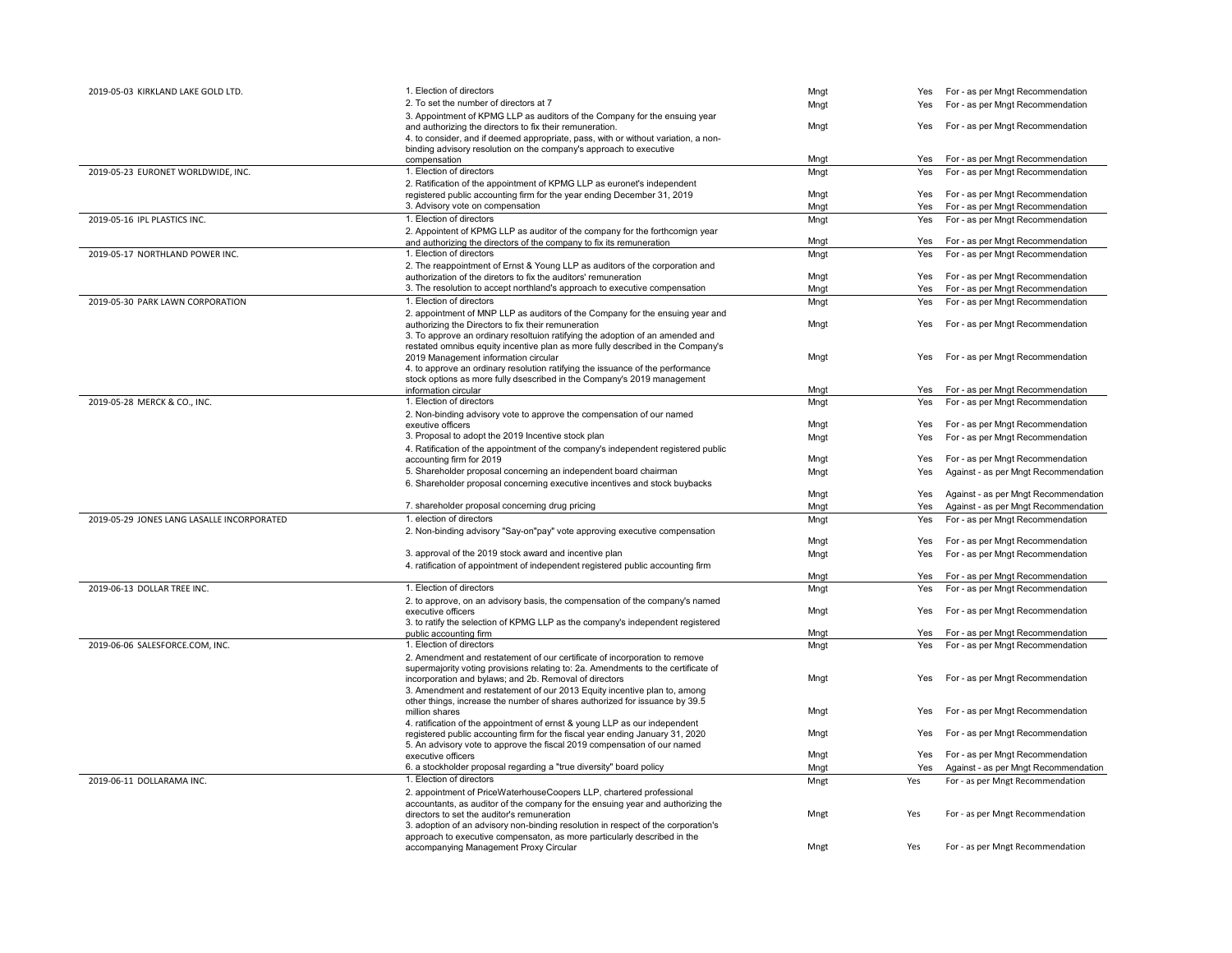| 2019-05-03 KIRKLAND LAKE GOLD LTD.         | 1. Election of directors                                                                                           | Mngt |            | Yes For - as per Mngt Recommendation |
|--------------------------------------------|--------------------------------------------------------------------------------------------------------------------|------|------------|--------------------------------------|
|                                            | 2. To set the number of directors at 7                                                                             | Mngt | Yes        | For - as per Mngt Recommendation     |
|                                            | 3. Appointment of KPMG LLP as auditors of the Company for the ensuing year                                         |      |            |                                      |
|                                            | and authorizing the directors to fix their remuneration.                                                           | Mngt | Yes        | For - as per Mngt Recommendation     |
|                                            | 4. to consider, and if deemed appropriate, pass, with or without variation, a non-                                 |      |            |                                      |
|                                            | binding advisory resolution on the company's approach to executive                                                 |      |            |                                      |
|                                            | compensation                                                                                                       | Mngt | Yes        | For - as per Mngt Recommendation     |
| 2019-05-23 EURONET WORLDWIDE, INC.         | 1. Election of directors                                                                                           | Mngt | Yes        | For - as per Mngt Recommendation     |
|                                            | 2. Ratification of the appointment of KPMG LLP as euronet's independent                                            |      |            |                                      |
|                                            | registered public accounting firm for the year ending December 31, 2019                                            | Mngt | Yes        | For - as per Mngt Recommendation     |
|                                            | 3. Advisory vote on compensation                                                                                   | Mngt | Yes        | For - as per Mngt Recommendation     |
| 2019-05-16 IPL PLASTICS INC.               | 1. Election of directors                                                                                           | Mngt | Yes        | For - as per Mngt Recommendation     |
|                                            | 2. Appointent of KPMG LLP as auditor of the company for the forthcomign year                                       |      |            |                                      |
|                                            | and authorizing the directors of the company to fix its remuneration                                               | Mngt | Yes        | For - as per Mngt Recommendation     |
| 2019-05-17 NORTHLAND POWER INC.            | 1. Election of directors                                                                                           | Mngt | Yes        | For - as per Mngt Recommendation     |
|                                            | 2. The reappointment of Ernst & Young LLP as auditors of the corporation and                                       |      |            |                                      |
|                                            | authorization of the diretors to fix the auditors' remuneration                                                    | Mngt | Yes        | For - as per Mngt Recommendation     |
|                                            | 3. The resolution to accept northland's approach to executive compensation                                         | Mngt | Yes        | For - as per Mngt Recommendation     |
| 2019-05-30 PARK LAWN CORPORATION           | 1. Election of directors                                                                                           | Mngt | Yes        | For - as per Mngt Recommendation     |
|                                            | 2. appointment of MNP LLP as auditors of the Company for the ensuing year and                                      |      |            |                                      |
|                                            | authorizing the Directors to fix their remuneration                                                                | Mngt | Yes        | For - as per Mngt Recommendation     |
|                                            | 3. To approve an ordinary resoltuion ratifying the adoption of an amended and                                      |      |            |                                      |
|                                            | restated omnibus equity incentive plan as more fully described in the Company's                                    |      |            |                                      |
|                                            | 2019 Management information circular                                                                               | Mngt | Yes        | For - as per Mngt Recommendation     |
|                                            | 4. to approve an ordinary resolution ratifying the issuance of the performance                                     |      |            |                                      |
|                                            | stock options as more fully dsescribed in the Company's 2019 management<br>information circular                    |      |            | For - as per Mngt Recommendation     |
|                                            | 1. Election of directors                                                                                           | Mngt | Yes        |                                      |
| 2019-05-28 MERCK & CO., INC.               |                                                                                                                    | Mngt | Yes        | For - as per Mngt Recommendation     |
|                                            | 2. Non-binding advisory vote to approve the compensation of our named<br>exeutive officers                         | Mngt | Yes        | For - as per Mngt Recommendation     |
|                                            | 3. Proposal to adopt the 2019 Incentive stock plan                                                                 |      |            |                                      |
|                                            |                                                                                                                    | Mngt | Yes        | For - as per Mngt Recommendation     |
|                                            | 4. Ratification of the appointment of the company's independent registered public<br>accounting firm for 2019      | Mngt | Yes        | For - as per Mngt Recommendation     |
|                                            | 5. Shareholder proposal concerning an independent board chairman                                                   |      | Yes        | Against - as per Mngt Recommendation |
|                                            |                                                                                                                    | Mngt |            |                                      |
|                                            | 6. Shareholder proposal concerning executive incentives and stock buybacks                                         | Mngt | Yes        | Against - as per Mngt Recommendation |
|                                            | 7. shareholder proposal concerning drug pricing                                                                    | Mngt | <b>Yes</b> | Against - as per Mngt Recommendation |
|                                            | 1. election of directors                                                                                           |      |            |                                      |
| 2019-05-29 JONES LANG LASALLE INCORPORATED |                                                                                                                    | Mngt | Yes        | For - as per Mngt Recommendation     |
|                                            | 2. Non-binding advisory "Say-on"pay" vote approving executive compensation                                         | Mngt | Yes        | For - as per Mngt Recommendation     |
|                                            | 3. approval of the 2019 stock award and incentive plan                                                             |      | Yes        | For - as per Mngt Recommendation     |
|                                            | 4. ratification of appointment of independent registered public accounting firm                                    | Mngt |            |                                      |
|                                            |                                                                                                                    | Mngt | Yes        | For - as per Mngt Recommendation     |
| 2019-06-13 DOLLAR TREE INC.                | 1. Election of directors                                                                                           | Mngt | Yes        | For - as per Mngt Recommendation     |
|                                            | 2. to approve, on an advisory basis, the compensation of the company's named                                       |      |            |                                      |
|                                            | executive officers                                                                                                 | Mngt | Yes        | For - as per Mngt Recommendation     |
|                                            | 3. to ratify the selection of KPMG LLP as the company's independent registered                                     |      |            |                                      |
|                                            | public accounting firm                                                                                             | Mngt | Yes        | For - as per Mngt Recommendation     |
| 2019-06-06 SALESFORCE.COM, INC.            | 1. Election of directors                                                                                           | Mngt | Yes        | For - as per Mngt Recommendation     |
|                                            | 2. Amendment and restatement of our certificate of incorporation to remove                                         |      |            |                                      |
|                                            | supermajority voting provisions relating to: 2a. Amendments to the certificate of                                  |      |            |                                      |
|                                            | incorporation and bylaws; and 2b. Removal of directors                                                             | Mngt | Yes        | For - as per Mngt Recommendation     |
|                                            | 3. Amendment and restatement of our 2013 Equity incentive plan to, among                                           |      |            |                                      |
|                                            | other things, increase the number of shares authorized for issuance by 39.5                                        |      |            |                                      |
|                                            | million shares                                                                                                     | Mngt | Yes        | For - as per Mngt Recommendation     |
|                                            | 4. ratification of the appointment of ernst & young LLP as our independent                                         |      |            |                                      |
|                                            | registered public accounting firm for the fiscal year ending January 31, 2020                                      | Mngt | Yes        | For - as per Mngt Recommendation     |
|                                            | 5. An advisory vote to approve the fiscal 2019 compensation of our named                                           |      |            |                                      |
|                                            | executive officers                                                                                                 | Mngt | Yes        | For - as per Mngt Recommendation     |
|                                            | 6. a stockholder proposal regarding a "true diversity" board policy                                                | Mngt | Yes        | Against - as per Mngt Recommendation |
| 2019-06-11 DOLLARAMA INC.                  | 1. Election of directors                                                                                           | Mngt | Yes        | For - as per Mngt Recommendation     |
|                                            | 2. appointment of PriceWaterhouseCoopers LLP, chartered professional                                               |      |            |                                      |
|                                            | accountants, as auditor of the company for the ensuing year and authorizing the                                    |      |            |                                      |
|                                            | directors to set the auditor's remuneration                                                                        | Mngt | Yes        | For - as per Mngt Recommendation     |
|                                            | 3. adoption of an advisory non-binding resolution in respect of the corporation's                                  |      |            |                                      |
|                                            | approach to executive compensaton, as more particularly described in the<br>accompanying Management Proxy Circular | Mngt | Yes        | For - as per Mngt Recommendation     |
|                                            |                                                                                                                    |      |            |                                      |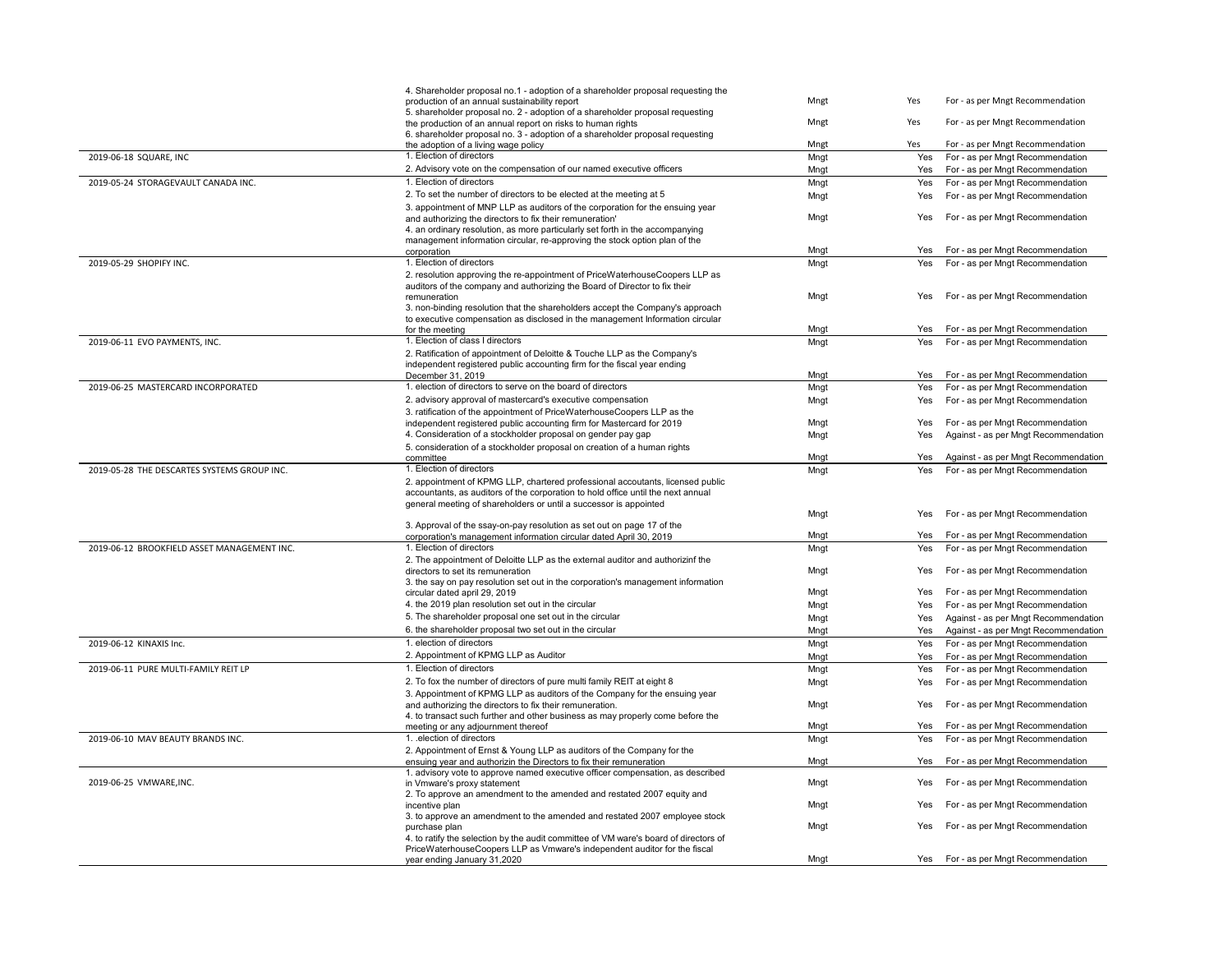|                                             | 4. Shareholder proposal no.1 - adoption of a shareholder proposal requesting the<br>production of an annual sustainability report                                                                                                       | Mngt         | Yes        | For - as per Mngt Recommendation     |
|---------------------------------------------|-----------------------------------------------------------------------------------------------------------------------------------------------------------------------------------------------------------------------------------------|--------------|------------|--------------------------------------|
|                                             | 5. shareholder proposal no. 2 - adoption of a shareholder proposal requesting<br>the production of an annual report on risks to human rights<br>6. shareholder proposal no. 3 - adoption of a shareholder proposal requesting           | Mngt         | Yes        | For - as per Mngt Recommendation     |
|                                             | the adoption of a living wage policy                                                                                                                                                                                                    | Mngt         | Yes        | For - as per Mngt Recommendation     |
| 2019-06-18 SQUARE, INC                      | 1. Election of directors                                                                                                                                                                                                                | Mngt         | Yes        | For - as per Mngt Recommendation     |
|                                             | 2. Advisory vote on the compensation of our named executive officers                                                                                                                                                                    | Mngt         | Yes        | For - as per Mngt Recommendation     |
| 2019-05-24 STORAGEVAULT CANADA INC.         | 1. Election of directors                                                                                                                                                                                                                | Mngt         | Yes        | For - as per Mngt Recommendation     |
|                                             | 2. To set the number of directors to be elected at the meeting at 5                                                                                                                                                                     | Mngt         | Yes        | For - as per Mngt Recommendation     |
|                                             | 3. appointment of MNP LLP as auditors of the corporation for the ensuing year<br>and authorizing the directors to fix their remuneration'                                                                                               | Mngt         | Yes        | For - as per Mngt Recommendation     |
|                                             | 4. an ordinary resolution, as more particularly set forth in the accompanying<br>management information circular, re-approving the stock option plan of the                                                                             |              |            |                                      |
|                                             | corporation                                                                                                                                                                                                                             | Mngt         | Yes        | For - as per Mngt Recommendation     |
| 2019-05-29 SHOPIFY INC.                     | 1. Election of directors                                                                                                                                                                                                                | Mngt         | Yes        | For - as per Mngt Recommendation     |
|                                             | 2. resolution approving the re-appointment of PriceWaterhouseCoopers LLP as                                                                                                                                                             |              |            |                                      |
|                                             | auditors of the company and authorizing the Board of Director to fix their                                                                                                                                                              |              |            |                                      |
|                                             | remuneration                                                                                                                                                                                                                            | Mngt         | Yes        | For - as per Mngt Recommendation     |
|                                             | 3. non-binding resolution that the shareholders accept the Company's approach                                                                                                                                                           |              |            |                                      |
|                                             | to executive compensation as disclosed in the management Information circular<br>for the meeting                                                                                                                                        | Mngt         | Yes        | For - as per Mngt Recommendation     |
| 2019-06-11 EVO PAYMENTS, INC.               | 1. Election of class I directors                                                                                                                                                                                                        | Mngt         | Yes        | For - as per Mngt Recommendation     |
|                                             | 2. Ratification of appointment of Deloitte & Touche LLP as the Company's                                                                                                                                                                |              |            |                                      |
|                                             | independent registered public accounting firm for the fiscal year ending                                                                                                                                                                |              |            |                                      |
|                                             | December 31, 2019                                                                                                                                                                                                                       | Mngt         | Yes        | For - as per Mngt Recommendation     |
| 2019-06-25 MASTERCARD INCORPORATED          | 1. election of directors to serve on the board of directors                                                                                                                                                                             | Mngt         | Yes        | For - as per Mngt Recommendation     |
|                                             | 2. advisory approval of mastercard's executive compensation                                                                                                                                                                             | Mngt         | Yes        | For - as per Mngt Recommendation     |
|                                             | 3. ratification of the appointment of PriceWaterhouseCoopers LLP as the                                                                                                                                                                 |              |            |                                      |
|                                             | independent registered public accounting firm for Mastercard for 2019                                                                                                                                                                   | Mngt         | Yes        | For - as per Mngt Recommendation     |
|                                             | 4. Consideration of a stockholder proposal on gender pay gap                                                                                                                                                                            | Mngt         | Yes        | Against - as per Mngt Recommendation |
|                                             | 5. consideration of a stockholder proposal on creation of a human rights                                                                                                                                                                |              |            |                                      |
|                                             | committee                                                                                                                                                                                                                               | Mngt         | Yes        | Against - as per Mngt Recommendation |
| 2019-05-28 THE DESCARTES SYSTEMS GROUP INC. | 1. Election of directors                                                                                                                                                                                                                | Mngt         | Yes        | For - as per Mngt Recommendation     |
|                                             | 2. appointment of KPMG LLP, chartered professional accoutants, licensed public<br>accountants, as auditors of the corporation to hold office until the next annual<br>general meeting of shareholders or until a successor is appointed |              |            |                                      |
|                                             |                                                                                                                                                                                                                                         | Mngt         | Yes        | For - as per Mngt Recommendation     |
|                                             | 3. Approval of the ssay-on-pay resolution as set out on page 17 of the                                                                                                                                                                  |              | Yes        | For - as per Mngt Recommendation     |
| 2019-06-12 BROOKFIELD ASSET MANAGEMENT INC. | corporation's management information circular dated April 30, 2019<br>1. Election of directors                                                                                                                                          | Mngt         |            | For - as per Mngt Recommendation     |
|                                             | 2. The appointment of Deloitte LLP as the external auditor and authorizinf the                                                                                                                                                          | Mngt<br>Mngt | Yes<br>Yes | For - as per Mngt Recommendation     |
|                                             | directors to set its remuneration<br>3. the say on pay resolution set out in the corporation's management information                                                                                                                   |              |            |                                      |
|                                             | circular dated april 29, 2019                                                                                                                                                                                                           | Mngt         | Yes        | For - as per Mngt Recommendation     |
|                                             | 4. the 2019 plan resolution set out in the circular                                                                                                                                                                                     | Mngt         | Yes        | For - as per Mngt Recommendation     |
|                                             | 5. The shareholder proposal one set out in the circular                                                                                                                                                                                 | Mngt         | Yes        | Against - as per Mngt Recommendation |
|                                             | 6. the shareholder proposal two set out in the circular                                                                                                                                                                                 | Mngt         | Yes        | Against - as per Mngt Recommendation |
| 2019-06-12 KINAXIS Inc.                     | 1. election of directors                                                                                                                                                                                                                | Mngt         | Yes        | For - as per Mngt Recommendation     |
|                                             | 2. Appointment of KPMG LLP as Auditor                                                                                                                                                                                                   | Mngt         | Yes        | For - as per Mngt Recommendation     |
| 2019-06-11 PURE MULTI-FAMILY REIT LP        | 1. Election of directors                                                                                                                                                                                                                | Mngt         | Yes        | For - as per Mngt Recommendation     |
|                                             | 2. To fox the number of directors of pure multi family REIT at eight 8                                                                                                                                                                  | Mngt         | Yes        | For - as per Mngt Recommendation     |
|                                             | 3. Appointment of KPMG LLP as auditors of the Company for the ensuing year                                                                                                                                                              |              |            |                                      |
|                                             | and authorizing the directors to fix their remuneration.                                                                                                                                                                                | Mngt         | Yes        | For - as per Mngt Recommendation     |
|                                             | 4. to transact such further and other business as may properly come before the                                                                                                                                                          |              |            |                                      |
|                                             | meeting or any adjournment thereof                                                                                                                                                                                                      | Mngt         | Yes        | For - as per Mngt Recommendation     |
| 2019-06-10 MAV BEAUTY BRANDS INC.           | 1. election of directors                                                                                                                                                                                                                | Mngt         | Yes        | For - as per Mngt Recommendation     |
|                                             | 2. Appointment of Ernst & Young LLP as auditors of the Company for the                                                                                                                                                                  |              |            |                                      |
|                                             | ensuing year and authorizin the Directors to fix their remuneration<br>1. advisory vote to approve named executive officer compensation, as described                                                                                   | Mngt         | Yes        | For - as per Mngt Recommendation     |
| 2019-06-25 VMWARE, INC.                     | in Vmware's proxy statement                                                                                                                                                                                                             | Mngt         | Yes        | For - as per Mngt Recommendation     |
|                                             | 2. To approve an amendment to the amended and restated 2007 equity and                                                                                                                                                                  |              |            |                                      |
|                                             | incentive plan                                                                                                                                                                                                                          | Mngt         | Yes        | For - as per Mngt Recommendation     |
|                                             | 3. to approve an amendment to the amended and restated 2007 employee stock<br>purchase plan                                                                                                                                             | Mngt         | Yes        | For - as per Mngt Recommendation     |
|                                             | 4. to ratify the selection by the audit committee of VM ware's board of directors of                                                                                                                                                    |              |            |                                      |
|                                             | PriceWaterhouseCoopers LLP as Vmware's independent auditor for the fiscal<br>year ending January 31,2020                                                                                                                                | Mngt         |            | Yes For - as per Mngt Recommendation |
|                                             |                                                                                                                                                                                                                                         |              |            |                                      |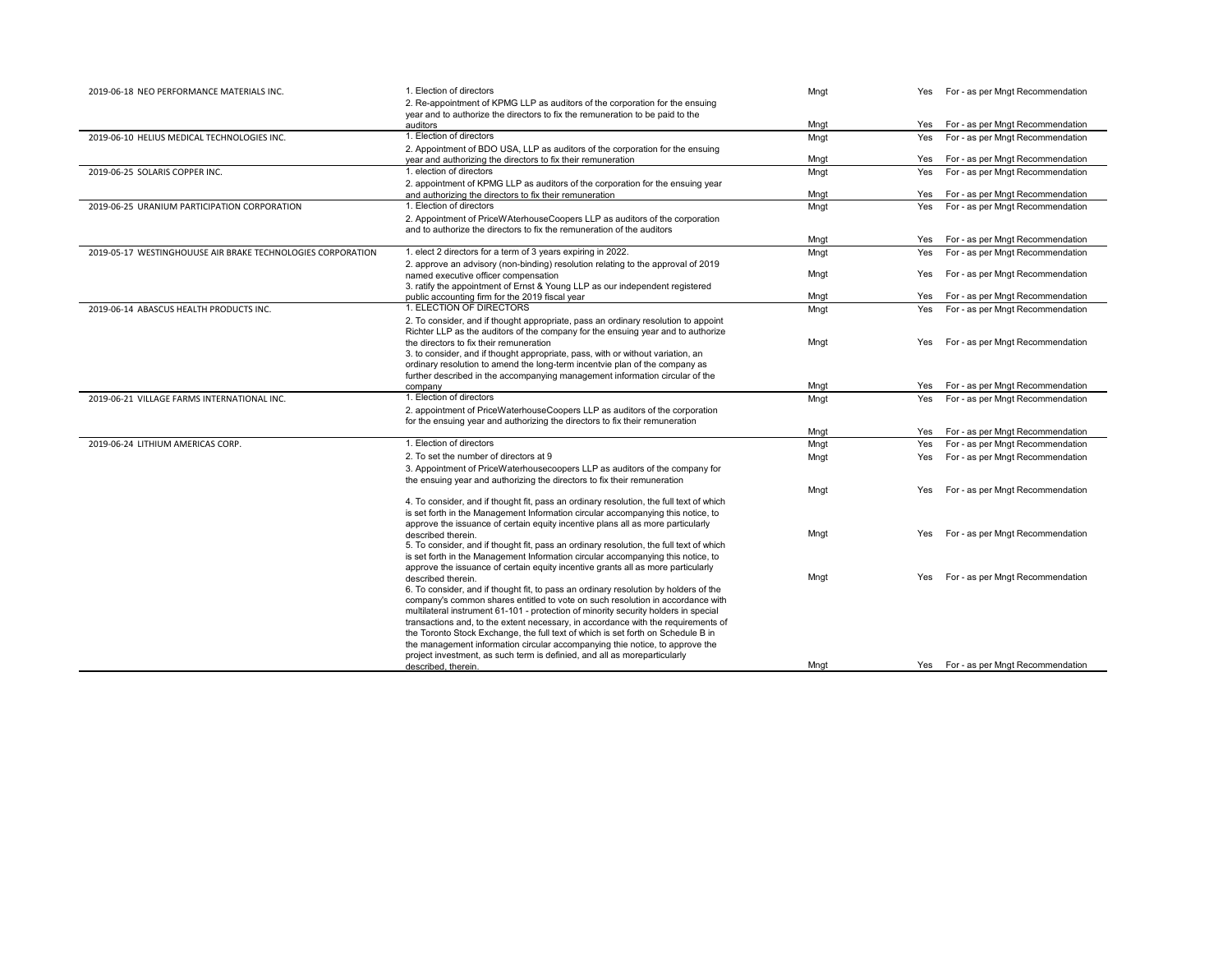| 2019-06-18 NEO PERFORMANCE MATERIALS INC.                   | 1. Election of directors                                                                         | Mngt |     | Yes For - as per Mngt Recommendation |
|-------------------------------------------------------------|--------------------------------------------------------------------------------------------------|------|-----|--------------------------------------|
|                                                             | 2. Re-appointment of KPMG LLP as auditors of the corporation for the ensuing                     |      |     |                                      |
|                                                             | year and to authorize the directors to fix the remuneration to be paid to the                    |      |     |                                      |
|                                                             | auditors                                                                                         | Mngt | Yes | For - as per Mngt Recommendation     |
| 2019-06-10 HELIUS MEDICAL TECHNOLOGIES INC.                 | 1. Election of directors                                                                         | Mngt | Yes | For - as per Mngt Recommendation     |
|                                                             | 2. Appointment of BDO USA, LLP as auditors of the corporation for the ensuing                    |      |     |                                      |
|                                                             | year and authorizing the directors to fix their remuneration                                     | Mngt | Yes | For - as per Mngt Recommendation     |
| 2019-06-25 SOLARIS COPPER INC.                              | 1. election of directors                                                                         | Mngt | Yes | For - as per Mngt Recommendation     |
|                                                             | 2. appointment of KPMG LLP as auditors of the corporation for the ensuing year                   |      |     |                                      |
|                                                             | and authorizing the directors to fix their remuneration                                          | Mngt | Yes | For - as per Mngt Recommendation     |
| 2019-06-25 URANIUM PARTICIPATION CORPORATION                | 1. Election of directors                                                                         | Mngt | Yes | For - as per Mngt Recommendation     |
|                                                             | 2. Appointment of PriceWAterhouseCoopers LLP as auditors of the corporation                      |      |     |                                      |
|                                                             | and to authorize the directors to fix the remuneration of the auditors                           |      |     |                                      |
|                                                             |                                                                                                  | Mngt | Yes | For - as per Mngt Recommendation     |
| 2019-05-17 WESTINGHOUUSE AIR BRAKE TECHNOLOGIES CORPORATION | 1. elect 2 directors for a term of 3 years expiring in 2022.                                     | Mngt | Yes | For - as per Mngt Recommendation     |
|                                                             | 2. approve an advisory (non-binding) resolution relating to the approval of 2019                 |      |     |                                      |
|                                                             | named executive officer compensation                                                             | Mngt | Yes | For - as per Mngt Recommendation     |
|                                                             | 3. ratify the appointment of Ernst & Young LLP as our independent registered                     |      |     |                                      |
|                                                             | public accounting firm for the 2019 fiscal year                                                  | Mngt | Yes | For - as per Mngt Recommendation     |
| 2019-06-14 ABASCUS HEALTH PRODUCTS INC.                     | 1. ELECTION OF DIRECTORS                                                                         | Mngt | Yes | For - as per Mngt Recommendation     |
|                                                             | 2. To consider, and if thought appropriate, pass an ordinary resolution to appoint               |      |     |                                      |
|                                                             | Richter LLP as the auditors of the company for the ensuing year and to authorize                 |      |     |                                      |
|                                                             | the directors to fix their remuneration                                                          | Mngt | Yes | For - as per Mngt Recommendation     |
|                                                             | 3. to consider, and if thought appropriate, pass, with or without variation, an                  |      |     |                                      |
|                                                             | ordinary resolution to amend the long-term incentyie plan of the company as                      |      |     |                                      |
|                                                             | further described in the accompanying management information circular of the                     |      |     |                                      |
|                                                             | company                                                                                          | Mngt | Yes | For - as per Mngt Recommendation     |
| 2019-06-21 VILLAGE FARMS INTERNATIONAL INC.                 | 1. Election of directors                                                                         | Mngt | Yes | For - as per Mngt Recommendation     |
|                                                             | 2. appointment of PriceWaterhouseCoopers LLP as auditors of the corporation                      |      |     |                                      |
|                                                             | for the ensuing year and authorizing the directors to fix their remuneration                     |      |     |                                      |
|                                                             |                                                                                                  | Mngt | Yes | For - as per Mngt Recommendation     |
| 2019-06-24 LITHIUM AMERICAS CORP.                           | 1. Election of directors                                                                         | Mngt | Yes | For - as per Mngt Recommendation     |
|                                                             | 2. To set the number of directors at 9                                                           | Mngt | Yes | For - as per Mngt Recommendation     |
|                                                             | 3. Appointment of PriceWaterhousecoopers LLP as auditors of the company for                      |      |     |                                      |
|                                                             | the ensuing year and authorizing the directors to fix their remuneration                         |      |     |                                      |
|                                                             |                                                                                                  | Mngt | Yes | For - as per Mngt Recommendation     |
|                                                             | 4. To consider, and if thought fit, pass an ordinary resolution, the full text of which          |      |     |                                      |
|                                                             | is set forth in the Management Information circular accompanying this notice, to                 |      |     |                                      |
|                                                             | approve the issuance of certain equity incentive plans all as more particularly                  |      |     |                                      |
|                                                             | described therein.                                                                               | Mngt | Yes | For - as per Mngt Recommendation     |
|                                                             | 5. To consider, and if thought fit, pass an ordinary resolution, the full text of which          |      |     |                                      |
|                                                             | is set forth in the Management Information circular accompanying this notice, to                 |      |     |                                      |
|                                                             | approve the issuance of certain equity incentive grants all as more particularly                 |      |     |                                      |
|                                                             | described therein.                                                                               | Mngt | Yes | For - as per Mngt Recommendation     |
|                                                             | 6. To consider, and if thought fit, to pass an ordinary resolution by holders of the             |      |     |                                      |
|                                                             | company's common shares entitled to vote on such resolution in accordance with                   |      |     |                                      |
|                                                             | multilateral instrument 61-101 - protection of minority security holders in special              |      |     |                                      |
|                                                             | transactions and, to the extent necessary, in accordance with the requirements of                |      |     |                                      |
|                                                             | the Toronto Stock Exchange, the full text of which is set forth on Schedule B in                 |      |     |                                      |
|                                                             | the management information circular accompanying thie notice, to approve the                     |      |     |                                      |
|                                                             | project investment, as such term is definied, and all as moreparticularly<br>described, therein. | Mngt |     | Yes For - as per Mngt Recommendation |
|                                                             |                                                                                                  |      |     |                                      |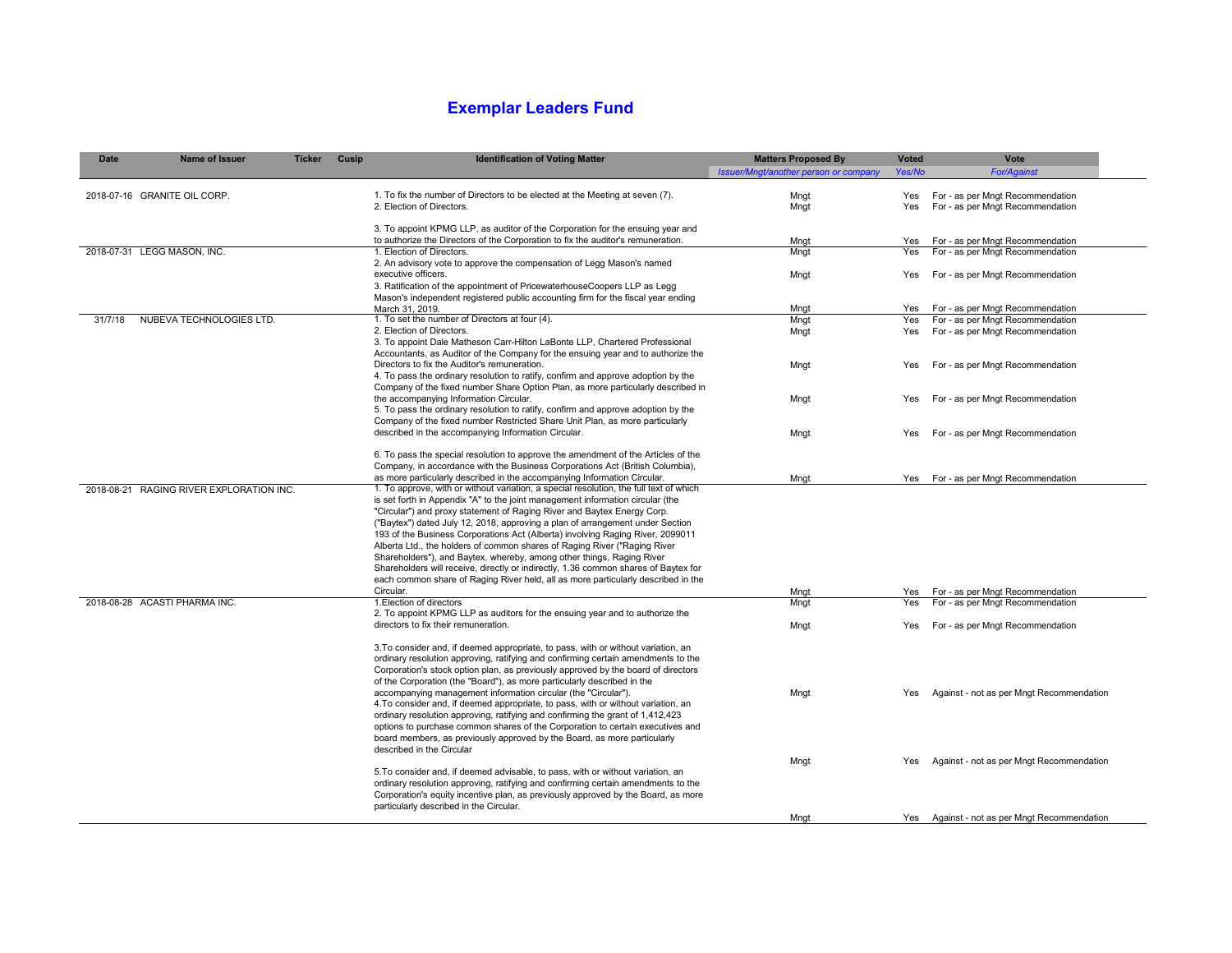## **Exemplar Leaders Fund**

| Date    | <b>Name of Issuer</b>                    | <b>Ticker</b> | Cusip | <b>Identification of Voting Matter</b>                                                                                                                                 | <b>Matters Proposed By</b>            | <b>Voted</b> | Vote                                                                 |
|---------|------------------------------------------|---------------|-------|------------------------------------------------------------------------------------------------------------------------------------------------------------------------|---------------------------------------|--------------|----------------------------------------------------------------------|
|         |                                          |               |       |                                                                                                                                                                        | Issuer/Mngt/another person or company | Yes/No       | <b>For/Against</b>                                                   |
|         | 2018-07-16 GRANITE OIL CORP.             |               |       | 1. To fix the number of Directors to be elected at the Meeting at seven (7).                                                                                           | Mngt                                  | Yes          | For - as per Mngt Recommendation                                     |
|         |                                          |               |       | 2. Election of Directors.                                                                                                                                              | Mngt                                  | Yes          | For - as per Mngt Recommendation                                     |
|         |                                          |               |       |                                                                                                                                                                        |                                       |              |                                                                      |
|         |                                          |               |       | 3. To appoint KPMG LLP, as auditor of the Corporation for the ensuing year and                                                                                         |                                       |              |                                                                      |
|         | 2018-07-31 LEGG MASON, INC.              |               |       | to authorize the Directors of the Corporation to fix the auditor's remuneration.<br>1. Election of Directors.                                                          | Mngt<br>Mngt                          | Yes<br>Yes   | For - as per Mngt Recommendation<br>For - as per Mngt Recommendation |
|         |                                          |               |       | 2. An advisory vote to approve the compensation of Legg Mason's named                                                                                                  |                                       |              |                                                                      |
|         |                                          |               |       | executive officers.                                                                                                                                                    | Mngt                                  | Yes          | For - as per Mngt Recommendation                                     |
|         |                                          |               |       | 3. Ratification of the appointment of PricewaterhouseCoopers LLP as Legg                                                                                               |                                       |              |                                                                      |
|         |                                          |               |       | Mason's independent registered public accounting firm for the fiscal year ending<br>March 31, 2019.                                                                    | Mngt                                  | Yes          | For - as per Mngt Recommendation                                     |
| 31/7/18 | NUBEVA TECHNOLOGIES LTD.                 |               |       | 1. To set the number of Directors at four (4).                                                                                                                         | Mngt                                  | Yes          | For - as per Mngt Recommendation                                     |
|         |                                          |               |       | 2. Election of Directors.                                                                                                                                              | Mngt                                  | Yes          | For - as per Mngt Recommendation                                     |
|         |                                          |               |       | 3. To appoint Dale Matheson Carr-Hilton LaBonte LLP, Chartered Professional                                                                                            |                                       |              |                                                                      |
|         |                                          |               |       | Accountants, as Auditor of the Company for the ensuing year and to authorize the<br>Directors to fix the Auditor's remuneration.                                       |                                       | Yes          | For - as per Mngt Recommendation                                     |
|         |                                          |               |       | 4. To pass the ordinary resolution to ratify, confirm and approve adoption by the                                                                                      | Mngt                                  |              |                                                                      |
|         |                                          |               |       | Company of the fixed number Share Option Plan, as more particularly described in                                                                                       |                                       |              |                                                                      |
|         |                                          |               |       | the accompanying Information Circular.                                                                                                                                 | Mngt                                  | Yes          | For - as per Mngt Recommendation                                     |
|         |                                          |               |       | 5. To pass the ordinary resolution to ratify, confirm and approve adoption by the                                                                                      |                                       |              |                                                                      |
|         |                                          |               |       | Company of the fixed number Restricted Share Unit Plan, as more particularly<br>described in the accompanying Information Circular.                                    | Mngt                                  | Yes          | For - as per Mngt Recommendation                                     |
|         |                                          |               |       |                                                                                                                                                                        |                                       |              |                                                                      |
|         |                                          |               |       | 6. To pass the special resolution to approve the amendment of the Articles of the                                                                                      |                                       |              |                                                                      |
|         |                                          |               |       | Company, in accordance with the Business Corporations Act (British Columbia),<br>as more particularly described in the accompanying Information Circular.              |                                       |              |                                                                      |
|         | 2018-08-21 RAGING RIVER EXPLORATION INC. |               |       | 1. To approve, with or without variation, a special resolution, the full text of which                                                                                 | Mngt                                  |              | Yes For - as per Mngt Recommendation                                 |
|         |                                          |               |       | is set forth in Appendix "A" to the joint management information circular (the                                                                                         |                                       |              |                                                                      |
|         |                                          |               |       | "Circular") and proxy statement of Raging River and Baytex Energy Corp.                                                                                                |                                       |              |                                                                      |
|         |                                          |               |       | ("Baytex") dated July 12, 2018, approving a plan of arrangement under Section                                                                                          |                                       |              |                                                                      |
|         |                                          |               |       | 193 of the Business Corporations Act (Alberta) involving Raging River, 2099011<br>Alberta Ltd., the holders of common shares of Raging River ("Raging River            |                                       |              |                                                                      |
|         |                                          |               |       | Shareholders"), and Baytex, whereby, among other things, Raging River                                                                                                  |                                       |              |                                                                      |
|         |                                          |               |       | Shareholders will receive, directly or indirectly, 1.36 common shares of Baytex for                                                                                    |                                       |              |                                                                      |
|         |                                          |               |       | each common share of Raging River held, all as more particularly described in the                                                                                      |                                       |              |                                                                      |
|         | 2018-08-28 ACASTI PHARMA INC.            |               |       | Circular.<br>1. Election of directors                                                                                                                                  | Mngt<br>Mngt                          | Yes<br>Yes   | For - as per Mngt Recommendation<br>For - as per Mngt Recommendation |
|         |                                          |               |       | 2. To appoint KPMG LLP as auditors for the ensuing year and to authorize the                                                                                           |                                       |              |                                                                      |
|         |                                          |               |       | directors to fix their remuneration.                                                                                                                                   | Mngt                                  | Yes          | For - as per Mngt Recommendation                                     |
|         |                                          |               |       |                                                                                                                                                                        |                                       |              |                                                                      |
|         |                                          |               |       | 3. To consider and, if deemed appropriate, to pass, with or without variation, an<br>ordinary resolution approving, ratifying and confirming certain amendments to the |                                       |              |                                                                      |
|         |                                          |               |       | Corporation's stock option plan, as previously approved by the board of directors                                                                                      |                                       |              |                                                                      |
|         |                                          |               |       | of the Corporation (the "Board"), as more particularly described in the                                                                                                |                                       |              |                                                                      |
|         |                                          |               |       | accompanying management information circular (the "Circular").                                                                                                         | Mngt                                  | Yes          | Against - not as per Mngt Recommendation                             |
|         |                                          |               |       | 4. To consider and, if deemed appropriate, to pass, with or without variation, an                                                                                      |                                       |              |                                                                      |
|         |                                          |               |       | ordinary resolution approving, ratifying and confirming the grant of 1,412,423<br>options to purchase common shares of the Corporation to certain executives and       |                                       |              |                                                                      |
|         |                                          |               |       | board members, as previously approved by the Board, as more particularly                                                                                               |                                       |              |                                                                      |
|         |                                          |               |       | described in the Circular                                                                                                                                              |                                       |              |                                                                      |
|         |                                          |               |       |                                                                                                                                                                        | Mngt                                  | Yes          | Against - not as per Mngt Recommendation                             |
|         |                                          |               |       | 5. To consider and, if deemed advisable, to pass, with or without variation, an<br>ordinary resolution approving, ratifying and confirming certain amendments to the   |                                       |              |                                                                      |
|         |                                          |               |       | Corporation's equity incentive plan, as previously approved by the Board, as more                                                                                      |                                       |              |                                                                      |
|         |                                          |               |       | particularly described in the Circular.                                                                                                                                |                                       |              |                                                                      |
|         |                                          |               |       |                                                                                                                                                                        | Mngt                                  |              | Yes Against - not as per Mngt Recommendation                         |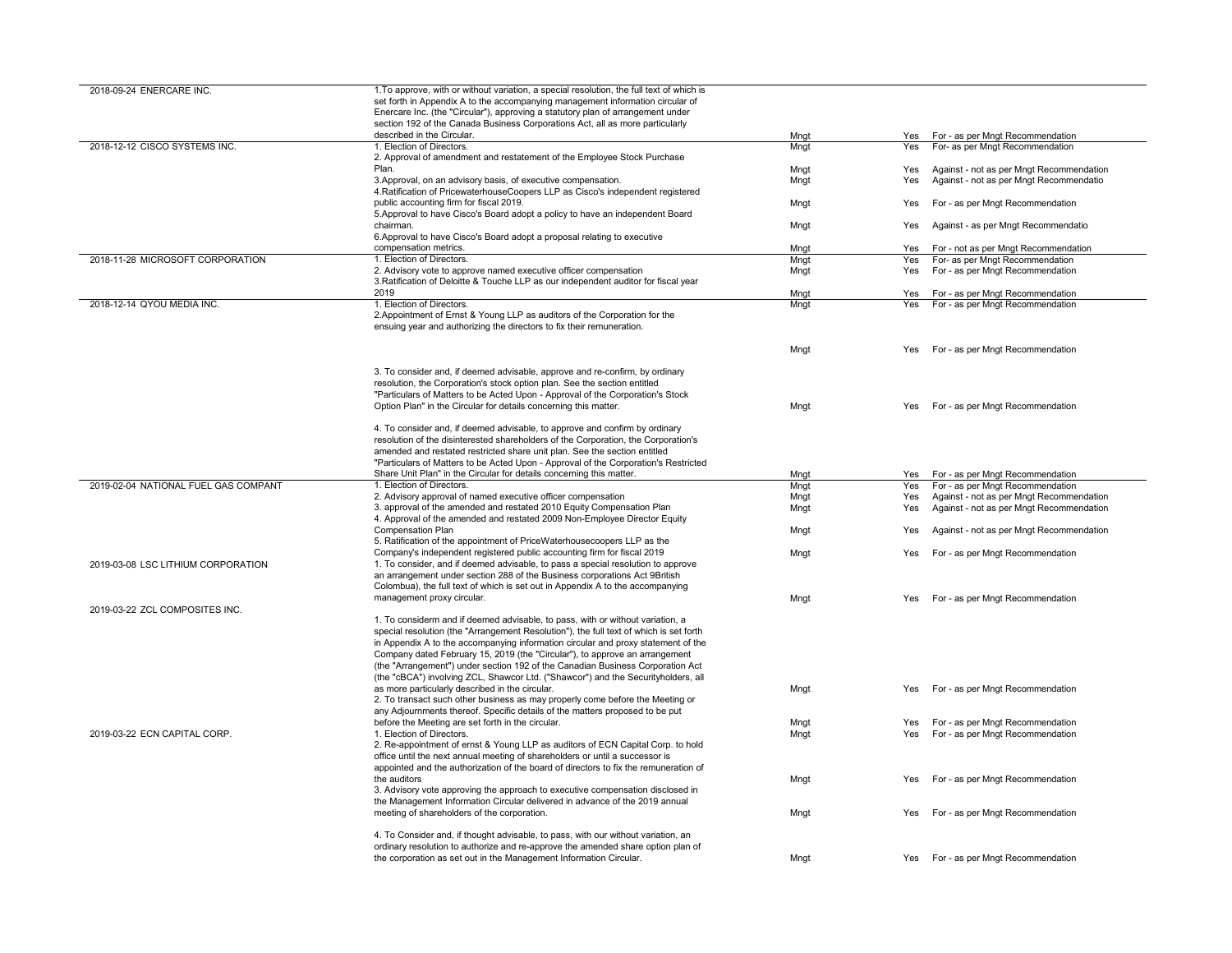| 2018-09-24 ENERCARE INC.             | 1. To approve, with or without variation, a special resolution, the full text of which is                                                              |      |     |                                          |
|--------------------------------------|--------------------------------------------------------------------------------------------------------------------------------------------------------|------|-----|------------------------------------------|
|                                      | set forth in Appendix A to the accompanying management information circular of                                                                         |      |     |                                          |
|                                      | Enercare Inc. (the "Circular"), approving a statutory plan of arrangement under                                                                        |      |     |                                          |
|                                      | section 192 of the Canada Business Corporations Act, all as more particularly                                                                          |      |     |                                          |
|                                      | described in the Circular.                                                                                                                             | Mnat | Yes | For - as per Mngt Recommendation         |
|                                      |                                                                                                                                                        |      |     |                                          |
| 2018-12-12 CISCO SYSTEMS INC.        | 1. Election of Directors.                                                                                                                              | Mngt | Yes | For- as per Mngt Recommendation          |
|                                      | 2. Approval of amendment and restatement of the Employee Stock Purchase                                                                                |      |     |                                          |
|                                      | Plan.                                                                                                                                                  | Mnat | Yes | Against - not as per Mngt Recommendation |
|                                      | 3. Approval, on an advisory basis, of executive compensation.                                                                                          | Mngt | Yes | Against - not as per Mngt Recommendatio  |
|                                      | 4. Ratification of PricewaterhouseCoopers LLP as Cisco's independent registered                                                                        |      |     |                                          |
|                                      | public accounting firm for fiscal 2019.                                                                                                                | Mngt | Yes | For - as per Mngt Recommendation         |
|                                      | 5. Approval to have Cisco's Board adopt a policy to have an independent Board                                                                          |      |     |                                          |
|                                      | chairman.                                                                                                                                              | Mngt | Yes | Against - as per Mngt Recommendatio      |
|                                      | 6. Approval to have Cisco's Board adopt a proposal relating to executive                                                                               |      |     |                                          |
|                                      | compensation metrics.                                                                                                                                  | Mngt | Yes | For - not as per Mngt Recommendation     |
|                                      | 1. Election of Directors.                                                                                                                              |      |     |                                          |
| 2018-11-28 MICROSOFT CORPORATION     |                                                                                                                                                        | Mngt | Yes | For- as per Mngt Recommendation          |
|                                      | 2. Advisory vote to approve named executive officer compensation                                                                                       | Mngt | Yes | For - as per Mngt Recommendation         |
|                                      | 3. Ratification of Deloitte & Touche LLP as our independent auditor for fiscal year                                                                    |      |     |                                          |
|                                      | 2019                                                                                                                                                   | Mngt | Yes | For - as per Mngt Recommendation         |
| 2018-12-14 QYOU MEDIA INC.           | 1. Election of Directors.                                                                                                                              | Mngt | Yes | For - as per Mngt Recommendation         |
|                                      | 2. Appointment of Ernst & Young LLP as auditors of the Corporation for the                                                                             |      |     |                                          |
|                                      | ensuing year and authorizing the directors to fix their remuneration.                                                                                  |      |     |                                          |
|                                      |                                                                                                                                                        |      |     |                                          |
|                                      |                                                                                                                                                        |      | Yes | For - as per Mngt Recommendation         |
|                                      |                                                                                                                                                        | Mngt |     |                                          |
|                                      |                                                                                                                                                        |      |     |                                          |
|                                      | 3. To consider and, if deemed advisable, approve and re-confirm, by ordinary                                                                           |      |     |                                          |
|                                      | resolution, the Corporation's stock option plan. See the section entitled                                                                              |      |     |                                          |
|                                      | "Particulars of Matters to be Acted Upon - Approval of the Corporation's Stock                                                                         |      |     |                                          |
|                                      | Option Plan" in the Circular for details concerning this matter.                                                                                       | Mngt | Yes | For - as per Mngt Recommendation         |
|                                      |                                                                                                                                                        |      |     |                                          |
|                                      | 4. To consider and, if deemed advisable, to approve and confirm by ordinary                                                                            |      |     |                                          |
|                                      | resolution of the disinterested shareholders of the Corporation, the Corporation's                                                                     |      |     |                                          |
|                                      | amended and restated restricted share unit plan. See the section entitled                                                                              |      |     |                                          |
|                                      |                                                                                                                                                        |      |     |                                          |
|                                      | "Particulars of Matters to be Acted Upon - Approval of the Corporation's Restricted                                                                    |      |     |                                          |
|                                      |                                                                                                                                                        |      |     |                                          |
|                                      | Share Unit Plan" in the Circular for details concerning this matter.                                                                                   | Mngt | Yes | For - as per Mngt Recommendation         |
| 2019-02-04 NATIONAL FUEL GAS COMPANT | 1. Election of Directors.                                                                                                                              | Mngt | Yes | For - as per Mngt Recommendation         |
|                                      | 2. Advisory approval of named executive officer compensation                                                                                           | Mngt | Yes | Against - not as per Mngt Recommendation |
|                                      |                                                                                                                                                        |      |     |                                          |
|                                      | 3. approval of the amended and restated 2010 Equity Compensation Plan                                                                                  | Mngt | Yes | Against - not as per Mngt Recommendation |
|                                      | 4. Approval of the amended and restated 2009 Non-Employee Director Equity                                                                              |      |     |                                          |
|                                      | Compensation Plan                                                                                                                                      | Mngt | Yes | Against - not as per Mngt Recommendation |
|                                      | 5. Ratification of the appointment of PriceWaterhousecoopers LLP as the                                                                                |      |     |                                          |
|                                      | Company's independent registered public accounting firm for fiscal 2019                                                                                | Mngt | Yes | For - as per Mngt Recommendation         |
| 2019-03-08 LSC LITHIUM CORPORATION   | 1. To consider, and if deemed advisable, to pass a special resolution to approve                                                                       |      |     |                                          |
|                                      | an arrangement under section 288 of the Business corporations Act 9British                                                                             |      |     |                                          |
|                                      | Colombua), the full text of which is set out in Appendix A to the accompanying                                                                         |      |     |                                          |
|                                      | management proxy circular.                                                                                                                             | Mngt | Yes |                                          |
|                                      |                                                                                                                                                        |      |     | For - as per Mngt Recommendation         |
| 2019-03-22 ZCL COMPOSITES INC.       |                                                                                                                                                        |      |     |                                          |
|                                      | 1. To considerm and if deemed advisable, to pass, with or without variation, a                                                                         |      |     |                                          |
|                                      | special resolution (the "Arrangement Resolution"), the full text of which is set forth                                                                 |      |     |                                          |
|                                      | in Appendix A to the accompanying information circular and proxy statement of the                                                                      |      |     |                                          |
|                                      | Company dated February 15, 2019 (the "Circular"), to approve an arrangement                                                                            |      |     |                                          |
|                                      | (the "Arrangement") under section 192 of the Canadian Business Corporation Act                                                                         |      |     |                                          |
|                                      | (the "cBCA") involving ZCL, Shawcor Ltd. ("Shawcor") and the Securityholders, all                                                                      |      |     |                                          |
|                                      |                                                                                                                                                        |      | Yes |                                          |
|                                      | as more particularly described in the circular.                                                                                                        | Mngt |     | For - as per Mngt Recommendation         |
|                                      | 2. To transact such other business as may properly come before the Meeting or                                                                          |      |     |                                          |
|                                      | any Adjournments thereof. Specific details of the matters proposed to be put                                                                           |      |     |                                          |
|                                      | before the Meeting are set forth in the circular.                                                                                                      | Mngt | Yes | For - as per Mngt Recommendation         |
| 2019-03-22 ECN CAPITAL CORP.         | 1. Election of Directors.                                                                                                                              | Mngt | Yes | For - as per Mngt Recommendation         |
|                                      | 2. Re-appointment of ernst & Young LLP as auditors of ECN Capital Corp. to hold                                                                        |      |     |                                          |
|                                      | office until the next annual meeting of shareholders or until a successor is                                                                           |      |     |                                          |
|                                      | appointed and the authorization of the board of directors to fix the remuneration of                                                                   |      |     |                                          |
|                                      | the auditors                                                                                                                                           | Mngt | Yes | For - as per Mngt Recommendation         |
|                                      | 3. Advisory vote approving the approach to executive compensation disclosed in                                                                         |      |     |                                          |
|                                      | the Management Information Circular delivered in advance of the 2019 annual                                                                            |      |     |                                          |
|                                      |                                                                                                                                                        |      |     |                                          |
|                                      | meeting of shareholders of the corporation.                                                                                                            | Mngt | Yes | For - as per Mngt Recommendation         |
|                                      |                                                                                                                                                        |      |     |                                          |
|                                      | 4. To Consider and, if thought advisable, to pass, with our without variation, an                                                                      |      |     |                                          |
|                                      | ordinary resolution to authorize and re-approve the amended share option plan of<br>the corporation as set out in the Management Information Circular. | Mngt |     | Yes For - as per Mngt Recommendation     |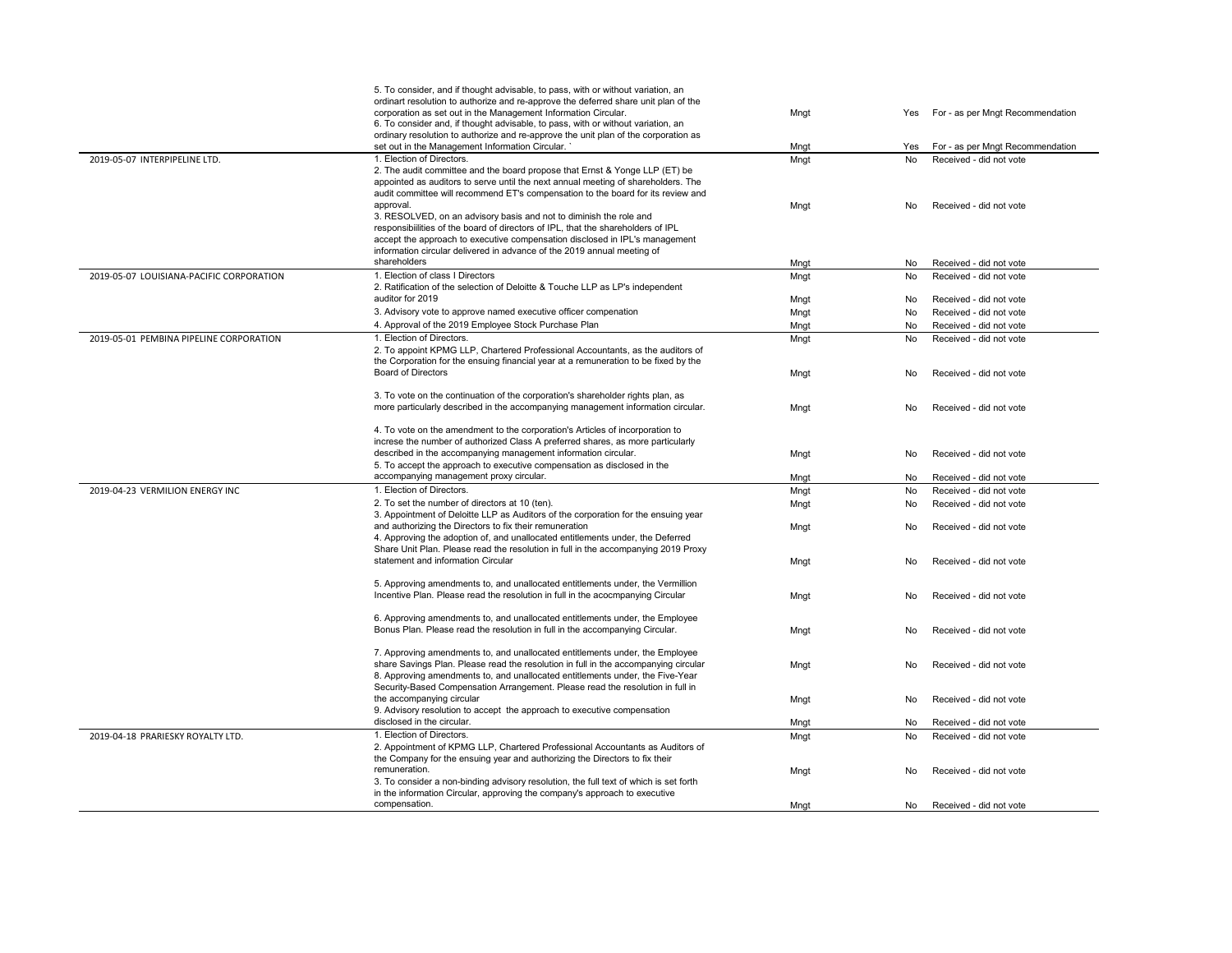|                                          | 5. To consider, and if thought advisable, to pass, with or without variation, an                                                                                 |      |           |                                  |
|------------------------------------------|------------------------------------------------------------------------------------------------------------------------------------------------------------------|------|-----------|----------------------------------|
|                                          | ordinart resolution to authorize and re-approve the deferred share unit plan of the                                                                              |      |           |                                  |
|                                          | corporation as set out in the Management Information Circular.                                                                                                   | Mngt | Yes       | For - as per Mngt Recommendation |
|                                          | 6. To consider and, if thought advisable, to pass, with or without variation, an                                                                                 |      |           |                                  |
|                                          | ordinary resolution to authorize and re-approve the unit plan of the corporation as                                                                              |      |           |                                  |
|                                          | set out in the Management Information Circular. `                                                                                                                | Mnat | Yes       | For - as per Mngt Recommendation |
| 2019-05-07 INTERPIPELINE LTD.            | 1. Election of Directors.                                                                                                                                        | Mngt | <b>No</b> | Received - did not vote          |
|                                          | 2. The audit committee and the board propose that Ernst & Yonge LLP (ET) be                                                                                      |      |           |                                  |
|                                          | appointed as auditors to serve until the next annual meeting of shareholders. The                                                                                |      |           |                                  |
|                                          | audit committee will recommend ET's compensation to the board for its review and                                                                                 |      |           |                                  |
|                                          | approval.                                                                                                                                                        | Mngt | No        | Received - did not vote          |
|                                          | 3. RESOLVED, on an advisory basis and not to diminish the role and<br>responsibilities of the board of directors of IPL, that the shareholders of IPL            |      |           |                                  |
|                                          | accept the approach to executive compensation disclosed in IPL's management                                                                                      |      |           |                                  |
|                                          | information circular delivered in advance of the 2019 annual meeting of                                                                                          |      |           |                                  |
|                                          | shareholders                                                                                                                                                     | Mngt | No        | Received - did not vote          |
| 2019-05-07 LOUISIANA-PACIFIC CORPORATION | 1. Election of class I Directors                                                                                                                                 | Mngt | <b>No</b> | Received - did not vote          |
|                                          | 2. Ratification of the selection of Deloitte & Touche LLP as LP's independent                                                                                    |      |           |                                  |
|                                          | auditor for 2019                                                                                                                                                 |      |           |                                  |
|                                          |                                                                                                                                                                  | Mngt | No        | Received - did not vote          |
|                                          | 3. Advisory vote to approve named executive officer compenation                                                                                                  | Mngt | No        | Received - did not vote          |
|                                          | 4. Approval of the 2019 Employee Stock Purchase Plan                                                                                                             | Mngt | No        | Received - did not vote          |
| 2019-05-01 PEMBINA PIPELINE CORPORATION  | 1. Election of Directors.                                                                                                                                        | Mngt | <b>No</b> | Received - did not vote          |
|                                          | 2. To appoint KPMG LLP, Chartered Professional Accountants, as the auditors of                                                                                   |      |           |                                  |
|                                          | the Corporation for the ensuing financial year at a remuneration to be fixed by the                                                                              |      |           |                                  |
|                                          | Board of Directors                                                                                                                                               | Mngt | No        | Received - did not vote          |
|                                          |                                                                                                                                                                  |      |           |                                  |
|                                          | 3. To vote on the continuation of the corporation's shareholder rights plan, as                                                                                  |      |           |                                  |
|                                          | more particularly described in the accompanying management information circular.                                                                                 | Mngt | No.       | Received - did not vote          |
|                                          |                                                                                                                                                                  |      |           |                                  |
|                                          | 4. To vote on the amendment to the corporation's Articles of incorporation to<br>increse the number of authorized Class A preferred shares, as more particularly |      |           |                                  |
|                                          | described in the accompanying management information circular.                                                                                                   |      |           |                                  |
|                                          | 5. To accept the approach to executive compensation as disclosed in the                                                                                          | Mngt | No        | Received - did not vote          |
|                                          | accompanying management proxy circular.                                                                                                                          | Mngt | No.       | Received - did not vote          |
| 2019-04-23 VERMILION ENERGY INC          | 1. Election of Directors.                                                                                                                                        |      |           | Received - did not vote          |
|                                          |                                                                                                                                                                  | Mngt | No        |                                  |
|                                          | 2. To set the number of directors at 10 (ten).                                                                                                                   | Mngt | No        | Received - did not vote          |
|                                          | 3. Appointment of Deloitte LLP as Auditors of the corporation for the ensuing year                                                                               |      |           |                                  |
|                                          | and authorizing the Directors to fix their remuneration<br>4. Approving the adoption of, and unallocated entitlements under, the Deferred                        | Mngt | No        | Received - did not vote          |
|                                          | Share Unit Plan. Please read the resolution in full in the accompanying 2019 Proxy                                                                               |      |           |                                  |
|                                          | statement and information Circular                                                                                                                               |      | No        | Received - did not vote          |
|                                          |                                                                                                                                                                  | Mngt |           |                                  |
|                                          | 5. Approving amendments to, and unallocated entitlements under, the Vermillion                                                                                   |      |           |                                  |
|                                          | Incentive Plan. Please read the resolution in full in the acocmpanying Circular                                                                                  | Mngt | No        | Received - did not vote          |
|                                          |                                                                                                                                                                  |      |           |                                  |
|                                          | 6. Approving amendments to, and unallocated entitlements under, the Employee                                                                                     |      |           |                                  |
|                                          | Bonus Plan. Please read the resolution in full in the accompanying Circular.                                                                                     | Mngt | No        | Received - did not vote          |
|                                          |                                                                                                                                                                  |      |           |                                  |
|                                          | 7. Approving amendments to, and unallocated entitlements under, the Employee                                                                                     |      |           |                                  |
|                                          | share Savings Plan. Please read the resolution in full in the accompanying circular                                                                              | Mngt | No        | Received - did not vote          |
|                                          | 8. Approving amendments to, and unallocated entitlements under, the Five-Year                                                                                    |      |           |                                  |
|                                          | Security-Based Compensation Arrangement. Please read the resolution in full in                                                                                   |      |           |                                  |
|                                          | the accompanying circular                                                                                                                                        | Mngt | No        | Received - did not vote          |
|                                          | 9. Advisory resolution to accept the approach to executive compensation                                                                                          |      |           |                                  |
|                                          | disclosed in the circular.                                                                                                                                       | Mngt | No.       | Received - did not vote          |
| 2019-04-18 PRARIESKY ROYALTY LTD.        | 1. Election of Directors.                                                                                                                                        | Mngt | No        | Received - did not vote          |
|                                          | 2. Appointment of KPMG LLP, Chartered Professional Accountants as Auditors of                                                                                    |      |           |                                  |
|                                          | the Company for the ensuing year and authorizing the Directors to fix their                                                                                      |      |           |                                  |
|                                          | remuneration.                                                                                                                                                    | Mngt | No        | Received - did not vote          |
|                                          | 3. To consider a non-binding advisory resolution, the full text of which is set forth                                                                            |      |           |                                  |
|                                          | in the information Circular, approving the company's approach to executive                                                                                       |      |           |                                  |
|                                          | compensation.                                                                                                                                                    | Mngt | No        | Received - did not vote          |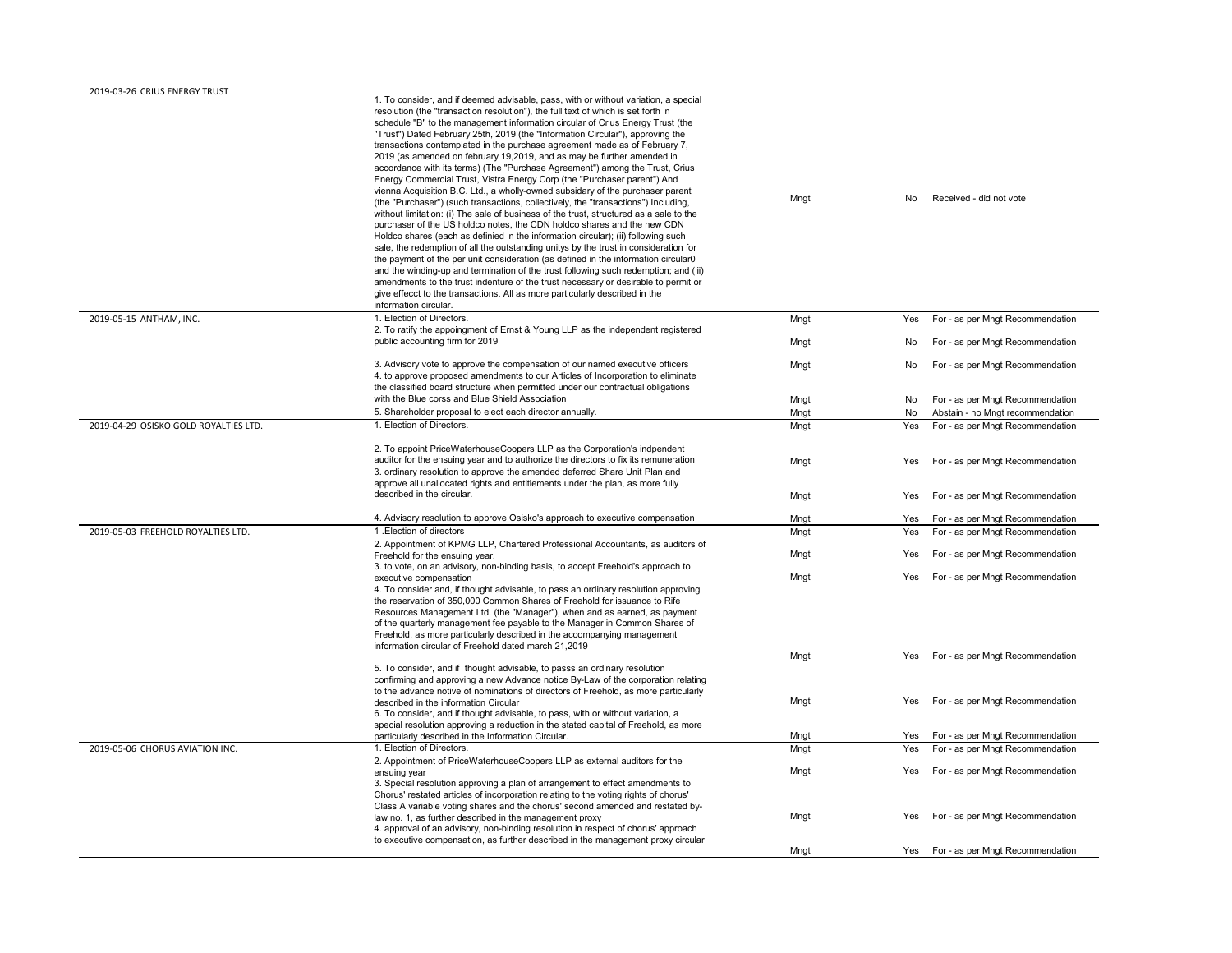| 2019-03-26 CRIUS ENERGY TRUST         |                                                                                                                                                                                                                                                                                                                                                                                                                                                                                                                                                                                                                                                                                                                                                                                                                                                                                                                                                                                                                                                                                                                                                                                                                                                                                                                                                                                                                                                                                                                                                                        |              |            |                                                                      |
|---------------------------------------|------------------------------------------------------------------------------------------------------------------------------------------------------------------------------------------------------------------------------------------------------------------------------------------------------------------------------------------------------------------------------------------------------------------------------------------------------------------------------------------------------------------------------------------------------------------------------------------------------------------------------------------------------------------------------------------------------------------------------------------------------------------------------------------------------------------------------------------------------------------------------------------------------------------------------------------------------------------------------------------------------------------------------------------------------------------------------------------------------------------------------------------------------------------------------------------------------------------------------------------------------------------------------------------------------------------------------------------------------------------------------------------------------------------------------------------------------------------------------------------------------------------------------------------------------------------------|--------------|------------|----------------------------------------------------------------------|
|                                       | 1. To consider, and if deemed advisable, pass, with or without variation, a special<br>resolution (the "transaction resolution"), the full text of which is set forth in<br>schedule "B" to the management information circular of Crius Energy Trust (the<br>"Trust") Dated February 25th, 2019 (the "Information Circular"), approving the<br>transactions contemplated in the purchase agreement made as of February 7,<br>2019 (as amended on february 19,2019, and as may be further amended in<br>accordance with its terms) (The "Purchase Agreement") among the Trust, Crius<br>Energy Commercial Trust, Vistra Energy Corp (the "Purchaser parent") And<br>vienna Acquisition B.C. Ltd., a wholly-owned subsidary of the purchaser parent<br>(the "Purchaser") (such transactions, collectively, the "transactions") Including,<br>without limitation: (i) The sale of business of the trust, structured as a sale to the<br>purchaser of the US holdco notes, the CDN holdco shares and the new CDN<br>Holdco shares (each as definied in the information circular); (ii) following such<br>sale, the redemption of all the outstanding unitys by the trust in consideration for<br>the payment of the per unit consideration (as defined in the information circular0<br>and the winding-up and termination of the trust following such redemption; and (iii)<br>amendments to the trust indenture of the trust necessary or desirable to permit or<br>give effecct to the transactions. All as more particularly described in the<br>information circular. | Mngt         | No         | Received - did not vote                                              |
| 2019-05-15 ANTHAM, INC.               | 1. Election of Directors.                                                                                                                                                                                                                                                                                                                                                                                                                                                                                                                                                                                                                                                                                                                                                                                                                                                                                                                                                                                                                                                                                                                                                                                                                                                                                                                                                                                                                                                                                                                                              | Mngt         | Yes        | For - as per Mngt Recommendation                                     |
|                                       | 2. To ratify the appoingment of Ernst & Young LLP as the independent registered<br>public accounting firm for 2019                                                                                                                                                                                                                                                                                                                                                                                                                                                                                                                                                                                                                                                                                                                                                                                                                                                                                                                                                                                                                                                                                                                                                                                                                                                                                                                                                                                                                                                     | Mngt         | No         | For - as per Mngt Recommendation                                     |
|                                       | 3. Advisory vote to approve the compensation of our named executive officers<br>4. to approve proposed amendments to our Articles of Incorporation to eliminate<br>the classified board structure when permitted under our contractual obligations                                                                                                                                                                                                                                                                                                                                                                                                                                                                                                                                                                                                                                                                                                                                                                                                                                                                                                                                                                                                                                                                                                                                                                                                                                                                                                                     | Mngt         | No         | For - as per Mngt Recommendation                                     |
|                                       | with the Blue corss and Blue Shield Association                                                                                                                                                                                                                                                                                                                                                                                                                                                                                                                                                                                                                                                                                                                                                                                                                                                                                                                                                                                                                                                                                                                                                                                                                                                                                                                                                                                                                                                                                                                        | Mngt         | No         | For - as per Mngt Recommendation                                     |
|                                       | 5. Shareholder proposal to elect each director annually.                                                                                                                                                                                                                                                                                                                                                                                                                                                                                                                                                                                                                                                                                                                                                                                                                                                                                                                                                                                                                                                                                                                                                                                                                                                                                                                                                                                                                                                                                                               | Mngt         | No         | Abstain - no Mngt recommendation                                     |
| 2019-04-29 OSISKO GOLD ROYALTIES LTD. | 1. Election of Directors.                                                                                                                                                                                                                                                                                                                                                                                                                                                                                                                                                                                                                                                                                                                                                                                                                                                                                                                                                                                                                                                                                                                                                                                                                                                                                                                                                                                                                                                                                                                                              | Mngt         | Yes        | For - as per Mngt Recommendation                                     |
|                                       | 2. To appoint PriceWaterhouseCoopers LLP as the Corporation's indpendent<br>auditor for the ensuing year and to authorize the directors to fix its remuneration<br>3. ordinary resolution to approve the amended deferred Share Unit Plan and<br>approve all unallocated rights and entitlements under the plan, as more fully<br>described in the circular.                                                                                                                                                                                                                                                                                                                                                                                                                                                                                                                                                                                                                                                                                                                                                                                                                                                                                                                                                                                                                                                                                                                                                                                                           | Mngt<br>Mngt | Yes<br>Yes | For - as per Mngt Recommendation<br>For - as per Mngt Recommendation |
|                                       |                                                                                                                                                                                                                                                                                                                                                                                                                                                                                                                                                                                                                                                                                                                                                                                                                                                                                                                                                                                                                                                                                                                                                                                                                                                                                                                                                                                                                                                                                                                                                                        |              |            |                                                                      |
|                                       | 4. Advisory resolution to approve Osisko's approach to executive compensation                                                                                                                                                                                                                                                                                                                                                                                                                                                                                                                                                                                                                                                                                                                                                                                                                                                                                                                                                                                                                                                                                                                                                                                                                                                                                                                                                                                                                                                                                          | Mngt         | Yes        | For - as per Mngt Recommendation                                     |
| 2019-05-03 FREEHOLD ROYALTIES LTD.    | 1. Election of directors                                                                                                                                                                                                                                                                                                                                                                                                                                                                                                                                                                                                                                                                                                                                                                                                                                                                                                                                                                                                                                                                                                                                                                                                                                                                                                                                                                                                                                                                                                                                               | Mngt         | Yes        | For - as per Mngt Recommendation                                     |
|                                       | 2. Appointment of KPMG LLP, Chartered Professional Accountants, as auditors of<br>Freehold for the ensuing year.<br>3. to vote, on an advisory, non-binding basis, to accept Freehold's approach to                                                                                                                                                                                                                                                                                                                                                                                                                                                                                                                                                                                                                                                                                                                                                                                                                                                                                                                                                                                                                                                                                                                                                                                                                                                                                                                                                                    | Mngt         | Yes        | For - as per Mngt Recommendation                                     |
|                                       | executive compensation<br>4. To consider and, if thought advisable, to pass an ordinary resolution approving<br>the reservation of 350,000 Common Shares of Freehold for issuance to Rife<br>Resources Management Ltd. (the "Manager"), when and as earned, as payment<br>of the quarterly management fee payable to the Manager in Common Shares of<br>Freehold, as more particularly described in the accompanying management<br>information circular of Freehold dated march 21,2019                                                                                                                                                                                                                                                                                                                                                                                                                                                                                                                                                                                                                                                                                                                                                                                                                                                                                                                                                                                                                                                                                | Mngt         | Yes        | For - as per Mngt Recommendation                                     |
|                                       |                                                                                                                                                                                                                                                                                                                                                                                                                                                                                                                                                                                                                                                                                                                                                                                                                                                                                                                                                                                                                                                                                                                                                                                                                                                                                                                                                                                                                                                                                                                                                                        | Mngt         |            | Yes For - as per Mngt Recommendation                                 |
|                                       | 5. To consider, and if thought advisable, to passs an ordinary resolution<br>confirming and approving a new Advance notice By-Law of the corporation relating<br>to the advance notive of nominations of directors of Freehold, as more particularly                                                                                                                                                                                                                                                                                                                                                                                                                                                                                                                                                                                                                                                                                                                                                                                                                                                                                                                                                                                                                                                                                                                                                                                                                                                                                                                   | Mngt         | Yes        | For - as per Mngt Recommendation                                     |
|                                       | described in the information Circular<br>6. To consider, and if thought advisable, to pass, with or without variation, a<br>special resolution approving a reduction in the stated capital of Freehold, as more                                                                                                                                                                                                                                                                                                                                                                                                                                                                                                                                                                                                                                                                                                                                                                                                                                                                                                                                                                                                                                                                                                                                                                                                                                                                                                                                                        |              |            |                                                                      |
|                                       | particularly described in the Information Circular.                                                                                                                                                                                                                                                                                                                                                                                                                                                                                                                                                                                                                                                                                                                                                                                                                                                                                                                                                                                                                                                                                                                                                                                                                                                                                                                                                                                                                                                                                                                    | Mnat         | Yes        | For - as per Mngt Recommendation                                     |
| 2019-05-06 CHORUS AVIATION INC.       | 1. Election of Directors.                                                                                                                                                                                                                                                                                                                                                                                                                                                                                                                                                                                                                                                                                                                                                                                                                                                                                                                                                                                                                                                                                                                                                                                                                                                                                                                                                                                                                                                                                                                                              | Mngt         | Yes        | For - as per Mngt Recommendation                                     |
|                                       | 2. Appointment of PriceWaterhouseCoopers LLP as external auditors for the<br>ensuing year<br>3. Special resolution approving a plan of arrangement to effect amendments to<br>Chorus' restated articles of incorporation relating to the voting rights of chorus'                                                                                                                                                                                                                                                                                                                                                                                                                                                                                                                                                                                                                                                                                                                                                                                                                                                                                                                                                                                                                                                                                                                                                                                                                                                                                                      | Mngt         | Yes        | For - as per Mngt Recommendation                                     |
|                                       | Class A variable voting shares and the chorus' second amended and restated by-<br>law no. 1, as further described in the management proxy<br>4. approval of an advisory, non-binding resolution in respect of chorus' approach<br>to executive compensation, as further described in the management proxy circular                                                                                                                                                                                                                                                                                                                                                                                                                                                                                                                                                                                                                                                                                                                                                                                                                                                                                                                                                                                                                                                                                                                                                                                                                                                     | Mngt         | Yes        | For - as per Mngt Recommendation                                     |
|                                       |                                                                                                                                                                                                                                                                                                                                                                                                                                                                                                                                                                                                                                                                                                                                                                                                                                                                                                                                                                                                                                                                                                                                                                                                                                                                                                                                                                                                                                                                                                                                                                        | Mngt         | Yes        | For - as per Mngt Recommendation                                     |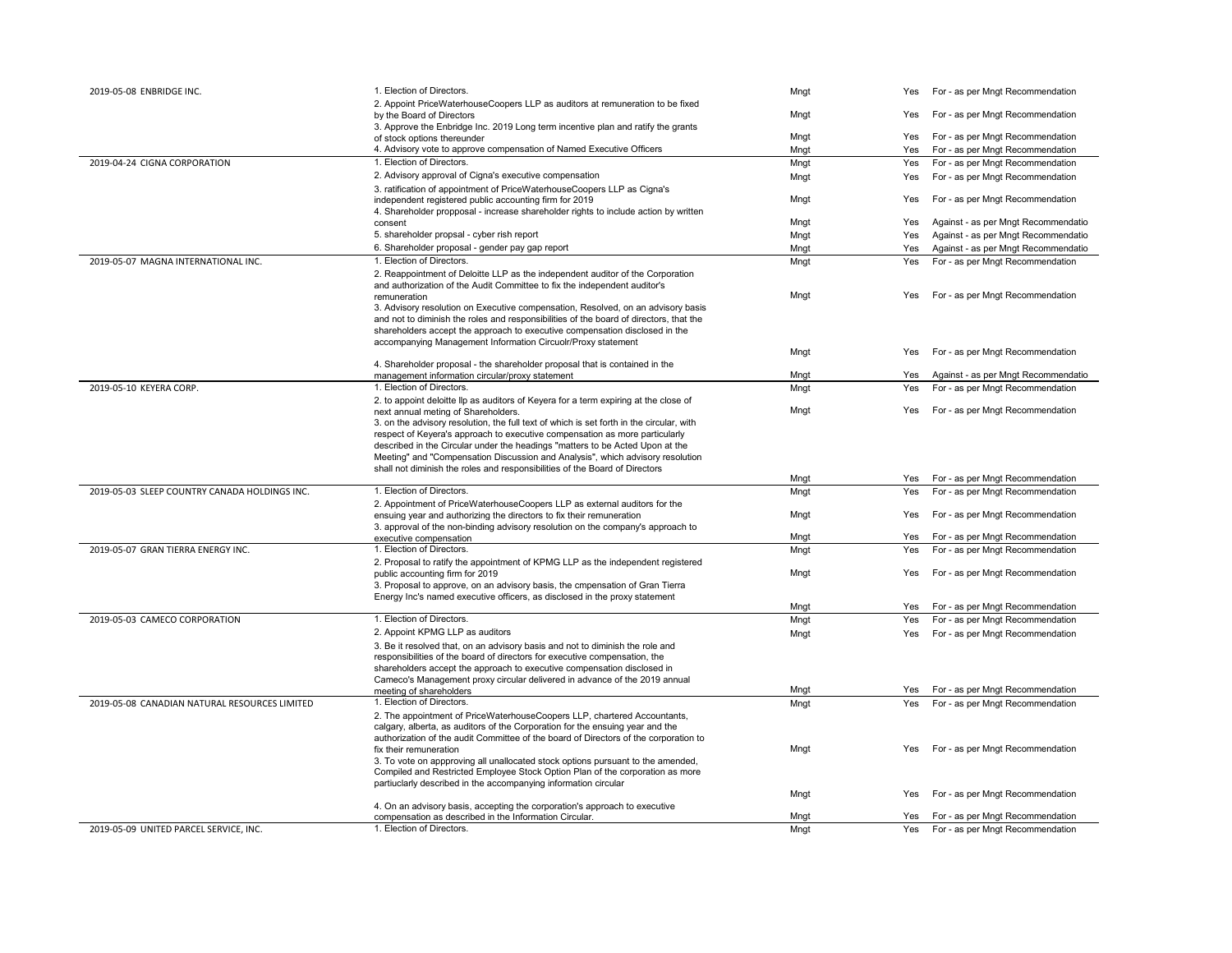| 2019-05-08 ENBRIDGE INC.                      | 1. Election of Directors.                                                                                                                                        | Mngt         | Yes | For - as per Mngt Recommendation                                         |
|-----------------------------------------------|------------------------------------------------------------------------------------------------------------------------------------------------------------------|--------------|-----|--------------------------------------------------------------------------|
|                                               | 2. Appoint PriceWaterhouseCoopers LLP as auditors at remuneration to be fixed                                                                                    |              |     |                                                                          |
|                                               | by the Board of Directors                                                                                                                                        | Mngt         | Yes | For - as per Mngt Recommendation                                         |
|                                               | 3. Approve the Enbridge Inc. 2019 Long term incentive plan and ratify the grants                                                                                 |              |     |                                                                          |
|                                               | of stock options thereunder                                                                                                                                      | Mngt         | Yes | For - as per Mngt Recommendation                                         |
|                                               | 4. Advisory vote to approve compensation of Named Executive Officers                                                                                             | Mngt         | Yes | For - as per Mngt Recommendation                                         |
| 2019-04-24 CIGNA CORPORATION                  | 1. Election of Directors.                                                                                                                                        | Mngt         | Yes | For - as per Mngt Recommendation                                         |
|                                               | 2. Advisory approval of Cigna's executive compensation                                                                                                           | Mngt         | Yes | For - as per Mngt Recommendation                                         |
|                                               | 3. ratification of appointment of PriceWaterhouseCoopers LLP as Cigna's                                                                                          | Mngt         | Yes | For - as per Mngt Recommendation                                         |
|                                               | independent registered public accounting firm for 2019<br>4. Shareholder propposal - increase shareholder rights to include action by written                    |              |     |                                                                          |
|                                               | consent                                                                                                                                                          | Mngt         | Yes | Against - as per Mngt Recommendatio                                      |
|                                               | 5. shareholder propsal - cyber rish report                                                                                                                       | Mngt         | Yes | Against - as per Mngt Recommendatio                                      |
|                                               | 6. Shareholder proposal - gender pay gap report                                                                                                                  | Mngt         | Yes | Against - as per Mngt Recommendatio                                      |
| 2019-05-07 MAGNA INTERNATIONAL INC.           | 1. Election of Directors.                                                                                                                                        | Mngt         | Yes | For - as per Mngt Recommendation                                         |
|                                               | 2. Reappointment of Deloitte LLP as the independent auditor of the Corporation                                                                                   |              |     |                                                                          |
|                                               | and authorization of the Audit Committee to fix the independent auditor's                                                                                        |              |     |                                                                          |
|                                               | remuneration                                                                                                                                                     | Mngt         | Yes | For - as per Mngt Recommendation                                         |
|                                               | 3. Advisory resolution on Executive compensation, Resolved, on an advisory basis                                                                                 |              |     |                                                                          |
|                                               | and not to diminish the roles and responsibilities of the board of directors, that the                                                                           |              |     |                                                                          |
|                                               | shareholders accept the approach to executive compensation disclosed in the                                                                                      |              |     |                                                                          |
|                                               | accompanying Management Information Circuolr/Proxy statement                                                                                                     |              |     |                                                                          |
|                                               |                                                                                                                                                                  | Mngt         | Yes | For - as per Mngt Recommendation                                         |
|                                               | 4. Shareholder proposal - the shareholder proposal that is contained in the<br>management information circular/proxy statement                                   | Mngt         | Yes | Against - as per Mngt Recommendatio                                      |
| 2019-05-10 KEYERA CORP.                       | 1. Election of Directors.                                                                                                                                        | Mngt         | Yes | For - as per Mngt Recommendation                                         |
|                                               | 2. to appoint deloitte Ilp as auditors of Keyera for a term expiring at the close of                                                                             |              |     |                                                                          |
|                                               | next annual meting of Shareholders.                                                                                                                              | Mngt         | Yes | For - as per Mngt Recommendation                                         |
|                                               | 3. on the advisory resolution, the full text of which is set forth in the circular, with                                                                         |              |     |                                                                          |
|                                               | respect of Keyera's approach to executive compensation as more particularly                                                                                      |              |     |                                                                          |
|                                               | described in the Circular under the headings "matters to be Acted Upon at the                                                                                    |              |     |                                                                          |
|                                               | Meeting" and "Compensation Discussion and Analysis", which advisory resolution                                                                                   |              |     |                                                                          |
|                                               | shall not diminish the roles and responsibilities of the Board of Directors                                                                                      |              |     |                                                                          |
|                                               |                                                                                                                                                                  |              |     |                                                                          |
|                                               |                                                                                                                                                                  | Mngt         | Yes | For - as per Mngt Recommendation                                         |
| 2019-05-03 SLEEP COUNTRY CANADA HOLDINGS INC. | 1. Election of Directors.                                                                                                                                        | Mngt         | Yes | For - as per Mngt Recommendation                                         |
|                                               | 2. Appointment of PriceWaterhouseCoopers LLP as external auditors for the                                                                                        |              |     |                                                                          |
|                                               | ensuing year and authorizing the directors to fix their remuneration                                                                                             | Mngt         | Yes | For - as per Mngt Recommendation                                         |
|                                               | 3. approval of the non-binding advisory resolution on the company's approach to                                                                                  |              |     |                                                                          |
|                                               | executive compensation                                                                                                                                           | Mngt         | Yes | For - as per Mngt Recommendation                                         |
| 2019-05-07 GRAN TIERRA ENERGY INC.            | 1. Election of Directors.                                                                                                                                        | Mngt         | Yes | For - as per Mngt Recommendation                                         |
|                                               | 2. Proposal to ratify the appointment of KPMG LLP as the independent registered                                                                                  |              |     |                                                                          |
|                                               | public accounting firm for 2019                                                                                                                                  | Mngt         | Yes | For - as per Mngt Recommendation                                         |
|                                               | 3. Proposal to approve, on an advisory basis, the cmpensation of Gran Tierra                                                                                     |              |     |                                                                          |
|                                               | Energy Inc's named executive officers, as disclosed in the proxy statement                                                                                       | Mngt         | Yes | For - as per Mngt Recommendation                                         |
| 2019-05-03 CAMECO CORPORATION                 | 1. Election of Directors.                                                                                                                                        | Mngt         | Yes | For - as per Mngt Recommendation                                         |
|                                               | 2. Appoint KPMG LLP as auditors                                                                                                                                  | Mngt         | Yes | For - as per Mngt Recommendation                                         |
|                                               | 3. Be it resolved that, on an advisory basis and not to diminish the role and                                                                                    |              |     |                                                                          |
|                                               | responsibilities of the board of directors for executive compensation, the                                                                                       |              |     |                                                                          |
|                                               | shareholders accept the approach to executive compensation disclosed in                                                                                          |              |     |                                                                          |
|                                               | Cameco's Management proxy circular delivered in advance of the 2019 annual                                                                                       |              |     |                                                                          |
|                                               | meeting of shareholders                                                                                                                                          | Mngt         | Yes | For - as per Mngt Recommendation                                         |
| 2019-05-08 CANADIAN NATURAL RESOURCES LIMITED | 1. Election of Directors.                                                                                                                                        | Mngt         | Yes | For - as per Mngt Recommendation                                         |
|                                               | 2. The appointment of PriceWaterhouseCoopers LLP, chartered Accountants,                                                                                         |              |     |                                                                          |
|                                               | calgary, alberta, as auditors of the Corporation for the ensuing year and the                                                                                    |              |     |                                                                          |
|                                               | authorization of the audit Committee of the board of Directors of the corporation to                                                                             |              |     |                                                                          |
|                                               | fix their remuneration                                                                                                                                           | Mngt         | Yes | For - as per Mngt Recommendation                                         |
|                                               | 3. To vote on appproving all unallocated stock options pursuant to the amended,<br>Compiled and Restricted Employee Stock Option Plan of the corporation as more |              |     |                                                                          |
|                                               | partiuclarly described in the accompanying information circular                                                                                                  |              |     |                                                                          |
|                                               |                                                                                                                                                                  | Mngt         | Yes | For - as per Mngt Recommendation                                         |
|                                               | 4. On an advisory basis, accepting the corporation's approach to executive                                                                                       |              |     |                                                                          |
| 2019-05-09 UNITED PARCEL SERVICE, INC.        | compensation as described in the Information Circular.<br>1. Election of Directors.                                                                              | Mngt<br>Mngt | Yes | For - as per Mngt Recommendation<br>Yes For - as per Mngt Recommendation |